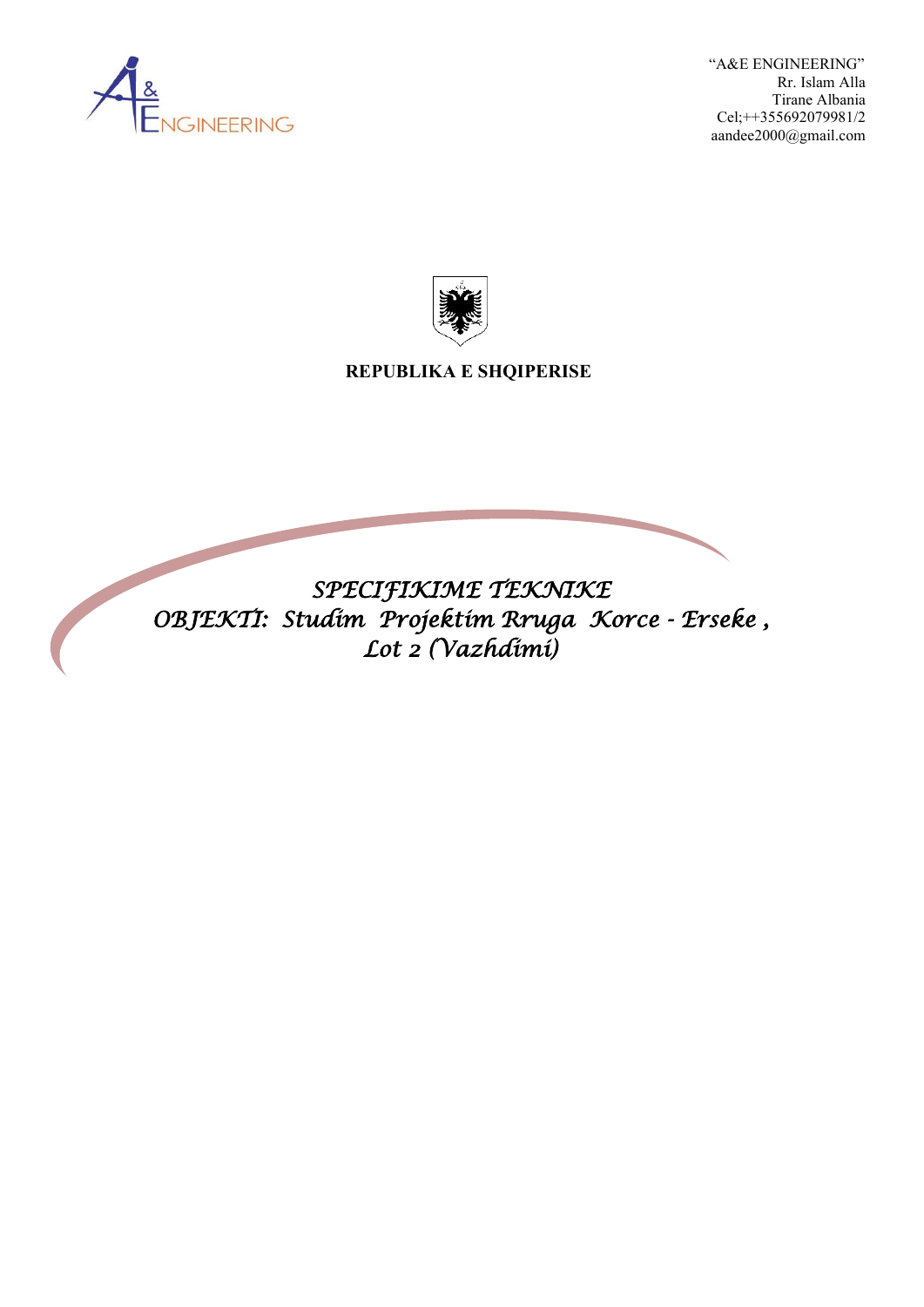

 "A&E ENGINEERING" Rr. Islam Alla Tirane Albania Cel;++355692079981/2 aandee2000@gmail.com



 **REPUBLIKA E SHQIPERISE**

*SPECIFIKIME TEKNIKE OBJEKTI: Studim Projektim Rruga Korce - Erseke , Lot 2 (Vazhdimi)*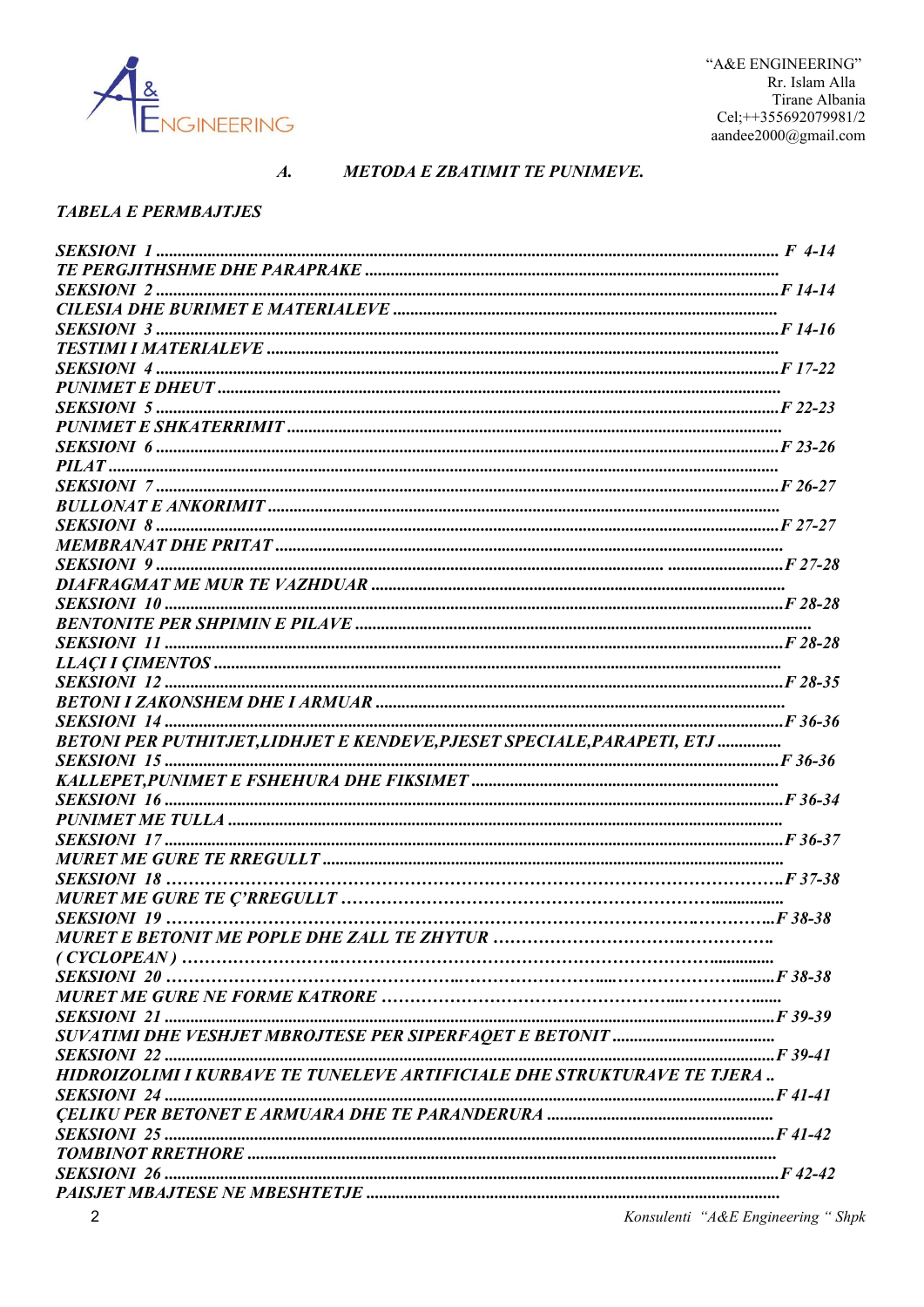

#### $\boldsymbol{A}$ . **METODA E ZBATIMIT TE PUNIMEVE.**

#### **TABELA E PERMBAJTJES**

| BETONI PER PUTHITJET, LIDHJET E KENDEVE, PJESET SPECIALE, PARAPETI, ETJ |  |
|-------------------------------------------------------------------------|--|
|                                                                         |  |
|                                                                         |  |
|                                                                         |  |
|                                                                         |  |
|                                                                         |  |
|                                                                         |  |
|                                                                         |  |
|                                                                         |  |
|                                                                         |  |
|                                                                         |  |
|                                                                         |  |
|                                                                         |  |
|                                                                         |  |
|                                                                         |  |
|                                                                         |  |
|                                                                         |  |
|                                                                         |  |
| HIDROIZOLIMI I KURBAVE TE TUNELEVE ARTIFICIALE DHE STRUKTURAVE TE TJERA |  |
|                                                                         |  |
|                                                                         |  |
|                                                                         |  |
|                                                                         |  |
|                                                                         |  |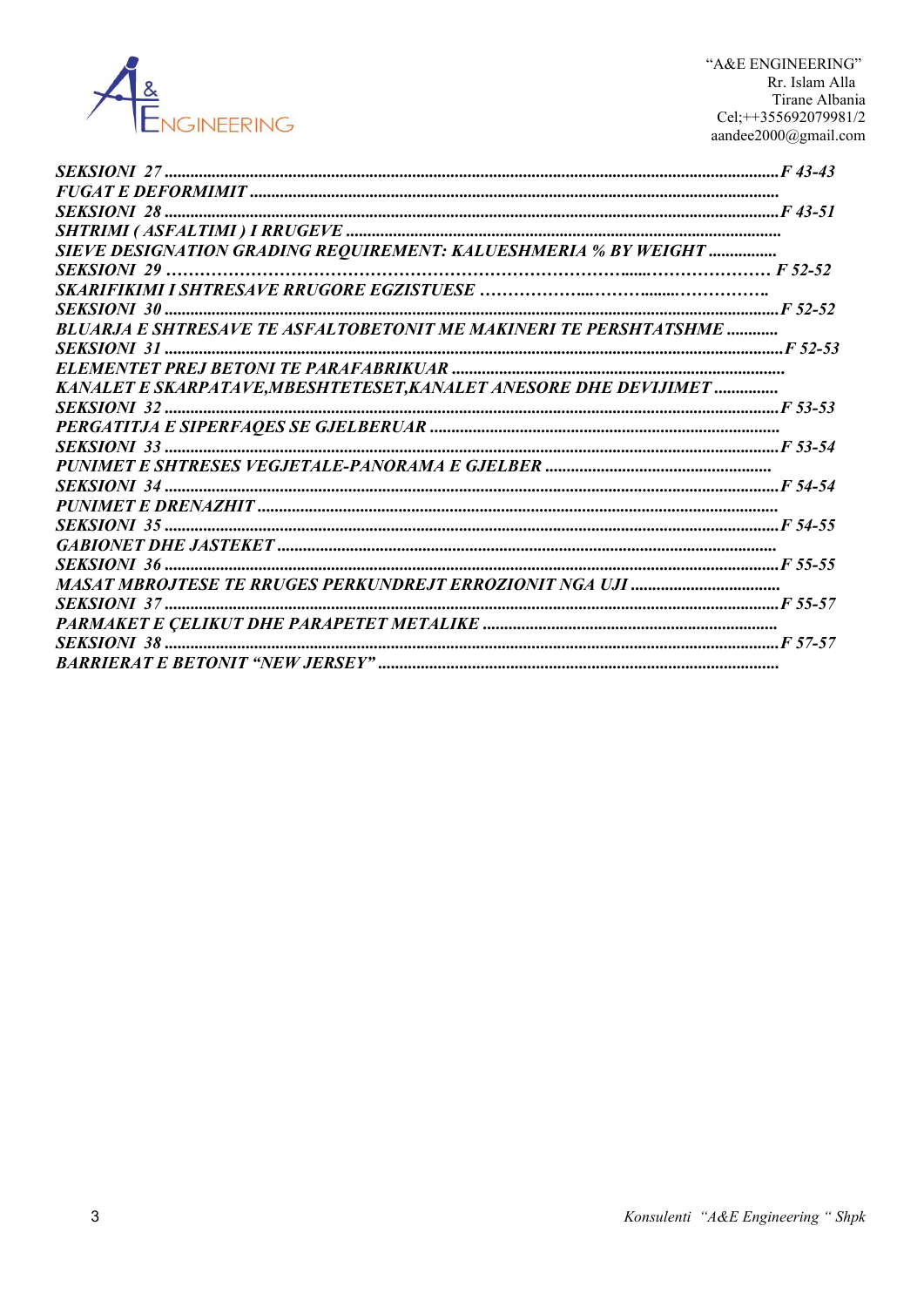

"A&E ENGINEERING" Rr. Islam Alla Tirane Albania Cel;++355692079981/2 aandee $2000$ @gmail.com

| SIEVE DESIGNATION GRADING REQUIREMENT: KALUESHMERIA % BY WEIGHT           |  |
|---------------------------------------------------------------------------|--|
|                                                                           |  |
|                                                                           |  |
|                                                                           |  |
| <b>BLUARJA E SHTRESAVE TE ASFALTOBETONIT ME MAKINERI TE PERSHTATSHME </b> |  |
|                                                                           |  |
|                                                                           |  |
| KANALET E SKARPATAVE, MBESHTETESET, KANALET ANESORE DHE DEVIJIMET         |  |
|                                                                           |  |
|                                                                           |  |
|                                                                           |  |
|                                                                           |  |
|                                                                           |  |
|                                                                           |  |
|                                                                           |  |
|                                                                           |  |
|                                                                           |  |
|                                                                           |  |
|                                                                           |  |
|                                                                           |  |
|                                                                           |  |
|                                                                           |  |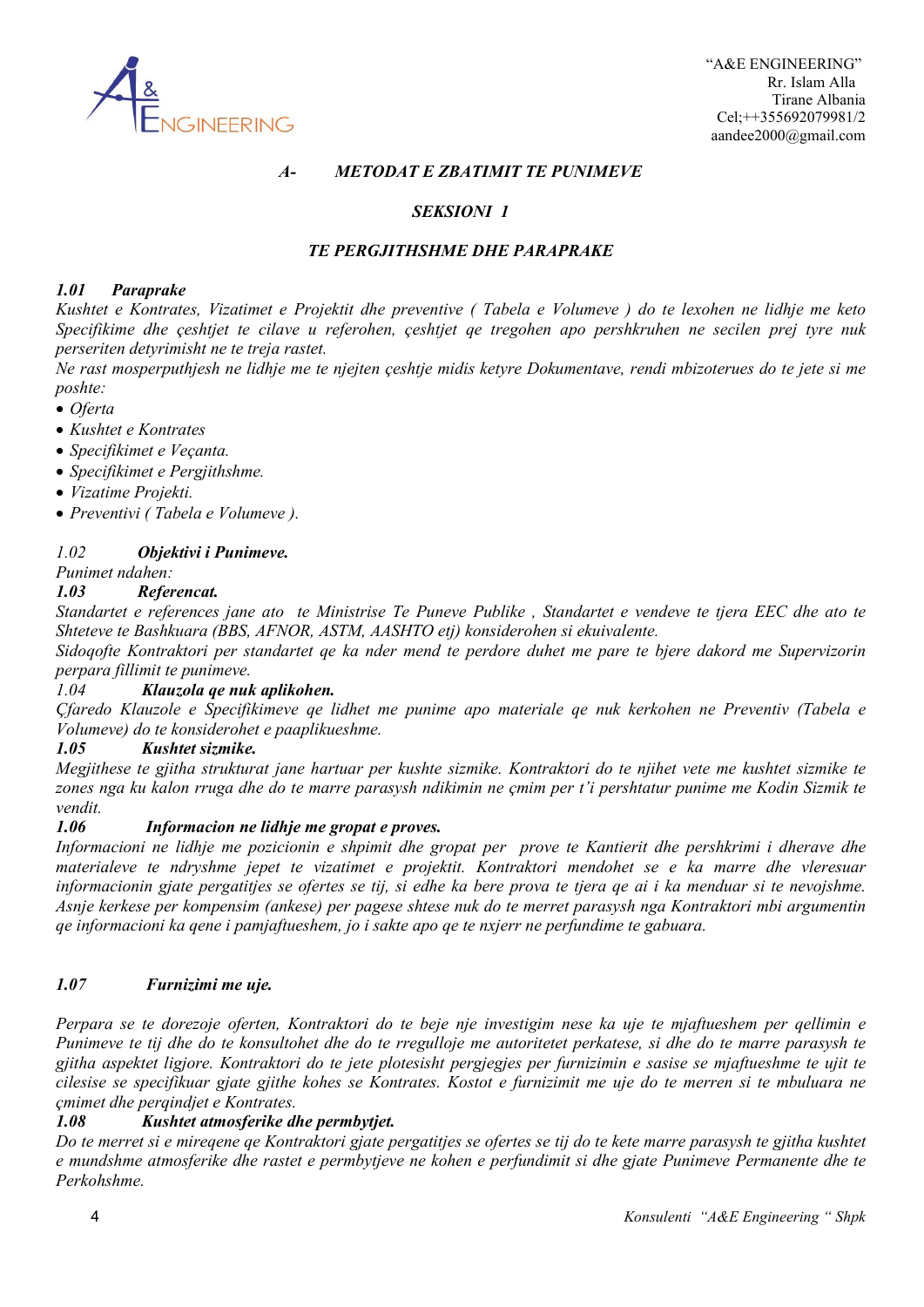

### *A- METODAT E ZBATIMIT TE PUNIMEVE*

### *SEKSIONI 1*

### *TE PERGJITHSHME DHE PARAPRAKE*

### *1.01 Paraprake*

*Kushtet e Kontrates, Vizatimet e Projektit dhe preventive ( Tabela e Volumeve ) do te lexohen ne lidhje me keto Specifikime dhe çeshtjet te cilave u referohen, çeshtjet qe tregohen apo pershkruhen ne secilen prej tyre nuk perseriten detyrimisht ne te treja rastet.*

*Ne rast mosperputhjesh ne lidhje me te njejten çeshtje midis ketyre Dokumentave, rendi mbizoterues do te jete si me poshte:*

- *Oferta*
- *Kushtet e Kontrates*
- *Specifikimet e Veçanta.*
- *Specifikimet e Pergjithshme.*
- *Vizatime Projekti.*
- *Preventivi ( Tabela e Volumeve ).*

#### *1.02 Objektivi i Punimeve.*

*Punimet ndahen:*

#### *1.03 Referencat.*

*Standartet e references jane ato te Ministrise Te Puneve Publike , Standartet e vendeve te tjera EEC dhe ato te Shteteve te Bashkuara (BBS, AFNOR, ASTM, AASHTO etj) konsiderohen si ekuivalente.*

*Sidoqofte Kontraktori per standartet qe ka nder mend te perdore duhet me pare te bjere dakord me Supervizorin perpara fillimit te punimeve.*

### *1.04 Klauzola qe nuk aplikohen.*

*Çfaredo Klauzole e Specifikimeve qe lidhet me punime apo materiale qe nuk kerkohen ne Preventiv (Tabela e Volumeve) do te konsiderohet e paaplikueshme.*

#### *1.05 Kushtet sizmike.*

*Megjithese te gjitha strukturat jane hartuar per kushte sizmike. Kontraktori do te njihet vete me kushtet sizmike te zones nga ku kalon rruga dhe do te marre parasysh ndikimin ne çmim per t'i pershtatur punime me Kodin Sizmik te vendit.*

#### *1.06 Informacion ne lidhje me gropat e proves.*

*Informacioni ne lidhje me pozicionin e shpimit dhe gropat per prove te Kantierit dhe pershkrimi i dherave dhe materialeve te ndryshme jepet te vizatimet e projektit. Kontraktori mendohet se e ka marre dhe vleresuar informacionin gjate pergatitjes se ofertes se tij, si edhe ka bere prova te tjera qe ai i ka menduar si te nevojshme. Asnje kerkese per kompensim (ankese) per pagese shtese nuk do te merret parasysh nga Kontraktori mbi argumentin qe informacioni ka qene i pamjaftueshem, jo i sakte apo qe te nxjerr ne perfundime te gabuara.*

#### *1.07 Furnizimi me uje.*

*Perpara se te dorezoje oferten, Kontraktori do te beje nje investigim nese ka uje te mjaftueshem per qellimin e Punimeve te tij dhe do te konsultohet dhe do te rregulloje me autoritetet perkatese, si dhe do te marre parasysh te gjitha aspektet ligjore. Kontraktori do te jete plotesisht pergjegjes per furnizimin e sasise se mjaftueshme te ujit te cilesise se specifikuar gjate gjithe kohes se Kontrates. Kostot e furnizimit me uje do te merren si te mbuluara ne çmimet dhe perqindjet e Kontrates.* 

### *1.08 Kushtet atmosferike dhe permbytjet.*

*Do te merret si e mireqene qe Kontraktori gjate pergatitjes se ofertes se tij do te kete marre parasysh te gjitha kushtet e mundshme atmosferike dhe rastet e permbytjeve ne kohen e perfundimit si dhe gjate Punimeve Permanente dhe te Perkohshme.*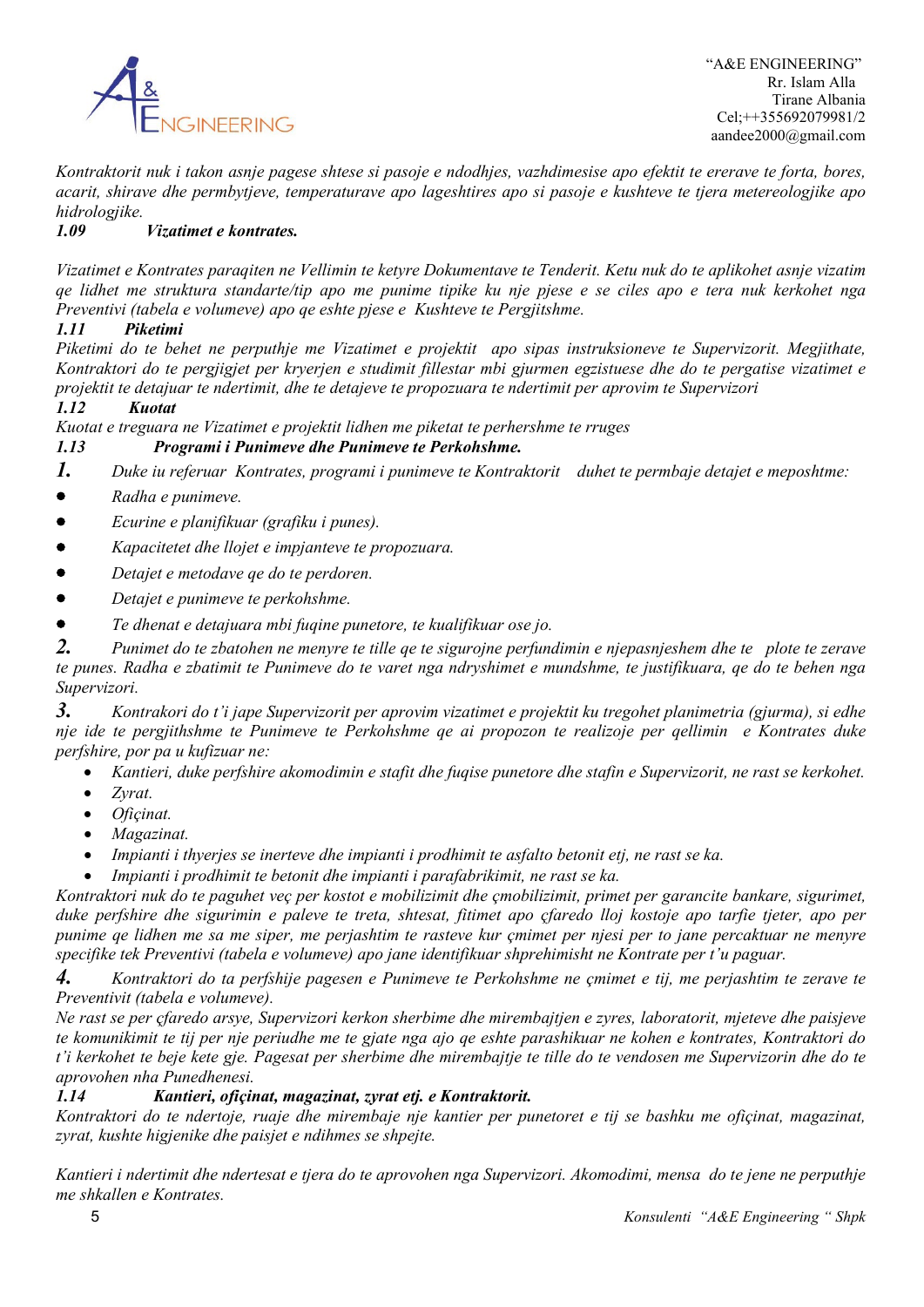

*Kontraktorit nuk i takon asnje pagese shtese si pasoje e ndodhjes, vazhdimesise apo efektit te ererave te forta, bores, acarit, shirave dhe permbytjeve, temperaturave apo lageshtires apo si pasoje e kushteve te tjera metereologjike apo hidrologjike.*

### *1.09 Vizatimet e kontrates.*

*Vizatimet e Kontrates paraqiten ne Vellimin te ketyre Dokumentave te Tenderit. Ketu nuk do te aplikohet asnje vizatim qe lidhet me struktura standarte/tip apo me punime tipike ku nje pjese e se ciles apo e tera nuk kerkohet nga Preventivi (tabela e volumeve) apo qe eshte pjese e Kushteve te Pergjitshme.*

### *1.11 Piketimi*

*Piketimi do te behet ne perputhje me Vizatimet e projektit apo sipas instruksioneve te Supervizorit. Megjithate, Kontraktori do te pergjigjet per kryerjen e studimit fillestar mbi gjurmen egzistuese dhe do te pergatise vizatimet e projektit te detajuar te ndertimit, dhe te detajeve te propozuara te ndertimit per aprovim te Supervizori*

### *1.12 Kuotat*

*Kuotat e treguara ne Vizatimet e projektit lidhen me piketat te perhershme te rruges* 

### *1.13 Programi i Punimeve dhe Punimeve te Perkohshme.*

*1. Duke iu referuar Kontrates, programi i punimeve te Kontraktorit duhet te permbaje detajet e meposhtme:*

- *Radha e punimeve.*
- *Ecurine e planifikuar (grafiku i punes).*
- *Kapacitetet dhe llojet e impjanteve te propozuara.*
- *Detajet e metodave qe do te perdoren.*
- *Detajet e punimeve te perkohshme.*
- *Te dhenat e detajuara mbi fuqine punetore, te kualifikuar ose jo.*

*2. Punimet do te zbatohen ne menyre te tille qe te sigurojne perfundimin e njepasnjeshem dhe te plote te zerave te punes. Radha e zbatimit te Punimeve do te varet nga ndryshimet e mundshme, te justifikuara, qe do te behen nga Supervizori.*

*3. Kontrakori do t'i jape Supervizorit per aprovim vizatimet e projektit ku tregohet planimetria (gjurma), si edhe nje ide te pergjithshme te Punimeve te Perkohshme qe ai propozon te realizoje per qellimin e Kontrates duke perfshire, por pa u kufizuar ne:* 

- *Kantieri, duke perfshire akomodimin e stafit dhe fuqise punetore dhe stafin e Supervizorit, ne rast se kerkohet.*
- *Zyrat.*
- *Ofiçinat.*
- *Magazinat.*
- *Impianti i thyerjes se inerteve dhe impianti i prodhimit te asfalto betonit etj, ne rast se ka.*
- *Impianti i prodhimit te betonit dhe impianti i parafabrikimit, ne rast se ka.*

*Kontraktori nuk do te paguhet veç per kostot e mobilizimit dhe çmobilizimit, primet per garancite bankare, sigurimet, duke perfshire dhe sigurimin e paleve te treta, shtesat, fitimet apo çfaredo lloj kostoje apo tarfie tjeter, apo per punime qe lidhen me sa me siper, me perjashtim te rasteve kur çmimet per njesi per to jane percaktuar ne menyre specifike tek Preventivi (tabela e volumeve) apo jane identifikuar shprehimisht ne Kontrate per t'u paguar.*

*4. Kontraktori do ta perfshije pagesen e Punimeve te Perkohshme ne çmimet e tij, me perjashtim te zerave te Preventivit (tabela e volumeve).*

*Ne rast se per çfaredo arsye, Supervizori kerkon sherbime dhe mirembajtjen e zyres, laboratorit, mjeteve dhe paisjeve te komunikimit te tij per nje periudhe me te gjate nga ajo qe eshte parashikuar ne kohen e kontrates, Kontraktori do t'i kerkohet te beje kete gje. Pagesat per sherbime dhe mirembajtje te tille do te vendosen me Supervizorin dhe do te aprovohen nha Punedhenesi.*

### *1.14 Kantieri, ofiçinat, magazinat, zyrat etj. e Kontraktorit.*

*Kontraktori do te ndertoje, ruaje dhe mirembaje nje kantier per punetoret e tij se bashku me ofiçinat, magazinat, zyrat, kushte higjenike dhe paisjet e ndihmes se shpejte.*

*Kantieri i ndertimit dhe ndertesat e tjera do te aprovohen nga Supervizori. Akomodimi, mensa do te jene ne perputhje me shkallen e Kontrates.*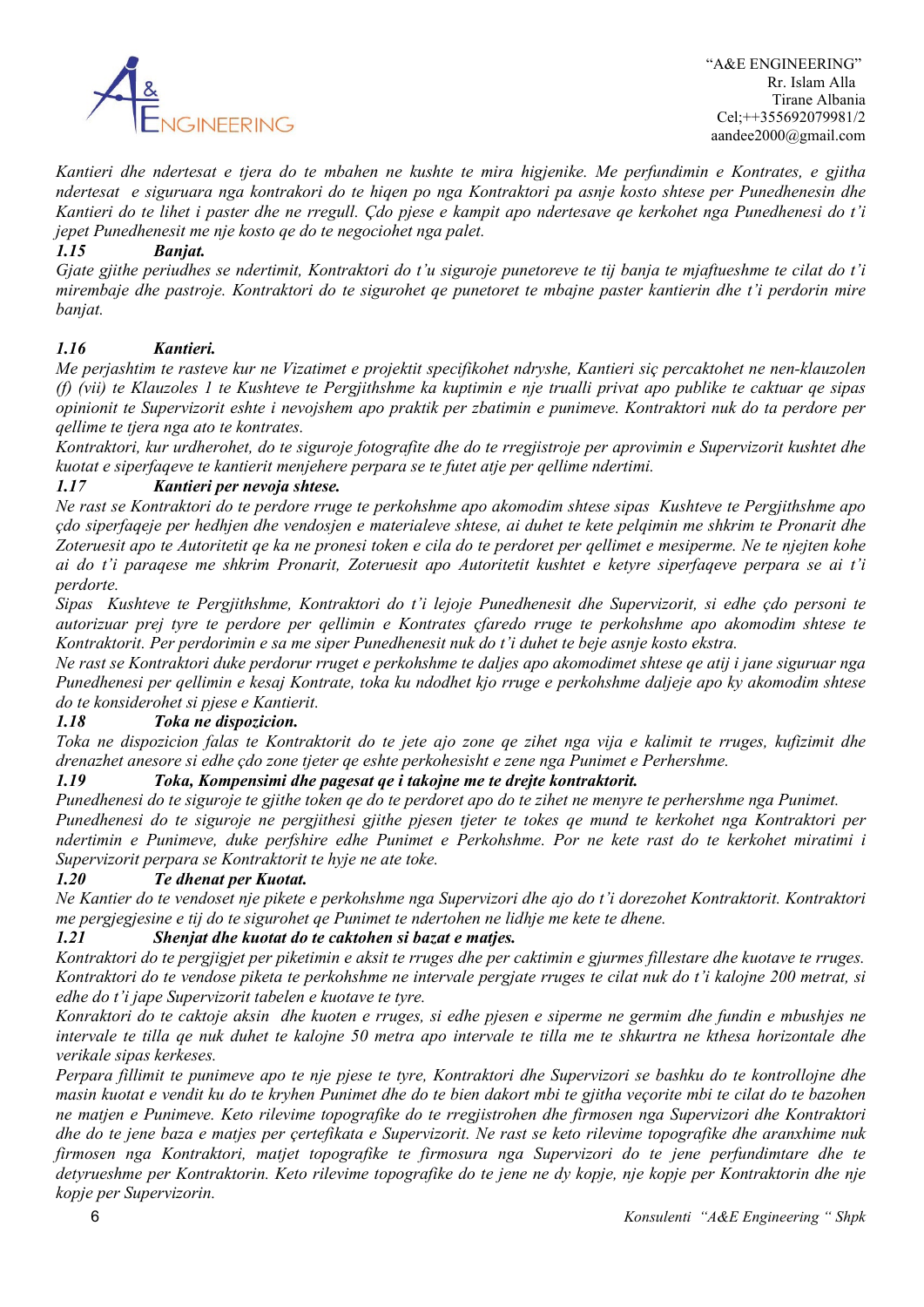

*Kantieri dhe ndertesat e tjera do te mbahen ne kushte te mira higjenike. Me perfundimin e Kontrates, e gjitha ndertesat e siguruara nga kontrakori do te hiqen po nga Kontraktori pa asnje kosto shtese per Punedhenesin dhe Kantieri do te lihet i paster dhe ne rregull. Çdo pjese e kampit apo ndertesave qe kerkohet nga Punedhenesi do t'i jepet Punedhenesit me nje kosto qe do te negociohet nga palet.*

### *1.15 Banjat.*

*Gjate gjithe periudhes se ndertimit, Kontraktori do t'u siguroje punetoreve te tij banja te mjaftueshme te cilat do t'i mirembaje dhe pastroje. Kontraktori do te sigurohet qe punetoret te mbajne paster kantierin dhe t'i perdorin mire banjat.*

### *1.16 Kantieri.*

*Me perjashtim te rasteve kur ne Vizatimet e projektit specifikohet ndryshe, Kantieri siç percaktohet ne nen-klauzolen (f) (vii) te Klauzoles 1 te Kushteve te Pergjithshme ka kuptimin e nje trualli privat apo publike te caktuar qe sipas opinionit te Supervizorit eshte i nevojshem apo praktik per zbatimin e punimeve. Kontraktori nuk do ta perdore per qellime te tjera nga ato te kontrates.*

*Kontraktori, kur urdherohet, do te siguroje fotografite dhe do te rregjistroje per aprovimin e Supervizorit kushtet dhe kuotat e siperfaqeve te kantierit menjehere perpara se te futet atje per qellime ndertimi.*

### *1.17 Kantieri per nevoja shtese.*

*Ne rast se Kontraktori do te perdore rruge te perkohshme apo akomodim shtese sipas Kushteve te Pergjithshme apo çdo siperfaqeje per hedhjen dhe vendosjen e materialeve shtese, ai duhet te kete pelqimin me shkrim te Pronarit dhe Zoteruesit apo te Autoritetit qe ka ne pronesi token e cila do te perdoret per qellimet e mesiperme. Ne te njejten kohe ai do t'i paraqese me shkrim Pronarit, Zoteruesit apo Autoritetit kushtet e ketyre siperfaqeve perpara se ai t'i perdorte.*

*Sipas Kushteve te Pergjithshme, Kontraktori do t'i lejoje Punedhenesit dhe Supervizorit, si edhe çdo personi te autorizuar prej tyre te perdore per qellimin e Kontrates çfaredo rruge te perkohshme apo akomodim shtese te Kontraktorit. Per perdorimin e sa me siper Punedhenesit nuk do t'i duhet te beje asnje kosto ekstra.*

*Ne rast se Kontraktori duke perdorur rruget e perkohshme te daljes apo akomodimet shtese qe atij i jane siguruar nga Punedhenesi per qellimin e kesaj Kontrate, toka ku ndodhet kjo rruge e perkohshme daljeje apo ky akomodim shtese do te konsiderohet si pjese e Kantierit.*

### *1.18 Toka ne dispozicion.*

*Toka ne dispozicion falas te Kontraktorit do te jete ajo zone qe zihet nga vija e kalimit te rruges, kufizimit dhe drenazhet anesore si edhe çdo zone tjeter qe eshte perkohesisht e zene nga Punimet e Perhershme.*

### *1.19 Toka, Kompensimi dhe pagesat qe i takojne me te drejte kontraktorit.*

*Punedhenesi do te siguroje te gjithe token qe do te perdoret apo do te zihet ne menyre te perhershme nga Punimet. Punedhenesi do te siguroje ne pergjithesi gjithe pjesen tjeter te tokes qe mund te kerkohet nga Kontraktori per ndertimin e Punimeve, duke perfshire edhe Punimet e Perkohshme. Por ne kete rast do te kerkohet miratimi i Supervizorit perpara se Kontraktorit te hyje ne ate toke.* 

### *1.20 Te dhenat per Kuotat.*

*Ne Kantier do te vendoset nje pikete e perkohshme nga Supervizori dhe ajo do t'i dorezohet Kontraktorit. Kontraktori me pergjegjesine e tij do te sigurohet qe Punimet te ndertohen ne lidhje me kete te dhene.*

#### *1.21 Shenjat dhe kuotat do te caktohen si bazat e matjes.*

*Kontraktori do te pergjigjet per piketimin e aksit te rruges dhe per caktimin e gjurmes fillestare dhe kuotave te rruges. Kontraktori do te vendose piketa te perkohshme ne intervale pergjate rruges te cilat nuk do t'i kalojne 200 metrat, si edhe do t'i jape Supervizorit tabelen e kuotave te tyre.*

*Konraktori do te caktoje aksin dhe kuoten e rruges, si edhe pjesen e siperme ne germim dhe fundin e mbushjes ne intervale te tilla qe nuk duhet te kalojne 50 metra apo intervale te tilla me te shkurtra ne kthesa horizontale dhe verikale sipas kerkeses.*

*Perpara fillimit te punimeve apo te nje pjese te tyre, Kontraktori dhe Supervizori se bashku do te kontrollojne dhe masin kuotat e vendit ku do te kryhen Punimet dhe do te bien dakort mbi te gjitha veçorite mbi te cilat do te bazohen ne matjen e Punimeve. Keto rilevime topografike do te rregjistrohen dhe firmosen nga Supervizori dhe Kontraktori dhe do te jene baza e matjes per çertefikata e Supervizorit. Ne rast se keto rilevime topografike dhe aranxhime nuk firmosen nga Kontraktori, matjet topografike te firmosura nga Supervizori do te jene perfundimtare dhe te detyrueshme per Kontraktorin. Keto rilevime topografike do te jene ne dy kopje, nje kopje per Kontraktorin dhe nje kopje per Supervizorin.*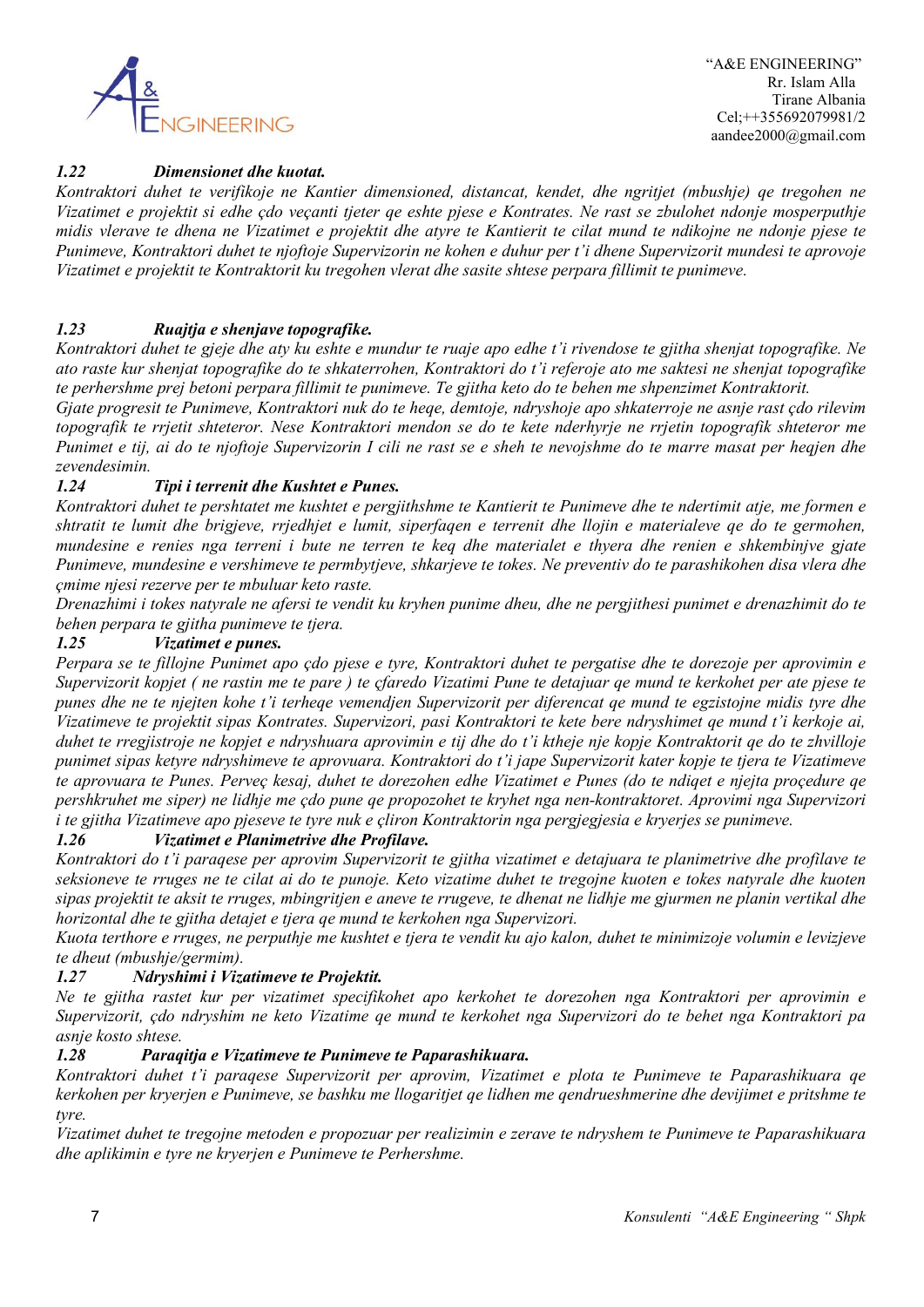

### *1.22 Dimensionet dhe kuotat.*

*Kontraktori duhet te verifikoje ne Kantier dimensioned, distancat, kendet, dhe ngritjet (mbushje) qe tregohen ne Vizatimet e projektit si edhe çdo veçanti tjeter qe eshte pjese e Kontrates. Ne rast se zbulohet ndonje mosperputhje midis vlerave te dhena ne Vizatimet e projektit dhe atyre te Kantierit te cilat mund te ndikojne ne ndonje pjese te Punimeve, Kontraktori duhet te njoftoje Supervizorin ne kohen e duhur per t'i dhene Supervizorit mundesi te aprovoje Vizatimet e projektit te Kontraktorit ku tregohen vlerat dhe sasite shtese perpara fillimit te punimeve.*

### *1.23 Ruajtja e shenjave topografike.*

*Kontraktori duhet te gjeje dhe aty ku eshte e mundur te ruaje apo edhe t'i rivendose te gjitha shenjat topografike. Ne ato raste kur shenjat topografike do te shkaterrohen, Kontraktori do t'i referoje ato me saktesi ne shenjat topografike te perhershme prej betoni perpara fillimit te punimeve. Te gjitha keto do te behen me shpenzimet Kontraktorit.*

*Gjate progresit te Punimeve, Kontraktori nuk do te heqe, demtoje, ndryshoje apo shkaterroje ne asnje rast çdo rilevim topografik te rrjetit shteteror. Nese Kontraktori mendon se do te kete nderhyrje ne rrjetin topografik shteteror me Punimet e tij, ai do te njoftoje Supervizorin I cili ne rast se e sheh te nevojshme do te marre masat per heqjen dhe zevendesimin.*

### *1.24 Tipi i terrenit dhe Kushtet e Punes.*

*Kontraktori duhet te pershtatet me kushtet e pergjithshme te Kantierit te Punimeve dhe te ndertimit atje, me formen e shtratit te lumit dhe brigjeve, rrjedhjet e lumit, siperfaqen e terrenit dhe llojin e materialeve qe do te germohen, mundesine e renies nga terreni i bute ne terren te keq dhe materialet e thyera dhe renien e shkembinjve gjate Punimeve, mundesine e vershimeve te permbytjeve, shkarjeve te tokes. Ne preventiv do te parashikohen disa vlera dhe çmime njesi rezerve per te mbuluar keto raste.*

*Drenazhimi i tokes natyrale ne afersi te vendit ku kryhen punime dheu, dhe ne pergjithesi punimet e drenazhimit do te behen perpara te gjitha punimeve te tjera.*

### *1.25 Vizatimet e punes.*

*Perpara se te fillojne Punimet apo çdo pjese e tyre, Kontraktori duhet te pergatise dhe te dorezoje per aprovimin e Supervizorit kopjet ( ne rastin me te pare ) te çfaredo Vizatimi Pune te detajuar qe mund te kerkohet per ate pjese te punes dhe ne te njejten kohe t'i terheqe vemendjen Supervizorit per diferencat qe mund te egzistojne midis tyre dhe Vizatimeve te projektit sipas Kontrates. Supervizori, pasi Kontraktori te kete bere ndryshimet qe mund t'i kerkoje ai, duhet te rregjistroje ne kopjet e ndryshuara aprovimin e tij dhe do t'i ktheje nje kopje Kontraktorit qe do te zhvilloje punimet sipas ketyre ndryshimeve te aprovuara. Kontraktori do t'i jape Supervizorit kater kopje te tjera te Vizatimeve te aprovuara te Punes. Perveç kesaj, duhet te dorezohen edhe Vizatimet e Punes (do te ndiqet e njejta proçedure qe pershkruhet me siper) ne lidhje me çdo pune qe propozohet te kryhet nga nen-kontraktoret. Aprovimi nga Supervizori i te gjitha Vizatimeve apo pjeseve te tyre nuk e çliron Kontraktorin nga pergjegjesia e kryerjes se punimeve.*

### *1.26 Vizatimet e Planimetrive dhe Profilave.*

*Kontraktori do t'i paraqese per aprovim Supervizorit te gjitha vizatimet e detajuara te planimetrive dhe profilave te seksioneve te rruges ne te cilat ai do te punoje. Keto vizatime duhet te tregojne kuoten e tokes natyrale dhe kuoten sipas projektit te aksit te rruges, mbingritjen e aneve te rrugeve, te dhenat ne lidhje me gjurmen ne planin vertikal dhe horizontal dhe te gjitha detajet e tjera qe mund te kerkohen nga Supervizori.*

*Kuota terthore e rruges, ne perputhje me kushtet e tjera te vendit ku ajo kalon, duhet te minimizoje volumin e levizjeve te dheut (mbushje/germim).*

#### *1.27 Ndryshimi i Vizatimeve te Projektit.*

*Ne te gjitha rastet kur per vizatimet specifikohet apo kerkohet te dorezohen nga Kontraktori per aprovimin e Supervizorit, çdo ndryshim ne keto Vizatime qe mund te kerkohet nga Supervizori do te behet nga Kontraktori pa asnje kosto shtese.*

### *1.28 Paraqitja e Vizatimeve te Punimeve te Paparashikuara.*

*Kontraktori duhet t'i paraqese Supervizorit per aprovim, Vizatimet e plota te Punimeve te Paparashikuara qe kerkohen per kryerjen e Punimeve, se bashku me llogaritjet qe lidhen me qendrueshmerine dhe devijimet e pritshme te tyre.*

*Vizatimet duhet te tregojne metoden e propozuar per realizimin e zerave te ndryshem te Punimeve te Paparashikuara dhe aplikimin e tyre ne kryerjen e Punimeve te Perhershme.*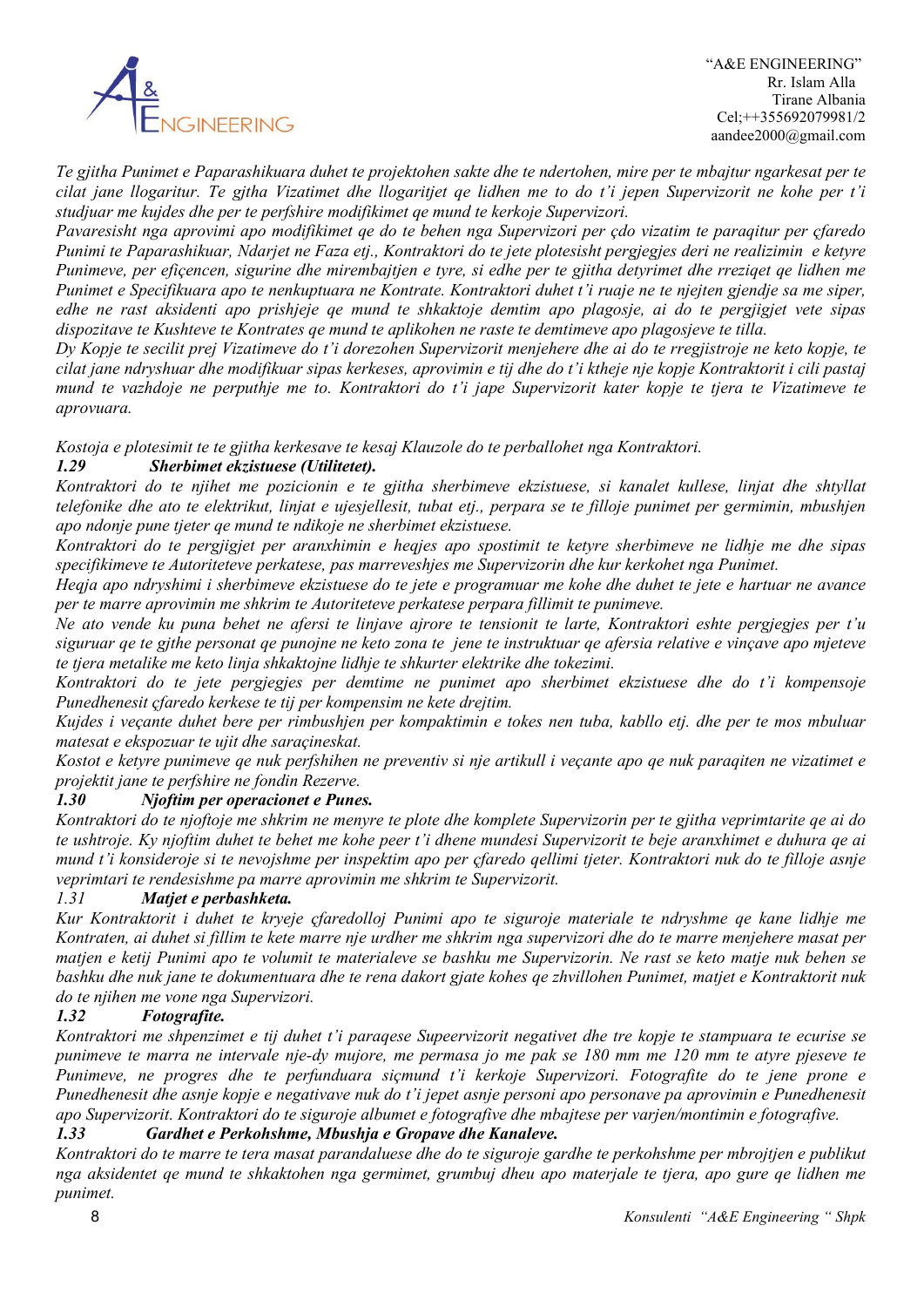

*Te gjitha Punimet e Paparashikuara duhet te projektohen sakte dhe te ndertohen, mire per te mbajtur ngarkesat per te cilat jane llogaritur. Te gjtha Vizatimet dhe llogaritjet qe lidhen me to do t'i jepen Supervizorit ne kohe per t'i studjuar me kujdes dhe per te perfshire modifikimet qe mund te kerkoje Supervizori.*

*Pavaresisht nga aprovimi apo modifikimet qe do te behen nga Supervizori per çdo vizatim te paraqitur per çfaredo Punimi te Paparashikuar, Ndarjet ne Faza etj., Kontraktori do te jete plotesisht pergjegjes deri ne realizimin e ketyre Punimeve, per efiçencen, sigurine dhe mirembajtjen e tyre, si edhe per te gjitha detyrimet dhe rreziqet qe lidhen me Punimet e Specifikuara apo te nenkuptuara ne Kontrate. Kontraktori duhet t'i ruaje ne te njejten gjendje sa me siper, edhe ne rast aksidenti apo prishjeje qe mund te shkaktoje demtim apo plagosje, ai do te pergjigjet vete sipas dispozitave te Kushteve te Kontrates qe mund te aplikohen ne raste te demtimeve apo plagosjeve te tilla.*

*Dy Kopje te secilit prej Vizatimeve do t'i dorezohen Supervizorit menjehere dhe ai do te rregjistroje ne keto kopje, te cilat jane ndryshuar dhe modifikuar sipas kerkeses, aprovimin e tij dhe do t'i ktheje nje kopje Kontraktorit i cili pastaj mund te vazhdoje ne perputhje me to. Kontraktori do t'i jape Supervizorit kater kopje te tjera te Vizatimeve te aprovuara.* 

*Kostoja e plotesimit te te gjitha kerkesave te kesaj Klauzole do te perballohet nga Kontraktori.*

### *1.29 Sherbimet ekzistuese (Utilitetet).*

*Kontraktori do te njihet me pozicionin e te gjitha sherbimeve ekzistuese, si kanalet kullese, linjat dhe shtyllat telefonike dhe ato te elektrikut, linjat e ujesjellesit, tubat etj., perpara se te filloje punimet per germimin, mbushjen apo ndonje pune tjeter qe mund te ndikoje ne sherbimet ekzistuese.*

*Kontraktori do te pergjigjet per aranxhimin e heqjes apo spostimit te ketyre sherbimeve ne lidhje me dhe sipas specifikimeve te Autoriteteve perkatese, pas marreveshjes me Supervizorin dhe kur kerkohet nga Punimet.*

*Heqja apo ndryshimi i sherbimeve ekzistuese do te jete e programuar me kohe dhe duhet te jete e hartuar ne avance per te marre aprovimin me shkrim te Autoriteteve perkatese perpara fillimit te punimeve.*

*Ne ato vende ku puna behet ne afersi te linjave ajrore te tensionit te larte, Kontraktori eshte pergjegjes per t'u siguruar qe te gjthe personat qe punojne ne keto zona te jene te instruktuar qe afersia relative e vinçave apo mjeteve te tjera metalike me keto linja shkaktojne lidhje te shkurter elektrike dhe tokezimi.*

*Kontraktori do te jete pergjegjes per demtime ne punimet apo sherbimet ekzistuese dhe do t'i kompensoje Punedhenesit çfaredo kerkese te tij per kompensim ne kete drejtim.*

*Kujdes i veçante duhet bere per rimbushjen per kompaktimin e tokes nen tuba, kabllo etj. dhe per te mos mbuluar matesat e ekspozuar te ujit dhe saraçineskat.*

*Kostot e ketyre punimeve qe nuk perfshihen ne preventiv si nje artikull i veçante apo qe nuk paraqiten ne vizatimet e projektit jane te perfshire ne fondin Rezerve.*

### *1.30 Njoftim per operacionet e Punes.*

*Kontraktori do te njoftoje me shkrim ne menyre te plote dhe komplete Supervizorin per te gjitha veprimtarite qe ai do te ushtroje. Ky njoftim duhet te behet me kohe peer t'i dhene mundesi Supervizorit te beje aranxhimet e duhura qe ai mund t'i konsideroje si te nevojshme per inspektim apo per çfaredo qellimi tjeter. Kontraktori nuk do te filloje asnje veprimtari te rendesishme pa marre aprovimin me shkrim te Supervizorit.*

### *1.31 Matjet e perbashketa.*

*Kur Kontraktorit i duhet te kryeje çfaredolloj Punimi apo te siguroje materiale te ndryshme qe kane lidhje me Kontraten, ai duhet si fillim te kete marre nje urdher me shkrim nga supervizori dhe do te marre menjehere masat per matjen e ketij Punimi apo te volumit te materialeve se bashku me Supervizorin. Ne rast se keto matje nuk behen se bashku dhe nuk jane te dokumentuara dhe te rena dakort gjate kohes qe zhvillohen Punimet, matjet e Kontraktorit nuk do te njihen me vone nga Supervizori.*

### *1.32 Fotografite.*

*Kontraktori me shpenzimet e tij duhet t'i paraqese Supeervizorit negativet dhe tre kopje te stampuara te ecurise se punimeve te marra ne intervale nje-dy mujore, me permasa jo me pak se 180 mm me 120 mm te atyre pjeseve te Punimeve, ne progres dhe te perfunduara siçmund t'i kerkoje Supervizori. Fotografite do te jene prone e Punedhenesit dhe asnje kopje e negativave nuk do t'i jepet asnje personi apo personave pa aprovimin e Punedhenesit apo Supervizorit. Kontraktori do te siguroje albumet e fotografive dhe mbajtese per varjen/montimin e fotografive.*

### *1.33 Gardhet e Perkohshme, Mbushja e Gropave dhe Kanaleve.*

*Kontraktori do te marre te tera masat parandaluese dhe do te siguroje gardhe te perkohshme per mbrojtjen e publikut nga aksidentet qe mund te shkaktohen nga germimet, grumbuj dheu apo materjale te tjera, apo gure qe lidhen me punimet.*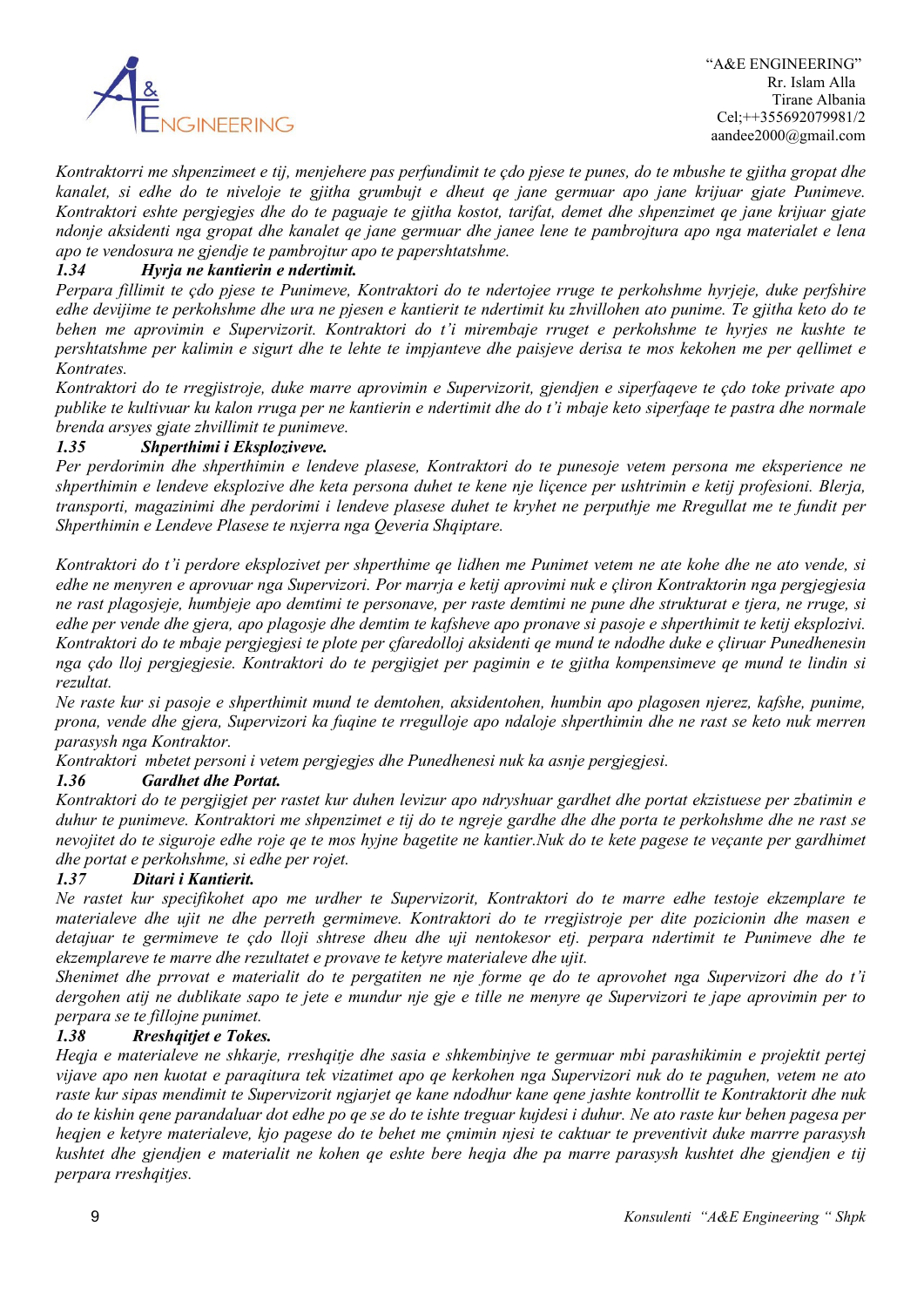

*Kontraktorri me shpenzimeet e tij, menjehere pas perfundimit te çdo pjese te punes, do te mbushe te gjitha gropat dhe kanalet, si edhe do te niveloje te gjitha grumbujt e dheut qe jane germuar apo jane krijuar gjate Punimeve. Kontraktori eshte pergjegjes dhe do te paguaje te gjitha kostot, tarifat, demet dhe shpenzimet qe jane krijuar gjate ndonje aksidenti nga gropat dhe kanalet qe jane germuar dhe janee lene te pambrojtura apo nga materialet e lena apo te vendosura ne gjendje te pambrojtur apo te papershtatshme.*

### *1.34 Hyrja ne kantierin e ndertimit.*

*Perpara fillimit te çdo pjese te Punimeve, Kontraktori do te ndertojee rruge te perkohshme hyrjeje, duke perfshire edhe devijime te perkohshme dhe ura ne pjesen e kantierit te ndertimit ku zhvillohen ato punime. Te gjitha keto do te behen me aprovimin e Supervizorit. Kontraktori do t'i mirembaje rruget e perkohshme te hyrjes ne kushte te pershtatshme per kalimin e sigurt dhe te lehte te impjanteve dhe paisjeve derisa te mos kekohen me per qellimet e Kontrates.*

*Kontraktori do te rregjistroje, duke marre aprovimin e Supervizorit, gjendjen e siperfaqeve te çdo toke private apo publike te kultivuar ku kalon rruga per ne kantierin e ndertimit dhe do t'i mbaje keto siperfaqe te pastra dhe normale brenda arsyes gjate zhvillimit te punimeve.*

#### *1.35 Shperthimi i Eksploziveve.*

*Per perdorimin dhe shperthimin e lendeve plasese, Kontraktori do te punesoje vetem persona me eksperience ne shperthimin e lendeve eksplozive dhe keta persona duhet te kene nje liçence per ushtrimin e ketij profesioni. Blerja, transporti, magazinimi dhe perdorimi i lendeve plasese duhet te kryhet ne perputhje me Rregullat me te fundit per Shperthimin e Lendeve Plasese te nxjerra nga Qeveria Shqiptare.*

*Kontraktori do t'i perdore eksplozivet per shperthime qe lidhen me Punimet vetem ne ate kohe dhe ne ato vende, si edhe ne menyren e aprovuar nga Supervizori. Por marrja e ketij aprovimi nuk e çliron Kontraktorin nga pergjegjesia ne rast plagosjeje, humbjeje apo demtimi te personave, per raste demtimi ne pune dhe strukturat e tjera, ne rruge, si edhe per vende dhe gjera, apo plagosje dhe demtim te kafsheve apo pronave si pasoje e shperthimit te ketij eksplozivi. Kontraktori do te mbaje pergjegjesi te plote per çfaredolloj aksidenti qe mund te ndodhe duke e çliruar Punedhenesin nga çdo lloj pergjegjesie. Kontraktori do te pergjigjet per pagimin e te gjitha kompensimeve qe mund te lindin si rezultat.*

*Ne raste kur si pasoje e shperthimit mund te demtohen, aksidentohen, humbin apo plagosen njerez, kafshe, punime, prona, vende dhe gjera, Supervizori ka fuqine te rregulloje apo ndaloje shperthimin dhe ne rast se keto nuk merren parasysh nga Kontraktor.*

*Kontraktori mbetet personi i vetem pergjegjes dhe Punedhenesi nuk ka asnje pergjegjesi.*

#### *1.36 Gardhet dhe Portat.*

*Kontraktori do te pergjigjet per rastet kur duhen levizur apo ndryshuar gardhet dhe portat ekzistuese per zbatimin e duhur te punimeve. Kontraktori me shpenzimet e tij do te ngreje gardhe dhe dhe porta te perkohshme dhe ne rast se nevojitet do te siguroje edhe roje qe te mos hyjne bagetite ne kantier.Nuk do te kete pagese te veçante per gardhimet dhe portat e perkohshme, si edhe per rojet.*

### *1.37 Ditari i Kantierit.*

*Ne rastet kur specifikohet apo me urdher te Supervizorit, Kontraktori do te marre edhe testoje ekzemplare te materialeve dhe ujit ne dhe perreth germimeve. Kontraktori do te rregjistroje per dite pozicionin dhe masen e detajuar te germimeve te çdo lloji shtrese dheu dhe uji nentokesor etj. perpara ndertimit te Punimeve dhe te ekzemplareve te marre dhe rezultatet e provave te ketyre materialeve dhe ujit.*

*Shenimet dhe prrovat e materialit do te pergatiten ne nje forme qe do te aprovohet nga Supervizori dhe do t'i dergohen atij ne dublikate sapo te jete e mundur nje gje e tille ne menyre qe Supervizori te jape aprovimin per to perpara se te fillojne punimet.*

#### *1.38 Rreshqitjet e Tokes.*

*Heqja e materialeve ne shkarje, rreshqitje dhe sasia e shkembinjve te germuar mbi parashikimin e projektit pertej vijave apo nen kuotat e paraqitura tek vizatimet apo qe kerkohen nga Supervizori nuk do te paguhen, vetem ne ato raste kur sipas mendimit te Supervizorit ngjarjet qe kane ndodhur kane qene jashte kontrollit te Kontraktorit dhe nuk do te kishin qene parandaluar dot edhe po qe se do te ishte treguar kujdesi i duhur. Ne ato raste kur behen pagesa per heqjen e ketyre materialeve, kjo pagese do te behet me çmimin njesi te caktuar te preventivit duke marrre parasysh kushtet dhe gjendjen e materialit ne kohen qe eshte bere heqja dhe pa marre parasysh kushtet dhe gjendjen e tij perpara rreshqitjes.*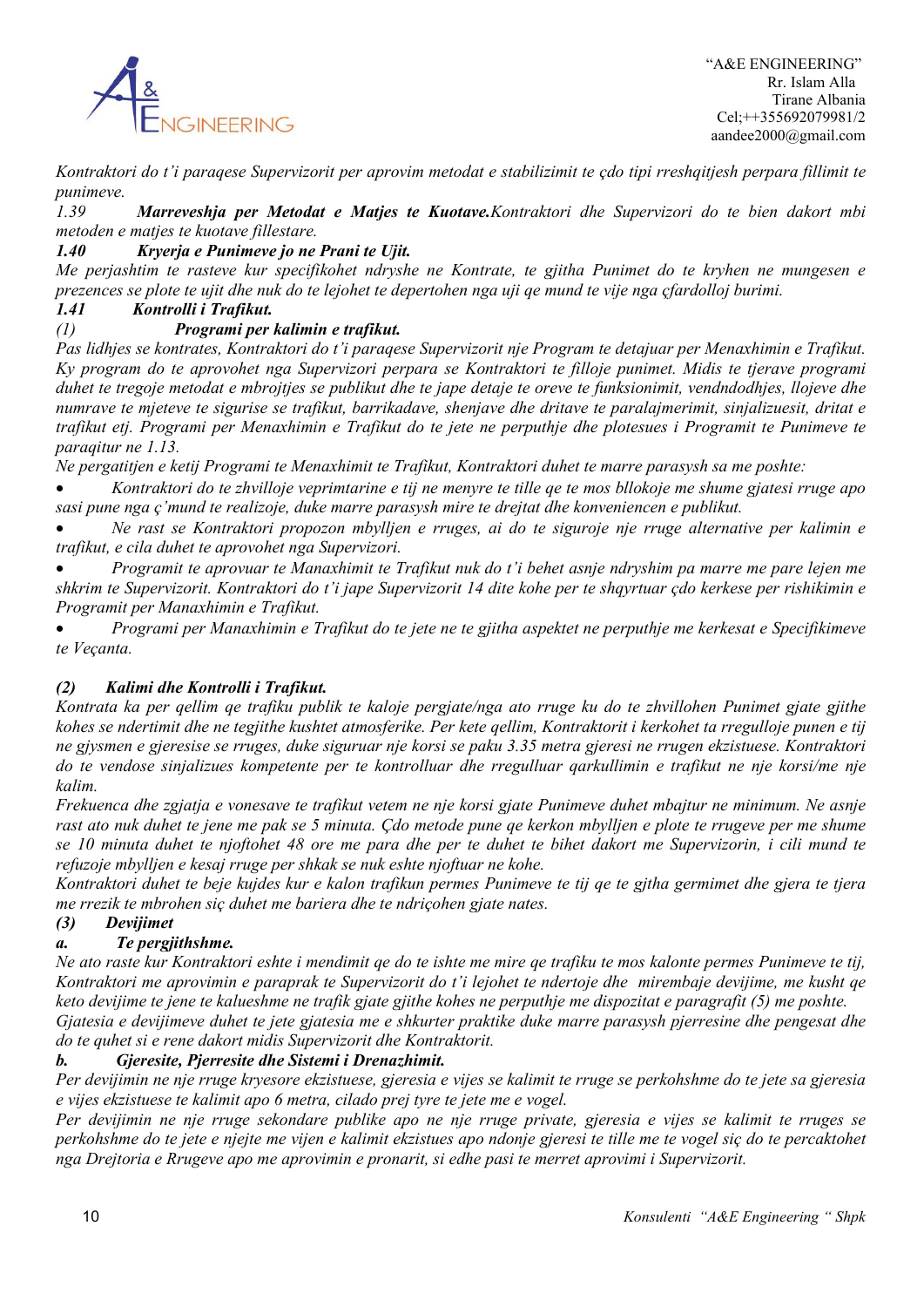

*Kontraktori do t'i paraqese Supervizorit per aprovim metodat e stabilizimit te çdo tipi rreshqitjesh perpara fillimit te punimeve.*

*1.39 Marreveshja per Metodat e Matjes te Kuotave.Kontraktori dhe Supervizori do te bien dakort mbi metoden e matjes te kuotave fillestare.*

### *1.40 Kryerja e Punimeve jo ne Prani te Ujit.*

*Me perjashtim te rasteve kur specifikohet ndryshe ne Kontrate, te gjitha Punimet do te kryhen ne mungesen e prezences se plote te ujit dhe nuk do te lejohet te depertohen nga uji qe mund te vije nga çfardolloj burimi.*

#### *1.41 Kontrolli i Trafikut.*

### *(1) Programi per kalimin e trafikut.*

*Pas lidhjes se kontrates, Kontraktori do t'i paraqese Supervizorit nje Program te detajuar per Menaxhimin e Trafikut. Ky program do te aprovohet nga Supervizori perpara se Kontraktori te filloje punimet. Midis te tjerave programi duhet te tregoje metodat e mbrojtjes se publikut dhe te jape detaje te oreve te funksionimit, vendndodhjes, llojeve dhe numrave te mjeteve te sigurise se trafikut, barrikadave, shenjave dhe dritave te paralajmerimit, sinjalizuesit, dritat e trafikut etj. Programi per Menaxhimin e Trafikut do te jete ne perputhje dhe plotesues i Programit te Punimeve te paraqitur ne 1.13.*

*Ne pergatitjen e ketij Programi te Menaxhimit te Trafikut, Kontraktori duhet te marre parasysh sa me poshte:*

• *Kontraktori do te zhvilloje veprimtarine e tij ne menyre te tille qe te mos bllokoje me shume gjatesi rruge apo sasi pune nga ç'mund te realizoje, duke marre parasysh mire te drejtat dhe konveniencen e publikut.*

• *Ne rast se Kontraktori propozon mbylljen e rruges, ai do te siguroje nje rruge alternative per kalimin e trafikut, e cila duhet te aprovohet nga Supervizori.*

• *Programit te aprovuar te Manaxhimit te Trafikut nuk do t'i behet asnje ndryshim pa marre me pare lejen me shkrim te Supervizorit. Kontraktori do t'i jape Supervizorit 14 dite kohe per te shqyrtuar çdo kerkese per rishikimin e Programit per Manaxhimin e Trafikut.*

• *Programi per Manaxhimin e Trafikut do te jete ne te gjitha aspektet ne perputhje me kerkesat e Specifikimeve te Veçanta.* 

### *(2) Kalimi dhe Kontrolli i Trafikut.*

*Kontrata ka per qellim qe trafiku publik te kaloje pergjate/nga ato rruge ku do te zhvillohen Punimet gjate gjithe kohes se ndertimit dhe ne tegjithe kushtet atmosferike. Per kete qellim, Kontraktorit i kerkohet ta rregulloje punen e tij ne gjysmen e gjeresise se rruges, duke siguruar nje korsi se paku 3.35 metra gjeresi ne rrugen ekzistuese. Kontraktori do te vendose sinjalizues kompetente per te kontrolluar dhe rregulluar qarkullimin e trafikut ne nje korsi/me nje kalim.*

*Frekuenca dhe zgjatja e vonesave te trafikut vetem ne nje korsi gjate Punimeve duhet mbajtur ne minimum. Ne asnje rast ato nuk duhet te jene me pak se 5 minuta. Çdo metode pune qe kerkon mbylljen e plote te rrugeve per me shume se 10 minuta duhet te njoftohet 48 ore me para dhe per te duhet te bihet dakort me Supervizorin, i cili mund te refuzoje mbylljen e kesaj rruge per shkak se nuk eshte njoftuar ne kohe.*

*Kontraktori duhet te beje kujdes kur e kalon trafikun permes Punimeve te tij qe te gjtha germimet dhe gjera te tjera me rrezik te mbrohen siç duhet me bariera dhe te ndriçohen gjate nates.*

### *(3) Devijimet*

### *a. Te pergjithshme.*

*Ne ato raste kur Kontraktori eshte i mendimit qe do te ishte me mire qe trafiku te mos kalonte permes Punimeve te tij, Kontraktori me aprovimin e paraprak te Supervizorit do t'i lejohet te ndertoje dhe mirembaje devijime, me kusht qe keto devijime te jene te kalueshme ne trafik gjate gjithe kohes ne perputhje me dispozitat e paragrafit (5) me poshte. Gjatesia e devijimeve duhet te jete gjatesia me e shkurter praktike duke marre parasysh pjerresine dhe pengesat dhe do te quhet si e rene dakort midis Supervizorit dhe Kontraktorit.*

### *b. Gjeresite, Pjerresite dhe Sistemi i Drenazhimit.*

*Per devijimin ne nje rruge kryesore ekzistuese, gjeresia e vijes se kalimit te rruge se perkohshme do te jete sa gjeresia e vijes ekzistuese te kalimit apo 6 metra, cilado prej tyre te jete me e vogel.*

*Per devijimin ne nje rruge sekondare publike apo ne nje rruge private, gjeresia e vijes se kalimit te rruges se perkohshme do te jete e njejte me vijen e kalimit ekzistues apo ndonje gjeresi te tille me te vogel siç do te percaktohet nga Drejtoria e Rrugeve apo me aprovimin e pronarit, si edhe pasi te merret aprovimi i Supervizorit.*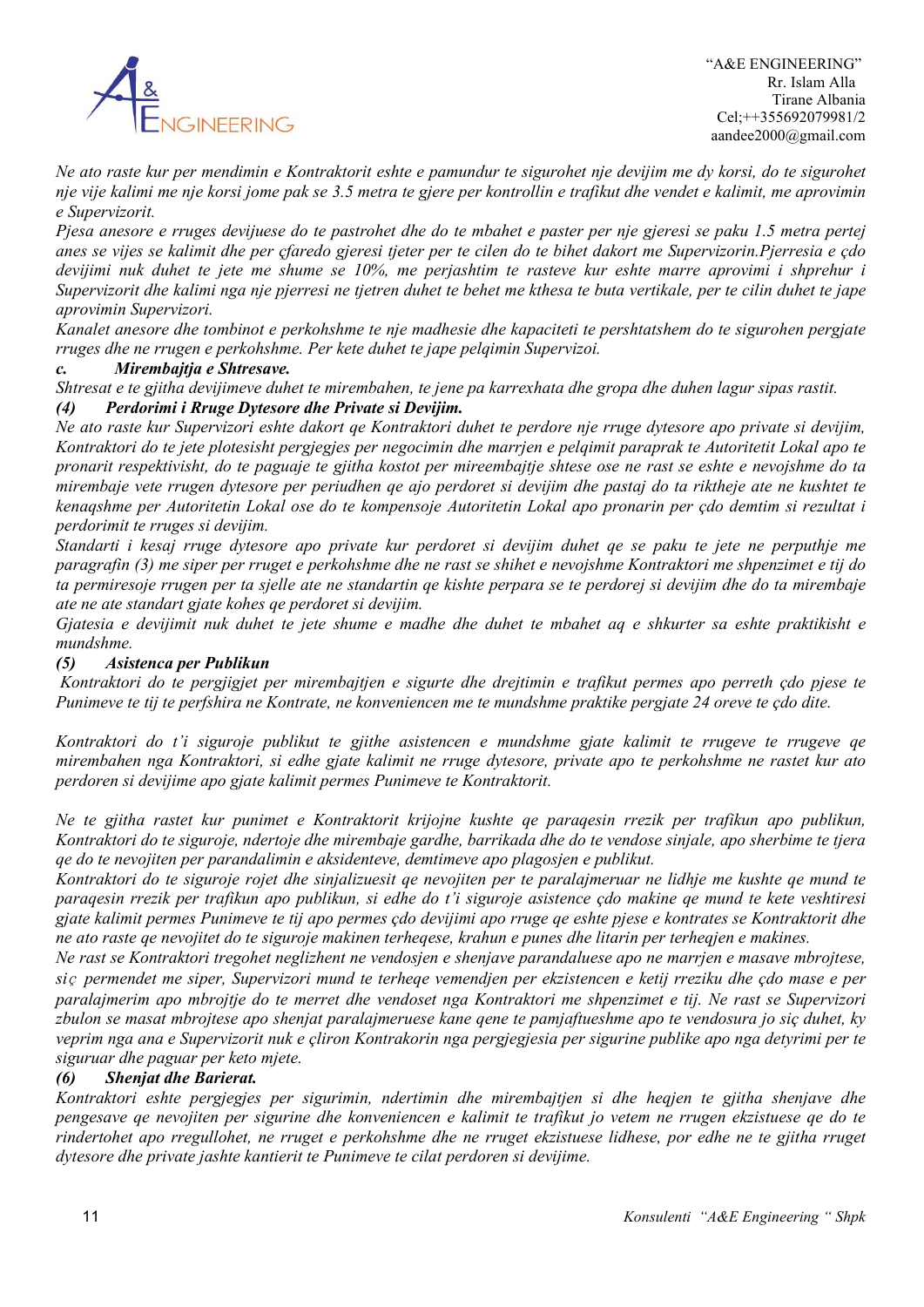

*Ne ato raste kur per mendimin e Kontraktorit eshte e pamundur te sigurohet nje devijim me dy korsi, do te sigurohet nje vije kalimi me nje korsi jome pak se 3.5 metra te gjere per kontrollin e trafikut dhe vendet e kalimit, me aprovimin e Supervizorit.*

*Pjesa anesore e rruges devijuese do te pastrohet dhe do te mbahet e paster per nje gjeresi se paku 1.5 metra pertej anes se vijes se kalimit dhe per çfaredo gjeresi tjeter per te cilen do te bihet dakort me Supervizorin.Pjerresia e çdo devijimi nuk duhet te jete me shume se 10%, me perjashtim te rasteve kur eshte marre aprovimi i shprehur i Supervizorit dhe kalimi nga nje pjerresi ne tjetren duhet te behet me kthesa te buta vertikale, per te cilin duhet te jape aprovimin Supervizori.*

*Kanalet anesore dhe tombinot e perkohshme te nje madhesie dhe kapaciteti te pershtatshem do te sigurohen pergjate rruges dhe ne rrugen e perkohshme. Per kete duhet te jape pelqimin Supervizoi.*

### *c. Mirembajtja e Shtresave.*

*Shtresat e te gjitha devijimeve duhet te mirembahen, te jene pa karrexhata dhe gropa dhe duhen lagur sipas rastit. (4) Perdorimi i Rruge Dytesore dhe Private si Devijim.*

*Ne ato raste kur Supervizori eshte dakort qe Kontraktori duhet te perdore nje rruge dytesore apo private si devijim, Kontraktori do te jete plotesisht pergjegjes per negocimin dhe marrjen e pelqimit paraprak te Autoritetit Lokal apo te pronarit respektivisht, do te paguaje te gjitha kostot per mireembajtje shtese ose ne rast se eshte e nevojshme do ta mirembaje vete rrugen dytesore per periudhen qe ajo perdoret si devijim dhe pastaj do ta riktheje ate ne kushtet te kenaqshme per Autoritetin Lokal ose do te kompensoje Autoritetin Lokal apo pronarin per çdo demtim si rezultat i perdorimit te rruges si devijim.*

*Standarti i kesaj rruge dytesore apo private kur perdoret si devijim duhet qe se paku te jete ne perputhje me paragrafin (3) me siper per rruget e perkohshme dhe ne rast se shihet e nevojshme Kontraktori me shpenzimet e tij do ta permiresoje rrugen per ta sjelle ate ne standartin qe kishte perpara se te perdorej si devijim dhe do ta mirembaje ate ne ate standart gjate kohes qe perdoret si devijim.*

*Gjatesia e devijimit nuk duhet te jete shume e madhe dhe duhet te mbahet aq e shkurter sa eshte praktikisht e mundshme.*

#### *(5) Asistenca per Publikun*

*Kontraktori do te pergjigjet per mirembajtjen e sigurte dhe drejtimin e trafikut permes apo perreth çdo pjese te Punimeve te tij te perfshira ne Kontrate, ne konveniencen me te mundshme praktike pergjate 24 oreve te çdo dite.*

*Kontraktori do t'i siguroje publikut te gjithe asistencen e mundshme gjate kalimit te rrugeve te rrugeve qe mirembahen nga Kontraktori, si edhe gjate kalimit ne rruge dytesore, private apo te perkohshme ne rastet kur ato perdoren si devijime apo gjate kalimit permes Punimeve te Kontraktorit.*

*Ne te gjitha rastet kur punimet e Kontraktorit krijojne kushte qe paraqesin rrezik per trafikun apo publikun, Kontraktori do te siguroje, ndertoje dhe mirembaje gardhe, barrikada dhe do te vendose sinjale, apo sherbime te tjera qe do te nevojiten per parandalimin e aksidenteve, demtimeve apo plagosjen e publikut.*

*Kontraktori do te siguroje rojet dhe sinjalizuesit qe nevojiten per te paralajmeruar ne lidhje me kushte qe mund te paraqesin rrezik per trafikun apo publikun, si edhe do t'i siguroje asistence çdo makine qe mund te kete veshtiresi gjate kalimit permes Punimeve te tij apo permes çdo devijimi apo rruge qe eshte pjese e kontrates se Kontraktorit dhe ne ato raste qe nevojitet do te siguroje makinen terheqese, krahun e punes dhe litarin per terheqjen e makines.*

*Ne rast se Kontraktori tregohet neglizhent ne vendosjen e shenjave parandaluese apo ne marrjen e masave mbrojtese, si*ç *permendet me siper, Supervizori mund te terheqe vemendjen per ekzistencen e ketij rreziku dhe çdo mase e per paralajmerim apo mbrojtje do te merret dhe vendoset nga Kontraktori me shpenzimet e tij. Ne rast se Supervizori zbulon se masat mbrojtese apo shenjat paralajmeruese kane qene te pamjaftueshme apo te vendosura jo siç duhet, ky veprim nga ana e Supervizorit nuk e çliron Kontrakorin nga pergjegjesia per sigurine publike apo nga detyrimi per te siguruar dhe paguar per keto mjete.*

### *(6) Shenjat dhe Barierat.*

*Kontraktori eshte pergjegjes per sigurimin, ndertimin dhe mirembajtjen si dhe heqjen te gjitha shenjave dhe pengesave qe nevojiten per sigurine dhe konveniencen e kalimit te trafikut jo vetem ne rrugen ekzistuese qe do te rindertohet apo rregullohet, ne rruget e perkohshme dhe ne rruget ekzistuese lidhese, por edhe ne te gjitha rruget dytesore dhe private jashte kantierit te Punimeve te cilat perdoren si devijime.*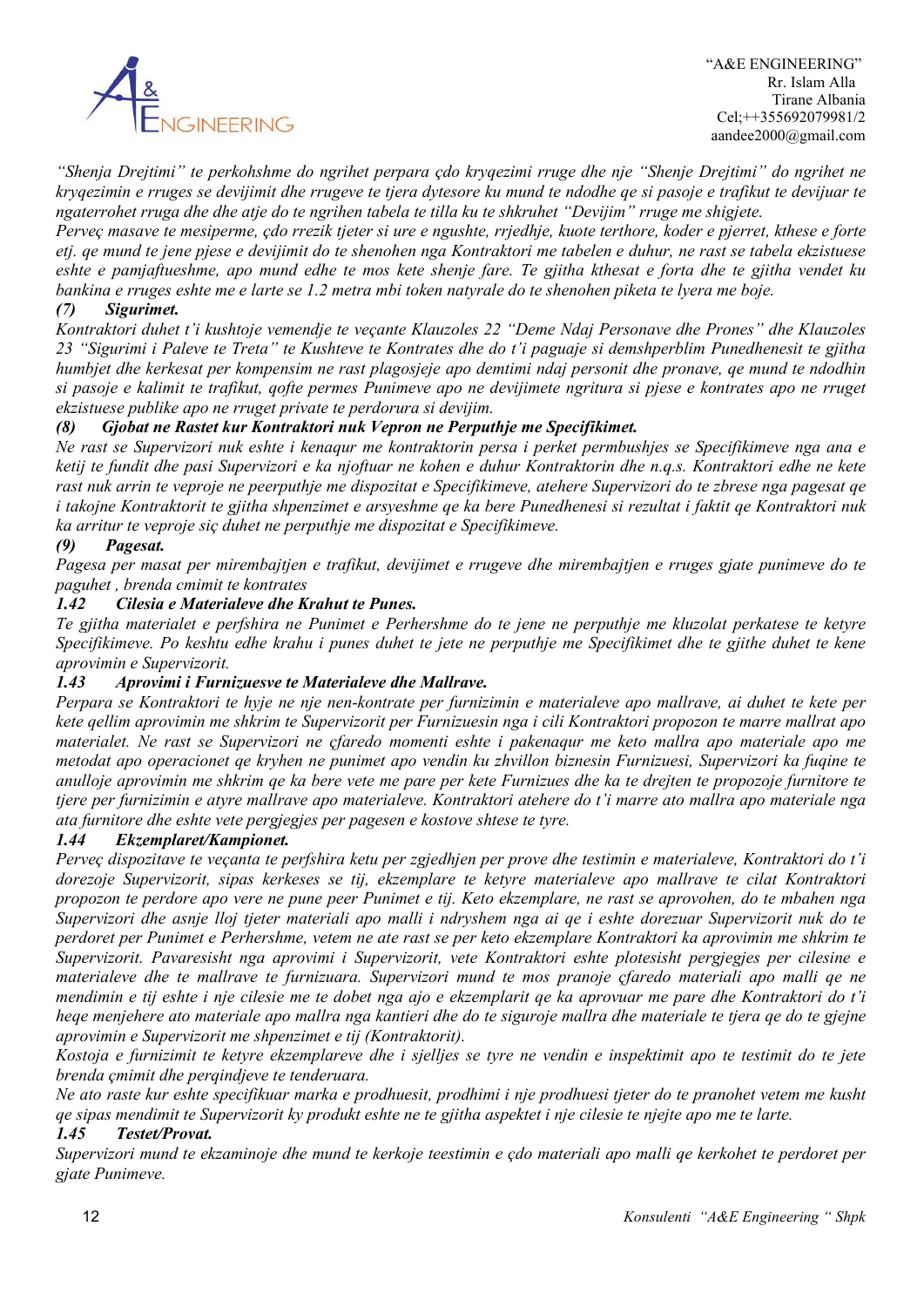

*"Shenja Drejtimi" te perkohshme do ngrihet perpara çdo kryqezimi rruge dhe nje "Shenje Drejtimi" do ngrihet ne kryqezimin e rruges se devijimit dhe rrugeve te tjera dytesore ku mund te ndodhe qe si pasoje e trafikut te devijuar te ngaterrohet rruga dhe dhe atje do te ngrihen tabela te tilla ku te shkruhet "Devijim" rruge me shigjete.*

*Perveç masave te mesiperme, çdo rrezik tjeter si ure e ngushte, rrjedhje, kuote terthore, koder e pjerret, kthese e forte etj. qe mund te jene pjese e devijimit do te shenohen nga Kontraktori me tabelen e duhur, ne rast se tabela ekzistuese eshte e pamjaftueshme, apo mund edhe te mos kete shenje fare. Te gjitha kthesat e forta dhe te gjitha vendet ku bankina e rruges eshte me e larte se 1.2 metra mbi token natyrale do te shenohen piketa te lyera me boje.*

### *(7) Sigurimet.*

*Kontraktori duhet t'i kushtoje vemendje te veçante Klauzoles 22 "Deme Ndaj Personave dhe Prones" dhe Klauzoles 23 "Sigurimi i Paleve te Treta" te Kushteve te Kontrates dhe do t'i paguaje si demshperblim Punedhenesit te gjitha humbjet dhe kerkesat per kompensim ne rast plagosjeje apo demtimi ndaj personit dhe pronave, qe mund te ndodhin si pasoje e kalimit te trafikut, qofte permes Punimeve apo ne devijimete ngritura si pjese e kontrates apo ne rruget ekzistuese publike apo ne rruget private te perdorura si devijim.*

### *(8) Gjobat ne Rastet kur Kontraktori nuk Vepron ne Perputhje me Specifikimet.*

*Ne rast se Supervizori nuk eshte i kenaqur me kontraktorin persa i perket permbushjes se Specifikimeve nga ana e ketij te fundit dhe pasi Supervizori e ka njoftuar ne kohen e duhur Kontraktorin dhe n.q.s. Kontraktori edhe ne kete rast nuk arrin te veproje ne peerputhje me dispozitat e Specifikimeve, atehere Supervizori do te zbrese nga pagesat qe i takojne Kontraktorit te gjitha shpenzimet e arsyeshme qe ka bere Punedhenesi si rezultat i faktit qe Kontraktori nuk ka arritur te veproje siç duhet ne perputhje me dispozitat e Specifikimeve.*

### *(9) Pagesat.*

*Pagesa per masat per mirembajtjen e trafikut, devijimet e rrugeve dhe mirembajtjen e rruges gjate punimeve do te paguhet , brenda cmimit te kontrates*

#### *1.42 Cilesia e Materialeve dhe Krahut te Punes.*

*Te gjitha materialet e perfshira ne Punimet e Perhershme do te jene ne perputhje me kluzolat perkatese te ketyre Specifikimeve. Po keshtu edhe krahu i punes duhet te jete ne perputhje me Specifikimet dhe te gjithe duhet te kene aprovimin e Supervizorit.*

#### *1.43 Aprovimi i Furnizuesve te Materialeve dhe Mallrave.*

*Perpara se Kontraktori te hyje ne nje nen-kontrate per furnizimin e materialeve apo mallrave, ai duhet te kete per kete qellim aprovimin me shkrim te Supervizorit per Furnizuesin nga i cili Kontraktori propozon te marre mallrat apo materialet. Ne rast se Supervizori ne çfaredo momenti eshte i pakenaqur me keto mallra apo materiale apo me metodat apo operacionet qe kryhen ne punimet apo vendin ku zhvillon biznesin Furnizuesi, Supervizori ka fuqine te anulloje aprovimin me shkrim qe ka bere vete me pare per kete Furnizues dhe ka te drejten te propozoje furnitore te tjere per furnizimin e atyre mallrave apo materialeve. Kontraktori atehere do t'i marre ato mallra apo materiale nga ata furnitore dhe eshte vete pergjegjes per pagesen e kostove shtese te tyre.*

#### *1.44 Ekzemplaret/Kampionet.*

*Perveç dispozitave te veçanta te perfshira ketu per zgjedhjen per prove dhe testimin e materialeve, Kontraktori do t'i dorezoje Supervizorit, sipas kerkeses se tij, ekzemplare te ketyre materialeve apo mallrave te cilat Kontraktori propozon te perdore apo vere ne pune peer Punimet e tij. Keto ekzemplare, ne rast se aprovohen, do te mbahen nga Supervizori dhe asnje lloj tjeter materiali apo malli i ndryshem nga ai qe i eshte dorezuar Supervizorit nuk do te perdoret per Punimet e Perhershme, vetem ne ate rast se per keto ekzemplare Kontraktori ka aprovimin me shkrim te Supervizorit. Pavaresisht nga aprovimi i Supervizorit, vete Kontraktori eshte plotesisht pergjegjes per cilesine e materialeve dhe te mallrave te furnizuara. Supervizori mund te mos pranoje çfaredo materiali apo malli qe ne mendimin e tij eshte i nje cilesie me te dobet nga ajo e ekzemplarit qe ka aprovuar me pare dhe Kontraktori do t'i heqe menjehere ato materiale apo mallra nga kantieri dhe do te siguroje mallra dhe materiale te tjera qe do te gjejne aprovimin e Supervizorit me shpenzimet e tij (Kontraktorit).*

*Kostoja e furnizimit te ketyre ekzemplareve dhe i sjelljes se tyre ne vendin e inspektimit apo te testimit do te jete brenda çmimit dhe perqindjeve te tenderuara.*

*Ne ato raste kur eshte specifikuar marka e prodhuesit, prodhimi i nje prodhuesi tjeter do te pranohet vetem me kusht qe sipas mendimit te Supervizorit ky produkt eshte ne te gjitha aspektet i nje cilesie te njejte apo me te larte.*

#### *1.45 Testet/Provat.*

*Supervizori mund te ekzaminoje dhe mund te kerkoje teestimin e çdo materiali apo malli qe kerkohet te perdoret per gjate Punimeve.*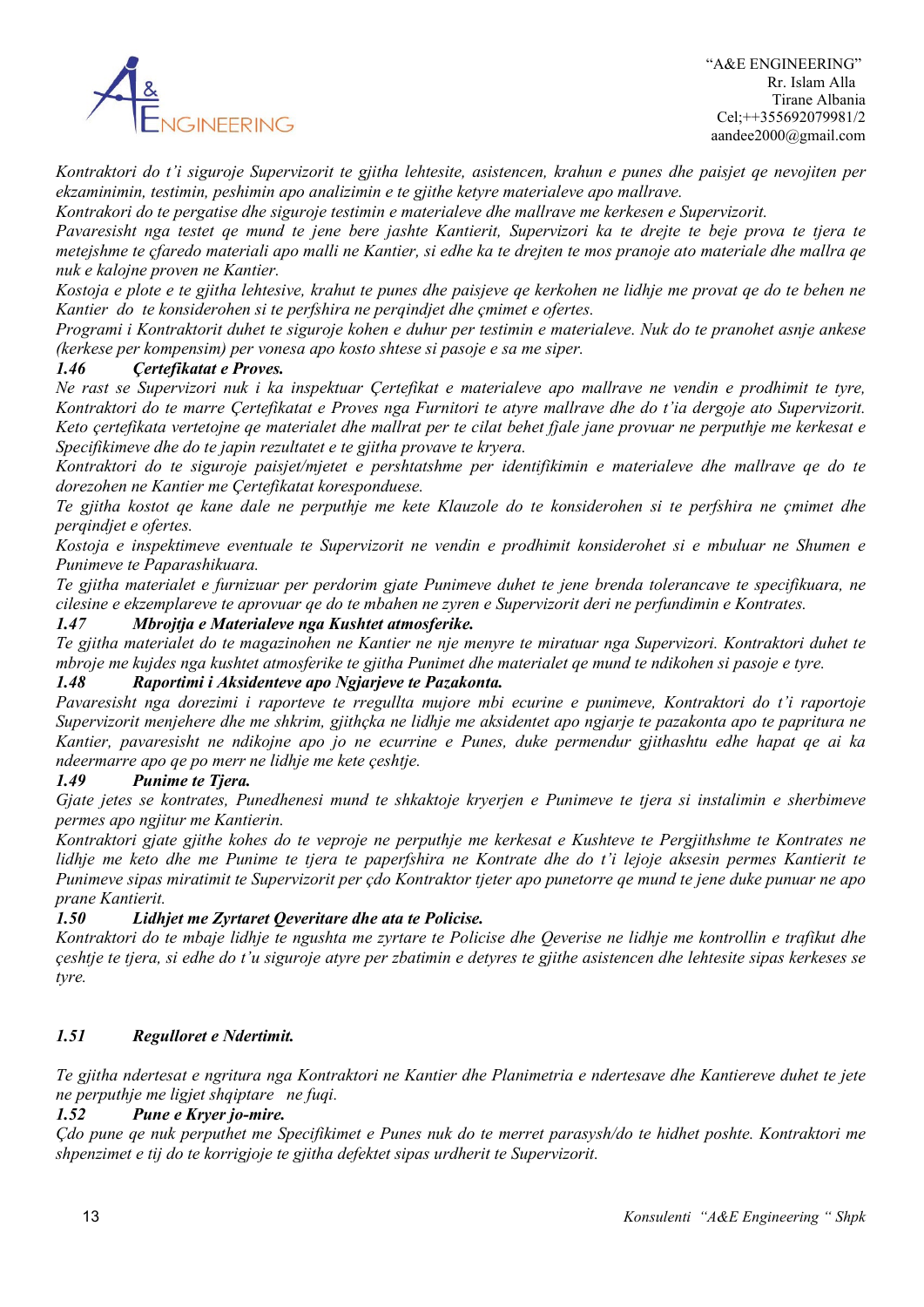

*Kontraktori do t'i siguroje Supervizorit te gjitha lehtesite, asistencen, krahun e punes dhe paisjet qe nevojiten per ekzaminimin, testimin, peshimin apo analizimin e te gjithe ketyre materialeve apo mallrave.*

*Kontrakori do te pergatise dhe siguroje testimin e materialeve dhe mallrave me kerkesen e Supervizorit.*

*Pavaresisht nga testet qe mund te jene bere jashte Kantierit, Supervizori ka te drejte te beje prova te tjera te metejshme te çfaredo materiali apo malli ne Kantier, si edhe ka te drejten te mos pranoje ato materiale dhe mallra qe nuk e kalojne proven ne Kantier.*

*Kostoja e plote e te gjitha lehtesive, krahut te punes dhe paisjeve qe kerkohen ne lidhje me provat qe do te behen ne Kantier do te konsiderohen si te perfshira ne perqindjet dhe çmimet e ofertes.*

*Programi i Kontraktorit duhet te siguroje kohen e duhur per testimin e materialeve. Nuk do te pranohet asnje ankese (kerkese per kompensim) per vonesa apo kosto shtese si pasoje e sa me siper.*

### *1.46 Çertefikatat e Proves.*

*Ne rast se Supervizori nuk i ka inspektuar Çertefikat e materialeve apo mallrave ne vendin e prodhimit te tyre, Kontraktori do te marre Çertefikatat e Proves nga Furnitori te atyre mallrave dhe do t'ia dergoje ato Supervizorit. Keto çertefikata vertetojne qe materialet dhe mallrat per te cilat behet fjale jane provuar ne perputhje me kerkesat e Specifikimeve dhe do te japin rezultatet e te gjitha provave te kryera.*

*Kontraktori do te siguroje paisjet/mjetet e pershtatshme per identifikimin e materialeve dhe mallrave qe do te dorezohen ne Kantier me Çertefikatat koresponduese.*

*Te gjitha kostot qe kane dale ne perputhje me kete Klauzole do te konsiderohen si te perfshira ne çmimet dhe perqindjet e ofertes.*

*Kostoja e inspektimeve eventuale te Supervizorit ne vendin e prodhimit konsiderohet si e mbuluar ne Shumen e Punimeve te Paparashikuara.*

*Te gjitha materialet e furnizuar per perdorim gjate Punimeve duhet te jene brenda tolerancave te specifikuara, ne cilesine e ekzemplareve te aprovuar qe do te mbahen ne zyren e Supervizorit deri ne perfundimin e Kontrates.*

### *1.47 Mbrojtja e Materialeve nga Kushtet atmosferike.*

*Te gjitha materialet do te magazinohen ne Kantier ne nje menyre te miratuar nga Supervizori. Kontraktori duhet te mbroje me kujdes nga kushtet atmosferike te gjitha Punimet dhe materialet qe mund te ndikohen si pasoje e tyre. 1.48 Raportimi i Aksidenteve apo Ngjarjeve te Pazakonta.*

*Pavaresisht nga dorezimi i raporteve te rregullta mujore mbi ecurine e punimeve, Kontraktori do t'i raportoje Supervizorit menjehere dhe me shkrim, gjithçka ne lidhje me aksidentet apo ngjarje te pazakonta apo te papritura ne Kantier, pavaresisht ne ndikojne apo jo ne ecurrine e Punes, duke permendur gjithashtu edhe hapat qe ai ka ndeermarre apo qe po merr ne lidhje me kete çeshtje.* 

#### *1.49 Punime te Tjera.*

*Gjate jetes se kontrates, Punedhenesi mund te shkaktoje kryerjen e Punimeve te tjera si instalimin e sherbimeve permes apo ngjitur me Kantierin.*

*Kontraktori gjate gjithe kohes do te veproje ne perputhje me kerkesat e Kushteve te Pergjithshme te Kontrates ne lidhje me keto dhe me Punime te tjera te paperfshira ne Kontrate dhe do t'i lejoje aksesin permes Kantierit te Punimeve sipas miratimit te Supervizorit per çdo Kontraktor tjeter apo punetorre qe mund te jene duke punuar ne apo prane Kantierit.*

#### *1.50 Lidhjet me Zyrtaret Qeveritare dhe ata te Policise.*

*Kontraktori do te mbaje lidhje te ngushta me zyrtare te Policise dhe Qeverise ne lidhje me kontrollin e trafikut dhe çeshtje te tjera, si edhe do t'u siguroje atyre per zbatimin e detyres te gjithe asistencen dhe lehtesite sipas kerkeses se tyre.*

### *1.51 Regulloret e Ndertimit.*

*Te gjitha ndertesat e ngritura nga Kontraktori ne Kantier dhe Planimetria e ndertesave dhe Kantiereve duhet te jete ne perputhje me ligjet shqiptare ne fuqi.*

### *1.52 Pune e Kryer jo-mire.*

*Çdo pune qe nuk perputhet me Specifikimet e Punes nuk do te merret parasysh/do te hidhet poshte. Kontraktori me shpenzimet e tij do te korrigjoje te gjitha defektet sipas urdherit te Supervizorit.*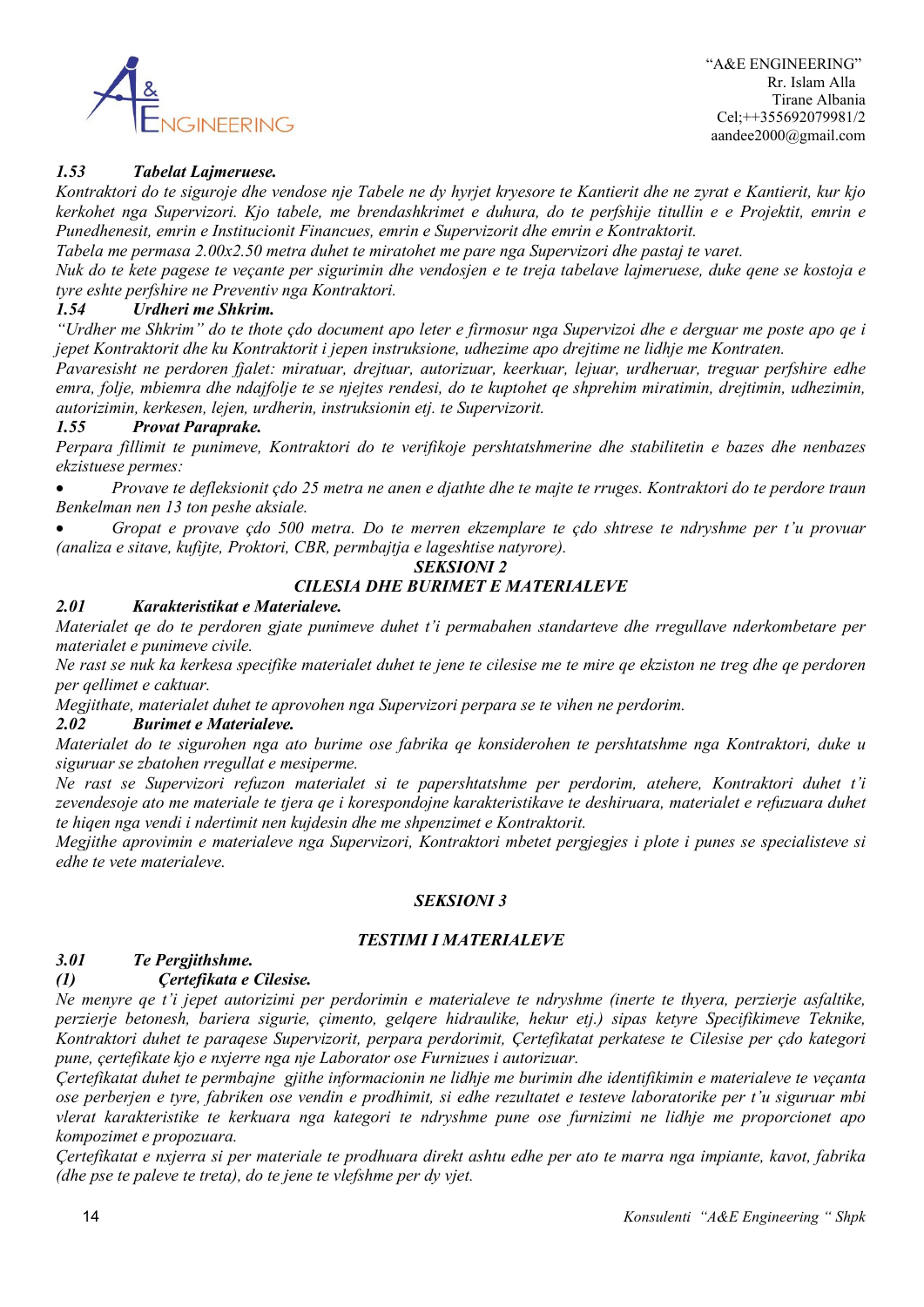

 "A&E ENGINEERING" Rr. Islam Alla Tirane Albania Cel;++355692079981/2 aandee2000@gmail.com

### *1.53 Tabelat Lajmeruese.*

*Kontraktori do te siguroje dhe vendose nje Tabele ne dy hyrjet kryesore te Kantierit dhe ne zyrat e Kantierit, kur kjo kerkohet nga Supervizori. Kjo tabele, me brendashkrimet e duhura, do te perfshije titullin e e Projektit, emrin e Punedhenesit, emrin e Institucionit Financues, emrin e Supervizorit dhe emrin e Kontraktorit.*

*Tabela me permasa 2.00x2.50 metra duhet te miratohet me pare nga Supervizori dhe pastaj te varet.*

*Nuk do te kete pagese te veçante per sigurimin dhe vendosjen e te treja tabelave lajmeruese, duke qene se kostoja e tyre eshte perfshire ne Preventiv nga Kontraktori.*

#### *1.54 Urdheri me Shkrim.*

*"Urdher me Shkrim" do te thote çdo document apo leter e firmosur nga Supervizoi dhe e derguar me poste apo qe i jepet Kontraktorit dhe ku Kontraktorit i jepen instruksione, udhezime apo drejtime ne lidhje me Kontraten.*

*Pavaresisht ne perdoren fjalet: miratuar, drejtuar, autorizuar, keerkuar, lejuar, urdheruar, treguar perfshire edhe emra, folje, mbiemra dhe ndajfolje te se njejtes rendesi, do te kuptohet qe shprehim miratimin, drejtimin, udhezimin, autorizimin, kerkesen, lejen, urdherin, instruksionin etj. te Supervizorit.*

#### *1.55 Provat Paraprake.*

*Perpara fillimit te punimeve, Kontraktori do te verifikoje pershtatshmerine dhe stabilitetin e bazes dhe nenbazes ekzistuese permes:*

• *Provave te defleksionit çdo 25 metra ne anen e djathte dhe te majte te rruges. Kontraktori do te perdore traun Benkelman nen 13 ton peshe aksiale.*

• *Gropat e provave çdo 500 metra. Do te merren ekzemplare te çdo shtrese te ndryshme per t'u provuar (analiza e sitave, kufijte, Proktori, CBR, permbajtja e lageshtise natyrore).*

#### *SEKSIONI 2*

### *CILESIA DHE BURIMET E MATERIALEVE*

#### *2.01 Karakteristikat e Materialeve.*

*Materialet qe do te perdoren gjate punimeve duhet t'i permabahen standarteve dhe rregullave nderkombetare per materialet e punimeve civile.*

*Ne rast se nuk ka kerkesa specifike materialet duhet te jene te cilesise me te mire qe ekziston ne treg dhe qe perdoren per qellimet e caktuar.*

*Megjithate, materialet duhet te aprovohen nga Supervizori perpara se te vihen ne perdorim.*

#### *2.02 Burimet e Materialeve.*

*Materialet do te sigurohen nga ato burime ose fabrika qe konsiderohen te pershtatshme nga Kontraktori, duke u siguruar se zbatohen rregullat e mesiperme.*

*Ne rast se Supervizori refuzon materialet si te papershtatshme per perdorim, atehere, Kontraktori duhet t'i zevendesoje ato me materiale te tjera qe i korespondojne karakteristikave te deshiruara, materialet e refuzuara duhet te hiqen nga vendi i ndertimit nen kujdesin dhe me shpenzimet e Kontraktorit.*

*Megjithe aprovimin e materialeve nga Supervizori, Kontraktori mbetet pergjegjes i plote i punes se specialisteve si edhe te vete materialeve.* 

#### *SEKSIONI 3*

#### *TESTIMI I MATERIALEVE*

### *3.01 Te Pergjithshme.*

#### *(1) Çertefikata e Cilesise.*

*Ne menyre qe t'i jepet autorizimi per perdorimin e materialeve te ndryshme (inerte te thyera, perzierje asfaltike, perzierje betonesh, bariera sigurie, çimento, gelqere hidraulike, hekur etj.) sipas ketyre Specifikimeve Teknike, Kontraktori duhet te paraqese Supervizorit, perpara perdorimit, Çertefikatat perkatese te Cilesise per çdo kategori pune, çertefikate kjo e nxjerre nga nje Laborator ose Furnizues i autorizuar.*

*Çertefikatat duhet te permbajne gjithe informacionin ne lidhje me burimin dhe identifikimin e materialeve te veçanta ose perberjen e tyre, fabriken ose vendin e prodhimit, si edhe rezultatet e testeve laboratorike per t'u siguruar mbi vlerat karakteristike te kerkuara nga kategori te ndryshme pune ose furnizimi ne lidhje me proporcionet apo kompozimet e propozuara.*

*Çertefikatat e nxjerra si per materiale te prodhuara direkt ashtu edhe per ato te marra nga impiante, kavot, fabrika (dhe pse te paleve te treta), do te jene te vlefshme per dy vjet.*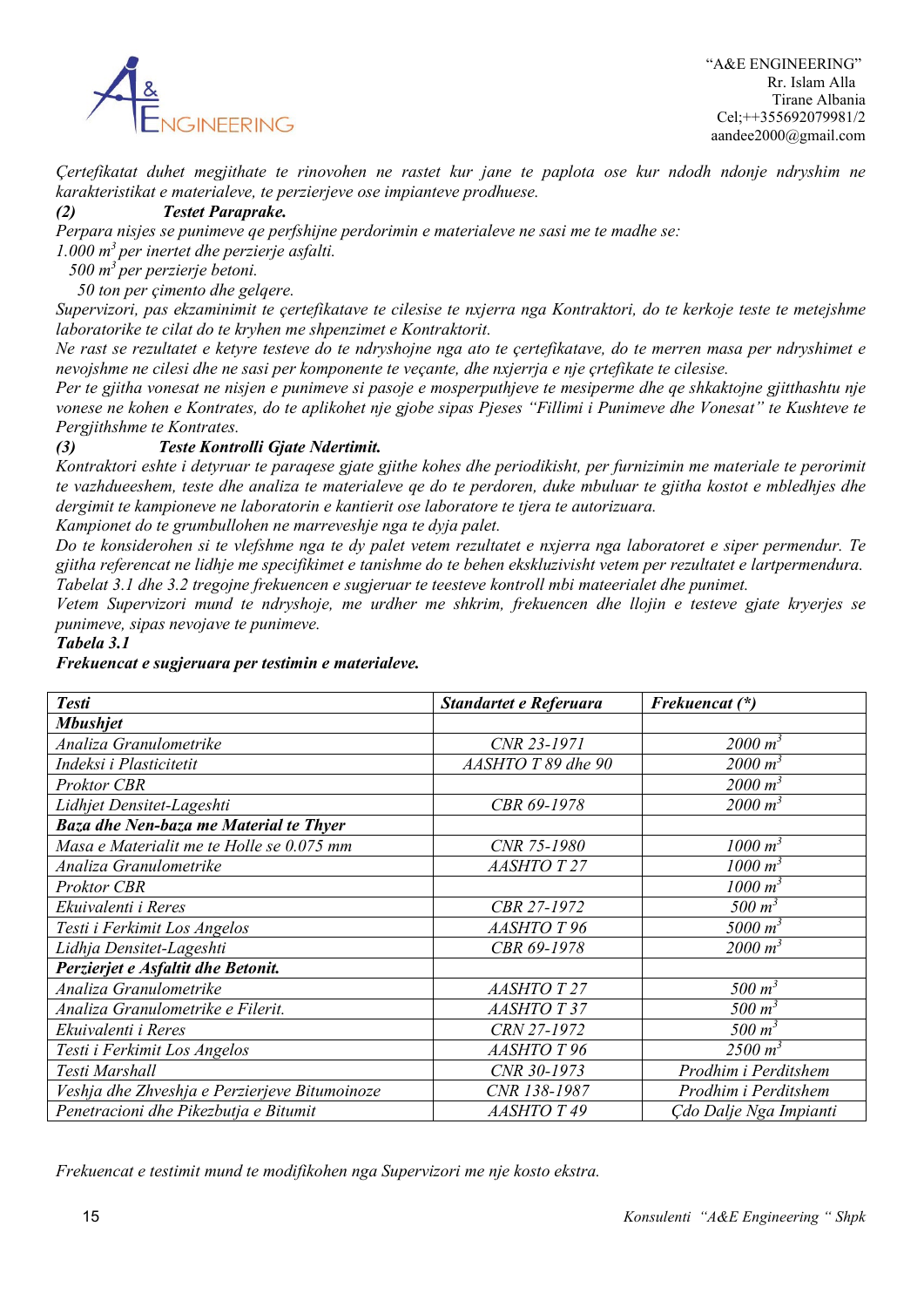

*Çertefikatat duhet megjithate te rinovohen ne rastet kur jane te paplota ose kur ndodh ndonje ndryshim ne karakteristikat e materialeve, te perzierjeve ose impianteve prodhuese.*

#### *(2) Testet Paraprake.*

*Perpara nisjes se punimeve qe perfshijne perdorimin e materialeve ne sasi me te madhe se:*

*1.000 m3 per inertet dhe perzierje asfalti.*

 *500 m3 per perzierje betoni.*

 *50 ton per çimento dhe gelqere.*

*Supervizori, pas ekzaminimit te çertefikatave te cilesise te nxjerra nga Kontraktori, do te kerkoje teste te metejshme laboratorike te cilat do te kryhen me shpenzimet e Kontraktorit.*

*Ne rast se rezultatet e ketyre testeve do te ndryshojne nga ato te çertefikatave, do te merren masa per ndryshimet e nevojshme ne cilesi dhe ne sasi per komponente te veçante, dhe nxjerrja e nje çrtefikate te cilesise.*

*Per te gjitha vonesat ne nisjen e punimeve si pasoje e mosperputhjeve te mesiperme dhe qe shkaktojne gjitthashtu nje vonese ne kohen e Kontrates, do te aplikohet nje gjobe sipas Pjeses "Fillimi i Punimeve dhe Vonesat" te Kushteve te Pergjithshme te Kontrates.*

### *(3) Teste Kontrolli Gjate Ndertimit.*

*Kontraktori eshte i detyruar te paraqese gjate gjithe kohes dhe periodikisht, per furnizimin me materiale te perorimit te vazhdueeshem, teste dhe analiza te materialeve qe do te perdoren, duke mbuluar te gjitha kostot e mbledhjes dhe dergimit te kampioneve ne laboratorin e kantierit ose laboratore te tjera te autorizuara.*

*Kampionet do te grumbullohen ne marreveshje nga te dyja palet.*

*Do te konsiderohen si te vlefshme nga te dy palet vetem rezultatet e nxjerra nga laboratoret e siper permendur. Te gjitha referencat ne lidhje me specifikimet e tanishme do te behen ekskluzivisht vetem per rezultatet e lartpermendura. Tabelat 3.1 dhe 3.2 tregojne frekuencen e sugjeruar te teesteve kontroll mbi mateerialet dhe punimet.*

*Vetem Supervizori mund te ndryshoje, me urdher me shkrim, frekuencen dhe llojin e testeve gjate kryerjes se punimeve, sipas nevojave te punimeve.*

#### *Tabela 3.1*

#### *Frekuencat e sugjeruara per testimin e materialeve.*

| <b>Testi</b>                                  | Standartet e Referuara | Frekuencat (*)         |
|-----------------------------------------------|------------------------|------------------------|
| <b>Mbushjet</b>                               |                        |                        |
| Analiza Granulometrike                        | CNR 23-1971            | $2000 m^3$             |
| Indeksi i Plasticitetit                       | AASHTO T 89 dhe 90     | $2000 \; \mathrm{m}^3$ |
| Proktor CBR                                   |                        | $2000 \; \mathrm{m}^3$ |
| Lidhjet Densitet-Lageshti                     | CBR 69-1978            | $2000 \; \mathrm{m}^3$ |
| Baza dhe Nen-baza me Material te Thyer        |                        |                        |
| Masa e Materialit me te Holle se 0.075 mm     | CNR 75-1980            | $1000 \; \mathrm{m}^3$ |
| Analiza Granulometrike                        | <b>AASHTO T 27</b>     | $1000 \; \text{m}^3$   |
| <b>Proktor CBR</b>                            |                        | $1000 \; \mathrm{m}^3$ |
| Ekuivalenti i Reres                           | CBR 27-1972            | $500 \; m^3$           |
| Testi i Ferkimit Los Angelos                  | <b>AASHTO T 96</b>     | 5000 $m^3$             |
| Lidhja Densitet-Lageshti                      | CBR 69-1978            | $2000 \; \mathrm{m}^3$ |
| Perzierjet e Asfaltit dhe Betonit.            |                        |                        |
| Analiza Granulometrike                        | <b>AASHTO T 27</b>     | $500 \; m^3$           |
| Analiza Granulometrike e Filerit.             | <b>AASHTO T 37</b>     | $500 \; m^3$           |
| Ekuivalenti i Reres                           | CRN 27-1972            | $500 \; m^3$           |
| Testi i Ferkimit Los Angelos                  | <b>AASHTO T 96</b>     | $2500 \; \mathrm{m}^3$ |
| Testi Marshall                                | CNR 30-1973            | Prodhim i Perditshem   |
| Veshja dhe Zhveshja e Perzierjeve Bitumoinoze | CNR 138-1987           | Prodhim i Perditshem   |
| Penetracioni dhe Pikezbutja e Bitumit         | AASHTO T 49            | Çdo Dalje Nga Impianti |

*Frekuencat e testimit mund te modifikohen nga Supervizori me nje kosto ekstra.*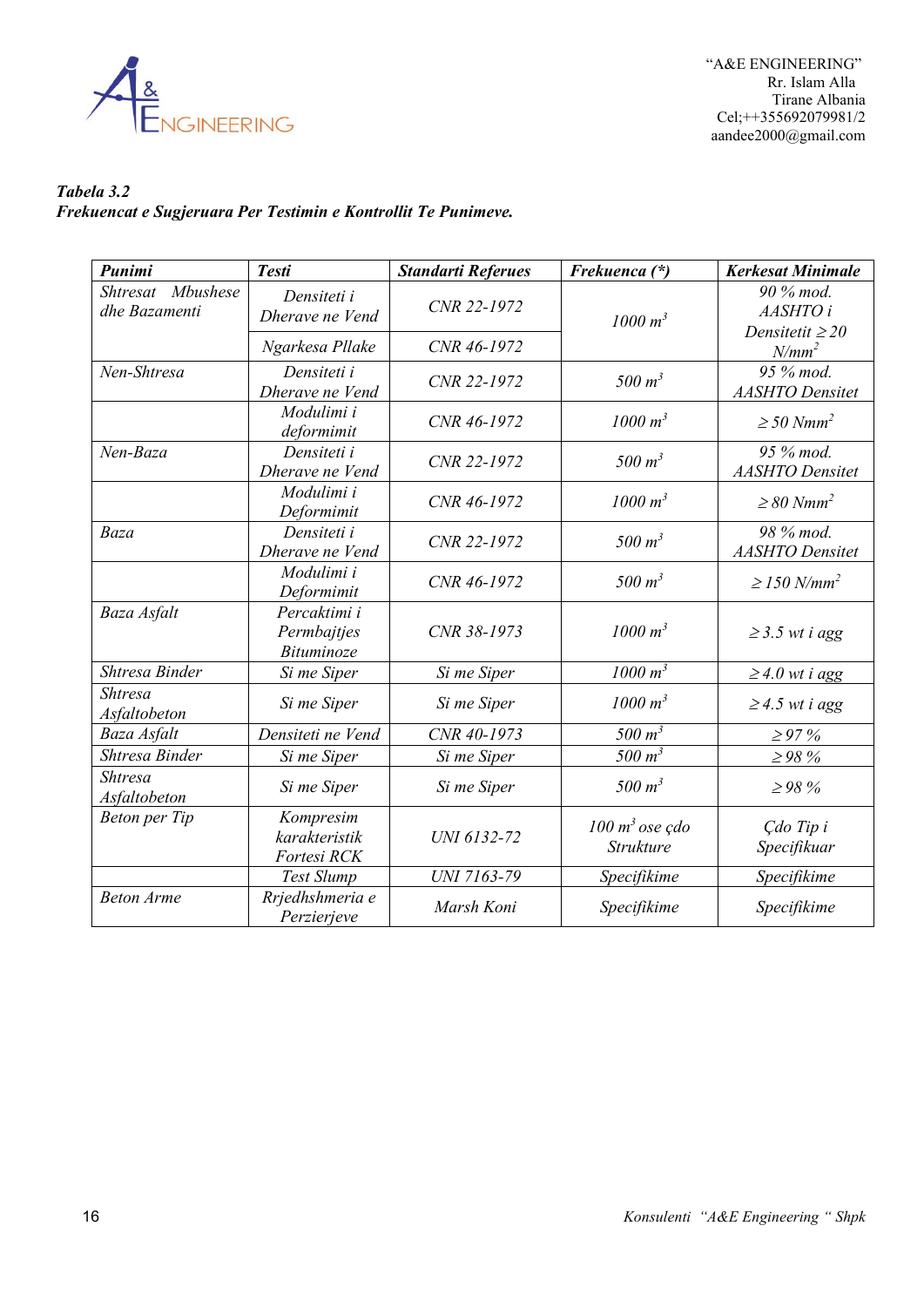

 "A&E ENGINEERING" Rr. Islam Alla Tirane Albania Cel;++355692079981/2 aandee2000@gmail.com

### *Tabela 3.2 Frekuencat e Sugjeruara Per Testimin e Kontrollit Te Punimeve.*

| Punimi                             | <b>Testi</b>                                     | <b>Standarti Referues</b> | Frekuenca (*)                          | <b>Kerkesat Minimale</b>                      |
|------------------------------------|--------------------------------------------------|---------------------------|----------------------------------------|-----------------------------------------------|
| Shtresat Mbushese<br>dhe Bazamenti | Densiteti i<br>Dherave ne Vend                   | CNR 22-1972               | $1000 m^3$                             | 90 % mod.<br>AASHTO i<br>Densitetit $\geq$ 20 |
|                                    | Ngarkesa Pllake                                  | CNR 46-1972               |                                        | $N/mm^2$                                      |
| Nen-Shtresa                        | Densiteti i<br>Dherave ne Vend                   | CNR 22-1972               | 500 m <sup>3</sup>                     | 95 % mod.<br><b>AASHTO</b> Densitet           |
|                                    | Modulimi i<br>deformimit                         | CNR 46-1972               | $1000 m^3$                             | $\geq$ 50 Nmm <sup>2</sup>                    |
| Nen-Baza                           | Densiteti i<br>Dherave ne Vend                   | CNR 22-1972               | 500 m <sup>3</sup>                     | 95 % mod.<br><b>AASHTO</b> Densitet           |
|                                    | Modulimi i<br>Deformimit                         | CNR 46-1972               | 1000 m <sup>3</sup>                    | $\geq$ 80 Nmm <sup>2</sup>                    |
| Baza                               | Densiteti i<br>Dherave ne Vend                   | CNR 22-1972               | 500 m <sup>3</sup>                     | 98 % mod.<br><b>AASHTO</b> Densitet           |
|                                    | Modulimi i<br>Deformimit                         | CNR 46-1972               | 500 $m^3$                              | $\geq$ 150 N/mm <sup>2</sup>                  |
| Baza Asfalt                        | Percaktimi i<br>Permbajtjes<br><b>Bituminoze</b> | CNR 38-1973               | $1000 m^3$                             | $\geq$ 3.5 wt i agg                           |
| Shtresa Binder                     | Si me Siper                                      | Si me Siper               | 1000 m <sup>3</sup>                    | $\geq$ 4.0 wt i agg                           |
| <b>Shtresa</b><br>Asfaltobeton     | Si me Siper                                      | Si me Siper               | $1000 m^3$                             | $\geq$ 4.5 wt i agg                           |
| Baza Asfalt                        | Densiteti ne Vend                                | CNR 40-1973               | 500 $m3$                               | $\geq 97\%$                                   |
| Shtresa Binder                     | Si me Siper                                      | Si me Siper               | 500 m <sup>3</sup>                     | $\geq$ 98 %                                   |
| <b>Shtresa</b><br>Asfaltobeton     | Si me Siper                                      | Si me Siper               | 500 m <sup>3</sup>                     | $\geq$ 98 %                                   |
| <b>Beton</b> per Tip               | Kompresim<br>karakteristik<br>Fortesi RCK        | UNI 6132-72               | $100 \text{ m}^3$ ose çdo<br>Strukture | Çdo Tip i<br>Specifikuar                      |
|                                    | Test Slump                                       | UNI 7163-79               | Specifikime                            | Specifikime                                   |
| <b>Beton Arme</b>                  | Rrjedhshmeria e<br>Perzierjeve                   | Marsh Koni                | Specifikime                            | Specifikime                                   |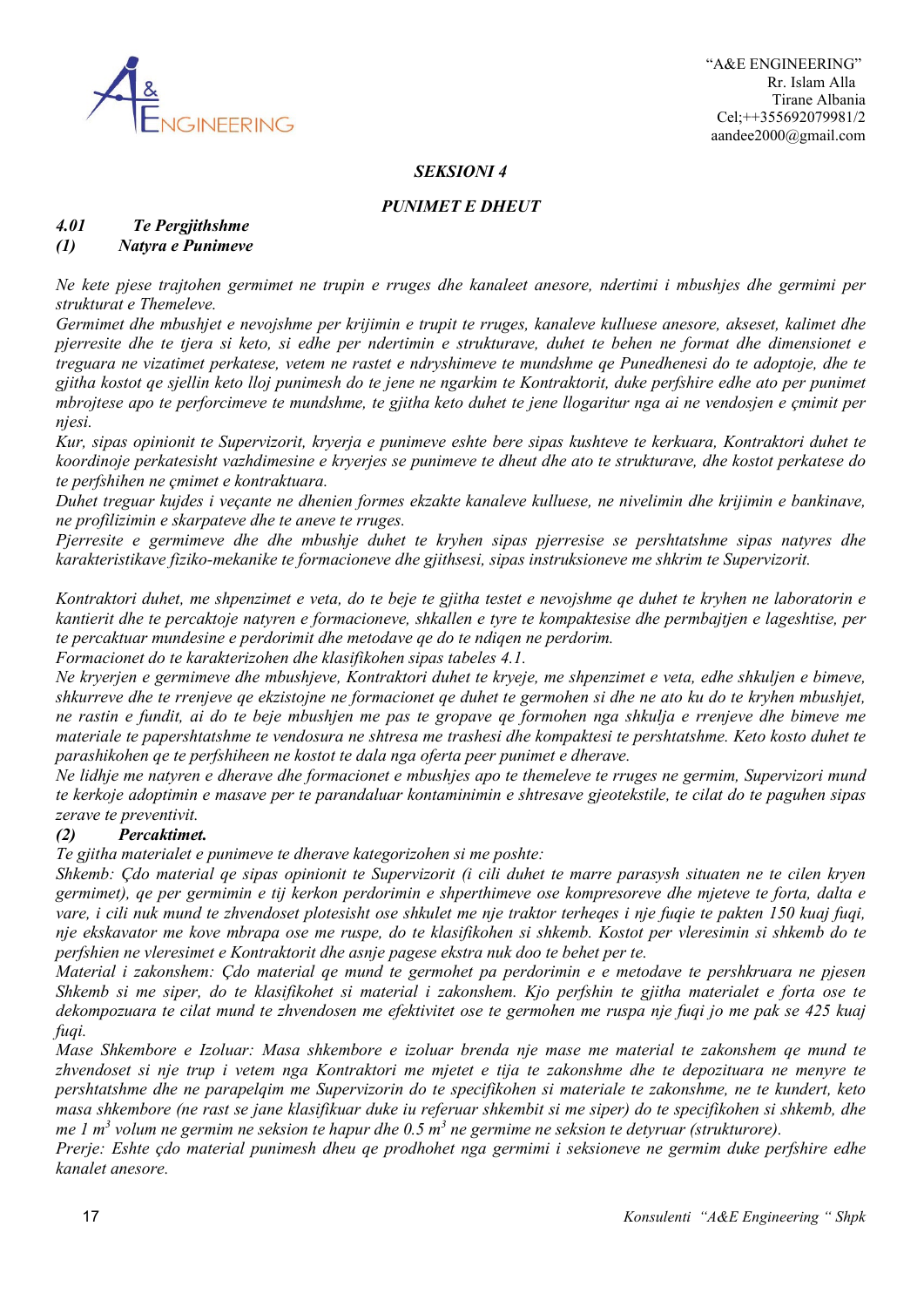

#### *SEKSIONI 4*

### *PUNIMET E DHEUT*

## *4.01 Te Pergjithshme*

### *(1) Natyra e Punimeve*

*Ne kete pjese trajtohen germimet ne trupin e rruges dhe kanaleet anesore, ndertimi i mbushjes dhe germimi per strukturat e Themeleve.*

*Germimet dhe mbushjet e nevojshme per krijimin e trupit te rruges, kanaleve kulluese anesore, akseset, kalimet dhe pjerresite dhe te tjera si keto, si edhe per ndertimin e strukturave, duhet te behen ne format dhe dimensionet e treguara ne vizatimet perkatese, vetem ne rastet e ndryshimeve te mundshme qe Punedhenesi do te adoptoje, dhe te gjitha kostot qe sjellin keto lloj punimesh do te jene ne ngarkim te Kontraktorit, duke perfshire edhe ato per punimet mbrojtese apo te perforcimeve te mundshme, te gjitha keto duhet te jene llogaritur nga ai ne vendosjen e çmimit per njesi.*

*Kur, sipas opinionit te Supervizorit, kryerja e punimeve eshte bere sipas kushteve te kerkuara, Kontraktori duhet te koordinoje perkatesisht vazhdimesine e kryerjes se punimeve te dheut dhe ato te strukturave, dhe kostot perkatese do te perfshihen ne çmimet e kontraktuara.*

*Duhet treguar kujdes i veçante ne dhenien formes ekzakte kanaleve kulluese, ne nivelimin dhe krijimin e bankinave, ne profilizimin e skarpateve dhe te aneve te rruges.*

*Pjerresite e germimeve dhe dhe mbushje duhet te kryhen sipas pjerresise se pershtatshme sipas natyres dhe karakteristikave fiziko-mekanike te formacioneve dhe gjithsesi, sipas instruksioneve me shkrim te Supervizorit.*

*Kontraktori duhet, me shpenzimet e veta, do te beje te gjitha testet e nevojshme qe duhet te kryhen ne laboratorin e kantierit dhe te percaktoje natyren e formacioneve, shkallen e tyre te kompaktesise dhe permbajtjen e lageshtise, per te percaktuar mundesine e perdorimit dhe metodave qe do te ndiqen ne perdorim.*

*Formacionet do te karakterizohen dhe klasifikohen sipas tabeles 4.1.*

*Ne kryerjen e germimeve dhe mbushjeve, Kontraktori duhet te kryeje, me shpenzimet e veta, edhe shkuljen e bimeve, shkurreve dhe te rrenjeve qe ekzistojne ne formacionet qe duhet te germohen si dhe ne ato ku do te kryhen mbushjet, ne rastin e fundit, ai do te beje mbushjen me pas te gropave qe formohen nga shkulja e rrenjeve dhe bimeve me materiale te papershtatshme te vendosura ne shtresa me trashesi dhe kompaktesi te pershtatshme. Keto kosto duhet te parashikohen qe te perfshiheen ne kostot te dala nga oferta peer punimet e dherave.*

*Ne lidhje me natyren e dherave dhe formacionet e mbushjes apo te themeleve te rruges ne germim, Supervizori mund te kerkoje adoptimin e masave per te parandaluar kontaminimin e shtresave gjeotekstile, te cilat do te paguhen sipas zerave te preventivit.*

### *(2) Percaktimet.*

*Te gjitha materialet e punimeve te dherave kategorizohen si me poshte:*

*Shkemb: Çdo material qe sipas opinionit te Supervizorit (i cili duhet te marre parasysh situaten ne te cilen kryen germimet), qe per germimin e tij kerkon perdorimin e shperthimeve ose kompresoreve dhe mjeteve te forta, dalta e vare, i cili nuk mund te zhvendoset plotesisht ose shkulet me nje traktor terheqes i nje fuqie te pakten 150 kuaj fuqi, nje ekskavator me kove mbrapa ose me ruspe, do te klasifikohen si shkemb. Kostot per vleresimin si shkemb do te perfshien ne vleresimet e Kontraktorit dhe asnje pagese ekstra nuk doo te behet per te.*

*Material i zakonshem: Çdo material qe mund te germohet pa perdorimin e e metodave te pershkruara ne pjesen Shkemb si me siper, do te klasifikohet si material i zakonshem. Kjo perfshin te gjitha materialet e forta ose te dekompozuara te cilat mund te zhvendosen me efektivitet ose te germohen me ruspa nje fuqi jo me pak se 425 kuaj fuqi.*

*Mase Shkembore e Izoluar: Masa shkembore e izoluar brenda nje mase me material te zakonshem qe mund te zhvendoset si nje trup i vetem nga Kontraktori me mjetet e tija te zakonshme dhe te depozituara ne menyre te pershtatshme dhe ne parapelqim me Supervizorin do te specifikohen si materiale te zakonshme, ne te kundert, keto masa shkembore (ne rast se jane klasifikuar duke iu referuar shkembit si me siper) do te specifikohen si shkemb, dhe me 1 m3 volum ne germim ne seksion te hapur dhe 0.5 m3 ne germime ne seksion te detyruar (strukturore).*

*Prerje: Eshte çdo material punimesh dheu qe prodhohet nga germimi i seksioneve ne germim duke perfshire edhe kanalet anesore.*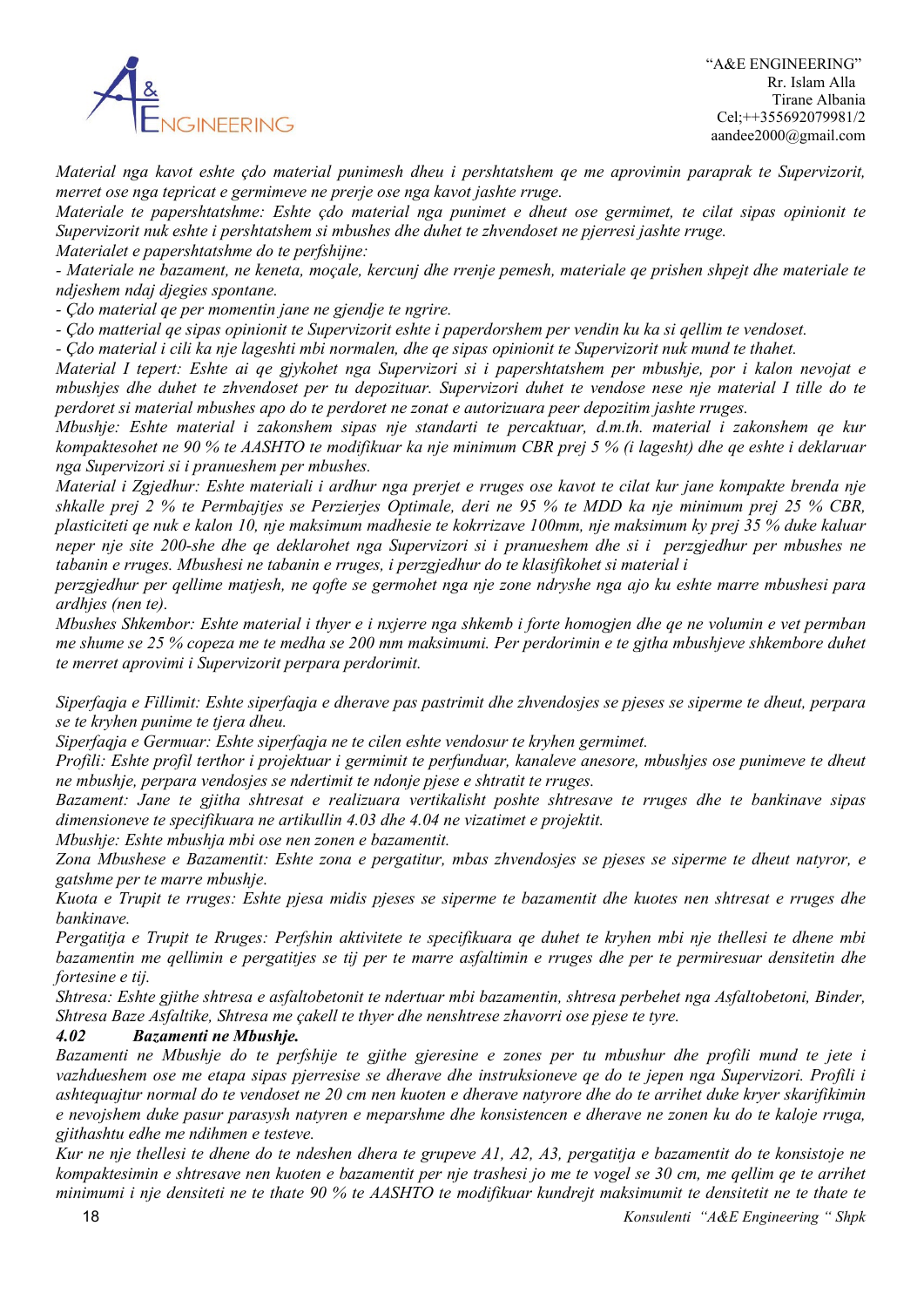

*Material nga kavot eshte çdo material punimesh dheu i pershtatshem qe me aprovimin paraprak te Supervizorit, merret ose nga tepricat e germimeve ne prerje ose nga kavot jashte rruge.*

*Materiale te papershtatshme: Eshte çdo material nga punimet e dheut ose germimet, te cilat sipas opinionit te Supervizorit nuk eshte i pershtatshem si mbushes dhe duhet te zhvendoset ne pjerresi jashte rruge. Materialet e papershtatshme do te perfshijne:*

*- Materiale ne bazament, ne keneta, moçale, kercunj dhe rrenje pemesh, materiale qe prishen shpejt dhe materiale te ndjeshem ndaj djegies spontane.*

*- Çdo material qe per momentin jane ne gjendje te ngrire.*

*- Çdo matterial qe sipas opinionit te Supervizorit eshte i paperdorshem per vendin ku ka si qellim te vendoset.*

*- Çdo material i cili ka nje lageshti mbi normalen, dhe qe sipas opinionit te Supervizorit nuk mund te thahet.*

*Material I tepert: Eshte ai qe gjykohet nga Supervizori si i papershtatshem per mbushje, por i kalon nevojat e mbushjes dhe duhet te zhvendoset per tu depozituar. Supervizori duhet te vendose nese nje material I tille do te perdoret si material mbushes apo do te perdoret ne zonat e autorizuara peer depozitim jashte rruges.*

*Mbushje: Eshte material i zakonshem sipas nje standarti te percaktuar, d.m.th. material i zakonshem qe kur kompaktesohet ne 90 % te AASHTO te modifikuar ka nje minimum CBR prej 5 % (i lagesht) dhe qe eshte i deklaruar nga Supervizori si i pranueshem per mbushes.*

*Material i Zgjedhur: Eshte materiali i ardhur nga prerjet e rruges ose kavot te cilat kur jane kompakte brenda nje shkalle prej 2 % te Permbajtjes se Perzierjes Optimale, deri ne 95 % te MDD ka nje minimum prej 25 % CBR, plasticiteti qe nuk e kalon 10, nje maksimum madhesie te kokrrizave 100mm, nje maksimum ky prej 35 % duke kaluar neper nje site 200-she dhe qe deklarohet nga Supervizori si i pranueshem dhe si i perzgjedhur per mbushes ne tabanin e rruges. Mbushesi ne tabanin e rruges, i perzgjedhur do te klasifikohet si material i* 

*perzgjedhur per qellime matjesh, ne qofte se germohet nga nje zone ndryshe nga ajo ku eshte marre mbushesi para ardhjes (nen te).*

*Mbushes Shkembor: Eshte material i thyer e i nxjerre nga shkemb i forte homogjen dhe qe ne volumin e vet permban me shume se 25 % copeza me te medha se 200 mm maksimumi. Per perdorimin e te gjtha mbushjeve shkembore duhet te merret aprovimi i Supervizorit perpara perdorimit.*

*Siperfaqja e Fillimit: Eshte siperfaqja e dherave pas pastrimit dhe zhvendosjes se pjeses se siperme te dheut, perpara se te kryhen punime te tjera dheu.*

*Siperfaqja e Germuar: Eshte siperfaqja ne te cilen eshte vendosur te kryhen germimet.*

*Profili: Eshte profil terthor i projektuar i germimit te perfunduar, kanaleve anesore, mbushjes ose punimeve te dheut ne mbushje, perpara vendosjes se ndertimit te ndonje pjese e shtratit te rruges.*

*Bazament: Jane te gjitha shtresat e realizuara vertikalisht poshte shtresave te rruges dhe te bankinave sipas dimensioneve te specifikuara ne artikullin 4.03 dhe 4.04 ne vizatimet e projektit.*

*Mbushje: Eshte mbushja mbi ose nen zonen e bazamentit.*

*Zona Mbushese e Bazamentit: Eshte zona e pergatitur, mbas zhvendosjes se pjeses se siperme te dheut natyror, e gatshme per te marre mbushje.*

*Kuota e Trupit te rruges: Eshte pjesa midis pjeses se siperme te bazamentit dhe kuotes nen shtresat e rruges dhe bankinave.*

*Pergatitja e Trupit te Rruges: Perfshin aktivitete te specifikuara qe duhet te kryhen mbi nje thellesi te dhene mbi bazamentin me qellimin e pergatitjes se tij per te marre asfaltimin e rruges dhe per te permiresuar densitetin dhe fortesine e tij.*

*Shtresa: Eshte gjithe shtresa e asfaltobetonit te ndertuar mbi bazamentin, shtresa perbehet nga Asfaltobetoni, Binder, Shtresa Baze Asfaltike, Shtresa me çakell te thyer dhe nenshtrese zhavorri ose pjese te tyre.*

### *4.02 Bazamenti ne Mbushje.*

*Bazamenti ne Mbushje do te perfshije te gjithe gjeresine e zones per tu mbushur dhe profili mund te jete i vazhdueshem ose me etapa sipas pjerresise se dherave dhe instruksioneve qe do te jepen nga Supervizori. Profili i ashtequajtur normal do te vendoset ne 20 cm nen kuoten e dherave natyrore dhe do te arrihet duke kryer skarifikimin e nevojshem duke pasur parasysh natyren e meparshme dhe konsistencen e dherave ne zonen ku do te kaloje rruga, gjithashtu edhe me ndihmen e testeve.*

*Kur ne nje thellesi te dhene do te ndeshen dhera te grupeve A1, A2, A3, pergatitja e bazamentit do te konsistoje ne kompaktesimin e shtresave nen kuoten e bazamentit per nje trashesi jo me te vogel se 30 cm, me qellim qe te arrihet minimumi i nje densiteti ne te thate 90 % te AASHTO te modifikuar kundrejt maksimumit te densitetit ne te thate te*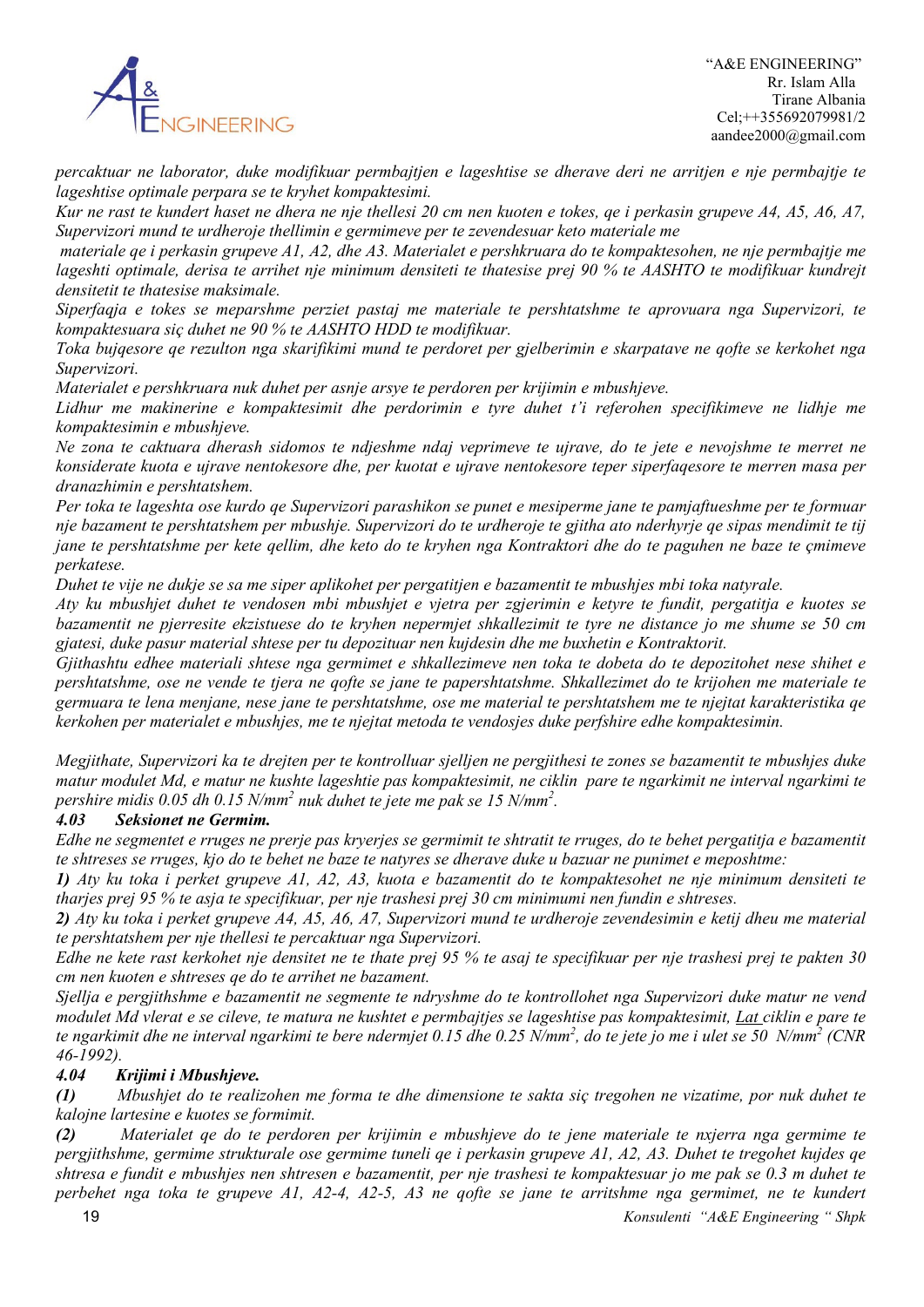

*percaktuar ne laborator, duke modifikuar permbajtjen e lageshtise se dherave deri ne arritjen e nje permbajtje te lageshtise optimale perpara se te kryhet kompaktesimi.*

*Kur ne rast te kundert haset ne dhera ne nje thellesi 20 cm nen kuoten e tokes, qe i perkasin grupeve A4, A5, A6, A7, Supervizori mund te urdheroje thellimin e germimeve per te zevendesuar keto materiale me*

*materiale qe i perkasin grupeve A1, A2, dhe A3. Materialet e pershkruara do te kompaktesohen, ne nje permbajtje me lageshti optimale, derisa te arrihet nje minimum densiteti te thatesise prej 90 % te AASHTO te modifikuar kundrejt densitetit te thatesise maksimale.*

*Siperfaqja e tokes se meparshme perziet pastaj me materiale te pershtatshme te aprovuara nga Supervizori, te kompaktesuara siç duhet ne 90 % te AASHTO HDD te modifikuar.*

*Toka bujqesore qe rezulton nga skarifikimi mund te perdoret per gjelberimin e skarpatave ne qofte se kerkohet nga Supervizori.*

*Materialet e pershkruara nuk duhet per asnje arsye te perdoren per krijimin e mbushjeve.*

*Lidhur me makinerine e kompaktesimit dhe perdorimin e tyre duhet t'i referohen specifikimeve ne lidhje me kompaktesimin e mbushjeve.*

*Ne zona te caktuara dherash sidomos te ndjeshme ndaj veprimeve te ujrave, do te jete e nevojshme te merret ne konsiderate kuota e ujrave nentokesore dhe, per kuotat e ujrave nentokesore teper siperfaqesore te merren masa per dranazhimin e pershtatshem.*

*Per toka te lageshta ose kurdo qe Supervizori parashikon se punet e mesiperme jane te pamjaftueshme per te formuar nje bazament te pershtatshem per mbushje. Supervizori do te urdheroje te gjitha ato nderhyrje qe sipas mendimit te tij jane te pershtatshme per kete qellim, dhe keto do te kryhen nga Kontraktori dhe do te paguhen ne baze te çmimeve perkatese.*

*Duhet te vije ne dukje se sa me siper aplikohet per pergatitjen e bazamentit te mbushjes mbi toka natyrale.*

*Aty ku mbushjet duhet te vendosen mbi mbushjet e vjetra per zgjerimin e ketyre te fundit, pergatitja e kuotes se bazamentit ne pjerresite ekzistuese do te kryhen nepermjet shkallezimit te tyre ne distance jo me shume se 50 cm gjatesi, duke pasur material shtese per tu depozituar nen kujdesin dhe me buxhetin e Kontraktorit.*

*Gjithashtu edhee materiali shtese nga germimet e shkallezimeve nen toka te dobeta do te depozitohet nese shihet e pershtatshme, ose ne vende te tjera ne qofte se jane te papershtatshme. Shkallezimet do te krijohen me materiale te germuara te lena menjane, nese jane te pershtatshme, ose me material te pershtatshem me te njejtat karakteristika qe kerkohen per materialet e mbushjes, me te njejtat metoda te vendosjes duke perfshire edhe kompaktesimin.*

*Megjithate, Supervizori ka te drejten per te kontrolluar sjelljen ne pergjithesi te zones se bazamentit te mbushjes duke matur modulet Md, e matur ne kushte lageshtie pas kompaktesimit, ne ciklin pare te ngarkimit ne interval ngarkimi te pershire midis 0.05 dh 0.15 N/mm2 nuk duhet te jete me pak se 15 N/mm2 .*

### *4.03 Seksionet ne Germim.*

*Edhe ne segmentet e rruges ne prerje pas kryerjes se germimit te shtratit te rruges, do te behet pergatitja e bazamentit te shtreses se rruges, kjo do te behet ne baze te natyres se dherave duke u bazuar ne punimet e meposhtme:*

*1) Aty ku toka i perket grupeve A1, A2, A3, kuota e bazamentit do te kompaktesohet ne nje minimum densiteti te tharjes prej 95 % te asja te specifikuar, per nje trashesi prej 30 cm minimumi nen fundin e shtreses.*

*2) Aty ku toka i perket grupeve A4, A5, A6, A7, Supervizori mund te urdheroje zevendesimin e ketij dheu me material te pershtatshem per nje thellesi te percaktuar nga Supervizori.*

*Edhe ne kete rast kerkohet nje densitet ne te thate prej 95 % te asaj te specifikuar per nje trashesi prej te pakten 30 cm nen kuoten e shtreses qe do te arrihet ne bazament.*

*Sjellja e pergjithshme e bazamentit ne segmente te ndryshme do te kontrollohet nga Supervizori duke matur ne vend modulet Md vlerat e se cileve, te matura ne kushtet e permbajtjes se lageshtise pas kompaktesimit, Lat ciklin e pare te te ngarkimit dhe ne interval ngarkimi te bere ndermjet 0.15 dhe 0.25 N/mm2 , do te jete jo me i ulet se 50 N/mm2 (CNR 46-1992).*

### *4.04 Krijimi i Mbushjeve.*

*(1) Mbushjet do te realizohen me forma te dhe dimensione te sakta siç tregohen ne vizatime, por nuk duhet te kalojne lartesine e kuotes se formimit.*

*(2) Materialet qe do te perdoren per krijimin e mbushjeve do te jene materiale te nxjerra nga germime te pergjithshme, germime strukturale ose germime tuneli qe i perkasin grupeve A1, A2, A3. Duhet te tregohet kujdes qe shtresa e fundit e mbushjes nen shtresen e bazamentit, per nje trashesi te kompaktesuar jo me pak se 0.3 m duhet te perbehet nga toka te grupeve A1, A2-4, A2-5, A3 ne qofte se jane te arritshme nga germimet, ne te kundert*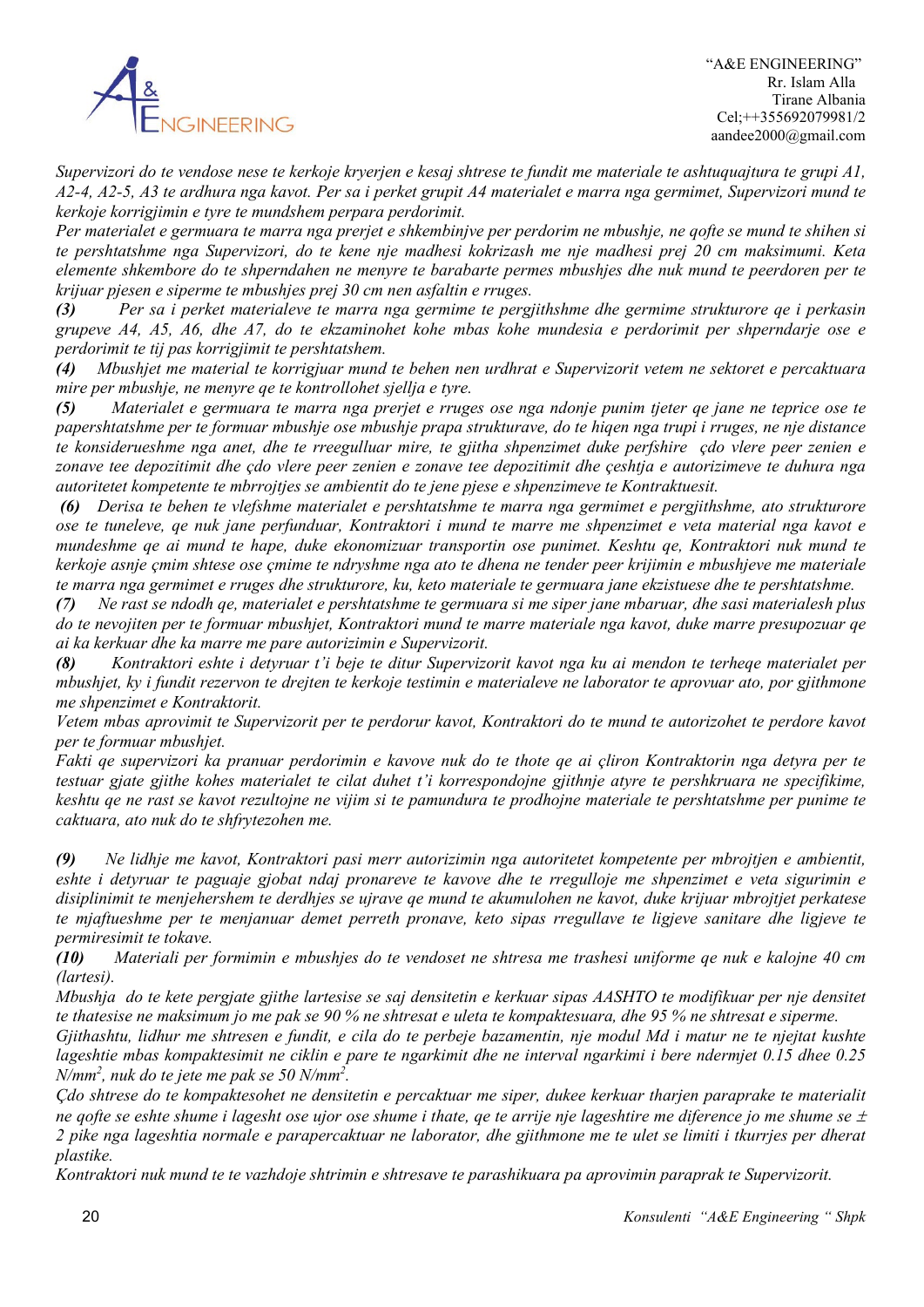

*Supervizori do te vendose nese te kerkoje kryerjen e kesaj shtrese te fundit me materiale te ashtuquajtura te grupi A1, A2-4, A2-5, A3 te ardhura nga kavot. Per sa i perket grupit A4 materialet e marra nga germimet, Supervizori mund te kerkoje korrigjimin e tyre te mundshem perpara perdorimit.*

*Per materialet e germuara te marra nga prerjet e shkembinjve per perdorim ne mbushje, ne qofte se mund te shihen si te pershtatshme nga Supervizori, do te kene nje madhesi kokrizash me nje madhesi prej 20 cm maksimumi. Keta elemente shkembore do te shperndahen ne menyre te barabarte permes mbushjes dhe nuk mund te peerdoren per te krijuar pjesen e siperme te mbushjes prej 30 cm nen asfaltin e rruges.*

*(3) Per sa i perket materialeve te marra nga germime te pergjithshme dhe germime strukturore qe i perkasin grupeve A4, A5, A6, dhe A7, do te ekzaminohet kohe mbas kohe mundesia e perdorimit per shperndarje ose e perdorimit te tij pas korrigjimit te pershtatshem.*

*(4) Mbushjet me material te korrigjuar mund te behen nen urdhrat e Supervizorit vetem ne sektoret e percaktuara mire per mbushje, ne menyre qe te kontrollohet sjellja e tyre.*

*(5) Materialet e germuara te marra nga prerjet e rruges ose nga ndonje punim tjeter qe jane ne teprice ose te papershtatshme per te formuar mbushje ose mbushje prapa strukturave, do te hiqen nga trupi i rruges, ne nje distance te konsiderueshme nga anet, dhe te rreegulluar mire, te gjitha shpenzimet duke perfshire çdo vlere peer zenien e zonave tee depozitimit dhe çdo vlere peer zenien e zonave tee depozitimit dhe çeshtja e autorizimeve te duhura nga autoritetet kompetente te mbrrojtjes se ambientit do te jene pjese e shpenzimeve te Kontraktuesit.*

*(6) Derisa te behen te vlefshme materialet e pershtatshme te marra nga germimet e pergjithshme, ato strukturore ose te tuneleve, qe nuk jane perfunduar, Kontraktori i mund te marre me shpenzimet e veta material nga kavot e mundeshme qe ai mund te hape, duke ekonomizuar transportin ose punimet. Keshtu qe, Kontraktori nuk mund te kerkoje asnje çmim shtese ose çmime te ndryshme nga ato te dhena ne tender peer krijimin e mbushjeve me materiale te marra nga germimet e rruges dhe strukturore, ku, keto materiale te germuara jane ekzistuese dhe te pershtatshme.*

*(7) Ne rast se ndodh qe, materialet e pershtatshme te germuara si me siper jane mbaruar, dhe sasi materialesh plus do te nevojiten per te formuar mbushjet, Kontraktori mund te marre materiale nga kavot, duke marre presupozuar qe ai ka kerkuar dhe ka marre me pare autorizimin e Supervizorit.*

*(8) Kontraktori eshte i detyruar t'i beje te ditur Supervizorit kavot nga ku ai mendon te terheqe materialet per mbushjet, ky i fundit rezervon te drejten te kerkoje testimin e materialeve ne laborator te aprovuar ato, por gjithmone me shpenzimet e Kontraktorit.*

*Vetem mbas aprovimit te Supervizorit per te perdorur kavot, Kontraktori do te mund te autorizohet te perdore kavot per te formuar mbushjet.*

*Fakti qe supervizori ka pranuar perdorimin e kavove nuk do te thote qe ai çliron Kontraktorin nga detyra per te testuar gjate gjithe kohes materialet te cilat duhet t'i korrespondojne gjithnje atyre te pershkruara ne specifikime, keshtu qe ne rast se kavot rezultojne ne vijim si te pamundura te prodhojne materiale te pershtatshme per punime te caktuara, ato nuk do te shfrytezohen me.*

*(9) Ne lidhje me kavot, Kontraktori pasi merr autorizimin nga autoritetet kompetente per mbrojtjen e ambientit, eshte i detyruar te paguaje gjobat ndaj pronareve te kavove dhe te rregulloje me shpenzimet e veta sigurimin e disiplinimit te menjehershem te derdhjes se ujrave qe mund te akumulohen ne kavot, duke krijuar mbrojtjet perkatese te mjaftueshme per te menjanuar demet perreth pronave, keto sipas rregullave te ligjeve sanitare dhe ligjeve te permiresimit te tokave.*

*(10) Materiali per formimin e mbushjes do te vendoset ne shtresa me trashesi uniforme qe nuk e kalojne 40 cm (lartesi).*

*Mbushja do te kete pergjate gjithe lartesise se saj densitetin e kerkuar sipas AASHTO te modifikuar per nje densitet te thatesise ne maksimum jo me pak se 90 % ne shtresat e uleta te kompaktesuara, dhe 95 % ne shtresat e siperme.*

*Gjithashtu, lidhur me shtresen e fundit, e cila do te perbeje bazamentin, nje modul Md i matur ne te njejtat kushte lageshtie mbas kompaktesimit ne ciklin e pare te ngarkimit dhe ne interval ngarkimi i bere ndermjet 0.15 dhee 0.25 N/mm2 , nuk do te jete me pak se 50 N/mm2 .*

*Çdo shtrese do te kompaktesohet ne densitetin e percaktuar me siper, dukee kerkuar tharjen paraprake te materialit ne qofte se eshte shume i lagesht ose ujor ose shume i thate, qe te arrije nje lageshtire me diference jo me shume se*  $\pm$ *2 pike nga lageshtia normale e parapercaktuar ne laborator, dhe gjithmone me te ulet se limiti i tkurrjes per dherat plastike.*

*Kontraktori nuk mund te te vazhdoje shtrimin e shtresave te parashikuara pa aprovimin paraprak te Supervizorit.*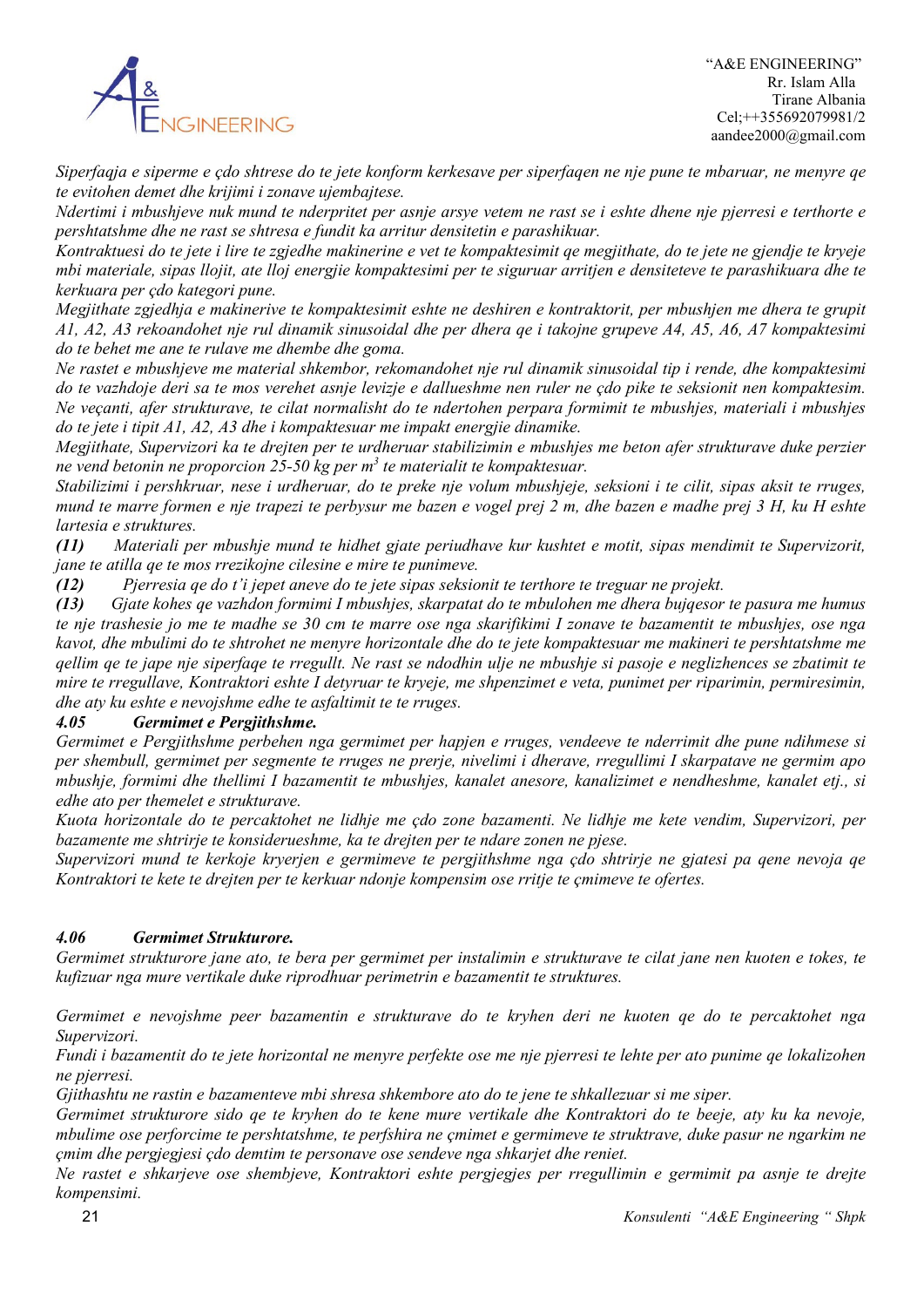

*Siperfaqja e siperme e çdo shtrese do te jete konform kerkesave per siperfaqen ne nje pune te mbaruar, ne menyre qe te evitohen demet dhe krijimi i zonave ujembajtese.*

*Ndertimi i mbushjeve nuk mund te nderpritet per asnje arsye vetem ne rast se i eshte dhene nje pjerresi e terthorte e pershtatshme dhe ne rast se shtresa e fundit ka arritur densitetin e parashikuar.*

*Kontraktuesi do te jete i lire te zgjedhe makinerine e vet te kompaktesimit qe megjithate, do te jete ne gjendje te kryeje mbi materiale, sipas llojit, ate lloj energjie kompaktesimi per te siguruar arritjen e densiteteve te parashikuara dhe te kerkuara per çdo kategori pune.*

*Megjithate zgjedhja e makinerive te kompaktesimit eshte ne deshiren e kontraktorit, per mbushjen me dhera te grupit A1, A2, A3 rekoandohet nje rul dinamik sinusoidal dhe per dhera qe i takojne grupeve A4, A5, A6, A7 kompaktesimi do te behet me ane te rulave me dhembe dhe goma.*

*Ne rastet e mbushjeve me material shkembor, rekomandohet nje rul dinamik sinusoidal tip i rende, dhe kompaktesimi do te vazhdoje deri sa te mos verehet asnje levizje e dallueshme nen ruler ne çdo pike te seksionit nen kompaktesim. Ne veçanti, afer strukturave, te cilat normalisht do te ndertohen perpara formimit te mbushjes, materiali i mbushjes do te jete i tipit A1, A2, A3 dhe i kompaktesuar me impakt energjie dinamike.*

*Megjithate, Supervizori ka te drejten per te urdheruar stabilizimin e mbushjes me beton afer strukturave duke perzier ne vend betonin ne proporcion 25-50 kg per m3 te materialit te kompaktesuar.*

*Stabilizimi i pershkruar, nese i urdheruar, do te preke nje volum mbushjeje, seksioni i te cilit, sipas aksit te rruges, mund te marre formen e nje trapezi te perbysur me bazen e vogel prej 2 m, dhe bazen e madhe prej 3 H, ku H eshte lartesia e struktures.*

*(11) Materiali per mbushje mund te hidhet gjate periudhave kur kushtet e motit, sipas mendimit te Supervizorit, jane te atilla qe te mos rrezikojne cilesine e mire te punimeve.*

*(12) Pjerresia qe do t'i jepet aneve do te jete sipas seksionit te terthore te treguar ne projekt.*

*(13) Gjate kohes qe vazhdon formimi I mbushjes, skarpatat do te mbulohen me dhera bujqesor te pasura me humus te nje trashesie jo me te madhe se 30 cm te marre ose nga skarifikimi I zonave te bazamentit te mbushjes, ose nga kavot, dhe mbulimi do te shtrohet ne menyre horizontale dhe do te jete kompaktesuar me makineri te pershtatshme me qellim qe te jape nje siperfaqe te rregullt. Ne rast se ndodhin ulje ne mbushje si pasoje e neglizhences se zbatimit te mire te rregullave, Kontraktori eshte I detyruar te kryeje, me shpenzimet e veta, punimet per riparimin, permiresimin, dhe aty ku eshte e nevojshme edhe te asfaltimit te te rruges.*

### *4.05 Germimet e Pergjithshme.*

*Germimet e Pergjithshme perbehen nga germimet per hapjen e rruges, vendeeve te nderrimit dhe pune ndihmese si per shembull, germimet per segmente te rruges ne prerje, nivelimi i dherave, rregullimi I skarpatave ne germim apo mbushje, formimi dhe thellimi I bazamentit te mbushjes, kanalet anesore, kanalizimet e nendheshme, kanalet etj., si edhe ato per themelet e strukturave.*

*Kuota horizontale do te percaktohet ne lidhje me çdo zone bazamenti. Ne lidhje me kete vendim, Supervizori, per bazamente me shtrirje te konsiderueshme, ka te drejten per te ndare zonen ne pjese.*

*Supervizori mund te kerkoje kryerjen e germimeve te pergjithshme nga çdo shtrirje ne gjatesi pa qene nevoja qe Kontraktori te kete te drejten per te kerkuar ndonje kompensim ose rritje te çmimeve te ofertes.*

### *4.06 Germimet Strukturore.*

*Germimet strukturore jane ato, te bera per germimet per instalimin e strukturave te cilat jane nen kuoten e tokes, te kufizuar nga mure vertikale duke riprodhuar perimetrin e bazamentit te struktures.*

*Germimet e nevojshme peer bazamentin e strukturave do te kryhen deri ne kuoten qe do te percaktohet nga Supervizori.*

*Fundi i bazamentit do te jete horizontal ne menyre perfekte ose me nje pjerresi te lehte per ato punime qe lokalizohen ne pjerresi.*

*Gjithashtu ne rastin e bazamenteve mbi shresa shkembore ato do te jene te shkallezuar si me siper.*

*Germimet strukturore sido qe te kryhen do te kene mure vertikale dhe Kontraktori do te beeje, aty ku ka nevoje, mbulime ose perforcime te pershtatshme, te perfshira ne çmimet e germimeve te struktrave, duke pasur ne ngarkim ne çmim dhe pergjegjesi çdo demtim te personave ose sendeve nga shkarjet dhe reniet.*

*Ne rastet e shkarjeve ose shembjeve, Kontraktori eshte pergjegjes per rregullimin e germimit pa asnje te drejte kompensimi.*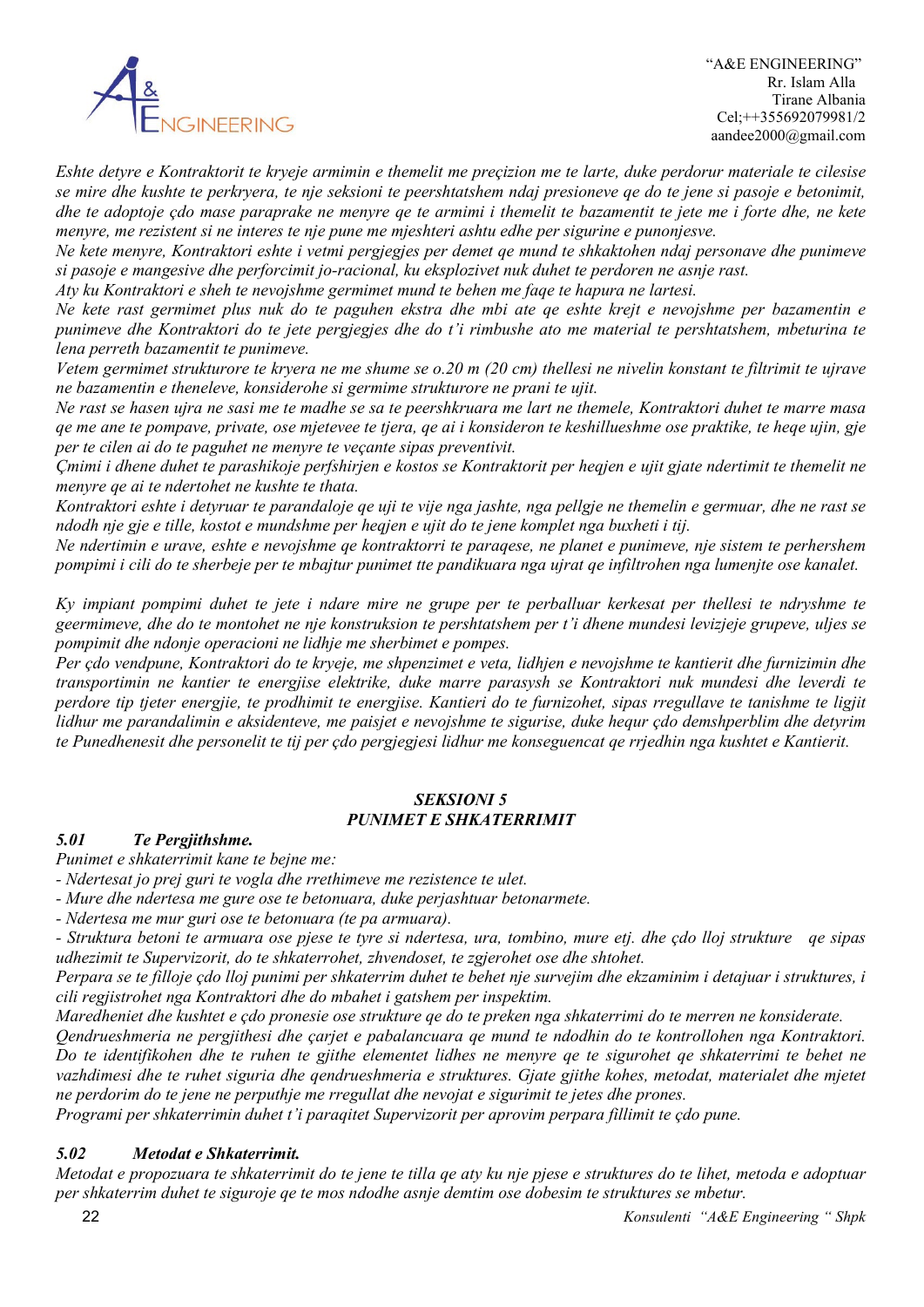

 "A&E ENGINEERING" Rr. Islam Alla Tirane Albania Cel;++355692079981/2 aandee2000@gmail.com

*Eshte detyre e Kontraktorit te kryeje armimin e themelit me preçizion me te larte, duke perdorur materiale te cilesise se mire dhe kushte te perkryera, te nje seksioni te peershtatshem ndaj presioneve qe do te jene si pasoje e betonimit, dhe te adoptoje çdo mase paraprake ne menyre qe te armimi i themelit te bazamentit te jete me i forte dhe, ne kete menyre, me rezistent si ne interes te nje pune me mjeshteri ashtu edhe per sigurine e punonjesve.*

*Ne kete menyre, Kontraktori eshte i vetmi pergjegjes per demet qe mund te shkaktohen ndaj personave dhe punimeve si pasoje e mangesive dhe perforcimit jo-racional, ku eksplozivet nuk duhet te perdoren ne asnje rast.*

*Aty ku Kontraktori e sheh te nevojshme germimet mund te behen me faqe te hapura ne lartesi.*

*Ne kete rast germimet plus nuk do te paguhen ekstra dhe mbi ate qe eshte krejt e nevojshme per bazamentin e punimeve dhe Kontraktori do te jete pergjegjes dhe do t'i rimbushe ato me material te pershtatshem, mbeturina te lena perreth bazamentit te punimeve.*

*Vetem germimet strukturore te kryera ne me shume se o.20 m (20 cm) thellesi ne nivelin konstant te filtrimit te ujrave ne bazamentin e theneleve, konsiderohe si germime strukturore ne prani te ujit.*

*Ne rast se hasen ujra ne sasi me te madhe se sa te peershkruara me lart ne themele, Kontraktori duhet te marre masa qe me ane te pompave, private, ose mjetevee te tjera, qe ai i konsideron te keshillueshme ose praktike, te heqe ujin, gje per te cilen ai do te paguhet ne menyre te veçante sipas preventivit.*

*Çmimi i dhene duhet te parashikoje perfshirjen e kostos se Kontraktorit per heqjen e ujit gjate ndertimit te themelit ne menyre qe ai te ndertohet ne kushte te thata.*

*Kontraktori eshte i detyruar te parandaloje qe uji te vije nga jashte, nga pellgje ne themelin e germuar, dhe ne rast se ndodh nje gje e tille, kostot e mundshme per heqjen e ujit do te jene komplet nga buxheti i tij.*

*Ne ndertimin e urave, eshte e nevojshme qe kontraktorri te paraqese, ne planet e punimeve, nje sistem te perhershem pompimi i cili do te sherbeje per te mbajtur punimet tte pandikuara nga ujrat qe infiltrohen nga lumenjte ose kanalet.*

*Ky impiant pompimi duhet te jete i ndare mire ne grupe per te perballuar kerkesat per thellesi te ndryshme te geermimeve, dhe do te montohet ne nje konstruksion te pershtatshem per t'i dhene mundesi levizjeje grupeve, uljes se pompimit dhe ndonje operacioni ne lidhje me sherbimet e pompes.*

*Per çdo vendpune, Kontraktori do te kryeje, me shpenzimet e veta, lidhjen e nevojshme te kantierit dhe furnizimin dhe transportimin ne kantier te energjise elektrike, duke marre parasysh se Kontraktori nuk mundesi dhe leverdi te perdore tip tjeter energjie, te prodhimit te energjise. Kantieri do te furnizohet, sipas rregullave te tanishme te ligjit lidhur me parandalimin e aksidenteve, me paisjet e nevojshme te sigurise, duke hequr çdo demshperblim dhe detyrim te Punedhenesit dhe personelit te tij per çdo pergjegjesi lidhur me konseguencat qe rrjedhin nga kushtet e Kantierit.*

### *SEKSIONI 5 PUNIMET E SHKATERRIMIT*

### *5.01 Te Pergjithshme.*

*Punimet e shkaterrimit kane te bejne me:*

*- Ndertesat jo prej guri te vogla dhe rrethimeve me rezistence te ulet.*

*- Mure dhe ndertesa me gure ose te betonuara, duke perjashtuar betonarmete.*

*- Ndertesa me mur guri ose te betonuara (te pa armuara).*

*- Struktura betoni te armuara ose pjese te tyre si ndertesa, ura, tombino, mure etj. dhe çdo lloj strukture qe sipas udhezimit te Supervizorit, do te shkaterrohet, zhvendoset, te zgjerohet ose dhe shtohet.*

*Perpara se te filloje çdo lloj punimi per shkaterrim duhet te behet nje survejim dhe ekzaminim i detajuar i struktures, i cili regjistrohet nga Kontraktori dhe do mbahet i gatshem per inspektim.*

*Maredheniet dhe kushtet e çdo pronesie ose strukture qe do te preken nga shkaterrimi do te merren ne konsiderate.*

*Qendrueshmeria ne pergjithesi dhe çarjet e pabalancuara qe mund te ndodhin do te kontrollohen nga Kontraktori. Do te identifikohen dhe te ruhen te gjithe elementet lidhes ne menyre qe te sigurohet qe shkaterrimi te behet ne vazhdimesi dhe te ruhet siguria dhe qendrueshmeria e struktures. Gjate gjithe kohes, metodat, materialet dhe mjetet ne perdorim do te jene ne perputhje me rregullat dhe nevojat e sigurimit te jetes dhe prones.*

*Programi per shkaterrimin duhet t'i paraqitet Supervizorit per aprovim perpara fillimit te çdo pune.*

#### *5.02 Metodat e Shkaterrimit.*

*Metodat e propozuara te shkaterrimit do te jene te tilla qe aty ku nje pjese e struktures do te lihet, metoda e adoptuar per shkaterrim duhet te siguroje qe te mos ndodhe asnje demtim ose dobesim te struktures se mbetur.*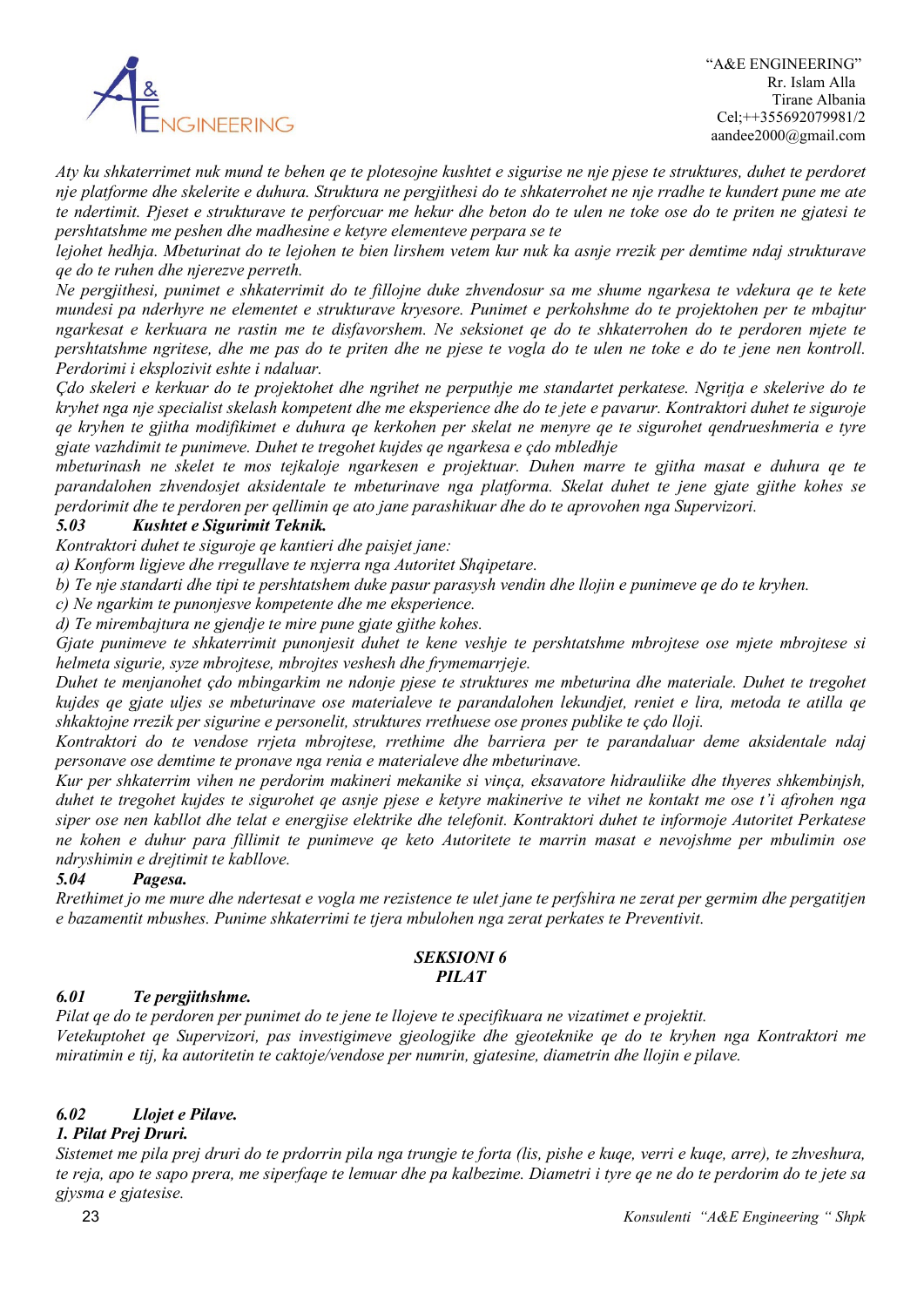

*Aty ku shkaterrimet nuk mund te behen qe te plotesojne kushtet e sigurise ne nje pjese te struktures, duhet te perdoret nje platforme dhe skelerite e duhura. Struktura ne pergjithesi do te shkaterrohet ne nje rradhe te kundert pune me ate te ndertimit. Pjeset e strukturave te perforcuar me hekur dhe beton do te ulen ne toke ose do te priten ne gjatesi te pershtatshme me peshen dhe madhesine e ketyre elementeve perpara se te* 

*lejohet hedhja. Mbeturinat do te lejohen te bien lirshem vetem kur nuk ka asnje rrezik per demtime ndaj strukturave qe do te ruhen dhe njerezve perreth.*

*Ne pergjithesi, punimet e shkaterrimit do te fillojne duke zhvendosur sa me shume ngarkesa te vdekura qe te kete mundesi pa nderhyre ne elementet e strukturave kryesore. Punimet e perkohshme do te projektohen per te mbajtur ngarkesat e kerkuara ne rastin me te disfavorshem. Ne seksionet qe do te shkaterrohen do te perdoren mjete te pershtatshme ngritese, dhe me pas do te priten dhe ne pjese te vogla do te ulen ne toke e do te jene nen kontroll. Perdorimi i eksplozivit eshte i ndaluar.*

*Çdo skeleri e kerkuar do te projektohet dhe ngrihet ne perputhje me standartet perkatese. Ngritja e skelerive do te kryhet nga nje specialist skelash kompetent dhe me eksperience dhe do te jete e pavarur. Kontraktori duhet te siguroje qe kryhen te gjitha modifikimet e duhura qe kerkohen per skelat ne menyre qe te sigurohet qendrueshmeria e tyre gjate vazhdimit te punimeve. Duhet te tregohet kujdes qe ngarkesa e çdo mbledhje* 

*mbeturinash ne skelet te mos tejkaloje ngarkesen e projektuar. Duhen marre te gjitha masat e duhura qe te parandalohen zhvendosjet aksidentale te mbeturinave nga platforma. Skelat duhet te jene gjate gjithe kohes se perdorimit dhe te perdoren per qellimin qe ato jane parashikuar dhe do te aprovohen nga Supervizori.*

### *5.03 Kushtet e Sigurimit Teknik.*

*Kontraktori duhet te siguroje qe kantieri dhe paisjet jane:*

*a) Konform ligjeve dhe rregullave te nxjerra nga Autoritet Shqipetare.*

*b) Te nje standarti dhe tipi te pershtatshem duke pasur parasysh vendin dhe llojin e punimeve qe do te kryhen.*

*c) Ne ngarkim te punonjesve kompetente dhe me eksperience.*

*d) Te mirembajtura ne gjendje te mire pune gjate gjithe kohes.*

*Gjate punimeve te shkaterrimit punonjesit duhet te kene veshje te pershtatshme mbrojtese ose mjete mbrojtese si helmeta sigurie, syze mbrojtese, mbrojtes veshesh dhe frymemarrjeje.*

*Duhet te menjanohet çdo mbingarkim ne ndonje pjese te struktures me mbeturina dhe materiale. Duhet te tregohet kujdes qe gjate uljes se mbeturinave ose materialeve te parandalohen lekundjet, reniet e lira, metoda te atilla qe shkaktojne rrezik per sigurine e personelit, struktures rrethuese ose prones publike te çdo lloji.*

*Kontraktori do te vendose rrjeta mbrojtese, rrethime dhe barriera per te parandaluar deme aksidentale ndaj personave ose demtime te pronave nga renia e materialeve dhe mbeturinave.*

*Kur per shkaterrim vihen ne perdorim makineri mekanike si vinça, eksavatore hidrauliike dhe thyeres shkembinjsh, duhet te tregohet kujdes te sigurohet qe asnje pjese e ketyre makinerive te vihet ne kontakt me ose t'i afrohen nga siper ose nen kabllot dhe telat e energjise elektrike dhe telefonit. Kontraktori duhet te informoje Autoritet Perkatese ne kohen e duhur para fillimit te punimeve qe keto Autoritete te marrin masat e nevojshme per mbulimin ose ndryshimin e drejtimit te kabllove.*

#### *5.04 Pagesa.*

*Rrethimet jo me mure dhe ndertesat e vogla me rezistence te ulet jane te perfshira ne zerat per germim dhe pergatitjen e bazamentit mbushes. Punime shkaterrimi te tjera mbulohen nga zerat perkates te Preventivit.* 

#### *SEKSIONI 6 PILAT*

### *6.01 Te pergjithshme.*

*Pilat qe do te perdoren per punimet do te jene te llojeve te specifikuara ne vizatimet e projektit. Vetekuptohet qe Supervizori, pas investigimeve gjeologjike dhe gjeoteknike qe do te kryhen nga Kontraktori me miratimin e tij, ka autoritetin te caktoje/vendose per numrin, gjatesine, diametrin dhe llojin e pilave.*

### *6.02 Llojet e Pilave.*

#### *1. Pilat Prej Druri.*

*Sistemet me pila prej druri do te prdorrin pila nga trungje te forta (lis, pishe e kuqe, verri e kuqe, arre), te zhveshura, te reja, apo te sapo prera, me siperfaqe te lemuar dhe pa kalbezime. Diametri i tyre qe ne do te perdorim do te jete sa gjysma e gjatesise.*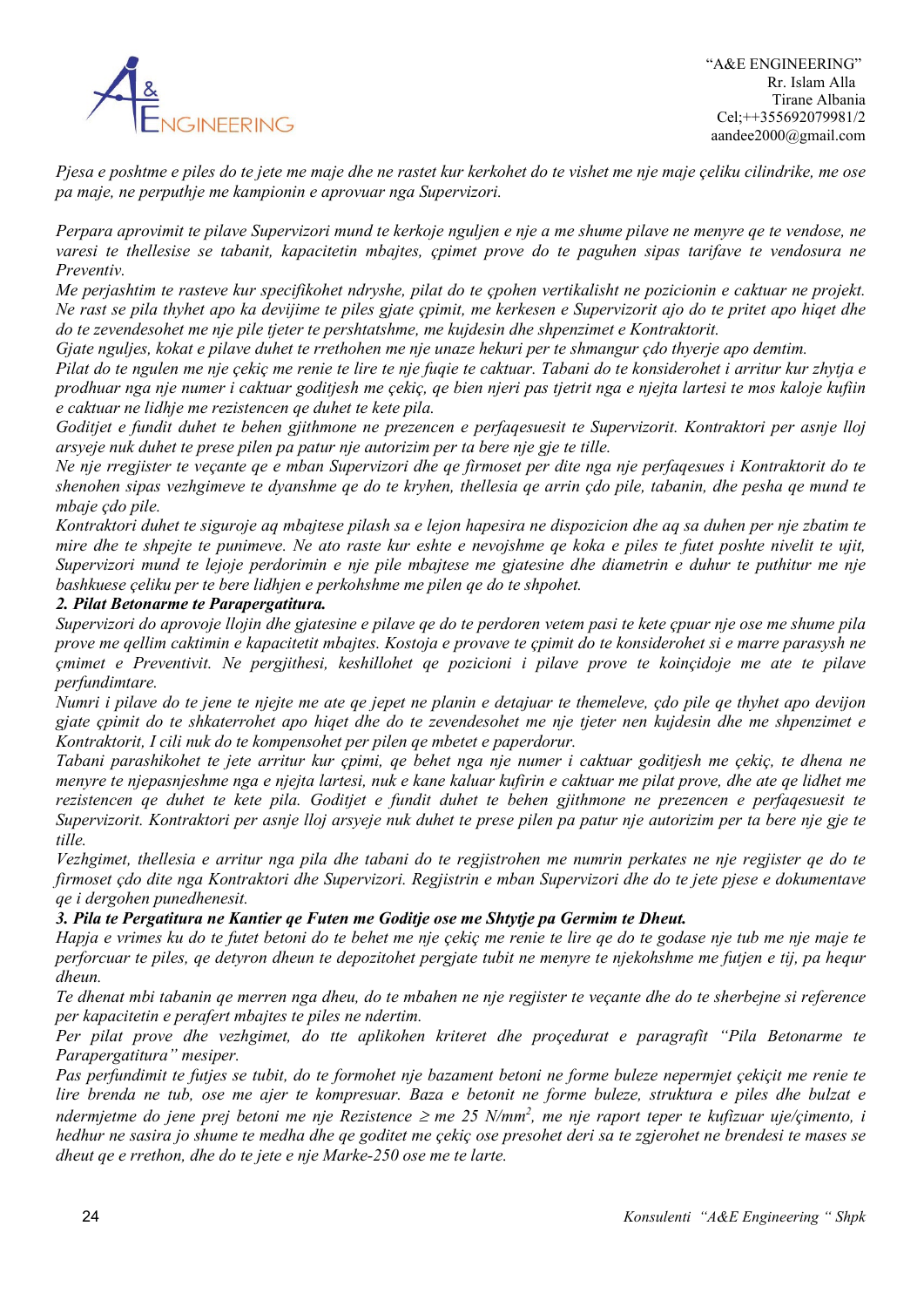

*Pjesa e poshtme e piles do te jete me maje dhe ne rastet kur kerkohet do te vishet me nje maje çeliku cilindrike, me ose pa maje, ne perputhje me kampionin e aprovuar nga Supervizori.*

*Perpara aprovimit te pilave Supervizori mund te kerkoje nguljen e nje a me shume pilave ne menyre qe te vendose, ne varesi te thellesise se tabanit, kapacitetin mbajtes, çpimet prove do te paguhen sipas tarifave te vendosura ne Preventiv.*

*Me perjashtim te rasteve kur specifikohet ndryshe, pilat do te çpohen vertikalisht ne pozicionin e caktuar ne projekt. Ne rast se pila thyhet apo ka devijime te piles gjate çpimit, me kerkesen e Supervizorit ajo do te pritet apo hiqet dhe do te zevendesohet me nje pile tjeter te pershtatshme, me kujdesin dhe shpenzimet e Kontraktorit.*

*Gjate nguljes, kokat e pilave duhet te rrethohen me nje unaze hekuri per te shmangur çdo thyerje apo demtim.*

*Pilat do te ngulen me nje çekiç me renie te lire te nje fuqie te caktuar. Tabani do te konsiderohet i arritur kur zhytja e prodhuar nga nje numer i caktuar goditjesh me çekiç, qe bien njeri pas tjetrit nga e njejta lartesi te mos kaloje kufiin e caktuar ne lidhje me rezistencen qe duhet te kete pila.*

*Goditjet e fundit duhet te behen gjithmone ne prezencen e perfaqesuesit te Supervizorit. Kontraktori per asnje lloj arsyeje nuk duhet te prese pilen pa patur nje autorizim per ta bere nje gje te tille.*

*Ne nje rregjister te veçante qe e mban Supervizori dhe qe firmoset per dite nga nje perfaqesues i Kontraktorit do te shenohen sipas vezhgimeve te dyanshme qe do te kryhen, thellesia qe arrin çdo pile, tabanin, dhe pesha qe mund te mbaje çdo pile.*

*Kontraktori duhet te siguroje aq mbajtese pilash sa e lejon hapesira ne dispozicion dhe aq sa duhen per nje zbatim te mire dhe te shpejte te punimeve. Ne ato raste kur eshte e nevojshme qe koka e piles te futet poshte nivelit te ujit, Supervizori mund te lejoje perdorimin e nje pile mbajtese me gjatesine dhe diametrin e duhur te puthitur me nje bashkuese çeliku per te bere lidhjen e perkohshme me pilen qe do te shpohet.*

### *2. Pilat Betonarme te Parapergatitura.*

*Supervizori do aprovoje llojin dhe gjatesine e pilave qe do te perdoren vetem pasi te kete çpuar nje ose me shume pila prove me qellim caktimin e kapacitetit mbajtes. Kostoja e provave te çpimit do te konsiderohet si e marre parasysh ne çmimet e Preventivit. Ne pergjithesi, keshillohet qe pozicioni i pilave prove te koinçidoje me ate te pilave perfundimtare.*

*Numri i pilave do te jene te njejte me ate qe jepet ne planin e detajuar te themeleve, çdo pile qe thyhet apo devijon gjate çpimit do te shkaterrohet apo hiqet dhe do te zevendesohet me nje tjeter nen kujdesin dhe me shpenzimet e Kontraktorit, I cili nuk do te kompensohet per pilen qe mbetet e paperdorur.*

*Tabani parashikohet te jete arritur kur çpimi, qe behet nga nje numer i caktuar goditjesh me çekiç, te dhena ne menyre te njepasnjeshme nga e njejta lartesi, nuk e kane kaluar kufirin e caktuar me pilat prove, dhe ate qe lidhet me rezistencen qe duhet te kete pila. Goditjet e fundit duhet te behen gjithmone ne prezencen e perfaqesuesit te Supervizorit. Kontraktori per asnje lloj arsyeje nuk duhet te prese pilen pa patur nje autorizim per ta bere nje gje te tille.*

*Vezhgimet, thellesia e arritur nga pila dhe tabani do te regjistrohen me numrin perkates ne nje regjister qe do te firmoset çdo dite nga Kontraktori dhe Supervizori. Regjistrin e mban Supervizori dhe do te jete pjese e dokumentave qe i dergohen punedhenesit.*

#### *3. Pila te Pergatitura ne Kantier qe Futen me Goditje ose me Shtytje pa Germim te Dheut.*

*Hapja e vrimes ku do te futet betoni do te behet me nje çekiç me renie te lire qe do te godase nje tub me nje maje te perforcuar te piles, qe detyron dheun te depozitohet pergjate tubit ne menyre te njekohshme me futjen e tij, pa hequr dheun.*

*Te dhenat mbi tabanin qe merren nga dheu, do te mbahen ne nje regjister te veçante dhe do te sherbejne si reference per kapacitetin e perafert mbajtes te piles ne ndertim.*

*Per pilat prove dhe vezhgimet, do tte aplikohen kriteret dhe proçedurat e paragrafit "Pila Betonarme te Parapergatitura" mesiper.*

*Pas perfundimit te futjes se tubit, do te formohet nje bazament betoni ne forme buleze nepermjet çekiçit me renie te lire brenda ne tub, ose me ajer te kompresuar. Baza e betonit ne forme buleze, struktura e piles dhe bulzat e ndermjetme do jene prej betoni me nje Rezistence* <sup>≥</sup> *me 25 N/mm2 , me nje raport teper te kufizuar uje/çimento, i hedhur ne sasira jo shume te medha dhe qe goditet me çekiç ose presohet deri sa te zgjerohet ne brendesi te mases se dheut qe e rrethon, dhe do te jete e nje Marke-250 ose me te larte.*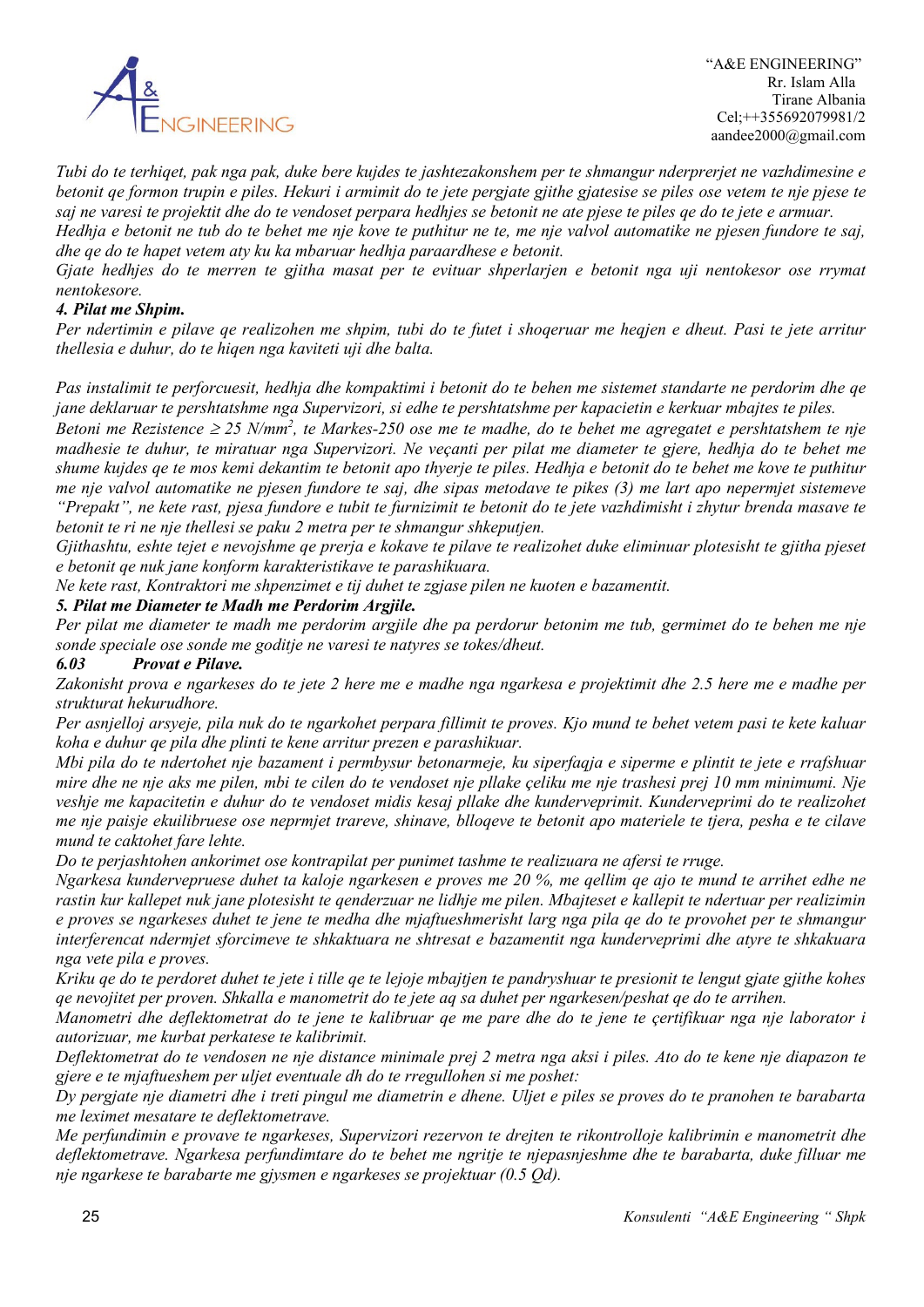

*Tubi do te terhiqet, pak nga pak, duke bere kujdes te jashtezakonshem per te shmangur nderprerjet ne vazhdimesine e betonit qe formon trupin e piles. Hekuri i armimit do te jete pergjate gjithe gjatesise se piles ose vetem te nje pjese te saj ne varesi te projektit dhe do te vendoset perpara hedhjes se betonit ne ate pjese te piles qe do te jete e armuar. Hedhja e betonit ne tub do te behet me nje kove te puthitur ne te, me nje valvol automatike ne pjesen fundore te saj,* 

*dhe qe do te hapet vetem aty ku ka mbaruar hedhja paraardhese e betonit.*

*Gjate hedhjes do te merren te gjitha masat per te evituar shperlarjen e betonit nga uji nentokesor ose rrymat nentokesore.*

#### *4. Pilat me Shpim.*

*Per ndertimin e pilave qe realizohen me shpim, tubi do te futet i shoqeruar me heqjen e dheut. Pasi te jete arritur thellesia e duhur, do te hiqen nga kaviteti uji dhe balta.*

*Pas instalimit te perforcuesit, hedhja dhe kompaktimi i betonit do te behen me sistemet standarte ne perdorim dhe qe jane deklaruar te pershtatshme nga Supervizori, si edhe te pershtatshme per kapacietin e kerkuar mbajtes te piles.*

*Betoni me Rezistence ≥ 25 N/mm<sup>2</sup>, te Markes-250 ose me te madhe, do te behet me agregatet e pershtatshem te nje madhesie te duhur, te miratuar nga Supervizori. Ne veçanti per pilat me diameter te gjere, hedhja do te behet me shume kujdes qe te mos kemi dekantim te betonit apo thyerje te piles. Hedhja e betonit do te behet me kove te puthitur me nje valvol automatike ne pjesen fundore te saj, dhe sipas metodave te pikes (3) me lart apo nepermjet sistemeve "Prepakt", ne kete rast, pjesa fundore e tubit te furnizimit te betonit do te jete vazhdimisht i zhytur brenda masave te betonit te ri ne nje thellesi se paku 2 metra per te shmangur shkeputjen.*

*Gjithashtu, eshte tejet e nevojshme qe prerja e kokave te pilave te realizohet duke eliminuar plotesisht te gjitha pjeset e betonit qe nuk jane konform karakteristikave te parashikuara.*

*Ne kete rast, Kontraktori me shpenzimet e tij duhet te zgjase pilen ne kuoten e bazamentit.*

#### *5. Pilat me Diameter te Madh me Perdorim Argjile.*

*Per pilat me diameter te madh me perdorim argjile dhe pa perdorur betonim me tub, germimet do te behen me nje sonde speciale ose sonde me goditje ne varesi te natyres se tokes/dheut.*

#### *6.03 Provat e Pilave.*

*Zakonisht prova e ngarkeses do te jete 2 here me e madhe nga ngarkesa e projektimit dhe 2.5 here me e madhe per strukturat hekurudhore.*

*Per asnjelloj arsyeje, pila nuk do te ngarkohet perpara fillimit te proves. Kjo mund te behet vetem pasi te kete kaluar koha e duhur qe pila dhe plinti te kene arritur prezen e parashikuar.*

*Mbi pila do te ndertohet nje bazament i permbysur betonarmeje, ku siperfaqja e siperme e plintit te jete e rrafshuar mire dhe ne nje aks me pilen, mbi te cilen do te vendoset nje pllake çeliku me nje trashesi prej 10 mm minimumi. Nje veshje me kapacitetin e duhur do te vendoset midis kesaj pllake dhe kunderveprimit. Kunderveprimi do te realizohet me nje paisje ekuilibruese ose neprmjet trareve, shinave, blloqeve te betonit apo materiele te tjera, pesha e te cilave mund te caktohet fare lehte.*

*Do te perjashtohen ankorimet ose kontrapilat per punimet tashme te realizuara ne afersi te rruge.*

*Ngarkesa kundervepruese duhet ta kaloje ngarkesen e proves me 20 %, me qellim qe ajo te mund te arrihet edhe ne rastin kur kallepet nuk jane plotesisht te qenderzuar ne lidhje me pilen. Mbajteset e kallepit te ndertuar per realizimin e proves se ngarkeses duhet te jene te medha dhe mjaftueshmerisht larg nga pila qe do te provohet per te shmangur interferencat ndermjet sforcimeve te shkaktuara ne shtresat e bazamentit nga kunderveprimi dhe atyre te shkakuara nga vete pila e proves.*

*Kriku qe do te perdoret duhet te jete i tille qe te lejoje mbajtjen te pandryshuar te presionit te lengut gjate gjithe kohes qe nevojitet per proven. Shkalla e manometrit do te jete aq sa duhet per ngarkesen/peshat qe do te arrihen.*

*Manometri dhe deflektometrat do te jene te kalibruar qe me pare dhe do te jene te çertifikuar nga nje laborator i autorizuar, me kurbat perkatese te kalibrimit.*

*Deflektometrat do te vendosen ne nje distance minimale prej 2 metra nga aksi i piles. Ato do te kene nje diapazon te gjere e te mjaftueshem per uljet eventuale dh do te rregullohen si me poshet:*

*Dy pergjate nje diametri dhe i treti pingul me diametrin e dhene. Uljet e piles se proves do te pranohen te barabarta me leximet mesatare te deflektometrave.*

*Me perfundimin e provave te ngarkeses, Supervizori rezervon te drejten te rikontrolloje kalibrimin e manometrit dhe deflektometrave. Ngarkesa perfundimtare do te behet me ngritje te njepasnjeshme dhe te barabarta, duke filluar me nje ngarkese te barabarte me gjysmen e ngarkeses se projektuar (0.5 Qd).*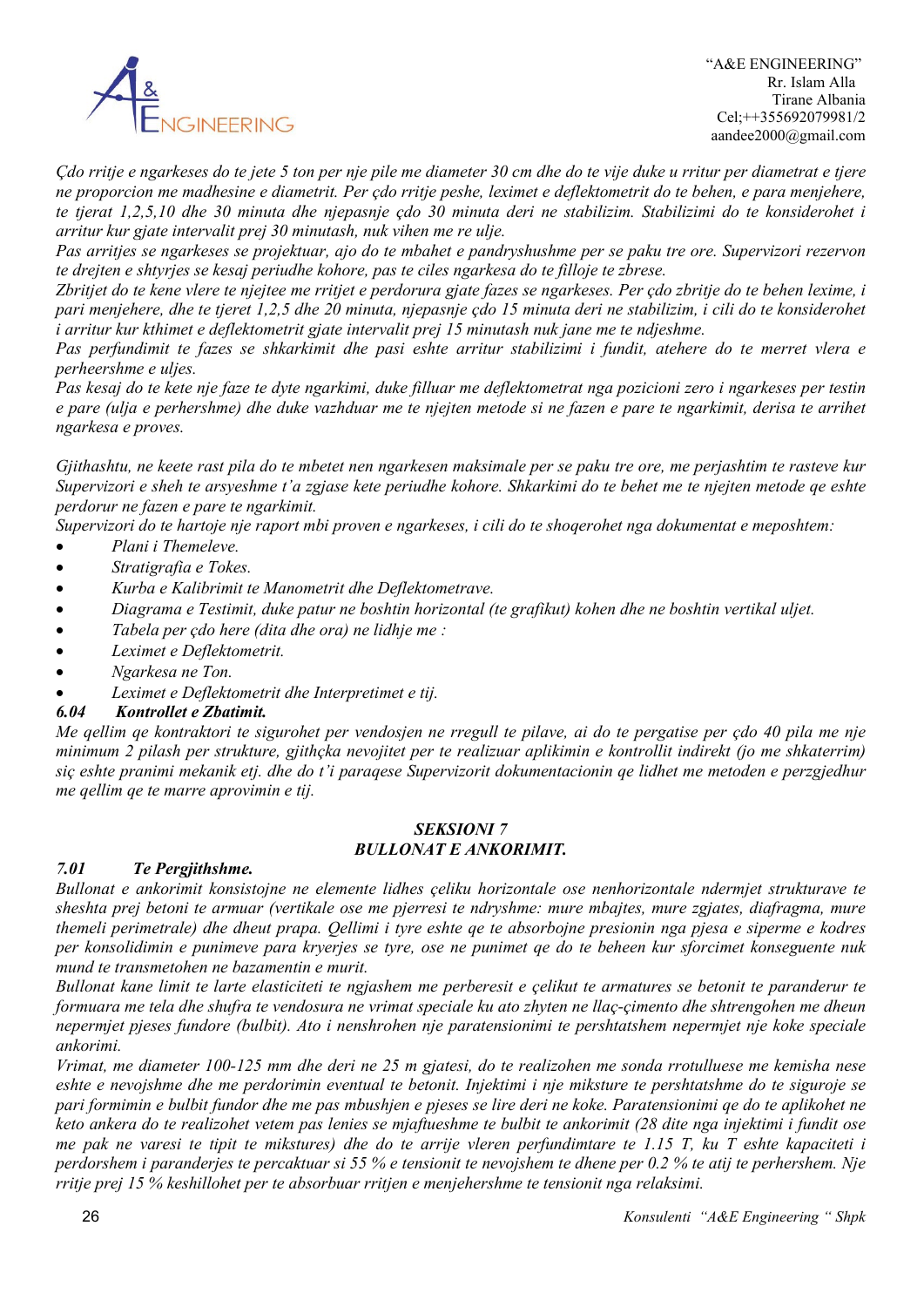

*Çdo rritje e ngarkeses do te jete 5 ton per nje pile me diameter 30 cm dhe do te vije duke u rritur per diametrat e tjere ne proporcion me madhesine e diametrit. Per çdo rritje peshe, leximet e deflektometrit do te behen, e para menjehere, te tjerat 1,2,5,10 dhe 30 minuta dhe njepasnje çdo 30 minuta deri ne stabilizim. Stabilizimi do te konsiderohet i arritur kur gjate intervalit prej 30 minutash, nuk vihen me re ulje.*

*Pas arritjes se ngarkeses se projektuar, ajo do te mbahet e pandryshushme per se paku tre ore. Supervizori rezervon te drejten e shtyrjes se kesaj periudhe kohore, pas te ciles ngarkesa do te filloje te zbrese.*

*Zbritjet do te kene vlere te njejtee me rritjet e perdorura gjate fazes se ngarkeses. Per çdo zbritje do te behen lexime, i pari menjehere, dhe te tjeret 1,2,5 dhe 20 minuta, njepasnje çdo 15 minuta deri ne stabilizim, i cili do te konsiderohet i arritur kur kthimet e deflektometrit gjate intervalit prej 15 minutash nuk jane me te ndjeshme.* 

*Pas perfundimit te fazes se shkarkimit dhe pasi eshte arritur stabilizimi i fundit, atehere do te merret vlera e perheershme e uljes.*

*Pas kesaj do te kete nje faze te dyte ngarkimi, duke filluar me deflektometrat nga pozicioni zero i ngarkeses per testin e pare (ulja e perhershme) dhe duke vazhduar me te njejten metode si ne fazen e pare te ngarkimit, derisa te arrihet ngarkesa e proves.*

*Gjithashtu, ne keete rast pila do te mbetet nen ngarkesen maksimale per se paku tre ore, me perjashtim te rasteve kur Supervizori e sheh te arsyeshme t'a zgjase kete periudhe kohore. Shkarkimi do te behet me te njejten metode qe eshte perdorur ne fazen e pare te ngarkimit.*

*Supervizori do te hartoje nje raport mbi proven e ngarkeses, i cili do te shoqerohet nga dokumentat e meposhtem:*

- *Plani i Themeleve.*
- *Stratigrafia e Tokes.*
- *Kurba e Kalibrimit te Manometrit dhe Deflektometrave.*
- *Diagrama e Testimit, duke patur ne boshtin horizontal (te grafikut) kohen dhe ne boshtin vertikal uljet.*
- *Tabela per çdo here (dita dhe ora) ne lidhje me :*
- *Leximet e Deflektometrit.*
- *Ngarkesa ne Ton.*
- *Leximet e Deflektometrit dhe Interpretimet e tij.*

#### *6.04 Kontrollet e Zbatimit.*

*Me qellim qe kontraktori te sigurohet per vendosjen ne rregull te pilave, ai do te pergatise per çdo 40 pila me nje minimum 2 pilash per strukture, gjithçka nevojitet per te realizuar aplikimin e kontrollit indirekt (jo me shkaterrim) siç eshte pranimi mekanik etj. dhe do t'i paraqese Supervizorit dokumentacionin qe lidhet me metoden e perzgjedhur me qellim qe te marre aprovimin e tij.*

#### *SEKSIONI 7 BULLONAT E ANKORIMIT.*

#### *7.01 Te Pergjithshme.*

*Bullonat e ankorimit konsistojne ne elemente lidhes çeliku horizontale ose nenhorizontale ndermjet strukturave te sheshta prej betoni te armuar (vertikale ose me pjerresi te ndryshme: mure mbajtes, mure zgjates, diafragma, mure themeli perimetrale) dhe dheut prapa. Qellimi i tyre eshte qe te absorbojne presionin nga pjesa e siperme e kodres per konsolidimin e punimeve para kryerjes se tyre, ose ne punimet qe do te beheen kur sforcimet konseguente nuk mund te transmetohen ne bazamentin e murit.*

*Bullonat kane limit te larte elasticiteti te ngjashem me perberesit e çelikut te armatures se betonit te paranderur te formuara me tela dhe shufra te vendosura ne vrimat speciale ku ato zhyten ne llaç-çimento dhe shtrengohen me dheun nepermjet pjeses fundore (bulbit). Ato i nenshrohen nje paratensionimi te pershtatshem nepermjet nje koke speciale ankorimi.*

*Vrimat, me diameter 100-125 mm dhe deri ne 25 m gjatesi, do te realizohen me sonda rrotulluese me kemisha nese eshte e nevojshme dhe me perdorimin eventual te betonit. Injektimi i nje miksture te pershtatshme do te siguroje se pari formimin e bulbit fundor dhe me pas mbushjen e pjeses se lire deri ne koke. Paratensionimi qe do te aplikohet ne keto ankera do te realizohet vetem pas lenies se mjaftueshme te bulbit te ankorimit (28 dite nga injektimi i fundit ose me pak ne varesi te tipit te mikstures) dhe do te arrije vleren perfundimtare te 1.15 T, ku T eshte kapaciteti i perdorshem i paranderjes te percaktuar si 55 % e tensionit te nevojshem te dhene per 0.2 % te atij te perhershem. Nje rritje prej 15 % keshillohet per te absorbuar rritjen e menjehershme te tensionit nga relaksimi.*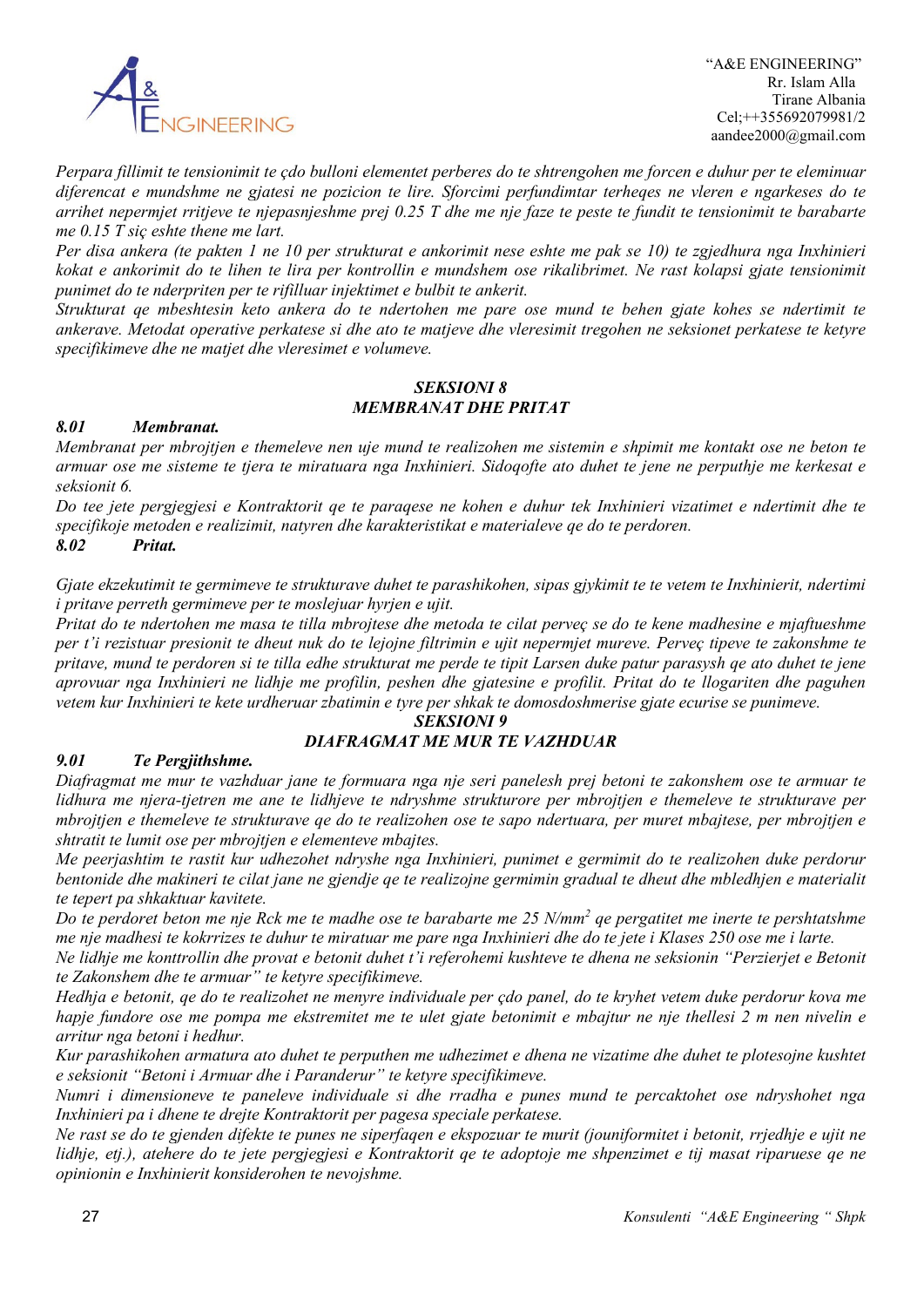

*Perpara fillimit te tensionimit te çdo bulloni elementet perberes do te shtrengohen me forcen e duhur per te eleminuar diferencat e mundshme ne gjatesi ne pozicion te lire. Sforcimi perfundimtar terheqes ne vleren e ngarkeses do te arrihet nepermjet rritjeve te njepasnjeshme prej 0.25 T dhe me nje faze te peste te fundit te tensionimit te barabarte me 0.15 T siç eshte thene me lart.*

*Per disa ankera (te pakten 1 ne 10 per strukturat e ankorimit nese eshte me pak se 10) te zgjedhura nga Inxhinieri kokat e ankorimit do te lihen te lira per kontrollin e mundshem ose rikalibrimet. Ne rast kolapsi gjate tensionimit punimet do te nderpriten per te rifilluar injektimet e bulbit te ankerit.*

*Strukturat qe mbeshtesin keto ankera do te ndertohen me pare ose mund te behen gjate kohes se ndertimit te ankerave. Metodat operative perkatese si dhe ato te matjeve dhe vleresimit tregohen ne seksionet perkatese te ketyre specifikimeve dhe ne matjet dhe vleresimet e volumeve.*

#### *SEKSIONI 8 MEMBRANAT DHE PRITAT*

#### *8.01 Membranat.*

*Membranat per mbrojtjen e themeleve nen uje mund te realizohen me sistemin e shpimit me kontakt ose ne beton te armuar ose me sisteme te tjera te miratuara nga Inxhinieri. Sidoqofte ato duhet te jene ne perputhje me kerkesat e seksionit 6.*

*Do tee jete pergjegjesi e Kontraktorit qe te paraqese ne kohen e duhur tek Inxhinieri vizatimet e ndertimit dhe te specifikoje metoden e realizimit, natyren dhe karakteristikat e materialeve qe do te perdoren. 8.02 Pritat.* 

*Gjate ekzekutimit te germimeve te strukturave duhet te parashikohen, sipas gjykimit te te vetem te Inxhinierit, ndertimi i pritave perreth germimeve per te moslejuar hyrjen e ujit.*

*Pritat do te ndertohen me masa te tilla mbrojtese dhe metoda te cilat perveç se do te kene madhesine e mjaftueshme per t'i rezistuar presionit te dheut nuk do te lejojne filtrimin e ujit nepermjet mureve. Perveç tipeve te zakonshme te pritave, mund te perdoren si te tilla edhe strukturat me perde te tipit Larsen duke patur parasysh qe ato duhet te jene aprovuar nga Inxhinieri ne lidhje me profilin, peshen dhe gjatesine e profilit. Pritat do te llogariten dhe paguhen vetem kur Inxhinieri te kete urdheruar zbatimin e tyre per shkak te domosdoshmerise gjate ecurise se punimeve.*

### *SEKSIONI 9*

### *DIAFRAGMAT ME MUR TE VAZHDUAR*

#### *9.01 Te Pergjithshme.*

*Diafragmat me mur te vazhduar jane te formuara nga nje seri panelesh prej betoni te zakonshem ose te armuar te lidhura me njera-tjetren me ane te lidhjeve te ndryshme strukturore per mbrojtjen e themeleve te strukturave per mbrojtjen e themeleve te strukturave qe do te realizohen ose te sapo ndertuara, per muret mbajtese, per mbrojtjen e shtratit te lumit ose per mbrojtjen e elementeve mbajtes.*

*Me peerjashtim te rastit kur udhezohet ndryshe nga Inxhinieri, punimet e germimit do te realizohen duke perdorur bentonide dhe makineri te cilat jane ne gjendje qe te realizojne germimin gradual te dheut dhe mbledhjen e materialit te tepert pa shkaktuar kavitete.*

*Do te perdoret beton me nje Rck me te madhe ose te barabarte me 25 N/mm2 qe pergatitet me inerte te pershtatshme me nje madhesi te kokrrizes te duhur te miratuar me pare nga Inxhinieri dhe do te jete i Klases 250 ose me i larte.*

*Ne lidhje me konttrollin dhe provat e betonit duhet t'i referohemi kushteve te dhena ne seksionin "Perzierjet e Betonit te Zakonshem dhe te armuar" te ketyre specifikimeve.*

*Hedhja e betonit, qe do te realizohet ne menyre individuale per çdo panel, do te kryhet vetem duke perdorur kova me hapje fundore ose me pompa me ekstremitet me te ulet gjate betonimit e mbajtur ne nje thellesi 2 m nen nivelin e arritur nga betoni i hedhur.*

*Kur parashikohen armatura ato duhet te perputhen me udhezimet e dhena ne vizatime dhe duhet te plotesojne kushtet e seksionit "Betoni i Armuar dhe i Paranderur" te ketyre specifikimeve.*

*Numri i dimensioneve te paneleve individuale si dhe rradha e punes mund te percaktohet ose ndryshohet nga Inxhinieri pa i dhene te drejte Kontraktorit per pagesa speciale perkatese.*

*Ne rast se do te gjenden difekte te punes ne siperfaqen e ekspozuar te murit (jouniformitet i betonit, rrjedhje e ujit ne lidhje, etj.), atehere do te jete pergjegjesi e Kontraktorit qe te adoptoje me shpenzimet e tij masat riparuese qe ne opinionin e Inxhinierit konsiderohen te nevojshme.*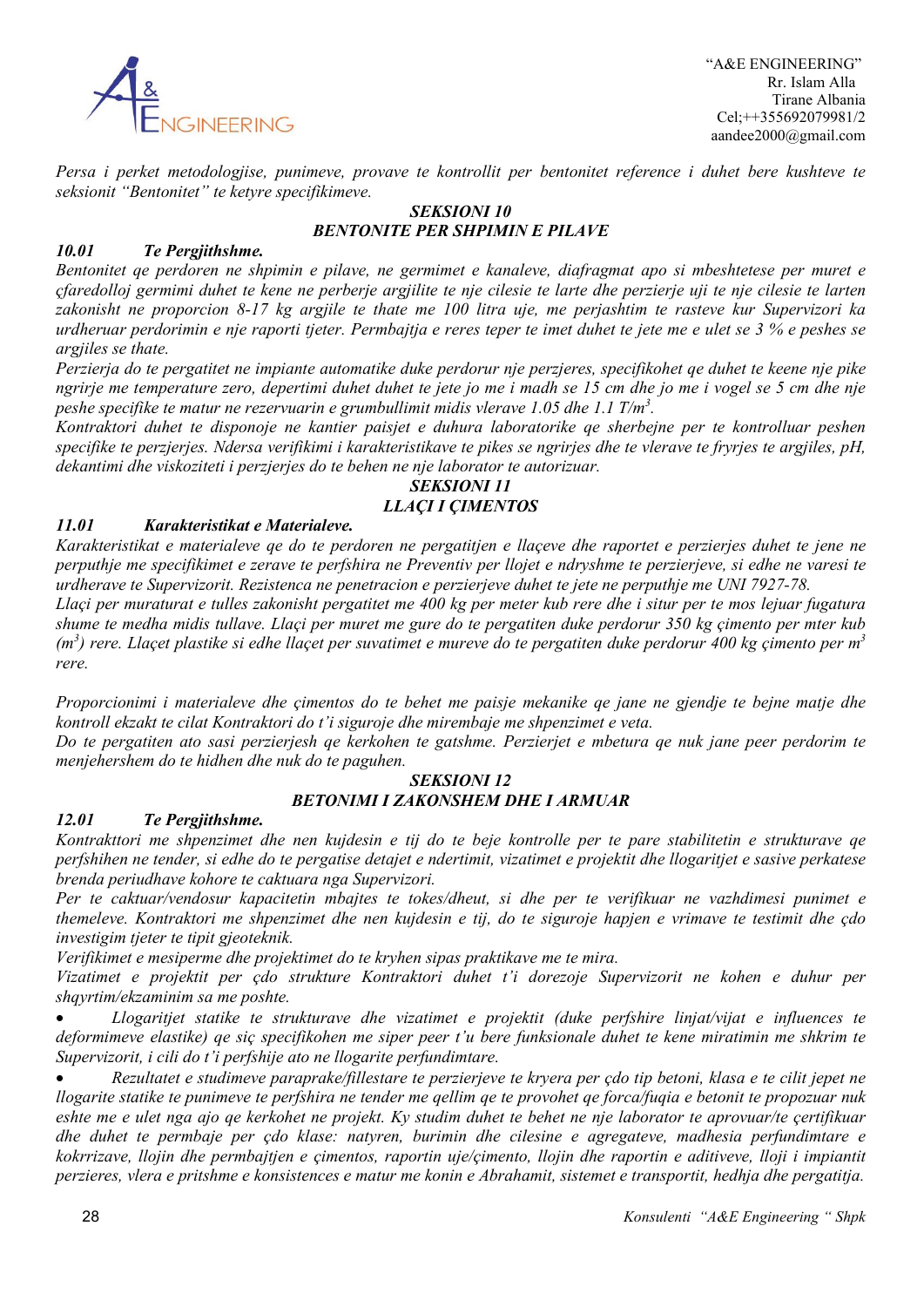

 "A&E ENGINEERING" Rr. Islam Alla Tirane Albania Cel;++355692079981/2 aandee2000@gmail.com

*Persa i perket metodologjise, punimeve, provave te kontrollit per bentonitet reference i duhet bere kushteve te seksionit "Bentonitet" te ketyre specifikimeve.*

#### *SEKSIONI 10 BENTONITE PER SHPIMIN E PILAVE*

### *10.01 Te Pergjithshme.*

*Bentonitet qe perdoren ne shpimin e pilave, ne germimet e kanaleve, diafragmat apo si mbeshtetese per muret e çfaredolloj germimi duhet te kene ne perberje argjilite te nje cilesie te larte dhe perzierje uji te nje cilesie te larten zakonisht ne proporcion 8-17 kg argjile te thate me 100 litra uje, me perjashtim te rasteve kur Supervizori ka urdheruar perdorimin e nje raporti tjeter. Permbajtja e reres teper te imet duhet te jete me e ulet se 3 % e peshes se argjiles se thate.*

*Perzierja do te pergatitet ne impiante automatike duke perdorur nje perzjeres, specifikohet qe duhet te keene nje pike ngrirje me temperature zero, depertimi duhet duhet te jete jo me i madh se 15 cm dhe jo me i vogel se 5 cm dhe nje peshe specifike te matur ne rezervuarin e grumbullimit midis vlerave 1.05 dhe 1.1 T/m3 .*

*Kontraktori duhet te disponoje ne kantier paisjet e duhura laboratorike qe sherbejne per te kontrolluar peshen specifike te perzjerjes. Ndersa verifikimi i karakteristikave te pikes se ngrirjes dhe te vlerave te fryrjes te argjiles, pH, dekantimi dhe viskoziteti i perzjerjes do te behen ne nje laborator te autorizuar.*

#### *SEKSIONI 11 LLAÇI I ÇIMENTOS*

### *11.01 Karakteristikat e Materialeve.*

*Karakteristikat e materialeve qe do te perdoren ne pergatitjen e llaçeve dhe raportet e perzierjes duhet te jene ne perputhje me specifikimet e zerave te perfshira ne Preventiv per llojet e ndryshme te perzierjeve, si edhe ne varesi te urdherave te Supervizorit. Rezistenca ne penetracion e perzierjeve duhet te jete ne perputhje me UNI 7927-78.*

*Llaçi per muraturat e tulles zakonisht pergatitet me 400 kg per meter kub rere dhe i situr per te mos lejuar fugatura shume te medha midis tullave. Llaçi per muret me gure do te pergatiten duke perdorur 350 kg çimento per mter kub (m3 ) rere. Llaçet plastike si edhe llaçet per suvatimet e mureve do te pergatiten duke perdorur 400 kg çimento per m3 rere.*

*Proporcionimi i materialeve dhe çimentos do te behet me paisje mekanike qe jane ne gjendje te bejne matje dhe kontroll ekzakt te cilat Kontraktori do t'i siguroje dhe mirembaje me shpenzimet e veta.*

*Do te pergatiten ato sasi perzierjesh qe kerkohen te gatshme. Perzierjet e mbetura qe nuk jane peer perdorim te menjehershem do te hidhen dhe nuk do te paguhen.*

#### *SEKSIONI 12 BETONIMI I ZAKONSHEM DHE I ARMUAR*

#### *12.01 Te Pergjithshme.*

*Kontrakttori me shpenzimet dhe nen kujdesin e tij do te beje kontrolle per te pare stabilitetin e strukturave qe perfshihen ne tender, si edhe do te pergatise detajet e ndertimit, vizatimet e projektit dhe llogaritjet e sasive perkatese brenda periudhave kohore te caktuara nga Supervizori.*

*Per te caktuar/vendosur kapacitetin mbajtes te tokes/dheut, si dhe per te verifikuar ne vazhdimesi punimet e themeleve. Kontraktori me shpenzimet dhe nen kujdesin e tij, do te siguroje hapjen e vrimave te testimit dhe çdo investigim tjeter te tipit gjeoteknik.*

*Verifikimet e mesiperme dhe projektimet do te kryhen sipas praktikave me te mira.*

*Vizatimet e projektit per çdo strukture Kontraktori duhet t'i dorezoje Supervizorit ne kohen e duhur per shqyrtim/ekzaminim sa me poshte.*

• *Llogaritjet statike te strukturave dhe vizatimet e projektit (duke perfshire linjat/vijat e influences te deformimeve elastike) qe siç specifikohen me siper peer t'u bere funksionale duhet te kene miratimin me shkrim te Supervizorit, i cili do t'i perfshije ato ne llogarite perfundimtare.*

• *Rezultatet e studimeve paraprake/fillestare te perzierjeve te kryera per çdo tip betoni, klasa e te cilit jepet ne llogarite statike te punimeve te perfshira ne tender me qellim qe te provohet qe forca/fuqia e betonit te propozuar nuk eshte me e ulet nga ajo qe kerkohet ne projekt. Ky studim duhet te behet ne nje laborator te aprovuar/te çertifikuar dhe duhet te permbaje per çdo klase: natyren, burimin dhe cilesine e agregateve, madhesia perfundimtare e kokrrizave, llojin dhe permbajtjen e çimentos, raportin uje/çimento, llojin dhe raportin e aditiveve, lloji i impiantit perzieres, vlera e pritshme e konsistences e matur me konin e Abrahamit, sistemet e transportit, hedhja dhe pergatitja.*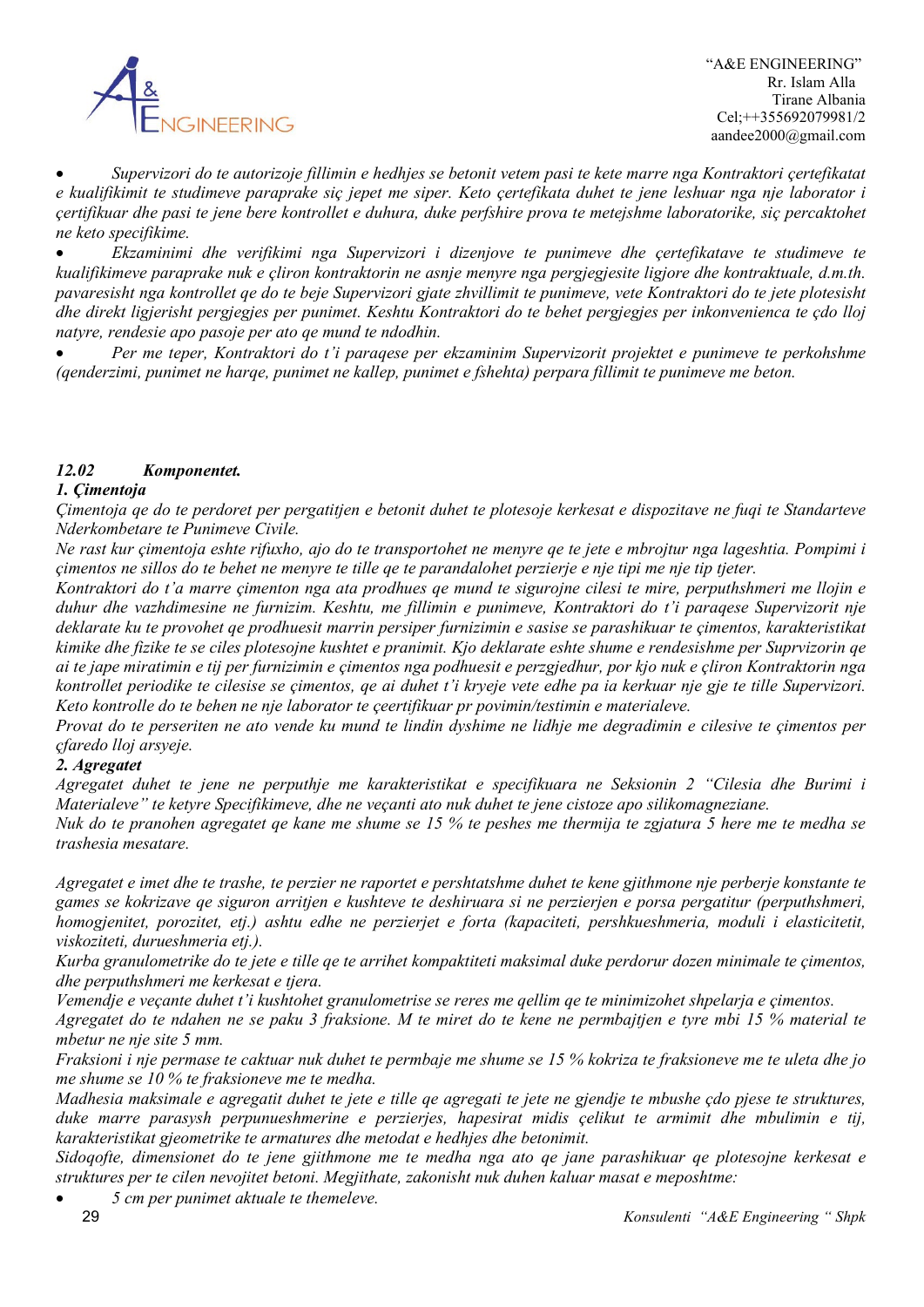

• *Supervizori do te autorizoje fillimin e hedhjes se betonit vetem pasi te kete marre nga Kontraktori çertefikatat e kualifikimit te studimeve paraprake siç jepet me siper. Keto çertefikata duhet te jene leshuar nga nje laborator i çertifikuar dhe pasi te jene bere kontrollet e duhura, duke perfshire prova te metejshme laboratorike, siç percaktohet ne keto specifikime.*

• *Ekzaminimi dhe verifikimi nga Supervizori i dizenjove te punimeve dhe çertefikatave te studimeve te kualifikimeve paraprake nuk e çliron kontraktorin ne asnje menyre nga pergjegjesite ligjore dhe kontraktuale, d.m.th. pavaresisht nga kontrollet qe do te beje Supervizori gjate zhvillimit te punimeve, vete Kontraktori do te jete plotesisht dhe direkt ligjerisht pergjegjes per punimet. Keshtu Kontraktori do te behet pergjegjes per inkonvenienca te çdo lloj natyre, rendesie apo pasoje per ato qe mund te ndodhin.*

• *Per me teper, Kontraktori do t'i paraqese per ekzaminim Supervizorit projektet e punimeve te perkohshme (qenderzimi, punimet ne harqe, punimet ne kallep, punimet e fshehta) perpara fillimit te punimeve me beton.*

### *12.02 Komponentet.*

### *1. Çimentoja*

*Çimentoja qe do te perdoret per pergatitjen e betonit duhet te plotesoje kerkesat e dispozitave ne fuqi te Standarteve Nderkombetare te Punimeve Civile.*

*Ne rast kur çimentoja eshte rifuxho, ajo do te transportohet ne menyre qe te jete e mbrojtur nga lageshtia. Pompimi i çimentos ne sillos do te behet ne menyre te tille qe te parandalohet perzierje e nje tipi me nje tip tjeter.*

*Kontraktori do t'a marre çimenton nga ata prodhues qe mund te sigurojne cilesi te mire, perputhshmeri me llojin e duhur dhe vazhdimesine ne furnizim. Keshtu, me fillimin e punimeve, Kontraktori do t'i paraqese Supervizorit nje deklarate ku te provohet qe prodhuesit marrin persiper furnizimin e sasise se parashikuar te çimentos, karakteristikat kimike dhe fizike te se ciles plotesojne kushtet e pranimit. Kjo deklarate eshte shume e rendesishme per Suprvizorin qe ai te jape miratimin e tij per furnizimin e çimentos nga podhuesit e perzgjedhur, por kjo nuk e çliron Kontraktorin nga kontrollet periodike te cilesise se çimentos, qe ai duhet t'i kryeje vete edhe pa ia kerkuar nje gje te tille Supervizori. Keto kontrolle do te behen ne nje laborator te çeertifikuar pr povimin/testimin e materialeve.*

*Provat do te perseriten ne ato vende ku mund te lindin dyshime ne lidhje me degradimin e cilesive te çimentos per çfaredo lloj arsyeje.*

#### *2. Agregatet*

*Agregatet duhet te jene ne perputhje me karakteristikat e specifikuara ne Seksionin 2 "Cilesia dhe Burimi i Materialeve" te ketyre Specifikimeve, dhe ne veçanti ato nuk duhet te jene cistoze apo silikomagneziane.*

*Nuk do te pranohen agregatet qe kane me shume se 15 % te peshes me thermija te zgjatura 5 here me te medha se trashesia mesatare.*

*Agregatet e imet dhe te trashe, te perzier ne raportet e pershtatshme duhet te kene gjithmone nje perberje konstante te games se kokrizave qe siguron arritjen e kushteve te deshiruara si ne perzierjen e porsa pergatitur (perputhshmeri, homogjenitet, porozitet, etj.) ashtu edhe ne perzierjet e forta (kapaciteti, pershkueshmeria, moduli i elasticitetit, viskoziteti, durueshmeria etj.).*

*Kurba granulometrike do te jete e tille qe te arrihet kompaktiteti maksimal duke perdorur dozen minimale te çimentos, dhe perputhshmeri me kerkesat e tjera.*

*Vemendje e veçante duhet t'i kushtohet granulometrise se reres me qellim qe te minimizohet shpelarja e çimentos.*

*Agregatet do te ndahen ne se paku 3 fraksione. M te miret do te kene ne permbajtjen e tyre mbi 15 % material te mbetur ne nje site 5 mm.*

*Fraksioni i nje permase te caktuar nuk duhet te permbaje me shume se 15 % kokriza te fraksioneve me te uleta dhe jo me shume se 10 % te fraksioneve me te medha.*

*Madhesia maksimale e agregatit duhet te jete e tille qe agregati te jete ne gjendje te mbushe çdo pjese te struktures, duke marre parasysh perpunueshmerine e perzierjes, hapesirat midis çelikut te armimit dhe mbulimin e tij, karakteristikat gjeometrike te armatures dhe metodat e hedhjes dhe betonimit.*

*Sidoqofte, dimensionet do te jene gjithmone me te medha nga ato qe jane parashikuar qe plotesojne kerkesat e struktures per te cilen nevojitet betoni. Megjithate, zakonisht nuk duhen kaluar masat e meposhtme:*

• *5 cm per punimet aktuale te themeleve.*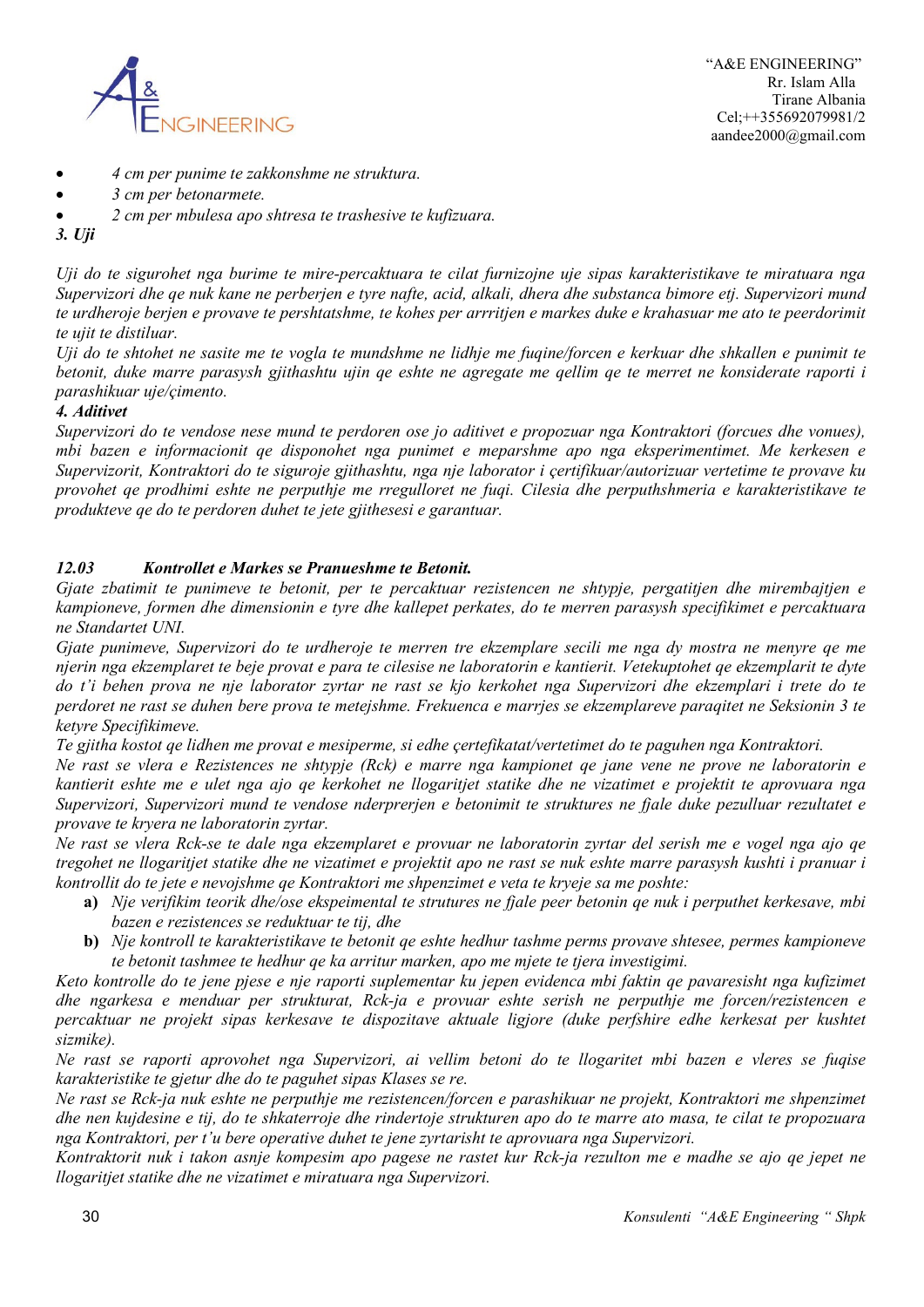

- *4 cm per punime te zakkonshme ne struktura.*
- *3 cm per betonarmete.*
- *2 cm per mbulesa apo shtresa te trashesive te kufizuara.*
- *3. Uji*

*Uji do te sigurohet nga burime te mire-percaktuara te cilat furnizojne uje sipas karakteristikave te miratuara nga Supervizori dhe qe nuk kane ne perberjen e tyre nafte, acid, alkali, dhera dhe substanca bimore etj. Supervizori mund te urdheroje berjen e provave te pershtatshme, te kohes per arrritjen e markes duke e krahasuar me ato te peerdorimit te ujit te distiluar.*

*Uji do te shtohet ne sasite me te vogla te mundshme ne lidhje me fuqine/forcen e kerkuar dhe shkallen e punimit te betonit, duke marre parasysh gjithashtu ujin qe eshte ne agregate me qellim qe te merret ne konsiderate raporti i parashikuar uje/çimento.*

### *4. Aditivet*

*Supervizori do te vendose nese mund te perdoren ose jo aditivet e propozuar nga Kontraktori (forcues dhe vonues), mbi bazen e informacionit qe disponohet nga punimet e meparshme apo nga eksperimentimet. Me kerkesen e Supervizorit, Kontraktori do te siguroje gjithashtu, nga nje laborator i çertifikuar/autorizuar vertetime te provave ku provohet qe prodhimi eshte ne perputhje me rregulloret ne fuqi. Cilesia dhe perputhshmeria e karakteristikave te produkteve qe do te perdoren duhet te jete gjithesesi e garantuar.*

### *12.03 Kontrollet e Markes se Pranueshme te Betonit.*

*Gjate zbatimit te punimeve te betonit, per te percaktuar rezistencen ne shtypje, pergatitjen dhe mirembajtjen e kampioneve, formen dhe dimensionin e tyre dhe kallepet perkates, do te merren parasysh specifikimet e percaktuara ne Standartet UNI.*

*Gjate punimeve, Supervizori do te urdheroje te merren tre ekzemplare secili me nga dy mostra ne menyre qe me njerin nga ekzemplaret te beje provat e para te cilesise ne laboratorin e kantierit. Vetekuptohet qe ekzemplarit te dyte do t'i behen prova ne nje laborator zyrtar ne rast se kjo kerkohet nga Supervizori dhe ekzemplari i trete do te perdoret ne rast se duhen bere prova te metejshme. Frekuenca e marrjes se ekzemplareve paraqitet ne Seksionin 3 te ketyre Specifikimeve.*

*Te gjitha kostot qe lidhen me provat e mesiperme, si edhe çertefikatat/vertetimet do te paguhen nga Kontraktori.*

*Ne rast se vlera e Rezistences ne shtypje (Rck) e marre nga kampionet qe jane vene ne prove ne laboratorin e kantierit eshte me e ulet nga ajo qe kerkohet ne llogaritjet statike dhe ne vizatimet e projektit te aprovuara nga Supervizori, Supervizori mund te vendose nderprerjen e betonimit te struktures ne fjale duke pezulluar rezultatet e provave te kryera ne laboratorin zyrtar.*

*Ne rast se vlera Rck-se te dale nga ekzemplaret e provuar ne laboratorin zyrtar del serish me e vogel nga ajo qe tregohet ne llogaritjet statike dhe ne vizatimet e projektit apo ne rast se nuk eshte marre parasysh kushti i pranuar i kontrollit do te jete e nevojshme qe Kontraktori me shpenzimet e veta te kryeje sa me poshte:*

- **a)** *Nje verifikim teorik dhe/ose ekspeimental te strutures ne fjale peer betonin qe nuk i perputhet kerkesave, mbi bazen e rezistences se reduktuar te tij, dhe*
- **b)** *Nje kontroll te karakteristikave te betonit qe eshte hedhur tashme perms provave shtesee, permes kampioneve te betonit tashmee te hedhur qe ka arritur marken, apo me mjete te tjera investigimi.*

*Keto kontrolle do te jene pjese e nje raporti suplementar ku jepen evidenca mbi faktin qe pavaresisht nga kufizimet dhe ngarkesa e menduar per strukturat, Rck-ja e provuar eshte serish ne perputhje me forcen/rezistencen e percaktuar ne projekt sipas kerkesave te dispozitave aktuale ligjore (duke perfshire edhe kerkesat per kushtet sizmike).*

*Ne rast se raporti aprovohet nga Supervizori, ai vellim betoni do te llogaritet mbi bazen e vleres se fuqise karakteristike te gjetur dhe do te paguhet sipas Klases se re.*

*Ne rast se Rck-ja nuk eshte ne perputhje me rezistencen/forcen e parashikuar ne projekt, Kontraktori me shpenzimet dhe nen kujdesine e tij, do te shkaterroje dhe rindertoje strukturen apo do te marre ato masa, te cilat te propozuara nga Kontraktori, per t'u bere operative duhet te jene zyrtarisht te aprovuara nga Supervizori.*

*Kontraktorit nuk i takon asnje kompesim apo pagese ne rastet kur Rck-ja rezulton me e madhe se ajo qe jepet ne llogaritjet statike dhe ne vizatimet e miratuara nga Supervizori.*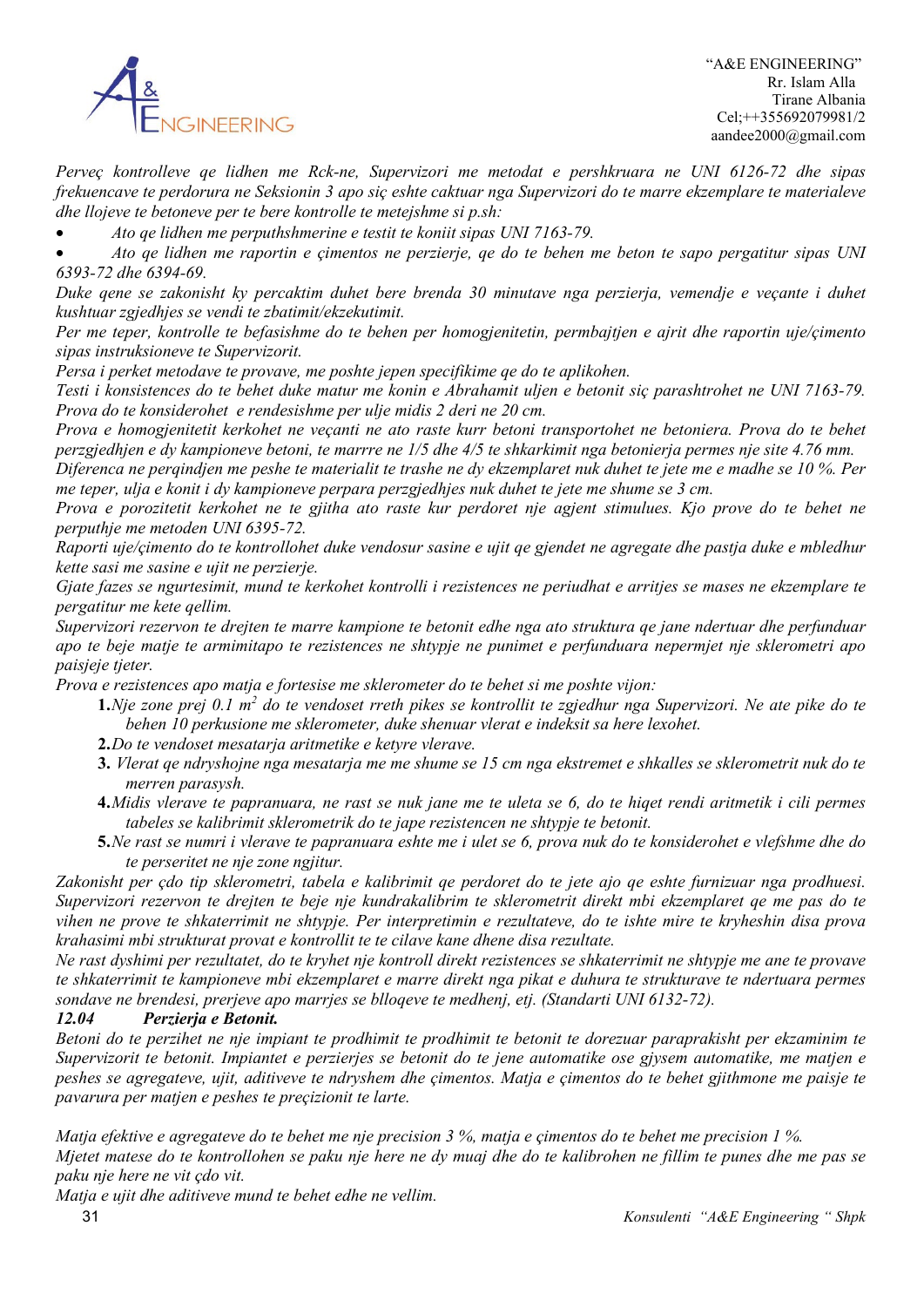

*Perveç kontrolleve qe lidhen me Rck-ne, Supervizori me metodat e pershkruara ne UNI 6126-72 dhe sipas frekuencave te perdorura ne Seksionin 3 apo siç eshte caktuar nga Supervizori do te marre ekzemplare te materialeve dhe llojeve te betoneve per te bere kontrolle te metejshme si p.sh:*

• *Ato qe lidhen me perputhshmerine e testit te koniit sipas UNI 7163-79.*

• *Ato qe lidhen me raportin e çimentos ne perzierje, qe do te behen me beton te sapo pergatitur sipas UNI 6393-72 dhe 6394-69.*

*Duke qene se zakonisht ky percaktim duhet bere brenda 30 minutave nga perzierja, vemendje e veçante i duhet kushtuar zgjedhjes se vendi te zbatimit/ekzekutimit.*

*Per me teper, kontrolle te befasishme do te behen per homogjenitetin, permbajtjen e ajrit dhe raportin uje/çimento sipas instruksioneve te Supervizorit.*

*Persa i perket metodave te provave, me poshte jepen specifikime qe do te aplikohen.*

*Testi i konsistences do te behet duke matur me konin e Abrahamit uljen e betonit siç parashtrohet ne UNI 7163-79. Prova do te konsiderohet e rendesishme per ulje midis 2 deri ne 20 cm.*

*Prova e homogjenitetit kerkohet ne veçanti ne ato raste kurr betoni transportohet ne betoniera. Prova do te behet perzgjedhjen e dy kampioneve betoni, te marrre ne 1/5 dhe 4/5 te shkarkimit nga betonierja permes nje site 4.76 mm.*

*Diferenca ne perqindjen me peshe te materialit te trashe ne dy ekzemplaret nuk duhet te jete me e madhe se 10 %. Per me teper, ulja e konit i dy kampioneve perpara perzgjedhjes nuk duhet te jete me shume se 3 cm.*

*Prova e porozitetit kerkohet ne te gjitha ato raste kur perdoret nje agjent stimulues. Kjo prove do te behet ne perputhje me metoden UNI 6395-72.*

*Raporti uje/çimento do te kontrollohet duke vendosur sasine e ujit qe gjendet ne agregate dhe pastja duke e mbledhur kette sasi me sasine e ujit ne perzierje.*

*Gjate fazes se ngurtesimit, mund te kerkohet kontrolli i rezistences ne periudhat e arritjes se mases ne ekzemplare te pergatitur me kete qellim.*

*Supervizori rezervon te drejten te marre kampione te betonit edhe nga ato struktura qe jane ndertuar dhe perfunduar apo te beje matje te armimitapo te rezistences ne shtypje ne punimet e perfunduara nepermjet nje sklerometri apo paisjeje tjeter.*

*Prova e rezistences apo matja e fortesise me sklerometer do te behet si me poshte vijon:*

- **1.***Nje zone prej 0.1 m2 do te vendoset rreth pikes se kontrollit te zgjedhur nga Supervizori. Ne ate pike do te behen 10 perkusione me sklerometer, duke shenuar vlerat e indeksit sa here lexohet.*
- **2.***Do te vendoset mesatarja aritmetike e ketyre vlerave.*
- **3.** *Vlerat qe ndryshojne nga mesatarja me me shume se 15 cm nga ekstremet e shkalles se sklerometrit nuk do te merren parasysh.*
- **4.***Midis vlerave te papranuara, ne rast se nuk jane me te uleta se 6, do te hiqet rendi aritmetik i cili permes tabeles se kalibrimit sklerometrik do te jape rezistencen ne shtypje te betonit.*
- **5.***Ne rast se numri i vlerave te papranuara eshte me i ulet se 6, prova nuk do te konsiderohet e vlefshme dhe do te perseritet ne nje zone ngjitur.*

*Zakonisht per çdo tip sklerometri, tabela e kalibrimit qe perdoret do te jete ajo qe eshte furnizuar nga prodhuesi. Supervizori rezervon te drejten te beje nje kundrakalibrim te sklerometrit direkt mbi ekzemplaret qe me pas do te vihen ne prove te shkaterrimit ne shtypje. Per interpretimin e rezultateve, do te ishte mire te kryheshin disa prova krahasimi mbi strukturat provat e kontrollit te te cilave kane dhene disa rezultate.*

*Ne rast dyshimi per rezultatet, do te kryhet nje kontroll direkt rezistences se shkaterrimit ne shtypje me ane te provave te shkaterrimit te kampioneve mbi ekzemplaret e marre direkt nga pikat e duhura te strukturave te ndertuara permes sondave ne brendesi, prerjeve apo marrjes se blloqeve te medhenj, etj. (Standarti UNI 6132-72).*

### *12.04 Perzierja e Betonit.*

*Betoni do te perzihet ne nje impiant te prodhimit te prodhimit te betonit te dorezuar paraprakisht per ekzaminim te Supervizorit te betonit. Impiantet e perzierjes se betonit do te jene automatike ose gjysem automatike, me matjen e peshes se agregateve, ujit, aditiveve te ndryshem dhe çimentos. Matja e çimentos do te behet gjithmone me paisje te pavarura per matjen e peshes te preçizionit te larte.*

*Matja efektive e agregateve do te behet me nje precision 3 %, matja e çimentos do te behet me precision 1 %. Mjetet matese do te kontrollohen se paku nje here ne dy muaj dhe do te kalibrohen ne fillim te punes dhe me pas se paku nje here ne vit çdo vit.*

*Matja e ujit dhe aditiveve mund te behet edhe ne vellim.*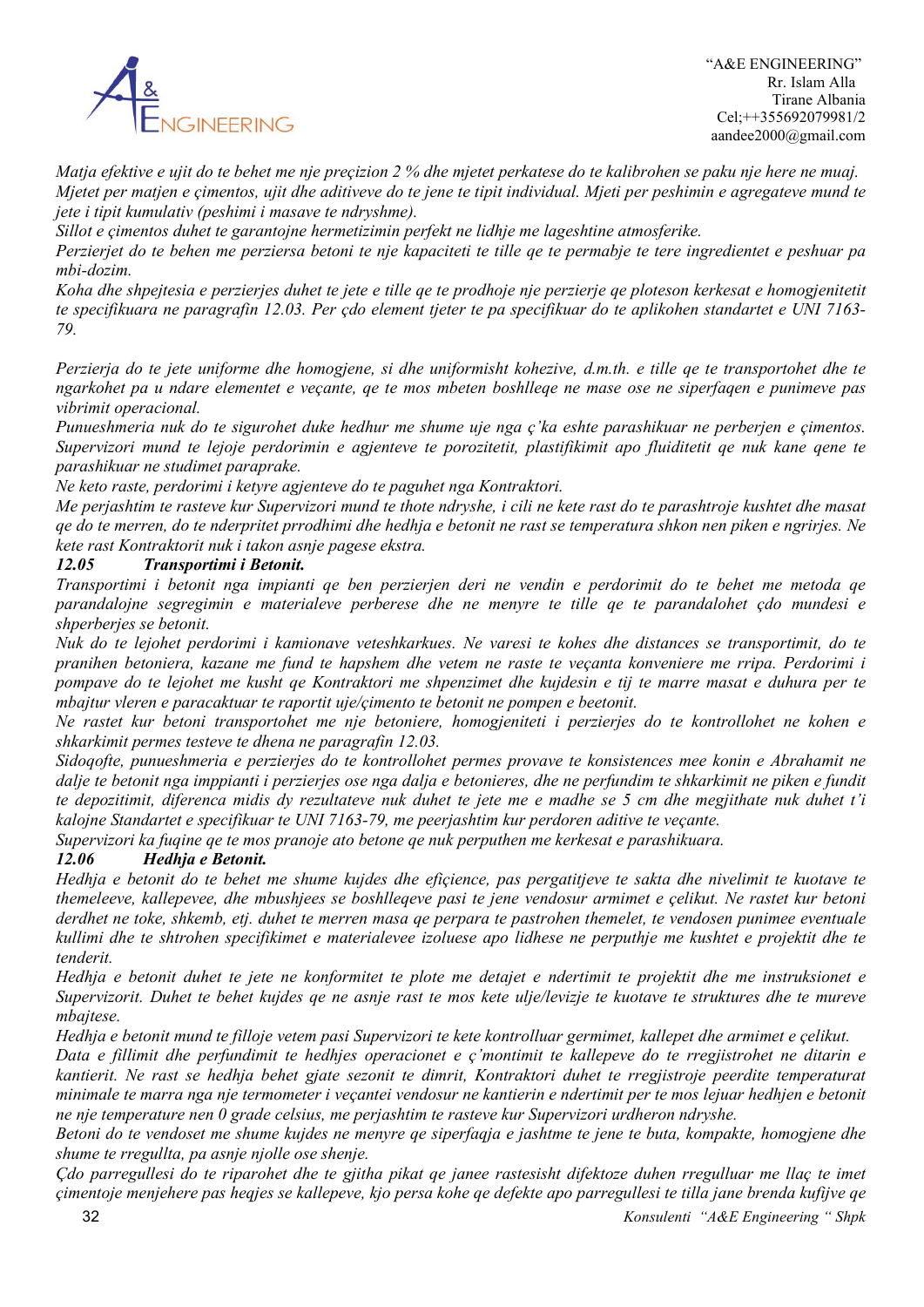

*Matja efektive e ujit do te behet me nje preçizion 2 % dhe mjetet perkatese do te kalibrohen se paku nje here ne muaj. Mjetet per matjen e çimentos, ujit dhe aditiveve do te jene te tipit individual. Mjeti per peshimin e agregateve mund te jete i tipit kumulativ (peshimi i masave te ndryshme).*

*Sillot e çimentos duhet te garantojne hermetizimin perfekt ne lidhje me lageshtine atmosferike.* 

*Perzierjet do te behen me perziersa betoni te nje kapaciteti te tille qe te permabje te tere ingredientet e peshuar pa mbi-dozim.*

*Koha dhe shpejtesia e perzierjes duhet te jete e tille qe te prodhoje nje perzierje qe ploteson kerkesat e homogjenitetit te specifikuara ne paragrafin 12.03. Per çdo element tjeter te pa specifikuar do te aplikohen standartet e UNI 7163- 79.*

*Perzierja do te jete uniforme dhe homogjene, si dhe uniformisht kohezive, d.m.th. e tille qe te transportohet dhe te ngarkohet pa u ndare elementet e veçante, qe te mos mbeten boshlleqe ne mase ose ne siperfaqen e punimeve pas vibrimit operacional.*

*Punueshmeria nuk do te sigurohet duke hedhur me shume uje nga ç'ka eshte parashikuar ne perberjen e çimentos. Supervizori mund te lejoje perdorimin e agjenteve te porozitetit, plastifikimit apo fluiditetit qe nuk kane qene te parashikuar ne studimet paraprake.*

*Ne keto raste, perdorimi i ketyre agjenteve do te paguhet nga Kontraktori.*

*Me perjashtim te rasteve kur Supervizori mund te thote ndryshe, i cili ne kete rast do te parashtroje kushtet dhe masat qe do te merren, do te nderpritet prrodhimi dhe hedhja e betonit ne rast se temperatura shkon nen piken e ngrirjes. Ne kete rast Kontraktorit nuk i takon asnje pagese ekstra.*

#### *12.05 Transportimi i Betonit.*

*Transportimi i betonit nga impianti qe ben perzierjen deri ne vendin e perdorimit do te behet me metoda qe parandalojne segregimin e materialeve perberese dhe ne menyre te tille qe te parandalohet çdo mundesi e shperberjes se betonit.*

*Nuk do te lejohet perdorimi i kamionave veteshkarkues. Ne varesi te kohes dhe distances se transportimit, do te pranihen betoniera, kazane me fund te hapshem dhe vetem ne raste te veçanta konveniere me rripa. Perdorimi i pompave do te lejohet me kusht qe Kontraktori me shpenzimet dhe kujdesin e tij te marre masat e duhura per te mbajtur vleren e paracaktuar te raportit uje/çimento te betonit ne pompen e beetonit.*

*Ne rastet kur betoni transportohet me nje betoniere, homogjeniteti i perzierjes do te kontrollohet ne kohen e shkarkimit permes testeve te dhena ne paragrafin 12.03.*

*Sidoqofte, punueshmeria e perzierjes do te kontrollohet permes provave te konsistences mee konin e Abrahamit ne dalje te betonit nga imppianti i perzierjes ose nga dalja e betonieres, dhe ne perfundim te shkarkimit ne piken e fundit te depozitimit, diferenca midis dy rezultateve nuk duhet te jete me e madhe se 5 cm dhe megjithate nuk duhet t'i kalojne Standartet e specifikuar te UNI 7163-79, me peerjashtim kur perdoren aditive te veçante.*

*Supervizori ka fuqine qe te mos pranoje ato betone qe nuk perputhen me kerkesat e parashikuara.*

#### *12.06 Hedhja e Betonit.*

*Hedhja e betonit do te behet me shume kujdes dhe efiçience, pas pergatitjeve te sakta dhe nivelimit te kuotave te themeleeve, kallepevee, dhe mbushjees se boshlleqeve pasi te jene vendosur armimet e çelikut. Ne rastet kur betoni derdhet ne toke, shkemb, etj. duhet te merren masa qe perpara te pastrohen themelet, te vendosen punimee eventuale kullimi dhe te shtrohen specifikimet e materialevee izoluese apo lidhese ne perputhje me kushtet e projektit dhe te tenderit.*

*Hedhja e betonit duhet te jete ne konformitet te plote me detajet e ndertimit te projektit dhe me instruksionet e Supervizorit. Duhet te behet kujdes qe ne asnje rast te mos kete ulje/levizje te kuotave te struktures dhe te mureve mbajtese.*

*Hedhja e betonit mund te filloje vetem pasi Supervizori te kete kontrolluar germimet, kallepet dhe armimet e çelikut. Data e fillimit dhe perfundimit te hedhjes operacionet e ç'montimit te kallepeve do te rregjistrohet ne ditarin e kantierit. Ne rast se hedhja behet gjate sezonit te dimrit, Kontraktori duhet te rregjistroje peerdite temperaturat* 

*minimale te marra nga nje termometer i veçantei vendosur ne kantierin e ndertimit per te mos lejuar hedhjen e betonit ne nje temperature nen 0 grade celsius, me perjashtim te rasteve kur Supervizori urdheron ndryshe.*

*Betoni do te vendoset me shume kujdes ne menyre qe siperfaqja e jashtme te jene te buta, kompakte, homogjene dhe shume te rregullta, pa asnje njolle ose shenje.*

 32 *Konsulenti "A&E Engineering " Shpk Çdo parregullesi do te riparohet dhe te gjitha pikat qe janee rastesisht difektoze duhen rregulluar me llaç te imet çimentoje menjehere pas heqjes se kallepeve, kjo persa kohe qe defekte apo parregullesi te tilla jane brenda kufijve qe*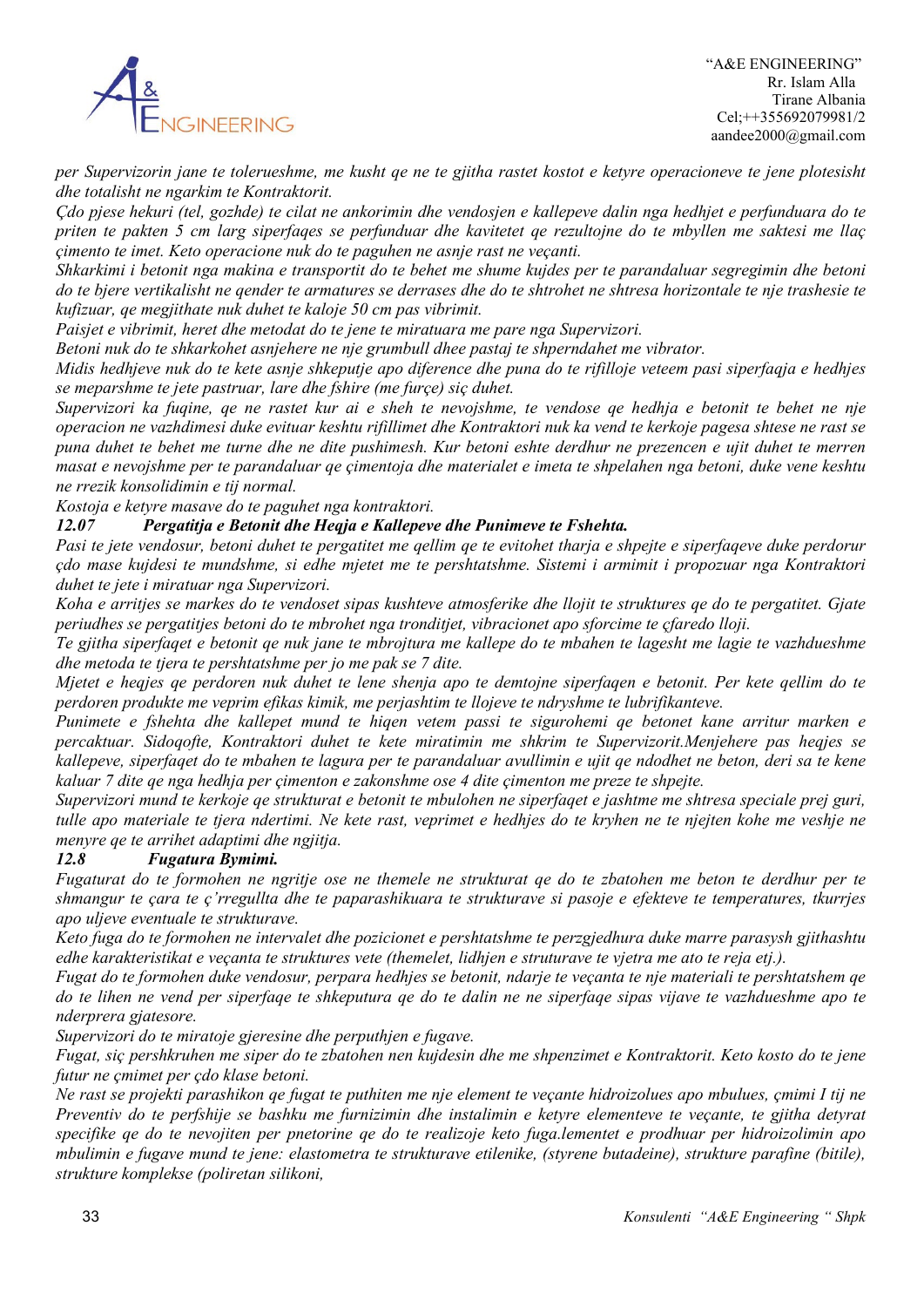

*per Supervizorin jane te tolerueshme, me kusht qe ne te gjitha rastet kostot e ketyre operacioneve te jene plotesisht dhe totalisht ne ngarkim te Kontraktorit.*

*Çdo pjese hekuri (tel, gozhde) te cilat ne ankorimin dhe vendosjen e kallepeve dalin nga hedhjet e perfunduara do te priten te pakten 5 cm larg siperfaqes se perfunduar dhe kavitetet qe rezultojne do te mbyllen me saktesi me llaç çimento te imet. Keto operacione nuk do te paguhen ne asnje rast ne veçanti.*

*Shkarkimi i betonit nga makina e transportit do te behet me shume kujdes per te parandaluar segregimin dhe betoni do te bjere vertikalisht ne qender te armatures se derrases dhe do te shtrohet ne shtresa horizontale te nje trashesie te kufizuar, qe megjithate nuk duhet te kaloje 50 cm pas vibrimit.*

*Paisjet e vibrimit, heret dhe metodat do te jene te miratuara me pare nga Supervizori.*

*Betoni nuk do te shkarkohet asnjehere ne nje grumbull dhee pastaj te shperndahet me vibrator.*

*Midis hedhjeve nuk do te kete asnje shkeputje apo diference dhe puna do te rifilloje veteem pasi siperfaqja e hedhjes se meparshme te jete pastruar, lare dhe fshire (me furçe) siç duhet.*

*Supervizori ka fuqine, qe ne rastet kur ai e sheh te nevojshme, te vendose qe hedhja e betonit te behet ne nje operacion ne vazhdimesi duke evituar keshtu rifillimet dhe Kontraktori nuk ka vend te kerkoje pagesa shtese ne rast se puna duhet te behet me turne dhe ne dite pushimesh. Kur betoni eshte derdhur ne prezencen e ujit duhet te merren masat e nevojshme per te parandaluar qe çimentoja dhe materialet e imeta te shpelahen nga betoni, duke vene keshtu ne rrezik konsolidimin e tij normal.*

*Kostoja e ketyre masave do te paguhet nga kontraktori.*

### *12.07 Pergatitja e Betonit dhe Heqja e Kallepeve dhe Punimeve te Fshehta.*

*Pasi te jete vendosur, betoni duhet te pergatitet me qellim qe te evitohet tharja e shpejte e siperfaqeve duke perdorur çdo mase kujdesi te mundshme, si edhe mjetet me te pershtatshme. Sistemi i armimit i propozuar nga Kontraktori duhet te jete i miratuar nga Supervizori.*

*Koha e arritjes se markes do te vendoset sipas kushteve atmosferike dhe llojit te struktures qe do te pergatitet. Gjate periudhes se pergatitjes betoni do te mbrohet nga tronditjet, vibracionet apo sforcime te çfaredo lloji.*

*Te gjitha siperfaqet e betonit qe nuk jane te mbrojtura me kallepe do te mbahen te lagesht me lagie te vazhdueshme dhe metoda te tjera te pershtatshme per jo me pak se 7 dite.*

*Mjetet e heqjes qe perdoren nuk duhet te lene shenja apo te demtojne siperfaqen e betonit. Per kete qellim do te perdoren produkte me veprim efikas kimik, me perjashtim te llojeve te ndryshme te lubrifikanteve.*

*Punimete e fshehta dhe kallepet mund te hiqen vetem passi te sigurohemi qe betonet kane arritur marken e percaktuar. Sidoqofte, Kontraktori duhet te kete miratimin me shkrim te Supervizorit.Menjehere pas heqjes se kallepeve, siperfaqet do te mbahen te lagura per te parandaluar avullimin e ujit qe ndodhet ne beton, deri sa te kene kaluar 7 dite qe nga hedhja per çimenton e zakonshme ose 4 dite çimenton me preze te shpejte.*

*Supervizori mund te kerkoje qe strukturat e betonit te mbulohen ne siperfaqet e jashtme me shtresa speciale prej guri, tulle apo materiale te tjera ndertimi. Ne kete rast, veprimet e hedhjes do te kryhen ne te njejten kohe me veshje ne menyre qe te arrihet adaptimi dhe ngjitja.*

#### *12.8 Fugatura Bymimi.*

*Fugaturat do te formohen ne ngritje ose ne themele ne strukturat qe do te zbatohen me beton te derdhur per te shmangur te çara te ç'rregullta dhe te paparashikuara te strukturave si pasoje e efekteve te temperatures, tkurrjes apo uljeve eventuale te strukturave.*

*Keto fuga do te formohen ne intervalet dhe pozicionet e pershtatshme te perzgjedhura duke marre parasysh gjithashtu edhe karakteristikat e veçanta te struktures vete (themelet, lidhjen e struturave te vjetra me ato te reja etj.).*

*Fugat do te formohen duke vendosur, perpara hedhjes se betonit, ndarje te veçanta te nje materiali te pershtatshem qe do te lihen ne vend per siperfaqe te shkeputura qe do te dalin ne ne siperfaqe sipas vijave te vazhdueshme apo te nderprera gjatesore.*

*Supervizori do te miratoje gjeresine dhe perputhjen e fugave.*

*Fugat, siç pershkruhen me siper do te zbatohen nen kujdesin dhe me shpenzimet e Kontraktorit. Keto kosto do te jene futur ne çmimet per çdo klase betoni.*

*Ne rast se projekti parashikon qe fugat te puthiten me nje element te veçante hidroizolues apo mbulues, çmimi I tij ne Preventiv do te perfshije se bashku me furnizimin dhe instalimin e ketyre elementeve te veçante, te gjitha detyrat specifike qe do te nevojiten per pnetorine qe do te realizoje keto fuga.lementet e prodhuar per hidroizolimin apo mbulimin e fugave mund te jene: elastometra te strukturave etilenike, (styrene butadeine), strukture parafine (bitile), strukture komplekse (poliretan silikoni,*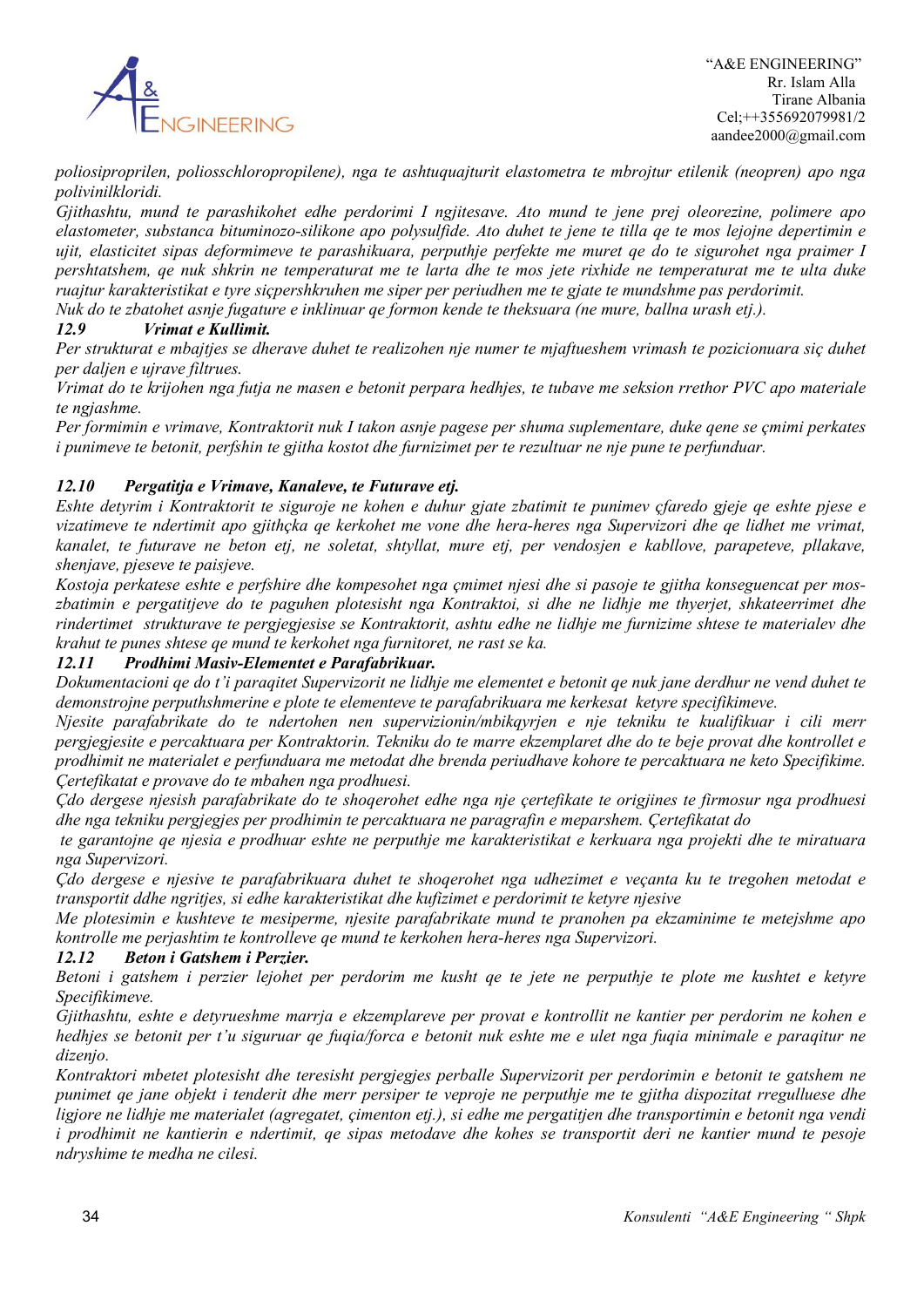

*poliosiproprilen, poliosschloropropilene), nga te ashtuquajturit elastometra te mbrojtur etilenik (neopren) apo nga polivinilkloridi.*

*Gjithashtu, mund te parashikohet edhe perdorimi I ngjitesave. Ato mund te jene prej oleorezine, polimere apo elastometer, substanca bituminozo-silikone apo polysulfide. Ato duhet te jene te tilla qe te mos lejojne depertimin e ujit, elasticitet sipas deformimeve te parashikuara, perputhje perfekte me muret qe do te sigurohet nga praimer I pershtatshem, qe nuk shkrin ne temperaturat me te larta dhe te mos jete rixhide ne temperaturat me te ulta duke ruajtur karakteristikat e tyre siçpershkruhen me siper per periudhen me te gjate te mundshme pas perdorimit. Nuk do te zbatohet asnje fugature e inklinuar qe formon kende te theksuara (ne mure, ballna urash etj.).*

### *12.9 Vrimat e Kullimit.*

*Per strukturat e mbajtjes se dherave duhet te realizohen nje numer te mjaftueshem vrimash te pozicionuara siç duhet per daljen e ujrave filtrues.*

*Vrimat do te krijohen nga futja ne masen e betonit perpara hedhjes, te tubave me seksion rrethor PVC apo materiale te ngjashme.*

*Per formimin e vrimave, Kontraktorit nuk I takon asnje pagese per shuma suplementare, duke qene se çmimi perkates i punimeve te betonit, perfshin te gjitha kostot dhe furnizimet per te rezultuar ne nje pune te perfunduar.*

### *12.10 Pergatitja e Vrimave, Kanaleve, te Futurave etj.*

*Eshte detyrim i Kontraktorit te siguroje ne kohen e duhur gjate zbatimit te punimev çfaredo gjeje qe eshte pjese e vizatimeve te ndertimit apo gjithçka qe kerkohet me vone dhe hera-heres nga Supervizori dhe qe lidhet me vrimat, kanalet, te futurave ne beton etj, ne soletat, shtyllat, mure etj, per vendosjen e kabllove, parapeteve, pllakave, shenjave, pjeseve te paisjeve.*

*Kostoja perkatese eshte e perfshire dhe kompesohet nga çmimet njesi dhe si pasoje te gjitha konseguencat per moszbatimin e pergatitjeve do te paguhen plotesisht nga Kontraktoi, si dhe ne lidhje me thyerjet, shkateerrimet dhe rindertimet strukturave te pergjegjesise se Kontraktorit, ashtu edhe ne lidhje me furnizime shtese te materialev dhe krahut te punes shtese qe mund te kerkohet nga furnitoret, ne rast se ka.*

### *12.11 Prodhimi Masiv-Elementet e Parafabrikuar.*

*Dokumentacioni qe do t'i paraqitet Supervizorit ne lidhje me elementet e betonit qe nuk jane derdhur ne vend duhet te demonstrojne perputhshmerine e plote te elementeve te parafabrikuara me kerkesat ketyre specifikimeve.*

*Njesite parafabrikate do te ndertohen nen supervizionin/mbikqyrjen e nje tekniku te kualifikuar i cili merr pergjegjesite e percaktuara per Kontraktorin. Tekniku do te marre ekzemplaret dhe do te beje provat dhe kontrollet e prodhimit ne materialet e perfunduara me metodat dhe brenda periudhave kohore te percaktuara ne keto Specifikime. Çertefikatat e provave do te mbahen nga prodhuesi.*

*Çdo dergese njesish parafabrikate do te shoqerohet edhe nga nje çertefikate te origjines te firmosur nga prodhuesi dhe nga tekniku pergjegjes per prodhimin te percaktuara ne paragrafin e meparshem. Çertefikatat do*

*te garantojne qe njesia e prodhuar eshte ne perputhje me karakteristikat e kerkuara nga projekti dhe te miratuara nga Supervizori.* 

*Çdo dergese e njesive te parafabrikuara duhet te shoqerohet nga udhezimet e veçanta ku te tregohen metodat e transportit ddhe ngritjes, si edhe karakteristikat dhe kufizimet e perdorimit te ketyre njesive*

*Me plotesimin e kushteve te mesiperme, njesite parafabrikate mund te pranohen pa ekzaminime te metejshme apo kontrolle me perjashtim te kontrolleve qe mund te kerkohen hera-heres nga Supervizori.*

#### *12.12 Beton i Gatshem i Perzier.*

*Betoni i gatshem i perzier lejohet per perdorim me kusht qe te jete ne perputhje te plote me kushtet e ketyre Specifikimeve.*

*Gjithashtu, eshte e detyrueshme marrja e ekzemplareve per provat e kontrollit ne kantier per perdorim ne kohen e hedhjes se betonit per t'u siguruar qe fuqia/forca e betonit nuk eshte me e ulet nga fuqia minimale e paraqitur ne dizenjo.*

*Kontraktori mbetet plotesisht dhe teresisht pergjegjes perballe Supervizorit per perdorimin e betonit te gatshem ne punimet qe jane objekt i tenderit dhe merr persiper te veproje ne perputhje me te gjitha dispozitat rregulluese dhe ligjore ne lidhje me materialet (agregatet, çimenton etj.), si edhe me pergatitjen dhe transportimin e betonit nga vendi i prodhimit ne kantierin e ndertimit, qe sipas metodave dhe kohes se transportit deri ne kantier mund te pesoje ndryshime te medha ne cilesi.*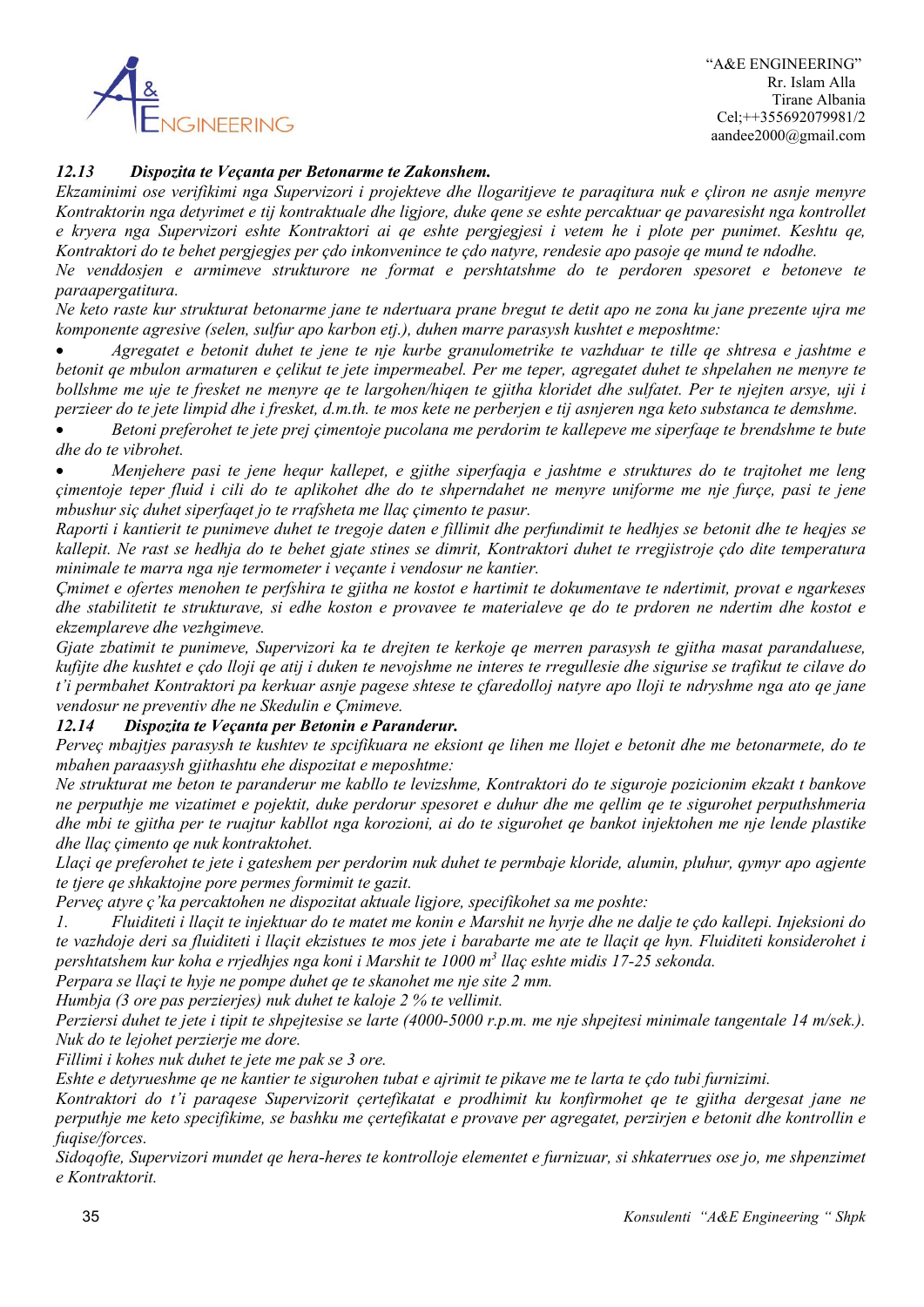

 "A&E ENGINEERING" Rr. Islam Alla Tirane Albania Cel;++355692079981/2 aandee2000@gmail.com

### *12.13 Dispozita te Veçanta per Betonarme te Zakonshem.*

*Ekzaminimi ose verifikimi nga Supervizori i projekteve dhe llogaritjeve te paraqitura nuk e çliron ne asnje menyre Kontraktorin nga detyrimet e tij kontraktuale dhe ligjore, duke qene se eshte percaktuar qe pavaresisht nga kontrollet e kryera nga Supervizori eshte Kontraktori ai qe eshte pergjegjesi i vetem he i plote per punimet. Keshtu qe, Kontraktori do te behet pergjegjes per çdo inkonvenince te çdo natyre, rendesie apo pasoje qe mund te ndodhe.*

*Ne venddosjen e armimeve strukturore ne format e pershtatshme do te perdoren spesoret e betoneve te paraapergatitura.*

*Ne keto raste kur strukturat betonarme jane te ndertuara prane bregut te detit apo ne zona ku jane prezente ujra me komponente agresive (selen, sulfur apo karbon etj.), duhen marre parasysh kushtet e meposhtme:*

• *Agregatet e betonit duhet te jene te nje kurbe granulometrike te vazhduar te tille qe shtresa e jashtme e betonit qe mbulon armaturen e çelikut te jete impermeabel. Per me teper, agregatet duhet te shpelahen ne menyre te bollshme me uje te fresket ne menyre qe te largohen/hiqen te gjitha kloridet dhe sulfatet. Per te njejten arsye, uji i perzieer do te jete limpid dhe i fresket, d.m.th. te mos kete ne perberjen e tij asnjeren nga keto substanca te demshme.*

• *Betoni preferohet te jete prej çimentoje pucolana me perdorim te kallepeve me siperfaqe te brendshme te bute dhe do te vibrohet.*

• *Menjehere pasi te jene hequr kallepet, e gjithe siperfaqja e jashtme e struktures do te trajtohet me leng çimentoje teper fluid i cili do te aplikohet dhe do te shperndahet ne menyre uniforme me nje furçe, pasi te jene mbushur siç duhet siperfaqet jo te rrafsheta me llaç çimento te pasur.*

*Raporti i kantierit te punimeve duhet te tregoje daten e fillimit dhe perfundimit te hedhjes se betonit dhe te heqjes se kallepit. Ne rast se hedhja do te behet gjate stines se dimrit, Kontraktori duhet te rregjistroje çdo dite temperatura minimale te marra nga nje termometer i veçante i vendosur ne kantier.*

*Çmimet e ofertes menohen te perfshira te gjitha ne kostot e hartimit te dokumentave te ndertimit, provat e ngarkeses dhe stabilitetit te strukturave, si edhe koston e provavee te materialeve qe do te prdoren ne ndertim dhe kostot e ekzemplareve dhe vezhgimeve.*

*Gjate zbatimit te punimeve, Supervizori ka te drejten te kerkoje qe merren parasysh te gjitha masat parandaluese, kufijte dhe kushtet e çdo lloji qe atij i duken te nevojshme ne interes te rregullesie dhe sigurise se trafikut te cilave do t'i permbahet Kontraktori pa kerkuar asnje pagese shtese te çfaredolloj natyre apo lloji te ndryshme nga ato qe jane vendosur ne preventiv dhe ne Skedulin e Çmimeve.*

#### *12.14 Dispozita te Veçanta per Betonin e Paranderur.*

*Perveç mbajtjes parasysh te kushtev te spcifikuara ne eksiont qe lihen me llojet e betonit dhe me betonarmete, do te mbahen paraasysh gjithashtu ehe dispozitat e meposhtme:*

*Ne strukturat me beton te paranderur me kabllo te levizshme, Kontraktori do te siguroje pozicionim ekzakt t bankove ne perputhje me vizatimet e pojektit, duke perdorur spesoret e duhur dhe me qellim qe te sigurohet perputhshmeria dhe mbi te gjitha per te ruajtur kabllot nga korozioni, ai do te sigurohet qe bankot injektohen me nje lende plastike dhe llaç çimento qe nuk kontraktohet.*

*Llaçi qe preferohet te jete i gateshem per perdorim nuk duhet te permbaje kloride, alumin, pluhur, qymyr apo agjente te tjere qe shkaktojne pore permes formimit te gazit.*

*Perveç atyre ç'ka percaktohen ne dispozitat aktuale ligjore, specifikohet sa me poshte:*

*1. Fluiditeti i llaçit te injektuar do te matet me konin e Marshit ne hyrje dhe ne dalje te çdo kallepi. Injeksioni do te vazhdoje deri sa fluiditeti i llaçit ekzistues te mos jete i barabarte me ate te llaçit qe hyn. Fluiditeti konsiderohet i pershtatshem kur koha e rrjedhjes nga koni i Marshit te 1000 m3 llaç eshte midis 17-25 sekonda.*

*Perpara se llaçi te hyje ne pompe duhet qe te skanohet me nje site 2 mm.*

*Humbja (3 ore pas perzierjes) nuk duhet te kaloje 2 % te vellimit.*

*Perziersi duhet te jete i tipit te shpejtesise se larte (4000-5000 r.p.m. me nje shpejtesi minimale tangentale 14 m/sek.). Nuk do te lejohet perzierje me dore.*

*Fillimi i kohes nuk duhet te jete me pak se 3 ore.*

*Eshte e detyrueshme qe ne kantier te sigurohen tubat e ajrimit te pikave me te larta te çdo tubi furnizimi.*

*Kontraktori do t'i paraqese Supervizorit çertefikatat e prodhimit ku konfirmohet qe te gjitha dergesat jane ne perputhje me keto specifikime, se bashku me çertefikatat e provave per agregatet, perzirjen e betonit dhe kontrollin e fuqise/forces.*

*Sidoqofte, Supervizori mundet qe hera-heres te kontrolloje elementet e furnizuar, si shkaterrues ose jo, me shpenzimet e Kontraktorit.*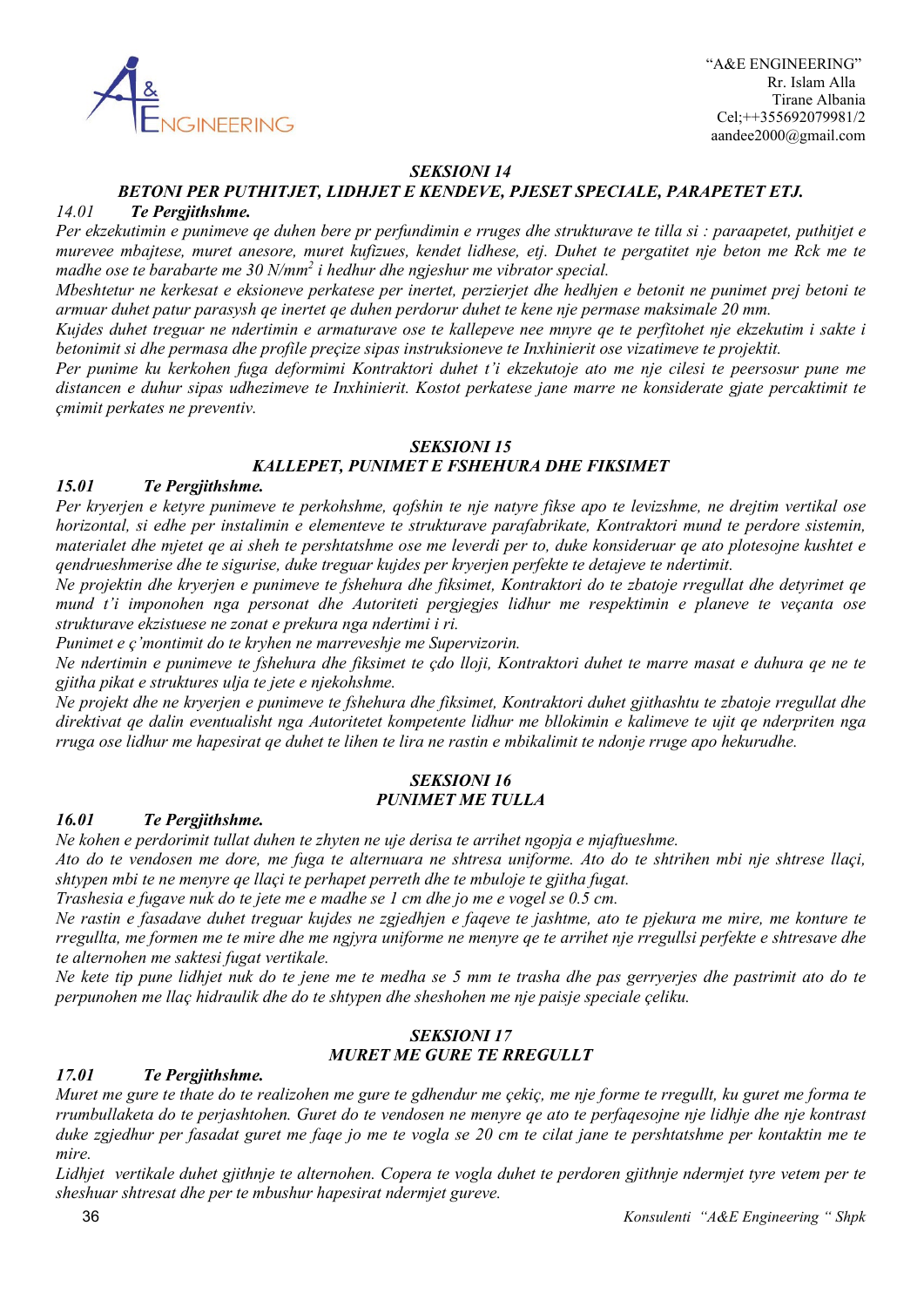

### *SEKSIONI 14*

# *BETONI PER PUTHITJET, LIDHJET E KENDEVE, PJESET SPECIALE, PARAPETET ETJ.*

#### *14.01 Te Pergjithshme.*

*Per ekzekutimin e punimeve qe duhen bere pr perfundimin e rruges dhe strukturave te tilla si : paraapetet, puthitjet e murevee mbajtese, muret anesore, muret kufizues, kendet lidhese, etj. Duhet te pergatitet nje beton me Rck me te madhe ose te barabarte me 30 N/mm2 i hedhur dhe ngjeshur me vibrator special.*

*Mbeshtetur ne kerkesat e eksioneve perkatese per inertet, perzierjet dhe hedhjen e betonit ne punimet prej betoni te armuar duhet patur parasysh qe inertet qe duhen perdorur duhet te kene nje permase maksimale 20 mm.*

*Kujdes duhet treguar ne ndertimin e armaturave ose te kallepeve nee mnyre qe te perfitohet nje ekzekutim i sakte i betonimit si dhe permasa dhe profile preçize sipas instruksioneve te Inxhinierit ose vizatimeve te projektit.*

*Per punime ku kerkohen fuga deformimi Kontraktori duhet t'i ekzekutoje ato me nje cilesi te peersosur pune me distancen e duhur sipas udhezimeve te Inxhinierit. Kostot perkatese jane marre ne konsiderate gjate percaktimit te çmimit perkates ne preventiv.*

#### *SEKSIONI 15*

### *KALLEPET, PUNIMET E FSHEHURA DHE FIKSIMET*

#### *15.01 Te Pergjithshme.*

*Per kryerjen e ketyre punimeve te perkohshme, qofshin te nje natyre fikse apo te levizshme, ne drejtim vertikal ose horizontal, si edhe per instalimin e elementeve te strukturave parafabrikate, Kontraktori mund te perdore sistemin, materialet dhe mjetet qe ai sheh te pershtatshme ose me leverdi per to, duke konsideruar qe ato plotesojne kushtet e qendrueshmerise dhe te sigurise, duke treguar kujdes per kryerjen perfekte te detajeve te ndertimit.*

*Ne projektin dhe kryerjen e punimeve te fshehura dhe fiksimet, Kontraktori do te zbatoje rregullat dhe detyrimet qe mund t'i imponohen nga personat dhe Autoriteti pergjegjes lidhur me respektimin e planeve te veçanta ose strukturave ekzistuese ne zonat e prekura nga ndertimi i ri.*

*Punimet e ç'montimit do te kryhen ne marreveshje me Supervizorin.*

*Ne ndertimin e punimeve te fshehura dhe fiksimet te çdo lloji, Kontraktori duhet te marre masat e duhura qe ne te gjitha pikat e struktures ulja te jete e njekohshme.*

*Ne projekt dhe ne kryerjen e punimeve te fshehura dhe fiksimet, Kontraktori duhet gjithashtu te zbatoje rregullat dhe direktivat qe dalin eventualisht nga Autoritetet kompetente lidhur me bllokimin e kalimeve te ujit qe nderpriten nga rruga ose lidhur me hapesirat qe duhet te lihen te lira ne rastin e mbikalimit te ndonje rruge apo hekurudhe.*

#### *SEKSIONI 16 PUNIMET ME TULLA*

#### *16.01 Te Pergjithshme.*

*Ne kohen e perdorimit tullat duhen te zhyten ne uje derisa te arrihet ngopja e mjaftueshme.*

*Ato do te vendosen me dore, me fuga te alternuara ne shtresa uniforme. Ato do te shtrihen mbi nje shtrese llaçi, shtypen mbi te ne menyre qe llaçi te perhapet perreth dhe te mbuloje te gjitha fugat.*

*Trashesia e fugave nuk do te jete me e madhe se 1 cm dhe jo me e vogel se 0.5 cm.*

*Ne rastin e fasadave duhet treguar kujdes ne zgjedhjen e faqeve te jashtme, ato te pjekura me mire, me konture te rregullta, me formen me te mire dhe me ngjyra uniforme ne menyre qe te arrihet nje rregullsi perfekte e shtresave dhe te alternohen me saktesi fugat vertikale.*

*Ne kete tip pune lidhjet nuk do te jene me te medha se 5 mm te trasha dhe pas gerryerjes dhe pastrimit ato do te perpunohen me llaç hidraulik dhe do te shtypen dhe sheshohen me nje paisje speciale çeliku.*

### *SEKSIONI 17 MURET ME GURE TE RREGULLT*

#### *17.01 Te Pergjithshme.*

*Muret me gure te thate do te realizohen me gure te gdhendur me çekiç, me nje forme te rregullt, ku guret me forma te rrumbullaketa do te perjashtohen. Guret do te vendosen ne menyre qe ato te perfaqesojne nje lidhje dhe nje kontrast duke zgjedhur per fasadat guret me faqe jo me te vogla se 20 cm te cilat jane te pershtatshme per kontaktin me te mire.*

*Lidhjet vertikale duhet gjithnje te alternohen. Copera te vogla duhet te perdoren gjithnje ndermjet tyre vetem per te sheshuar shtresat dhe per te mbushur hapesirat ndermjet gureve.*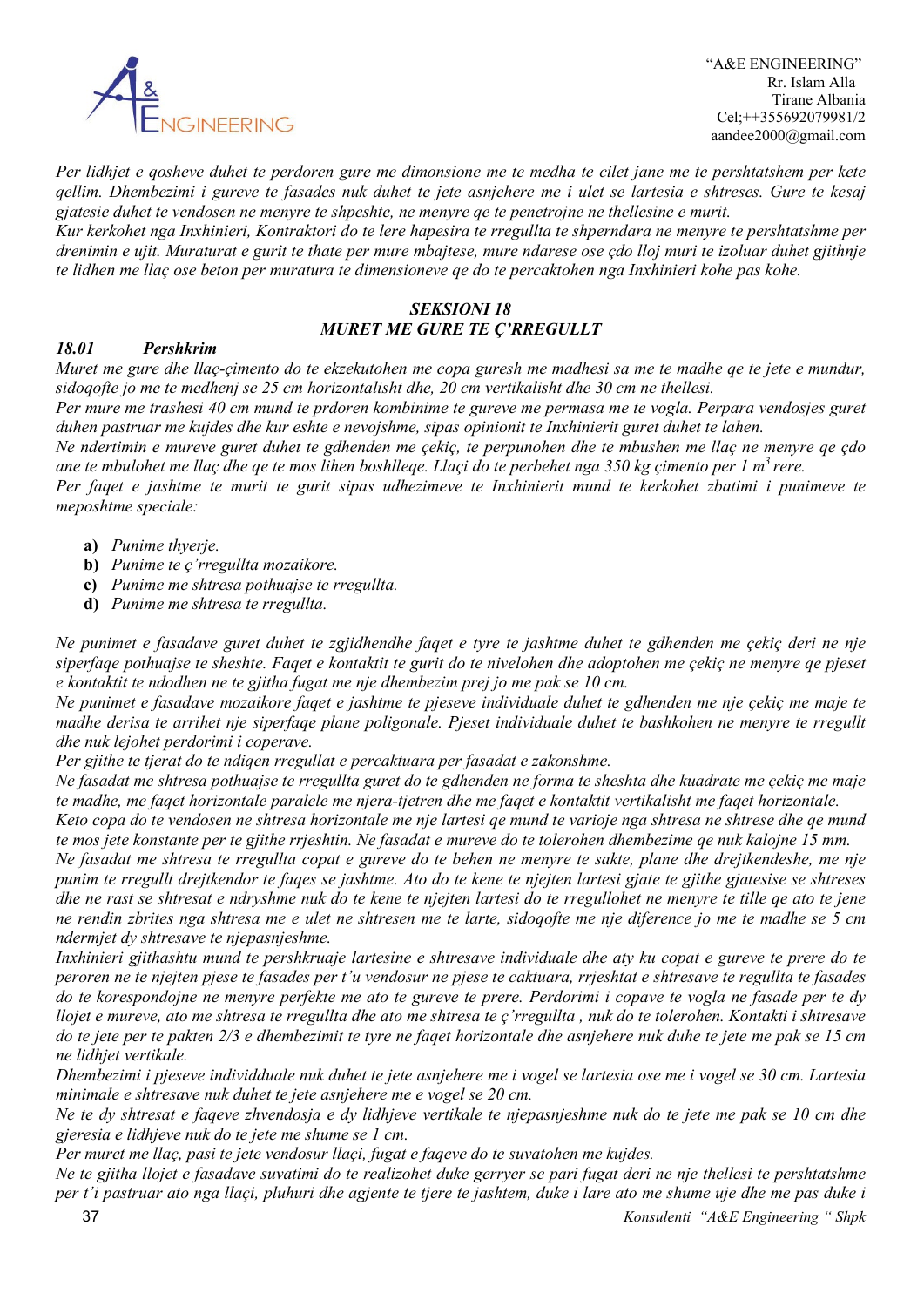

*Per lidhjet e qosheve duhet te perdoren gure me dimonsione me te medha te cilet jane me te pershtatshem per kete qellim. Dhembezimi i gureve te fasades nuk duhet te jete asnjehere me i ulet se lartesia e shtreses. Gure te kesaj gjatesie duhet te vendosen ne menyre te shpeshte, ne menyre qe te penetrojne ne thellesine e murit.*

*Kur kerkohet nga Inxhinieri, Kontraktori do te lere hapesira te rregullta te shperndara ne menyre te pershtatshme per drenimin e ujit. Muraturat e gurit te thate per mure mbajtese, mure ndarese ose çdo lloj muri te izoluar duhet gjithnje te lidhen me llaç ose beton per muratura te dimensioneve qe do te percaktohen nga Inxhinieri kohe pas kohe.*

# *SEKSIONI 18 MURET ME GURE TE Ç'RREGULLT*

### *18.01 Pershkrim*

*Muret me gure dhe llaç-çimento do te ekzekutohen me copa guresh me madhesi sa me te madhe qe te jete e mundur, sidoqofte jo me te medhenj se 25 cm horizontalisht dhe, 20 cm vertikalisht dhe 30 cm ne thellesi.*

*Per mure me trashesi 40 cm mund te prdoren kombinime te gureve me permasa me te vogla. Perpara vendosjes guret duhen pastruar me kujdes dhe kur eshte e nevojshme, sipas opinionit te Inxhinierit guret duhet te lahen.*

*Ne ndertimin e mureve guret duhet te gdhenden me çekiç, te perpunohen dhe te mbushen me llaç ne menyre qe çdo ane te mbulohet me llaç dhe qe te mos lihen boshlleqe. Llaçi do te perbehet nga 350 kg çimento per 1 m3 rere.*

*Per faqet e jashtme te murit te gurit sipas udhezimeve te Inxhinierit mund te kerkohet zbatimi i punimeve te meposhtme speciale:*

- **a)** *Punime thyerje.*
- **b)** *Punime te ç'rregullta mozaikore.*
- **c)** *Punime me shtresa pothuajse te rregullta.*
- **d)** *Punime me shtresa te rregullta.*

*Ne punimet e fasadave guret duhet te zgjidhendhe faqet e tyre te jashtme duhet te gdhenden me çekiç deri ne nje siperfaqe pothuajse te sheshte. Faqet e kontaktit te gurit do te nivelohen dhe adoptohen me çekiç ne menyre qe pjeset e kontaktit te ndodhen ne te gjitha fugat me nje dhembezim prej jo me pak se 10 cm.*

*Ne punimet e fasadave mozaikore faqet e jashtme te pjeseve individuale duhet te gdhenden me nje çekiç me maje te madhe derisa te arrihet nje siperfaqe plane poligonale. Pjeset individuale duhet te bashkohen ne menyre te rregullt dhe nuk lejohet perdorimi i coperave.*

*Per gjithe te tjerat do te ndiqen rregullat e percaktuara per fasadat e zakonshme.*

*Ne fasadat me shtresa pothuajse te rregullta guret do te gdhenden ne forma te sheshta dhe kuadrate me çekiç me maje te madhe, me faqet horizontale paralele me njera-tjetren dhe me faqet e kontaktit vertikalisht me faqet horizontale.*

*Keto copa do te vendosen ne shtresa horizontale me nje lartesi qe mund te varioje nga shtresa ne shtrese dhe qe mund te mos jete konstante per te gjithe rrjeshtin. Ne fasadat e mureve do te tolerohen dhembezime qe nuk kalojne 15 mm.*

*Ne fasadat me shtresa te rregullta copat e gureve do te behen ne menyre te sakte, plane dhe drejtkendeshe, me nje punim te rregullt drejtkendor te faqes se jashtme. Ato do te kene te njejten lartesi gjate te gjithe gjatesise se shtreses dhe ne rast se shtresat e ndryshme nuk do te kene te njejten lartesi do te rregullohet ne menyre te tille qe ato te jene ne rendin zbrites nga shtresa me e ulet ne shtresen me te larte, sidoqofte me nje diference jo me te madhe se 5 cm ndermjet dy shtresave te njepasnjeshme.*

*Inxhinieri gjithashtu mund te pershkruaje lartesine e shtresave individuale dhe aty ku copat e gureve te prere do te peroren ne te njejten pjese te fasades per t'u vendosur ne pjese te caktuara, rrjeshtat e shtresave te regullta te fasades do te korespondojne ne menyre perfekte me ato te gureve te prere. Perdorimi i copave te vogla ne fasade per te dy llojet e mureve, ato me shtresa te rregullta dhe ato me shtresa te ç'rregullta , nuk do te tolerohen. Kontakti i shtresave do te jete per te pakten 2/3 e dhembezimit te tyre ne faqet horizontale dhe asnjehere nuk duhe te jete me pak se 15 cm ne lidhjet vertikale.*

*Dhembezimi i pjeseve individduale nuk duhet te jete asnjehere me i vogel se lartesia ose me i vogel se 30 cm. Lartesia minimale e shtresave nuk duhet te jete asnjehere me e vogel se 20 cm.*

*Ne te dy shtresat e faqeve zhvendosja e dy lidhjeve vertikale te njepasnjeshme nuk do te jete me pak se 10 cm dhe gjeresia e lidhjeve nuk do te jete me shume se 1 cm.*

*Per muret me llaç, pasi te jete vendosur llaçi, fugat e faqeve do te suvatohen me kujdes.*

*Ne te gjitha llojet e fasadave suvatimi do te realizohet duke gerryer se pari fugat deri ne nje thellesi te pershtatshme per t'i pastruar ato nga llaçi, pluhuri dhe agjente te tjere te jashtem, duke i lare ato me shume uje dhe me pas duke i*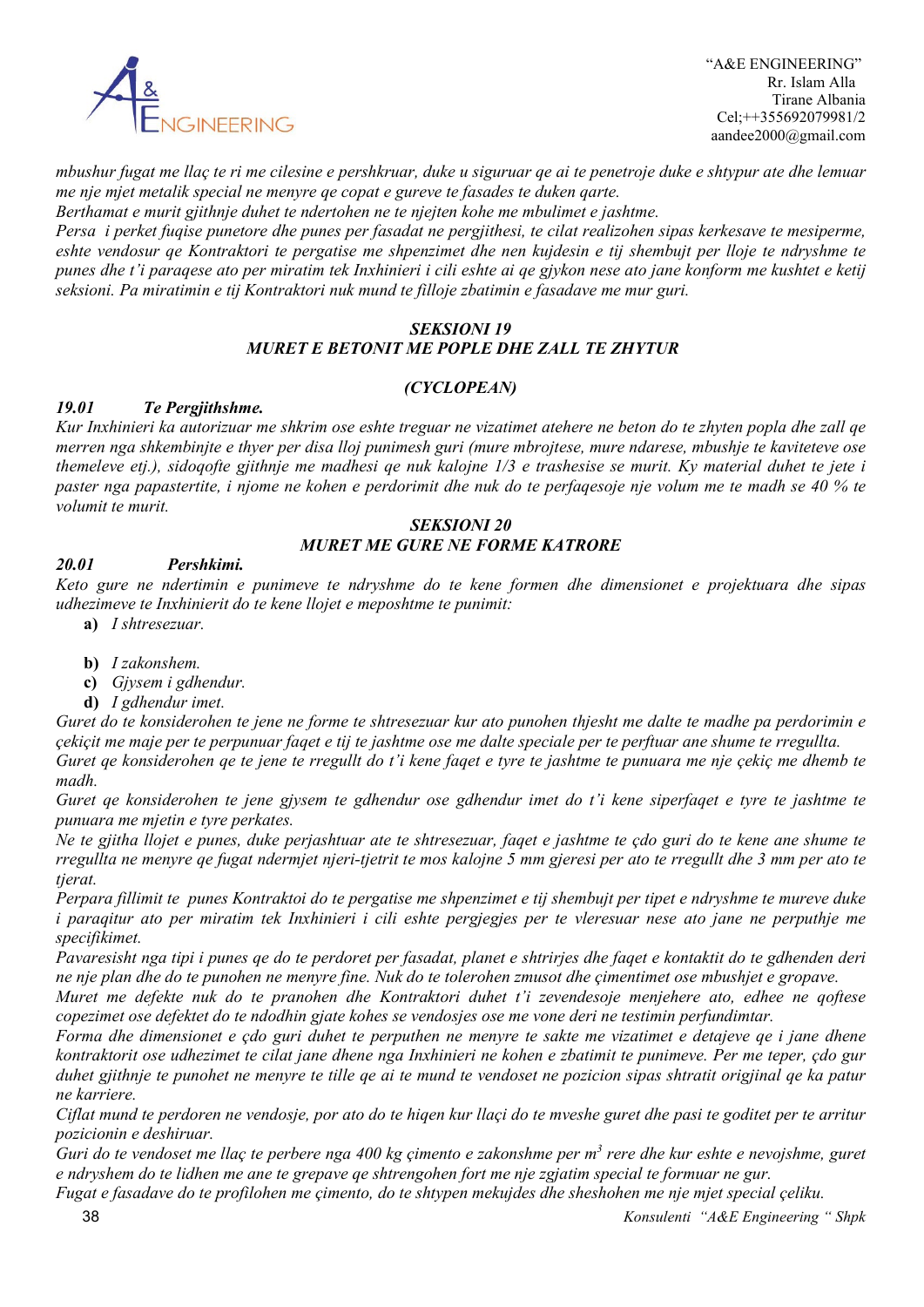

 "A&E ENGINEERING" Rr. Islam Alla Tirane Albania Cel;++355692079981/2 aandee2000@gmail.com

*mbushur fugat me llaç te ri me cilesine e pershkruar, duke u siguruar qe ai te penetroje duke e shtypur ate dhe lemuar me nje mjet metalik special ne menyre qe copat e gureve te fasades te duken qarte.*

*Berthamat e murit gjithnje duhet te ndertohen ne te njejten kohe me mbulimet e jashtme.*

*Persa i perket fuqise punetore dhe punes per fasadat ne pergjithesi, te cilat realizohen sipas kerkesave te mesiperme,*  eshte vendosur qe Kontraktori te pergatise me shpenzimet dhe nen kujdesin e tij shembujt per lloje te ndryshme te *punes dhe t'i paraqese ato per miratim tek Inxhinieri i cili eshte ai qe gjykon nese ato jane konform me kushtet e ketij seksioni. Pa miratimin e tij Kontraktori nuk mund te filloje zbatimin e fasadave me mur guri.*

# *SEKSIONI 19 MURET E BETONIT ME POPLE DHE ZALL TE ZHYTUR*

# *(CYCLOPEAN)*

### *19.01 Te Pergjithshme.*

*Kur Inxhinieri ka autorizuar me shkrim ose eshte treguar ne vizatimet atehere ne beton do te zhyten popla dhe zall qe merren nga shkembinjte e thyer per disa lloj punimesh guri (mure mbrojtese, mure ndarese, mbushje te kaviteteve ose themeleve etj.), sidoqofte gjithnje me madhesi qe nuk kalojne 1/3 e trashesise se murit. Ky material duhet te jete i paster nga papastertite, i njome ne kohen e perdorimit dhe nuk do te perfaqesoje nje volum me te madh se 40 % te volumit te murit.*

# *SEKSIONI 20 MURET ME GURE NE FORME KATRORE*

# *20.01 Pershkimi.*

*Keto gure ne ndertimin e punimeve te ndryshme do te kene formen dhe dimensionet e projektuara dhe sipas udhezimeve te Inxhinierit do te kene llojet e meposhtme te punimit:*

- **a)** *I shtresezuar.*
- **b)** *I zakonshem.*
- **c)** *Gjysem i gdhendur.*
- **d)** *I gdhendur imet.*

*Guret do te konsiderohen te jene ne forme te shtresezuar kur ato punohen thjesht me dalte te madhe pa perdorimin e çekiçit me maje per te perpunuar faqet e tij te jashtme ose me dalte speciale per te perftuar ane shume te rregullta. Guret qe konsiderohen qe te jene te rregullt do t'i kene faqet e tyre te jashtme te punuara me nje çekiç me dhemb te* 

*madh. Guret qe konsiderohen te jene gjysem te gdhendur ose gdhendur imet do t'i kene siperfaqet e tyre te jashtme te punuara me mjetin e tyre perkates.*

*Ne te gjitha llojet e punes, duke perjashtuar ate te shtresezuar, faqet e jashtme te çdo guri do te kene ane shume te rregullta ne menyre qe fugat ndermjet njeri-tjetrit te mos kalojne 5 mm gjeresi per ato te rregullt dhe 3 mm per ato te tjerat.*

*Perpara fillimit te punes Kontraktoi do te pergatise me shpenzimet e tij shembujt per tipet e ndryshme te mureve duke i paraqitur ato per miratim tek Inxhinieri i cili eshte pergjegjes per te vleresuar nese ato jane ne perputhje me specifikimet.*

*Pavaresisht nga tipi i punes qe do te perdoret per fasadat, planet e shtrirjes dhe faqet e kontaktit do te gdhenden deri ne nje plan dhe do te punohen ne menyre fine. Nuk do te tolerohen zmusot dhe çimentimet ose mbushjet e gropave.*

*Muret me defekte nuk do te pranohen dhe Kontraktori duhet t'i zevendesoje menjehere ato, edhee ne qoftese copezimet ose defektet do te ndodhin gjate kohes se vendosjes ose me vone deri ne testimin perfundimtar.*

*Forma dhe dimensionet e çdo guri duhet te perputhen ne menyre te sakte me vizatimet e detajeve qe i jane dhene kontraktorit ose udhezimet te cilat jane dhene nga Inxhinieri ne kohen e zbatimit te punimeve. Per me teper, çdo gur duhet gjithnje te punohet ne menyre te tille qe ai te mund te vendoset ne pozicion sipas shtratit origjinal qe ka patur ne karriere.*

*Ciflat mund te perdoren ne vendosje, por ato do te hiqen kur llaçi do te mveshe guret dhe pasi te goditet per te arritur pozicionin e deshiruar.*

*Guri do te vendoset me llaç te perbere nga 400 kg çimento e zakonshme per m3 rere dhe kur eshte e nevojshme, guret e ndryshem do te lidhen me ane te grepave qe shtrengohen fort me nje zgjatim special te formuar ne gur.*

 38 *Konsulenti "A&E Engineering " Shpk Fugat e fasadave do te profilohen me çimento, do te shtypen mekujdes dhe sheshohen me nje mjet special çeliku.*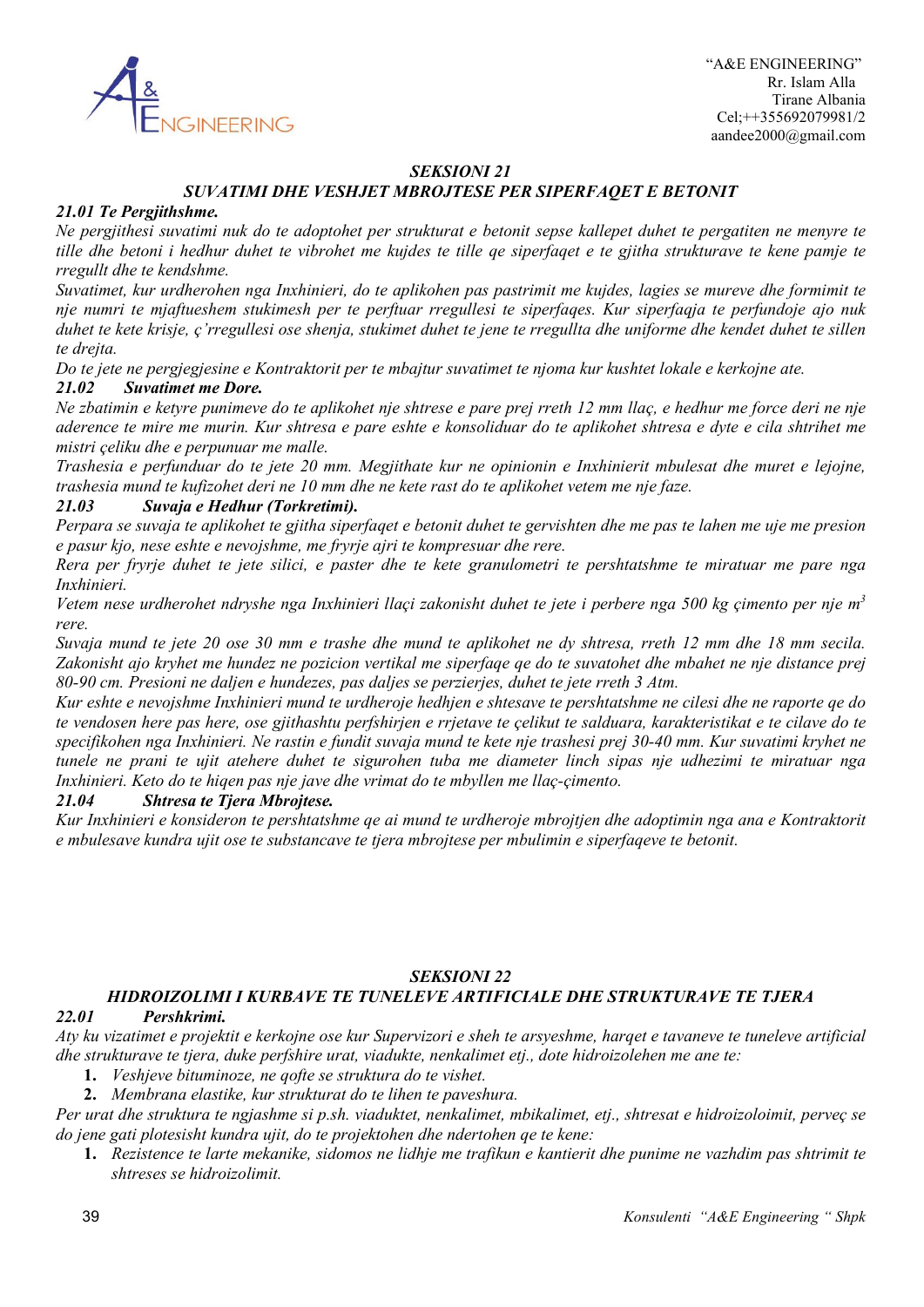

# *SEKSIONI 21*

# *SUVATIMI DHE VESHJET MBROJTESE PER SIPERFAQET E BETONIT*

#### *21.01 Te Pergjithshme.*

*Ne pergjithesi suvatimi nuk do te adoptohet per strukturat e betonit sepse kallepet duhet te pergatiten ne menyre te tille dhe betoni i hedhur duhet te vibrohet me kujdes te tille qe siperfaqet e te gjitha strukturave te kene pamje te rregullt dhe te kendshme.*

*Suvatimet, kur urdherohen nga Inxhinieri, do te aplikohen pas pastrimit me kujdes, lagies se mureve dhe formimit te nje numri te mjaftueshem stukimesh per te perftuar rregullesi te siperfaqes. Kur siperfaqja te perfundoje ajo nuk duhet te kete krisje, ç'rregullesi ose shenja, stukimet duhet te jene te rregullta dhe uniforme dhe kendet duhet te sillen te drejta.*

*Do te jete ne pergjegjesine e Kontraktorit per te mbajtur suvatimet te njoma kur kushtet lokale e kerkojne ate.*

#### *21.02 Suvatimet me Dore.*

*Ne zbatimin e ketyre punimeve do te aplikohet nje shtrese e pare prej rreth 12 mm llaç, e hedhur me force deri ne nje aderence te mire me murin. Kur shtresa e pare eshte e konsoliduar do te aplikohet shtresa e dyte e cila shtrihet me mistri çeliku dhe e perpunuar me malle.*

*Trashesia e perfunduar do te jete 20 mm. Megjithate kur ne opinionin e Inxhinierit mbulesat dhe muret e lejojne, trashesia mund te kufizohet deri ne 10 mm dhe ne kete rast do te aplikohet vetem me nje faze.*

### *21.03 Suvaja e Hedhur (Torkretimi).*

*Perpara se suvaja te aplikohet te gjitha siperfaqet e betonit duhet te gervishten dhe me pas te lahen me uje me presion e pasur kjo, nese eshte e nevojshme, me fryrje ajri te kompresuar dhe rere.*

*Rera per fryrje duhet te jete silici, e paster dhe te kete granulometri te pershtatshme te miratuar me pare nga Inxhinieri.*

*Vetem nese urdherohet ndryshe nga Inxhinieri llaçi zakonisht duhet te jete i perbere nga 500 kg çimento per nje m3 rere.*

*Suvaja mund te jete 20 ose 30 mm e trashe dhe mund te aplikohet ne dy shtresa, rreth 12 mm dhe 18 mm secila. Zakonisht ajo kryhet me hundez ne pozicion vertikal me siperfaqe qe do te suvatohet dhe mbahet ne nje distance prej 80-90 cm. Presioni ne daljen e hundezes, pas daljes se perzierjes, duhet te jete rreth 3 Atm.*

*Kur eshte e nevojshme Inxhinieri mund te urdheroje hedhjen e shtesave te pershtatshme ne cilesi dhe ne raporte qe do te vendosen here pas here, ose gjithashtu perfshirjen e rrjetave te çelikut te salduara, karakteristikat e te cilave do te specifikohen nga Inxhinieri. Ne rastin e fundit suvaja mund te kete nje trashesi prej 30-40 mm. Kur suvatimi kryhet ne tunele ne prani te ujit atehere duhet te sigurohen tuba me diameter linch sipas nje udhezimi te miratuar nga Inxhinieri. Keto do te hiqen pas nje jave dhe vrimat do te mbyllen me llaç-çimento.*

#### *21.04 Shtresa te Tjera Mbrojtese.*

*Kur Inxhinieri e konsideron te pershtatshme qe ai mund te urdheroje mbrojtjen dhe adoptimin nga ana e Kontraktorit e mbulesave kundra ujit ose te substancave te tjera mbrojtese per mbulimin e siperfaqeve te betonit.*

### *SEKSIONI 22*

# *HIDROIZOLIMI I KURBAVE TE TUNELEVE ARTIFICIALE DHE STRUKTURAVE TE TJERA*

#### *22.01 Pershkrimi.*

*Aty ku vizatimet e projektit e kerkojne ose kur Supervizori e sheh te arsyeshme, harqet e tavaneve te tuneleve artificial dhe strukturave te tjera, duke perfshire urat, viadukte, nenkalimet etj., dote hidroizolehen me ane te:*

- **1.** *Veshjeve bituminoze, ne qofte se struktura do te vishet.*
- **2.** *Membrana elastike, kur strukturat do te lihen te paveshura.*

*Per urat dhe struktura te ngjashme si p.sh. viaduktet, nenkalimet, mbikalimet, etj., shtresat e hidroizoloimit, perveç se do jene gati plotesisht kundra ujit, do te projektohen dhe ndertohen qe te kene:*

**1.** *Rezistence te larte mekanike, sidomos ne lidhje me trafikun e kantierit dhe punime ne vazhdim pas shtrimit te shtreses se hidroizolimit.*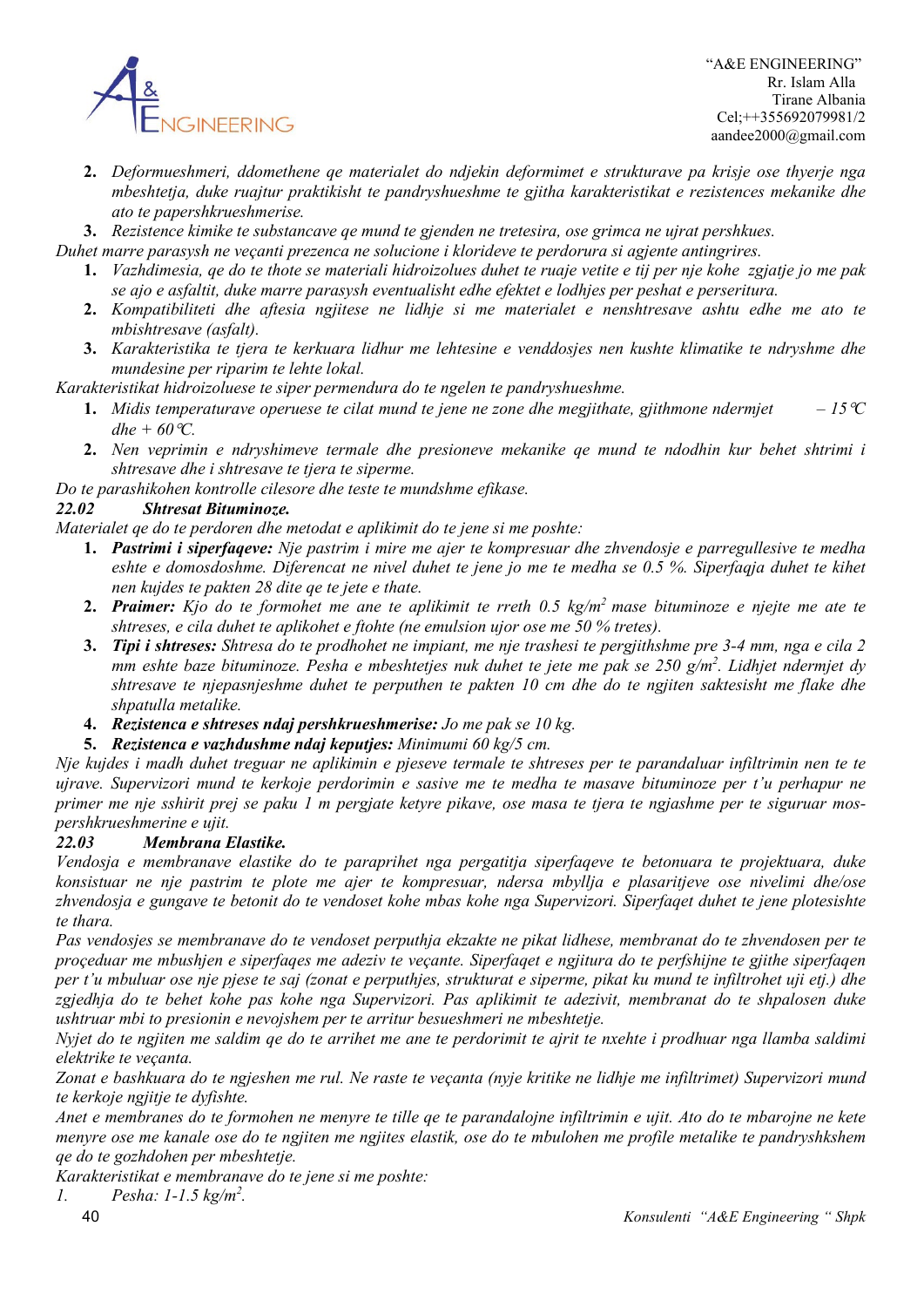

 "A&E ENGINEERING" Rr. Islam Alla Tirane Albania Cel;++355692079981/2 aandee2000@gmail.com

- **2.** *Deformueshmeri, ddomethene qe materialet do ndjekin deformimet e strukturave pa krisje ose thyerje nga mbeshtetja, duke ruajtur praktikisht te pandryshueshme te gjitha karakteristikat e rezistences mekanike dhe ato te papershkrueshmerise.*
- **3.** *Rezistence kimike te substancave qe mund te gjenden ne tretesira, ose grimca ne ujrat pershkues.*

*Duhet marre parasysh ne veçanti prezenca ne solucione i klorideve te perdorura si agjente antingrires.*

- **1.** *Vazhdimesia, qe do te thote se materiali hidroizolues duhet te ruaje vetite e tij per nje kohe zgjatje jo me pak se ajo e asfaltit, duke marre parasysh eventualisht edhe efektet e lodhjes per peshat e perseritura.*
- **2.** *Kompatibiliteti dhe aftesia ngjitese ne lidhje si me materialet e nenshtresave ashtu edhe me ato te mbishtresave (asfalt).*
- **3.** *Karakteristika te tjera te kerkuara lidhur me lehtesine e venddosjes nen kushte klimatike te ndryshme dhe mundesine per riparim te lehte lokal.*

*Karakteristikat hidroizoluese te siper permendura do te ngelen te pandryshueshme.*

- **1.** *Midis temperaturave operuese te cilat mund te jene ne zone dhe megjithate, gjithmone ndermiet*  $-15\degree C$ *dhe* +  $60^{\circ}$ *C.*
- **2.** *Nen veprimin e ndryshimeve termale dhe presioneve mekanike qe mund te ndodhin kur behet shtrimi i shtresave dhe i shtresave te tjera te siperme.*

*Do te parashikohen kontrolle cilesore dhe teste te mundshme efikase.*

# *22.02 Shtresat Bituminoze.*

*Materialet qe do te perdoren dhe metodat e aplikimit do te jene si me poshte:*

- **1.** *Pastrimi i siperfaqeve: Nje pastrim i mire me ajer te kompresuar dhe zhvendosje e parregullesive te medha eshte e domosdoshme. Diferencat ne nivel duhet te jene jo me te medha se 0.5 %. Siperfaqja duhet te kihet nen kujdes te pakten 28 dite qe te jete e thate.*
- **2.** *Praimer: Kjo do te formohet me ane te aplikimit te rreth 0.5 kg/m2 mase bituminoze e njejte me ate te shtreses, e cila duhet te aplikohet e ftohte (ne emulsion ujor ose me 50 % tretes).*
- **3.** *Tipi i shtreses: Shtresa do te prodhohet ne impiant, me nje trashesi te pergjithshme pre 3-4 mm, nga e cila 2 mm eshte baze bituminoze. Pesha e mbeshtetjes nuk duhet te jete me pak se 250 g/m2 . Lidhjet ndermjet dy shtresave te njepasnjeshme duhet te perputhen te pakten 10 cm dhe do te ngjiten saktesisht me flake dhe shpatulla metalike.*
- **4.** *Rezistenca e shtreses ndaj pershkrueshmerise: Jo me pak se 10 kg.*
- **5.** *Rezistenca e vazhdushme ndaj keputjes: Minimumi 60 kg/5 cm.*

*Nje kujdes i madh duhet treguar ne aplikimin e pjeseve termale te shtreses per te parandaluar infiltrimin nen te te ujrave. Supervizori mund te kerkoje perdorimin e sasive me te medha te masave bituminoze per t'u perhapur ne primer me nje sshirit prej se paku 1 m pergjate ketyre pikave, ose masa te tjera te ngjashme per te siguruar mospershkrueshmerine e ujit.*

### *22.03 Membrana Elastike.*

*Vendosja e membranave elastike do te paraprihet nga pergatitja siperfaqeve te betonuara te projektuara, duke konsistuar ne nje pastrim te plote me ajer te kompresuar, ndersa mbyllja e plasaritjeve ose nivelimi dhe/ose zhvendosja e gungave te betonit do te vendoset kohe mbas kohe nga Supervizori. Siperfaqet duhet te jene plotesishte te thara.*

*Pas vendosjes se membranave do te vendoset perputhja ekzakte ne pikat lidhese, membranat do te zhvendosen per te proçeduar me mbushjen e siperfaqes me adeziv te veçante. Siperfaqet e ngjitura do te perfshijne te gjithe siperfaqen per t'u mbuluar ose nje pjese te saj (zonat e perputhjes, strukturat e siperme, pikat ku mund te infiltrohet uji etj.) dhe zgjedhja do te behet kohe pas kohe nga Supervizori. Pas aplikimit te adezivit, membranat do te shpalosen duke ushtruar mbi to presionin e nevojshem per te arritur besueshmeri ne mbeshtetje.*

*Nyjet do te ngjiten me saldim qe do te arrihet me ane te perdorimit te ajrit te nxehte i prodhuar nga llamba saldimi elektrike te veçanta.*

*Zonat e bashkuara do te ngjeshen me rul. Ne raste te veçanta (nyje kritike ne lidhje me infiltrimet) Supervizori mund te kerkoje ngjitje te dyfishte.*

*Anet e membranes do te formohen ne menyre te tille qe te parandalojne infiltrimin e ujit. Ato do te mbarojne ne kete menyre ose me kanale ose do te ngjiten me ngjites elastik, ose do te mbulohen me profile metalike te pandryshkshem qe do te gozhdohen per mbeshtetje.*

*Karakteristikat e membranave do te jene si me poshte:*

*1. Pesha: 1-1.5 kg/m2 .*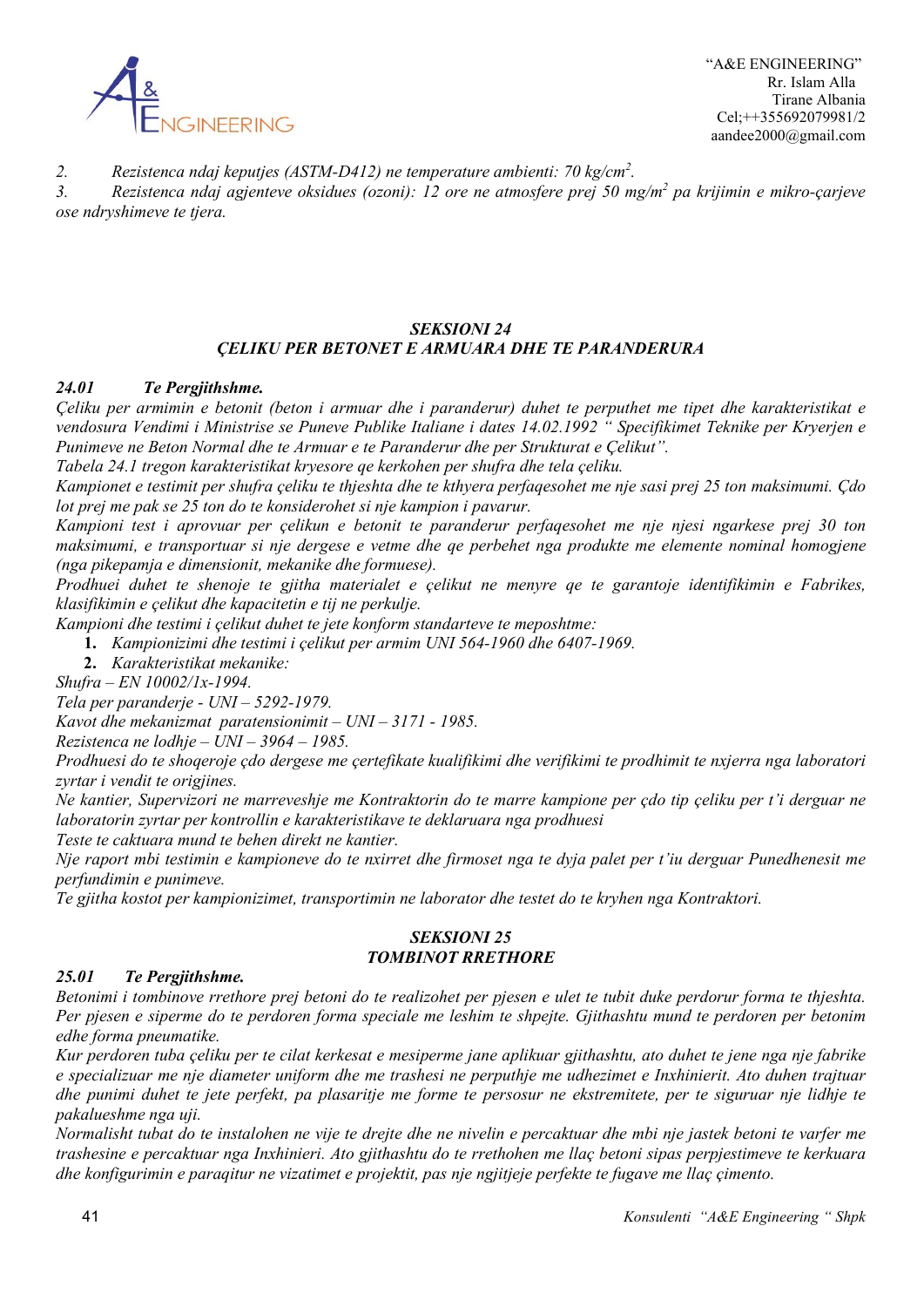

 "A&E ENGINEERING" Rr. Islam Alla Tirane Albania Cel;++355692079981/2 aandee2000@gmail.com

*2. Rezistenca ndaj keputjes (ASTM-D412) ne temperature ambienti: 70 kg/cm2 .*

*3. Rezistenca ndaj agjenteve oksidues (ozoni): 12 ore ne atmosfere prej 50 mg/m2 pa krijimin e mikro-çarjeve ose ndryshimeve te tjera.*

# *SEKSIONI 24 ÇELIKU PER BETONET E ARMUARA DHE TE PARANDERURA*

### *24.01 Te Pergjithshme.*

*Çeliku per armimin e betonit (beton i armuar dhe i paranderur) duhet te perputhet me tipet dhe karakteristikat e vendosura Vendimi i Ministrise se Puneve Publike Italiane i dates 14.02.1992 " Specifikimet Teknike per Kryerjen e Punimeve ne Beton Normal dhe te Armuar e te Paranderur dhe per Strukturat e Çelikut".*

*Tabela 24.1 tregon karakteristikat kryesore qe kerkohen per shufra dhe tela çeliku.*

*Kampionet e testimit per shufra çeliku te thjeshta dhe te kthyera perfaqesohet me nje sasi prej 25 ton maksimumi. Çdo lot prej me pak se 25 ton do te konsiderohet si nje kampion i pavarur.*

*Kampioni test i aprovuar per çelikun e betonit te paranderur perfaqesohet me nje njesi ngarkese prej 30 ton maksimumi, e transportuar si nje dergese e vetme dhe qe perbehet nga produkte me elemente nominal homogjene (nga pikepamja e dimensionit, mekanike dhe formuese).*

*Prodhuei duhet te shenoje te gjitha materialet e çelikut ne menyre qe te garantoje identifikimin e Fabrikes, klasifikimin e çelikut dhe kapacitetin e tij ne perkulje.*

*Kampioni dhe testimi i çelikut duhet te jete konform standarteve te meposhtme:*

**1.** *Kampionizimi dhe testimi i çelikut per armim UNI 564-1960 dhe 6407-1969.*

**2.** *Karakteristikat mekanike:*

*Shufra – EN 10002/1x-1994.*

*Tela per paranderje - UNI – 5292-1979.*

*Kavot dhe mekanizmat paratensionimit – UNI – 3171 - 1985.*

*Rezistenca ne lodhje – UNI – 3964 – 1985.*

*Prodhuesi do te shoqeroje çdo dergese me çertefikate kualifikimi dhe verifikimi te prodhimit te nxjerra nga laboratori zyrtar i vendit te origjines.*

*Ne kantier, Supervizori ne marreveshje me Kontraktorin do te marre kampione per çdo tip çeliku per t'i derguar ne laboratorin zyrtar per kontrollin e karakteristikave te deklaruara nga prodhuesi*

*Teste te caktuara mund te behen direkt ne kantier.*

*Nje raport mbi testimin e kampioneve do te nxirret dhe firmoset nga te dyja palet per t'iu derguar Punedhenesit me perfundimin e punimeve.*

*Te gjitha kostot per kampionizimet, transportimin ne laborator dhe testet do te kryhen nga Kontraktori.*

#### *SEKSIONI 25 TOMBINOT RRETHORE*

# *25.01 Te Pergjithshme.*

*Betonimi i tombinove rrethore prej betoni do te realizohet per pjesen e ulet te tubit duke perdorur forma te thjeshta. Per pjesen e siperme do te perdoren forma speciale me leshim te shpejte. Gjithashtu mund te perdoren per betonim edhe forma pneumatike.*

*Kur perdoren tuba çeliku per te cilat kerkesat e mesiperme jane aplikuar gjithashtu, ato duhet te jene nga nje fabrike e specializuar me nje diameter uniform dhe me trashesi ne perputhje me udhezimet e Inxhinierit. Ato duhen trajtuar dhe punimi duhet te jete perfekt, pa plasaritje me forme te persosur ne ekstremitete, per te siguruar nje lidhje te pakalueshme nga uji.*

*Normalisht tubat do te instalohen ne vije te drejte dhe ne nivelin e percaktuar dhe mbi nje jastek betoni te varfer me trashesine e percaktuar nga Inxhinieri. Ato gjithashtu do te rrethohen me llaç betoni sipas perpjestimeve te kerkuara dhe konfigurimin e paraqitur ne vizatimet e projektit, pas nje ngjitjeje perfekte te fugave me llaç çimento.*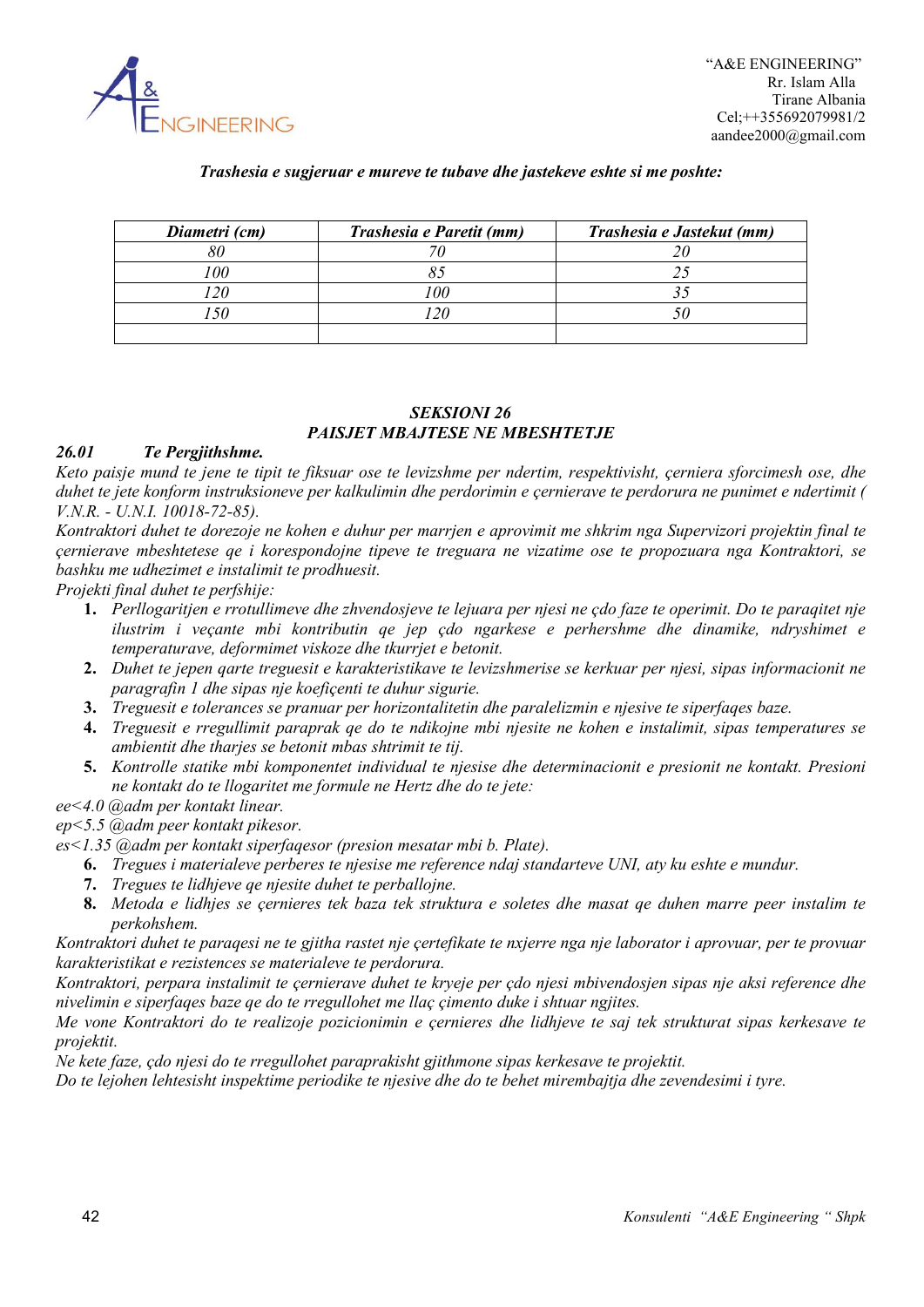

### *Trashesia e sugjeruar e mureve te tubave dhe jastekeve eshte si me poshte:*

| Diametri (cm) | Trashesia e Paretit (mm) | Trashesia e Jastekut (mm) |
|---------------|--------------------------|---------------------------|
| $\Omega$      |                          |                           |
|               |                          |                           |
|               |                          |                           |
|               |                          |                           |
|               |                          |                           |

# *SEKSIONI 26 PAISJET MBAJTESE NE MBESHTETJE*

#### *26.01 Te Pergjithshme.*

*Keto paisje mund te jene te tipit te fiksuar ose te levizshme per ndertim, respektivisht, çerniera sforcimesh ose, dhe duhet te jete konform instruksioneve per kalkulimin dhe perdorimin e çernierave te perdorura ne punimet e ndertimit ( V.N.R. - U.N.I. 10018-72-85).*

*Kontraktori duhet te dorezoje ne kohen e duhur per marrjen e aprovimit me shkrim nga Supervizori projektin final te çernierave mbeshtetese qe i korespondojne tipeve te treguara ne vizatime ose te propozuara nga Kontraktori, se bashku me udhezimet e instalimit te prodhuesit.*

*Projekti final duhet te perfshije:*

- **1.** *Perllogaritjen e rrotullimeve dhe zhvendosjeve te lejuara per njesi ne çdo faze te operimit. Do te paraqitet nje ilustrim i veçante mbi kontributin qe jep çdo ngarkese e perhershme dhe dinamike, ndryshimet e temperaturave, deformimet viskoze dhe tkurrjet e betonit.*
- **2.** *Duhet te jepen qarte treguesit e karakteristikave te levizshmerise se kerkuar per njesi, sipas informacionit ne paragrafin 1 dhe sipas nje koefiçenti te duhur sigurie.*
- **3.** *Treguesit e tolerances se pranuar per horizontalitetin dhe paralelizmin e njesive te siperfaqes baze.*
- **4.** *Treguesit e rregullimit paraprak qe do te ndikojne mbi njesite ne kohen e instalimit, sipas temperatures se ambientit dhe tharjes se betonit mbas shtrimit te tij.*
- **5.** *Kontrolle statike mbi komponentet individual te njesise dhe determinacionit e presionit ne kontakt. Presioni ne kontakt do te llogaritet me formule ne Hertz dhe do te jete:*
- *ee<4.0 @adm per kontakt linear.*
- *ep<5.5 @adm peer kontakt pikesor.*
- *es<1.35 @adm per kontakt siperfaqesor (presion mesatar mbi b. Plate).*
	- **6.** *Tregues i materialeve perberes te njesise me reference ndaj standarteve UNI, aty ku eshte e mundur.*
	- **7.** *Tregues te lidhjeve qe njesite duhet te perballojne.*
	- **8.** *Metoda e lidhjes se çernieres tek baza tek struktura e soletes dhe masat qe duhen marre peer instalim te perkohshem.*

*Kontraktori duhet te paraqesi ne te gjitha rastet nje çertefikate te nxjerre nga nje laborator i aprovuar, per te provuar karakteristikat e rezistences se materialeve te perdorura.*

*Kontraktori, perpara instalimit te çernierave duhet te kryeje per çdo njesi mbivendosjen sipas nje aksi reference dhe nivelimin e siperfaqes baze qe do te rregullohet me llaç çimento duke i shtuar ngjites.*

*Me vone Kontraktori do te realizoje pozicionimin e çernieres dhe lidhjeve te saj tek strukturat sipas kerkesave te projektit.*

*Ne kete faze, çdo njesi do te rregullohet paraprakisht gjithmone sipas kerkesave te projektit.*

*Do te lejohen lehtesisht inspektime periodike te njesive dhe do te behet mirembajtja dhe zevendesimi i tyre.*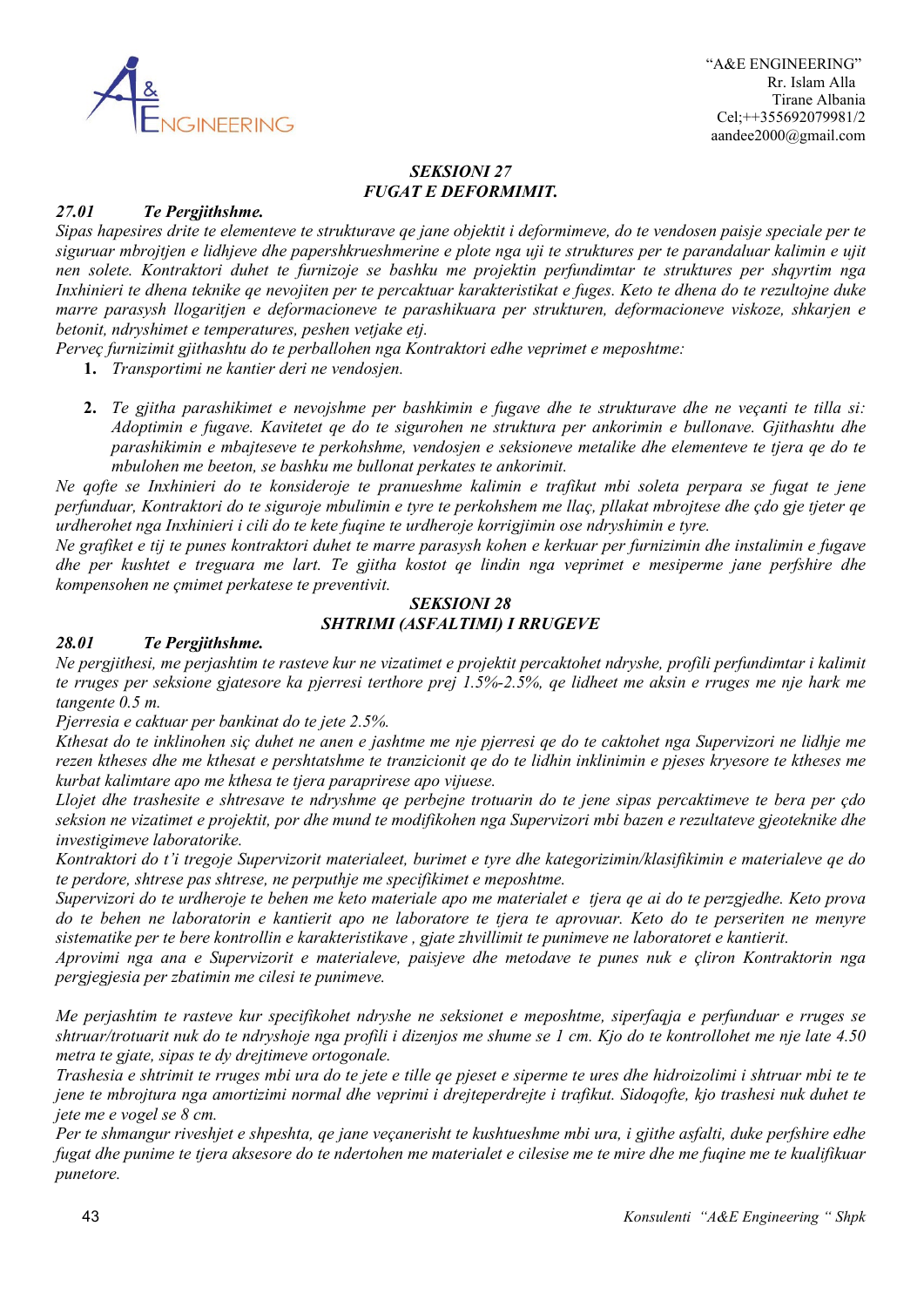

### *SEKSIONI 27 FUGAT E DEFORMIMIT.*

### *27.01 Te Pergjithshme.*

*Sipas hapesires drite te elementeve te strukturave qe jane objektit i deformimeve, do te vendosen paisje speciale per te siguruar mbrojtjen e lidhjeve dhe papershkrueshmerine e plote nga uji te struktures per te parandaluar kalimin e ujit nen solete. Kontraktori duhet te furnizoje se bashku me projektin perfundimtar te struktures per shqyrtim nga Inxhinieri te dhena teknike qe nevojiten per te percaktuar karakteristikat e fuges. Keto te dhena do te rezultojne duke marre parasysh llogaritjen e deformacioneve te parashikuara per strukturen, deformacioneve viskoze, shkarjen e betonit, ndryshimet e temperatures, peshen vetjake etj.*

- *Perveç furnizimit gjithashtu do te perballohen nga Kontraktori edhe veprimet e meposhtme:*
	- **1.** *Transportimi ne kantier deri ne vendosjen.*
	- **2.** *Te gjitha parashikimet e nevojshme per bashkimin e fugave dhe te strukturave dhe ne veçanti te tilla si: Adoptimin e fugave. Kavitetet qe do te sigurohen ne struktura per ankorimin e bullonave. Gjithashtu dhe parashikimin e mbajteseve te perkohshme, vendosjen e seksioneve metalike dhe elementeve te tjera qe do te mbulohen me beeton, se bashku me bullonat perkates te ankorimit.*

*Ne qofte se Inxhinieri do te konsideroje te pranueshme kalimin e trafikut mbi soleta perpara se fugat te jene perfunduar, Kontraktori do te siguroje mbulimin e tyre te perkohshem me llaç, pllakat mbrojtese dhe çdo gje tjeter qe urdherohet nga Inxhinieri i cili do te kete fuqine te urdheroje korrigjimin ose ndryshimin e tyre.*

*Ne grafiket e tij te punes kontraktori duhet te marre parasysh kohen e kerkuar per furnizimin dhe instalimin e fugave dhe per kushtet e treguara me lart. Te gjitha kostot qe lindin nga veprimet e mesiperme jane perfshire dhe kompensohen ne çmimet perkatese te preventivit.*

### *SEKSIONI 28 SHTRIMI (ASFALTIMI) I RRUGEVE*

### *28.01 Te Pergjithshme.*

*Ne pergjithesi, me perjashtim te rasteve kur ne vizatimet e projektit percaktohet ndryshe, profili perfundimtar i kalimit te rruges per seksione gjatesore ka pjerresi terthore prej 1.5%-2.5%, qe lidheet me aksin e rruges me nje hark me tangente 0.5 m.*

*Pjerresia e caktuar per bankinat do te jete 2.5%.*

*Kthesat do te inklinohen siç duhet ne anen e jashtme me nje pjerresi qe do te caktohet nga Supervizori ne lidhje me rezen ktheses dhe me kthesat e pershtatshme te tranzicionit qe do te lidhin inklinimin e pjeses kryesore te ktheses me kurbat kalimtare apo me kthesa te tjera paraprirese apo vijuese.*

*Llojet dhe trashesite e shtresave te ndryshme qe perbejne trotuarin do te jene sipas percaktimeve te bera per çdo seksion ne vizatimet e projektit, por dhe mund te modifikohen nga Supervizori mbi bazen e rezultateve gjeoteknike dhe investigimeve laboratorike.*

*Kontraktori do t'i tregoje Supervizorit materialeet, burimet e tyre dhe kategorizimin/klasifikimin e materialeve qe do te perdore, shtrese pas shtrese, ne perputhje me specifikimet e meposhtme.*

*Supervizori do te urdheroje te behen me keto materiale apo me materialet e tjera qe ai do te perzgjedhe. Keto prova do te behen ne laboratorin e kantierit apo ne laboratore te tjera te aprovuar. Keto do te perseriten ne menyre sistematike per te bere kontrollin e karakteristikave , gjate zhvillimit te punimeve ne laboratoret e kantierit.*

*Aprovimi nga ana e Supervizorit e materialeve, paisjeve dhe metodave te punes nuk e çliron Kontraktorin nga pergjegjesia per zbatimin me cilesi te punimeve.*

*Me perjashtim te rasteve kur specifikohet ndryshe ne seksionet e meposhtme, siperfaqja e perfunduar e rruges se shtruar/trotuarit nuk do te ndryshoje nga profili i dizenjos me shume se 1 cm. Kjo do te kontrollohet me nje late 4.50 metra te gjate, sipas te dy drejtimeve ortogonale.*

*Trashesia e shtrimit te rruges mbi ura do te jete e tille qe pjeset e siperme te ures dhe hidroizolimi i shtruar mbi te te jene te mbrojtura nga amortizimi normal dhe veprimi i drejteperdrejte i trafikut. Sidoqofte, kjo trashesi nuk duhet te jete me e vogel se 8 cm.*

*Per te shmangur riveshjet e shpeshta, qe jane veçanerisht te kushtueshme mbi ura, i gjithe asfalti, duke perfshire edhe fugat dhe punime te tjera aksesore do te ndertohen me materialet e cilesise me te mire dhe me fuqine me te kualifikuar punetore.*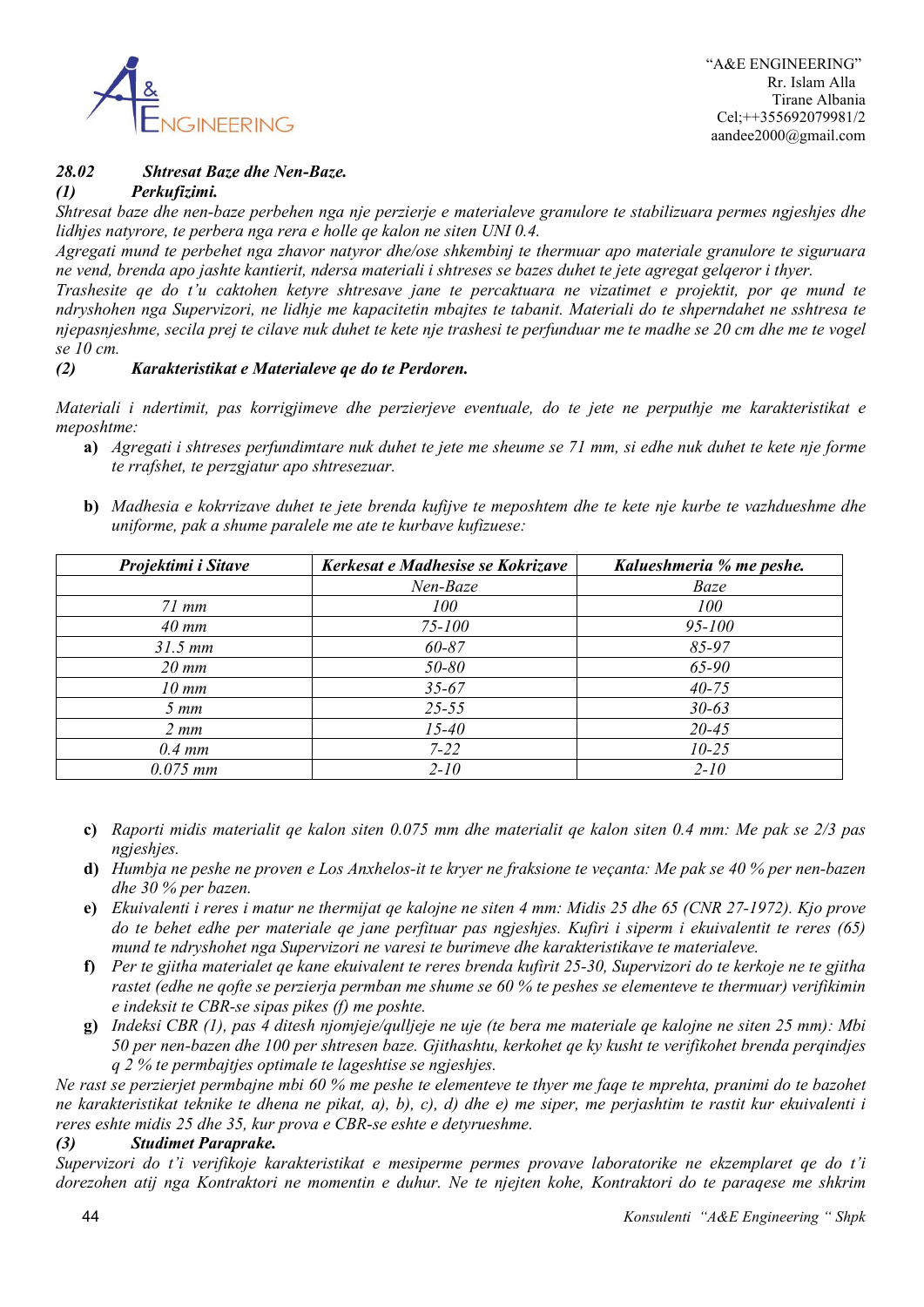

# *28.02 Shtresat Baze dhe Nen-Baze.*

*(1) Perkufizimi.*

*Shtresat baze dhe nen-baze perbehen nga nje perzierje e materialeve granulore te stabilizuara permes ngjeshjes dhe lidhjes natyrore, te perbera nga rera e holle qe kalon ne siten UNI 0.4.*

*Agregati mund te perbehet nga zhavor natyror dhe/ose shkembinj te thermuar apo materiale granulore te siguruara ne vend, brenda apo jashte kantierit, ndersa materiali i shtreses se bazes duhet te jete agregat gelqeror i thyer.*

*Trashesite qe do t'u caktohen ketyre shtresave jane te percaktuara ne vizatimet e projektit, por qe mund te ndryshohen nga Supervizori, ne lidhje me kapacitetin mbajtes te tabanit. Materiali do te shperndahet ne sshtresa te njepasnjeshme, secila prej te cilave nuk duhet te kete nje trashesi te perfunduar me te madhe se 20 cm dhe me te vogel se 10 cm.*

# *(2) Karakteristikat e Materialeve qe do te Perdoren.*

*Materiali i ndertimit, pas korrigjimeve dhe perzierjeve eventuale, do te jete ne perputhje me karakteristikat e meposhtme:*

- **a)** *Agregati i shtreses perfundimtare nuk duhet te jete me sheume se 71 mm, si edhe nuk duhet te kete nje forme te rrafshet, te perzgjatur apo shtresezuar.*
- **b)** *Madhesia e kokrrizave duhet te jete brenda kufijve te meposhtem dhe te kete nje kurbe te vazhdueshme dhe uniforme, pak a shume paralele me ate te kurbave kufizuese:*

| Projektimi i Sitave | Kerkesat e Madhesise se Kokrizave | Kalueshmeria % me peshe. |
|---------------------|-----------------------------------|--------------------------|
|                     | Nen-Baze                          | Baze                     |
| $71$ mm             | 100                               | 100                      |
| $40$ mm             | $75 - 100$                        | $95 - 100$               |
| $31.5 \, \text{mm}$ | $60 - 87$                         | $85 - 97$                |
| $20 \, \text{mm}$   | 50-80                             | 65-90                    |
| $10 \, \text{mm}$   | $35 - 67$                         | $40 - 75$                |
| $5 \, mm$           | $25 - 55$                         | $30 - 63$                |
| $2 \, mm$           | $15 - 40$                         | $20 - 45$                |
| $0.4 \, \text{mm}$  | $7 - 22$                          | $10 - 25$                |
| $0.075$ mm          | $2 - 10$                          | $2 - 10$                 |

- **c)** *Raporti midis materialit qe kalon siten 0.075 mm dhe materialit qe kalon siten 0.4 mm: Me pak se 2/3 pas ngjeshjes.*
- **d)** *Humbja ne peshe ne proven e Los Anxhelos-it te kryer ne fraksione te veçanta: Me pak se 40 % per nen-bazen dhe 30 % per bazen.*
- **e)** *Ekuivalenti i reres i matur ne thermijat qe kalojne ne siten 4 mm: Midis 25 dhe 65 (CNR 27-1972). Kjo prove do te behet edhe per materiale qe jane perfituar pas ngjeshjes. Kufiri i siperm i ekuivalentit te reres (65) mund te ndryshohet nga Supervizori ne varesi te burimeve dhe karakteristikave te materialeve.*
- **f)** *Per te gjitha materialet qe kane ekuivalent te reres brenda kufirit 25-30, Supervizori do te kerkoje ne te gjitha rastet (edhe ne qofte se perzierja permban me shume se 60 % te peshes se elementeve te thermuar) verifikimin e indeksit te CBR-se sipas pikes (f) me poshte.*
- **g)** *Indeksi CBR (1), pas 4 ditesh njomjeje/qulljeje ne uje (te bera me materiale qe kalojne ne siten 25 mm): Mbi 50 per nen-bazen dhe 100 per shtresen baze. Gjithashtu, kerkohet qe ky kusht te verifikohet brenda perqindjes q 2 % te permbajtjes optimale te lageshtise se ngjeshjes.*

*Ne rast se perzierjet permbajne mbi 60 % me peshe te elementeve te thyer me faqe te mprehta, pranimi do te bazohet ne karakteristikat teknike te dhena ne pikat, a), b), c), d) dhe e) me siper, me perjashtim te rastit kur ekuivalenti i reres eshte midis 25 dhe 35, kur prova e CBR-se eshte e detyrueshme.*

# *(3) Studimet Paraprake.*

*Supervizori do t'i verifikoje karakteristikat e mesiperme permes provave laboratorike ne ekzemplaret qe do t'i dorezohen atij nga Kontraktori ne momentin e duhur. Ne te njejten kohe, Kontraktori do te paraqese me shkrim*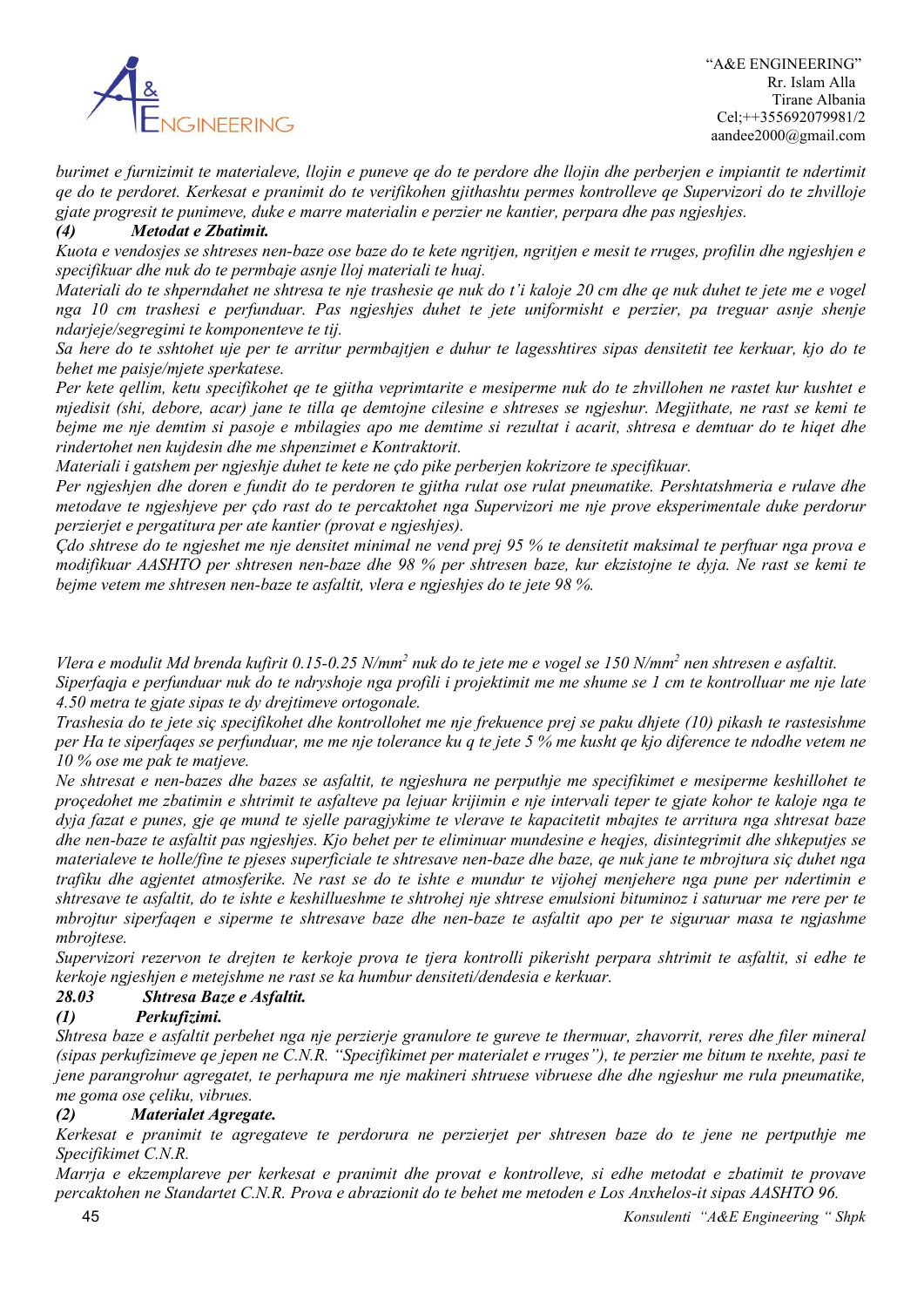

*burimet e furnizimit te materialeve, llojin e puneve qe do te perdore dhe llojin dhe perberjen e impiantit te ndertimit qe do te perdoret. Kerkesat e pranimit do te verifikohen gjithashtu permes kontrolleve qe Supervizori do te zhvilloje gjate progresit te punimeve, duke e marre materialin e perzier ne kantier, perpara dhe pas ngjeshjes.*

# *(4) Metodat e Zbatimit.*

*Kuota e vendosjes se shtreses nen-baze ose baze do te kete ngritjen, ngritjen e mesit te rruges, profilin dhe ngjeshjen e specifikuar dhe nuk do te permbaje asnje lloj materiali te huaj.*

*Materiali do te shperndahet ne shtresa te nje trashesie qe nuk do t'i kaloje 20 cm dhe qe nuk duhet te jete me e vogel nga 10 cm trashesi e perfunduar. Pas ngjeshjes duhet te jete uniformisht e perzier, pa treguar asnje shenje ndarjeje/segregimi te komponenteve te tij.*

*Sa here do te sshtohet uje per te arritur permbajtjen e duhur te lagesshtires sipas densitetit tee kerkuar, kjo do te behet me paisje/mjete sperkatese.*

*Per kete qellim, ketu specifikohet qe te gjitha veprimtarite e mesiperme nuk do te zhvillohen ne rastet kur kushtet e mjedisit (shi, debore, acar) jane te tilla qe demtojne cilesine e shtreses se ngjeshur. Megjithate, ne rast se kemi te bejme me nje demtim si pasoje e mbilagies apo me demtime si rezultat i acarit, shtresa e demtuar do te hiqet dhe rindertohet nen kujdesin dhe me shpenzimet e Kontraktorit.*

*Materiali i gatshem per ngjeshje duhet te kete ne çdo pike perberjen kokrizore te specifikuar.*

*Per ngjeshjen dhe doren e fundit do te perdoren te gjitha rulat ose rulat pneumatike. Pershtatshmeria e rulave dhe metodave te ngjeshjeve per çdo rast do te percaktohet nga Supervizori me nje prove eksperimentale duke perdorur perzierjet e pergatitura per ate kantier (provat e ngjeshjes).*

*Çdo shtrese do te ngjeshet me nje densitet minimal ne vend prej 95 % te densitetit maksimal te perftuar nga prova e modifikuar AASHTO per shtresen nen-baze dhe 98 % per shtresen baze, kur ekzistojne te dyja. Ne rast se kemi te bejme vetem me shtresen nen-baze te asfaltit, vlera e ngjeshjes do te jete 98 %.*

*Vlera e modulit Md brenda kufirit 0.15-0.25 N/mm2 nuk do te jete me e vogel se 150 N/mm2 nen shtresen e asfaltit. Siperfaqja e perfunduar nuk do te ndryshoje nga profili i projektimit me me shume se 1 cm te kontrolluar me nje late 4.50 metra te gjate sipas te dy drejtimeve ortogonale.*

*Trashesia do te jete siç specifikohet dhe kontrollohet me nje frekuence prej se paku dhjete (10) pikash te rastesishme per Ha te siperfaqes se perfunduar, me me nje tolerance ku q te jete 5 % me kusht qe kjo diference te ndodhe vetem ne 10 % ose me pak te matjeve.*

*Ne shtresat e nen-bazes dhe bazes se asfaltit, te ngjeshura ne perputhje me specifikimet e mesiperme keshillohet te proçedohet me zbatimin e shtrimit te asfalteve pa lejuar krijimin e nje intervali teper te gjate kohor te kaloje nga te dyja fazat e punes, gje qe mund te sjelle paragjykime te vlerave te kapacitetit mbajtes te arritura nga shtresat baze dhe nen-baze te asfaltit pas ngjeshjes. Kjo behet per te eliminuar mundesine e heqjes, disintegrimit dhe shkeputjes se materialeve te holle/fine te pjeses superficiale te shtresave nen-baze dhe baze, qe nuk jane te mbrojtura siç duhet nga trafiku dhe agjentet atmosferike. Ne rast se do te ishte e mundur te vijohej menjehere nga pune per ndertimin e shtresave te asfaltit, do te ishte e keshillueshme te shtrohej nje shtrese emulsioni bituminoz i saturuar me rere per te mbrojtur siperfaqen e siperme te shtresave baze dhe nen-baze te asfaltit apo per te siguruar masa te ngjashme mbrojtese.*

*Supervizori rezervon te drejten te kerkoje prova te tjera kontrolli pikerisht perpara shtrimit te asfaltit, si edhe te kerkoje ngjeshjen e metejshme ne rast se ka humbur densiteti/dendesia e kerkuar.*

# *28.03 Shtresa Baze e Asfaltit.*

# *(1) Perkufizimi.*

*Shtresa baze e asfaltit perbehet nga nje perzierje granulore te gureve te thermuar, zhavorrit, reres dhe filer mineral (sipas perkufizimeve qe jepen ne C.N.R. "Specifikimet per materialet e rruges"), te perzier me bitum te nxehte, pasi te jene parangrohur agregatet, te perhapura me nje makineri shtruese vibruese dhe dhe ngjeshur me rula pneumatike, me goma ose çeliku, vibrues.*

# *(2) Materialet Agregate.*

*Kerkesat e pranimit te agregateve te perdorura ne perzierjet per shtresen baze do te jene ne pertputhje me Specifikimet C.N.R.*

*Marrja e ekzemplareve per kerkesat e pranimit dhe provat e kontrolleve, si edhe metodat e zbatimit te provave percaktohen ne Standartet C.N.R. Prova e abrazionit do te behet me metoden e Los Anxhelos-it sipas AASHTO 96.*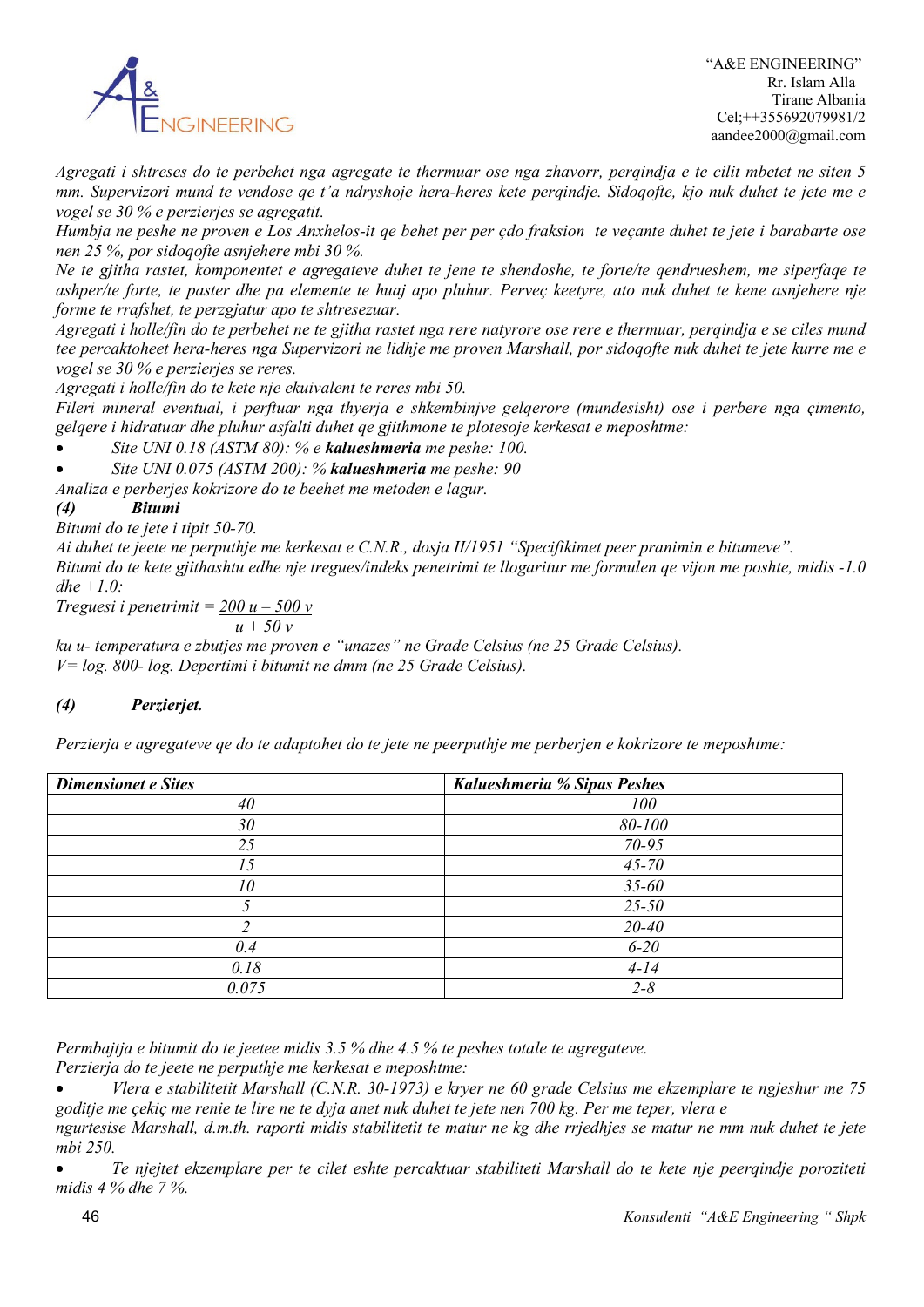

*Agregati i shtreses do te perbehet nga agregate te thermuar ose nga zhavorr, perqindja e te cilit mbetet ne siten 5 mm. Supervizori mund te vendose qe t'a ndryshoje hera-heres kete perqindje. Sidoqofte, kjo nuk duhet te jete me e vogel se 30 % e perzierjes se agregatit.*

*Humbja ne peshe ne proven e Los Anxhelos-it qe behet per per çdo fraksion te veçante duhet te jete i barabarte ose nen 25 %, por sidoqofte asnjehere mbi 30 %.*

*Ne te gjitha rastet, komponentet e agregateve duhet te jene te shendoshe, te forte/te qendrueshem, me siperfaqe te ashper/te forte, te paster dhe pa elemente te huaj apo pluhur. Perveç keetyre, ato nuk duhet te kene asnjehere nje forme te rrafshet, te perzgjatur apo te shtresezuar.*

*Agregati i holle/fin do te perbehet ne te gjitha rastet nga rere natyrore ose rere e thermuar, perqindja e se ciles mund tee percaktoheet hera-heres nga Supervizori ne lidhje me proven Marshall, por sidoqofte nuk duhet te jete kurre me e vogel se 30 % e perzierjes se reres.*

*Agregati i holle/fin do te kete nje ekuivalent te reres mbi 50.*

*Fileri mineral eventual, i perftuar nga thyerja e shkembinjve gelqerore (mundesisht) ose i perbere nga çimento, gelqere i hidratuar dhe pluhur asfalti duhet qe gjithmone te plotesoje kerkesat e meposhtme:*

• *Site UNI 0.18 (ASTM 80): % e kalueshmeria me peshe: 100.*

• *Site UNI 0.075 (ASTM 200): % kalueshmeria me peshe: 90*

*Analiza e perberjes kokrizore do te beehet me metoden e lagur.*

# *(4) Bitumi*

*Bitumi do te jete i tipit 50-70.*

*Ai duhet te jeete ne perputhje me kerkesat e C.N.R., dosja II/1951 "Specifikimet peer pranimin e bitumeve". Bitumi do te kete gjithashtu edhe nje tregues/indeks penetrimi te llogaritur me formulen qe vijon me poshte, midis -1.0 dhe +1.0:*

*Treguesi i penetrimit = 200 u – 500 v*

 $u + 50v$ 

*ku u- temperatura e zbutjes me proven e "unazes" ne Grade Celsius (ne 25 Grade Celsius). V= log. 800- log. Depertimi i bitumit ne dmm (ne 25 Grade Celsius).*

# *(4) Perzierjet.*

*Perzierja e agregateve qe do te adaptohet do te jete ne peerputhje me perberjen e kokrizore te meposhtme:*

| <b>Dimensionet e Sites</b> | Kalueshmeria % Sipas Peshes |
|----------------------------|-----------------------------|
| 40                         | 100                         |
| 30                         | 80-100                      |
| 25                         | $70 - 95$                   |
| 15                         | $45 - 70$                   |
| 10                         | $35 - 60$                   |
|                            | $25 - 50$                   |
|                            | $20 - 40$                   |
| 0.4                        | $6 - 20$                    |
| 0.18                       | $4 - 14$                    |
| 0.075                      | $2 - 8$                     |

*Permbajtja e bitumit do te jeetee midis 3.5 % dhe 4.5 % te peshes totale te agregateve.*

*Perzierja do te jeete ne perputhje me kerkesat e meposhtme:*

• *Vlera e stabilitetit Marshall (C.N.R. 30-1973) e kryer ne 60 grade Celsius me ekzemplare te ngjeshur me 75 goditje me çekiç me renie te lire ne te dyja anet nuk duhet te jete nen 700 kg. Per me teper, vlera e* 

*ngurtesise Marshall, d.m.th. raporti midis stabilitetit te matur ne kg dhe rrjedhjes se matur ne mm nuk duhet te jete mbi 250.*

• *Te njejtet ekzemplare per te cilet eshte percaktuar stabiliteti Marshall do te kete nje peerqindje poroziteti midis 4 % dhe 7 %.*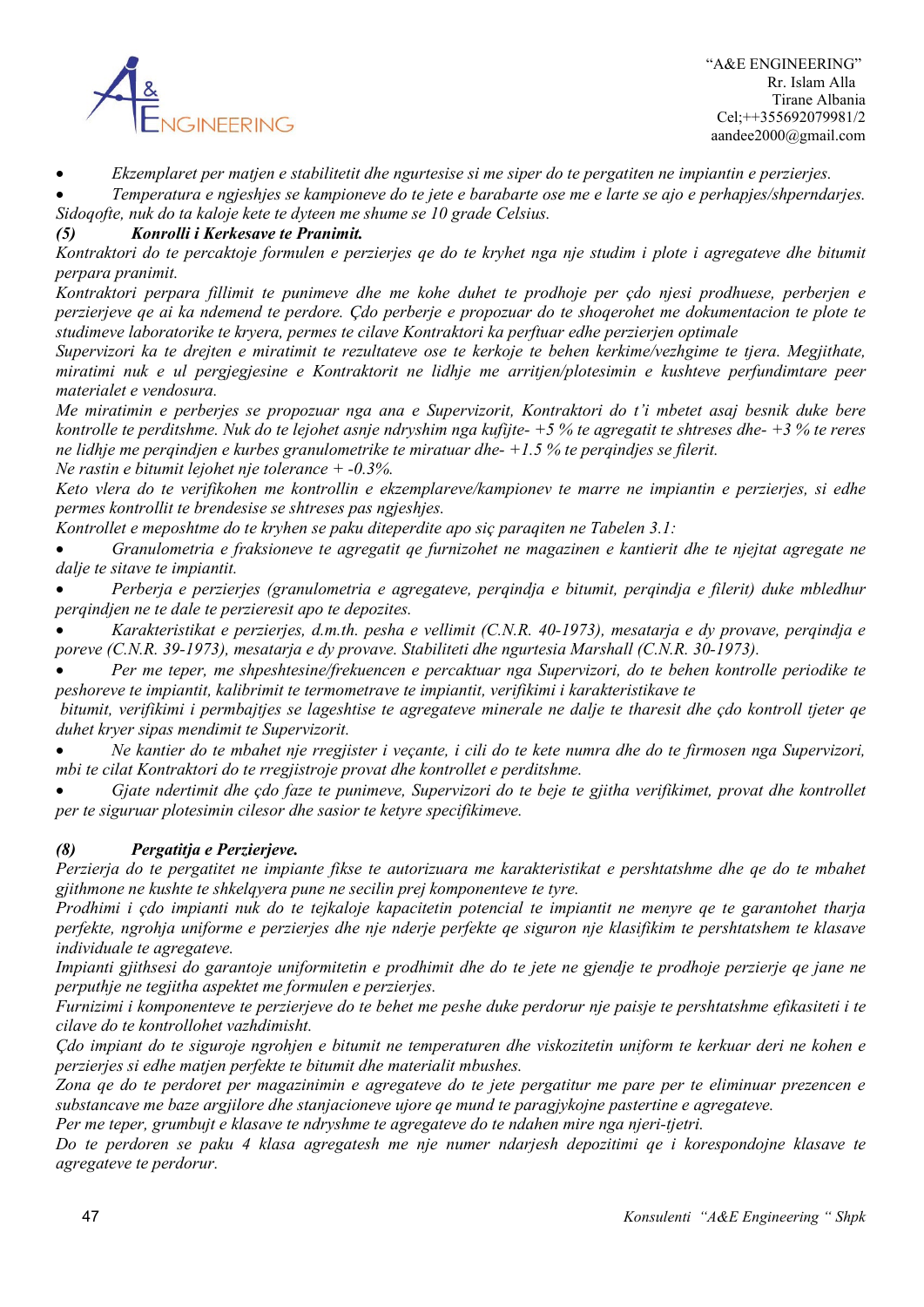

• *Ekzemplaret per matjen e stabilitetit dhe ngurtesise si me siper do te pergatiten ne impiantin e perzierjes.*

• *Temperatura e ngjeshjes se kampioneve do te jete e barabarte ose me e larte se ajo e perhapjes/shperndarjes. Sidoqofte, nuk do ta kaloje kete te dyteen me shume se 10 grade Celsius.*

# *(5) Konrolli i Kerkesave te Pranimit.*

*Kontraktori do te percaktoje formulen e perzierjes qe do te kryhet nga nje studim i plote i agregateve dhe bitumit perpara pranimit.*

*Kontraktori perpara fillimit te punimeve dhe me kohe duhet te prodhoje per çdo njesi prodhuese, perberjen e perzierjeve qe ai ka ndemend te perdore. Çdo perberje e propozuar do te shoqerohet me dokumentacion te plote te studimeve laboratorike te kryera, permes te cilave Kontraktori ka perftuar edhe perzierjen optimale*

*Supervizori ka te drejten e miratimit te rezultateve ose te kerkoje te behen kerkime/vezhgime te tjera. Megjithate, miratimi nuk e ul pergjegjesine e Kontraktorit ne lidhje me arritjen/plotesimin e kushteve perfundimtare peer materialet e vendosura.*

*Me miratimin e perberjes se propozuar nga ana e Supervizorit, Kontraktori do t'i mbetet asaj besnik duke bere kontrolle te perditshme. Nuk do te lejohet asnje ndryshim nga kufijte- +5 % te agregatit te shtreses dhe- +3 % te reres ne lidhje me perqindjen e kurbes granulometrike te miratuar dhe- +1.5 % te perqindjes se filerit.* 

*Ne rastin e bitumit lejohet nje tolerance + -0.3%.*

*Keto vlera do te verifikohen me kontrollin e ekzemplareve/kampionev te marre ne impiantin e perzierjes, si edhe permes kontrollit te brendesise se shtreses pas ngjeshjes.*

*Kontrollet e meposhtme do te kryhen se paku diteperdite apo siç paraqiten ne Tabelen 3.1:*

• *Granulometria e fraksioneve te agregatit qe furnizohet ne magazinen e kantierit dhe te njejtat agregate ne dalje te sitave te impiantit.*

• *Perberja e perzierjes (granulometria e agregateve, perqindja e bitumit, perqindja e filerit) duke mbledhur perqindjen ne te dale te perzieresit apo te depozites.*

• *Karakteristikat e perzierjes, d.m.th. pesha e vellimit (C.N.R. 40-1973), mesatarja e dy provave, perqindja e poreve (C.N.R. 39-1973), mesatarja e dy provave. Stabiliteti dhe ngurtesia Marshall (C.N.R. 30-1973).*

• *Per me teper, me shpeshtesine/frekuencen e percaktuar nga Supervizori, do te behen kontrolle periodike te peshoreve te impiantit, kalibrimit te termometrave te impiantit, verifikimi i karakteristikave te*

*bitumit, verifikimi i permbajtjes se lageshtise te agregateve minerale ne dalje te tharesit dhe çdo kontroll tjeter qe duhet kryer sipas mendimit te Supervizorit.*

• *Ne kantier do te mbahet nje rregjister i veçante, i cili do te kete numra dhe do te firmosen nga Supervizori, mbi te cilat Kontraktori do te rregjistroje provat dhe kontrollet e perditshme.*

• *Gjate ndertimit dhe çdo faze te punimeve, Supervizori do te beje te gjitha verifikimet, provat dhe kontrollet per te siguruar plotesimin cilesor dhe sasior te ketyre specifikimeve.*

# *(8) Pergatitja e Perzierjeve.*

*Perzierja do te pergatitet ne impiante fikse te autorizuara me karakteristikat e pershtatshme dhe qe do te mbahet gjithmone ne kushte te shkelqyera pune ne secilin prej komponenteve te tyre.*

*Prodhimi i çdo impianti nuk do te tejkaloje kapacitetin potencial te impiantit ne menyre qe te garantohet tharja perfekte, ngrohja uniforme e perzierjes dhe nje nderje perfekte qe siguron nje klasifikim te pershtatshem te klasave individuale te agregateve.*

*Impianti gjithsesi do garantoje uniformitetin e prodhimit dhe do te jete ne gjendje te prodhoje perzierje qe jane ne perputhje ne tegjitha aspektet me formulen e perzierjes.*

*Furnizimi i komponenteve te perzierjeve do te behet me peshe duke perdorur nje paisje te pershtatshme efikasiteti i te cilave do te kontrollohet vazhdimisht.*

*Çdo impiant do te siguroje ngrohjen e bitumit ne temperaturen dhe viskozitetin uniform te kerkuar deri ne kohen e perzierjes si edhe matjen perfekte te bitumit dhe materialit mbushes.*

*Zona qe do te perdoret per magazinimin e agregateve do te jete pergatitur me pare per te eliminuar prezencen e substancave me baze argjilore dhe stanjacioneve ujore qe mund te paragjykojne pastertine e agregateve.*

*Per me teper, grumbujt e klasave te ndryshme te agregateve do te ndahen mire nga njeri-tjetri.*

*Do te perdoren se paku 4 klasa agregatesh me nje numer ndarjesh depozitimi qe i korespondojne klasave te agregateve te perdorur.*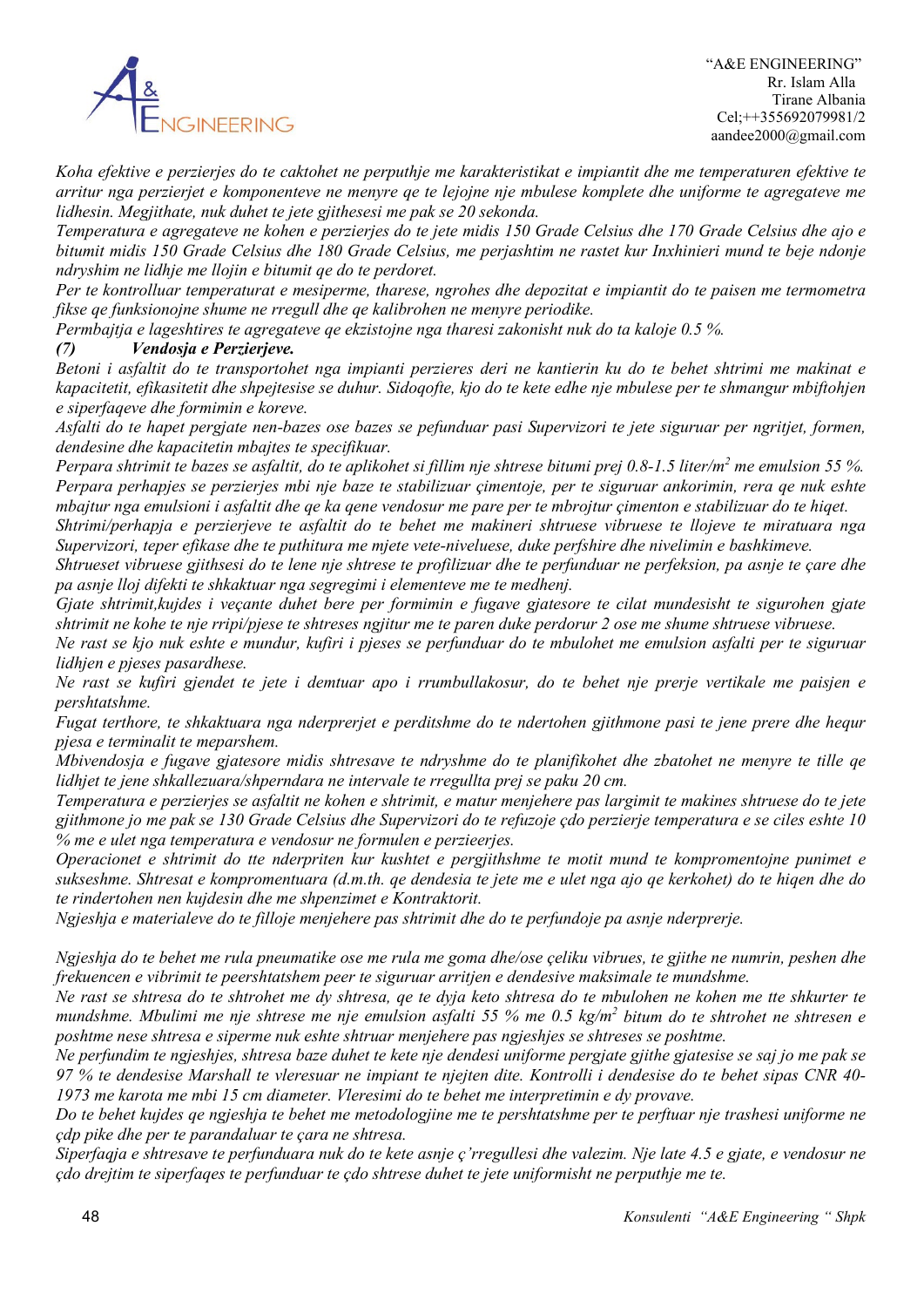

*Koha efektive e perzierjes do te caktohet ne perputhje me karakteristikat e impiantit dhe me temperaturen efektive te arritur nga perzierjet e komponenteve ne menyre qe te lejojne nje mbulese komplete dhe uniforme te agregateve me lidhesin. Megjithate, nuk duhet te jete gjithesesi me pak se 20 sekonda.*

*Temperatura e agregateve ne kohen e perzierjes do te jete midis 150 Grade Celsius dhe 170 Grade Celsius dhe ajo e bitumit midis 150 Grade Celsius dhe 180 Grade Celsius, me perjashtim ne rastet kur Inxhinieri mund te beje ndonje ndryshim ne lidhje me llojin e bitumit qe do te perdoret.*

*Per te kontrolluar temperaturat e mesiperme, tharese, ngrohes dhe depozitat e impiantit do te paisen me termometra fikse qe funksionojne shume ne rregull dhe qe kalibrohen ne menyre periodike.*

*Permbajtja e lageshtires te agregateve qe ekzistojne nga tharesi zakonisht nuk do ta kaloje 0.5 %.*

# *(7) Vendosja e Perzierjeve.*

*Betoni i asfaltit do te transportohet nga impianti perzieres deri ne kantierin ku do te behet shtrimi me makinat e kapacitetit, efikasitetit dhe shpejtesise se duhur. Sidoqofte, kjo do te kete edhe nje mbulese per te shmangur mbiftohjen e siperfaqeve dhe formimin e koreve.*

*Asfalti do te hapet pergjate nen-bazes ose bazes se pefunduar pasi Supervizori te jete siguruar per ngritjet, formen, dendesine dhe kapacitetin mbajtes te specifikuar.*

*Perpara shtrimit te bazes se asfaltit, do te aplikohet si fillim nje shtrese bitumi prej 0.8-1.5 liter/m2 me emulsion 55 %. Perpara perhapjes se perzierjes mbi nje baze te stabilizuar çimentoje, per te siguruar ankorimin, rera qe nuk eshte mbajtur nga emulsioni i asfaltit dhe qe ka qene vendosur me pare per te mbrojtur çimenton e stabilizuar do te hiqet.*

*Shtrimi/perhapja e perzierjeve te asfaltit do te behet me makineri shtruese vibruese te llojeve te miratuara nga Supervizori, teper efikase dhe te puthitura me mjete vete-niveluese, duke perfshire dhe nivelimin e bashkimeve.*

*Shtrueset vibruese gjithsesi do te lene nje shtrese te profilizuar dhe te perfunduar ne perfeksion, pa asnje te çare dhe pa asnje lloj difekti te shkaktuar nga segregimi i elementeve me te medhenj.*

*Gjate shtrimit,kujdes i veçante duhet bere per formimin e fugave gjatesore te cilat mundesisht te sigurohen gjate shtrimit ne kohe te nje rripi/pjese te shtreses ngjitur me te paren duke perdorur 2 ose me shume shtruese vibruese.*

*Ne rast se kjo nuk eshte e mundur, kufiri i pjeses se perfunduar do te mbulohet me emulsion asfalti per te siguruar lidhjen e pjeses pasardhese.*

*Ne rast se kufiri gjendet te jete i demtuar apo i rrumbullakosur, do te behet nje prerje vertikale me paisjen e pershtatshme.*

*Fugat terthore, te shkaktuara nga nderprerjet e perditshme do te ndertohen gjithmone pasi te jene prere dhe hequr pjesa e terminalit te meparshem.*

*Mbivendosja e fugave gjatesore midis shtresave te ndryshme do te planifikohet dhe zbatohet ne menyre te tille qe lidhjet te jene shkallezuara/shperndara ne intervale te rregullta prej se paku 20 cm.*

*Temperatura e perzierjes se asfaltit ne kohen e shtrimit, e matur menjehere pas largimit te makines shtruese do te jete gjithmone jo me pak se 130 Grade Celsius dhe Supervizori do te refuzoje çdo perzierje temperatura e se ciles eshte 10 % me e ulet nga temperatura e vendosur ne formulen e perzieerjes.*

*Operacionet e shtrimit do tte nderpriten kur kushtet e pergjithshme te motit mund te kompromentojne punimet e sukseshme. Shtresat e kompromentuara (d.m.th. qe dendesia te jete me e ulet nga ajo qe kerkohet) do te hiqen dhe do te rindertohen nen kujdesin dhe me shpenzimet e Kontraktorit.*

*Ngjeshja e materialeve do te filloje menjehere pas shtrimit dhe do te perfundoje pa asnje nderprerje.*

*Ngjeshja do te behet me rula pneumatike ose me rula me goma dhe/ose çeliku vibrues, te gjithe ne numrin, peshen dhe frekuencen e vibrimit te peershtatshem peer te siguruar arritjen e dendesive maksimale te mundshme.*

*Ne rast se shtresa do te shtrohet me dy shtresa, qe te dyja keto shtresa do te mbulohen ne kohen me tte shkurter te mundshme. Mbulimi me nje shtrese me nje emulsion asfalti 55 % me 0.5 kg/m2 bitum do te shtrohet ne shtresen e poshtme nese shtresa e siperme nuk eshte shtruar menjehere pas ngjeshjes se shtreses se poshtme.*

*Ne perfundim te ngjeshjes, shtresa baze duhet te kete nje dendesi uniforme pergjate gjithe gjatesise se saj jo me pak se 97 % te dendesise Marshall te vleresuar ne impiant te njejten dite. Kontrolli i dendesise do te behet sipas CNR 40- 1973 me karota me mbi 15 cm diameter. Vleresimi do te behet me interpretimin e dy provave.*

*Do te behet kujdes qe ngjeshja te behet me metodologjine me te pershtatshme per te perftuar nje trashesi uniforme ne çdp pike dhe per te parandaluar te çara ne shtresa.*

*Siperfaqja e shtresave te perfunduara nuk do te kete asnje ç'rregullesi dhe valezim. Nje late 4.5 e gjate, e vendosur ne çdo drejtim te siperfaqes te perfunduar te çdo shtrese duhet te jete uniformisht ne perputhje me te.*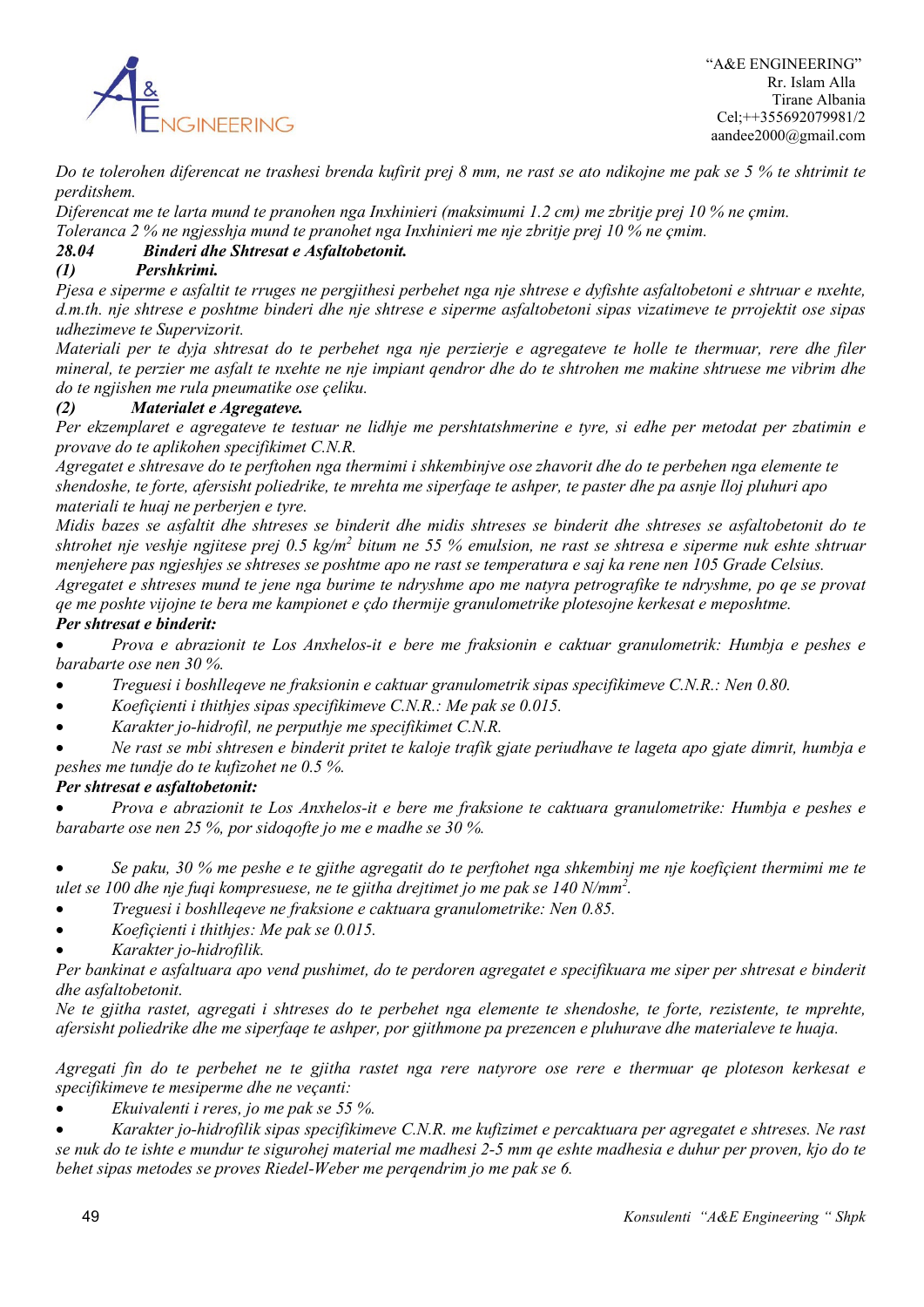

*Do te tolerohen diferencat ne trashesi brenda kufirit prej 8 mm, ne rast se ato ndikojne me pak se 5 % te shtrimit te perditshem.* 

*Diferencat me te larta mund te pranohen nga Inxhinieri (maksimumi 1.2 cm) me zbritje prej 10 % ne çmim.*

*Toleranca 2 % ne ngjesshja mund te pranohet nga Inxhinieri me nje zbritje prej 10 % ne çmim.*

# *28.04 Binderi dhe Shtresat e Asfaltobetonit.*

# *(1) Pershkrimi.*

*Pjesa e siperme e asfaltit te rruges ne pergjithesi perbehet nga nje shtrese e dyfishte asfaltobetoni e shtruar e nxehte, d.m.th. nje shtrese e poshtme binderi dhe nje shtrese e siperme asfaltobetoni sipas vizatimeve te prrojektit ose sipas udhezimeve te Supervizorit.*

*Materiali per te dyja shtresat do te perbehet nga nje perzierje e agregateve te holle te thermuar, rere dhe filer mineral, te perzier me asfalt te nxehte ne nje impiant qendror dhe do te shtrohen me makine shtruese me vibrim dhe do te ngjishen me rula pneumatike ose çeliku.*

### *(2) Materialet e Agregateve.*

*Per ekzemplaret e agregateve te testuar ne lidhje me pershtatshmerine e tyre, si edhe per metodat per zbatimin e provave do te aplikohen specifikimet C.N.R.*

*Agregatet e shtresave do te perftohen nga thermimi i shkembinjve ose zhavorit dhe do te perbehen nga elemente te shendoshe, te forte, afersisht poliedrike, te mrehta me siperfaqe te ashper, te paster dhe pa asnje lloj pluhuri apo materiali te huaj ne perberjen e tyre.*

*Midis bazes se asfaltit dhe shtreses se binderit dhe midis shtreses se binderit dhe shtreses se asfaltobetonit do te shtrohet nje veshje ngjitese prej 0.5 kg/m2 bitum ne 55 % emulsion, ne rast se shtresa e siperme nuk eshte shtruar menjehere pas ngjeshjes se shtreses se poshtme apo ne rast se temperatura e saj ka rene nen 105 Grade Celsius.* 

*Agregatet e shtreses mund te jene nga burime te ndryshme apo me natyra petrografike te ndryshme, po qe se provat qe me poshte vijojne te bera me kampionet e çdo thermije granulometrike plotesojne kerkesat e meposhtme.*

# *Per shtresat e binderit:*

• *Prova e abrazionit te Los Anxhelos-it e bere me fraksionin e caktuar granulometrik: Humbja e peshes e barabarte ose nen 30 %.*

- *Treguesi i boshlleqeve ne fraksionin e caktuar granulometrik sipas specifikimeve C.N.R.: Nen 0.80.*
- *Koefiçienti i thithjes sipas specifikimeve C.N.R.: Me pak se 0.015.*
- *Karakter jo-hidrofil, ne perputhje me specifikimet C.N.R.*

• *Ne rast se mbi shtresen e binderit pritet te kaloje trafik gjate periudhave te lageta apo gjate dimrit, humbja e peshes me tundje do te kufizohet ne 0.5 %.*

### *Per shtresat e asfaltobetonit:*

• *Prova e abrazionit te Los Anxhelos-it e bere me fraksione te caktuara granulometrike: Humbja e peshes e barabarte ose nen 25 %, por sidoqofte jo me e madhe se 30 %.*

• *Se paku, 30 % me peshe e te gjithe agregatit do te perftohet nga shkembinj me nje koefiçient thermimi me te ulet se 100 dhe nje fuqi kompresuese, ne te gjitha drejtimet jo me pak se 140 N/mm2 .*

- *Treguesi i boshlleqeve ne fraksione e caktuara granulometrike: Nen 0.85.*
- *Koefiçienti i thithjes: Me pak se 0.015.*
- *Karakter jo-hidrofilik.*

*Per bankinat e asfaltuara apo vend pushimet, do te perdoren agregatet e specifikuara me siper per shtresat e binderit dhe asfaltobetonit.*

*Ne te gjitha rastet, agregati i shtreses do te perbehet nga elemente te shendoshe, te forte, rezistente, te mprehte, afersisht poliedrike dhe me siperfaqe te ashper, por gjithmone pa prezencen e pluhurave dhe materialeve te huaja.*

*Agregati fin do te perbehet ne te gjitha rastet nga rere natyrore ose rere e thermuar qe ploteson kerkesat e specifikimeve te mesiperme dhe ne veçanti:*

• *Ekuivalenti i reres, jo me pak se 55 %.*

• *Karakter jo-hidrofilik sipas specifikimeve C.N.R. me kufizimet e percaktuara per agregatet e shtreses. Ne rast se nuk do te ishte e mundur te sigurohej material me madhesi 2-5 mm qe eshte madhesia e duhur per proven, kjo do te behet sipas metodes se proves Riedel-Weber me perqendrim jo me pak se 6.*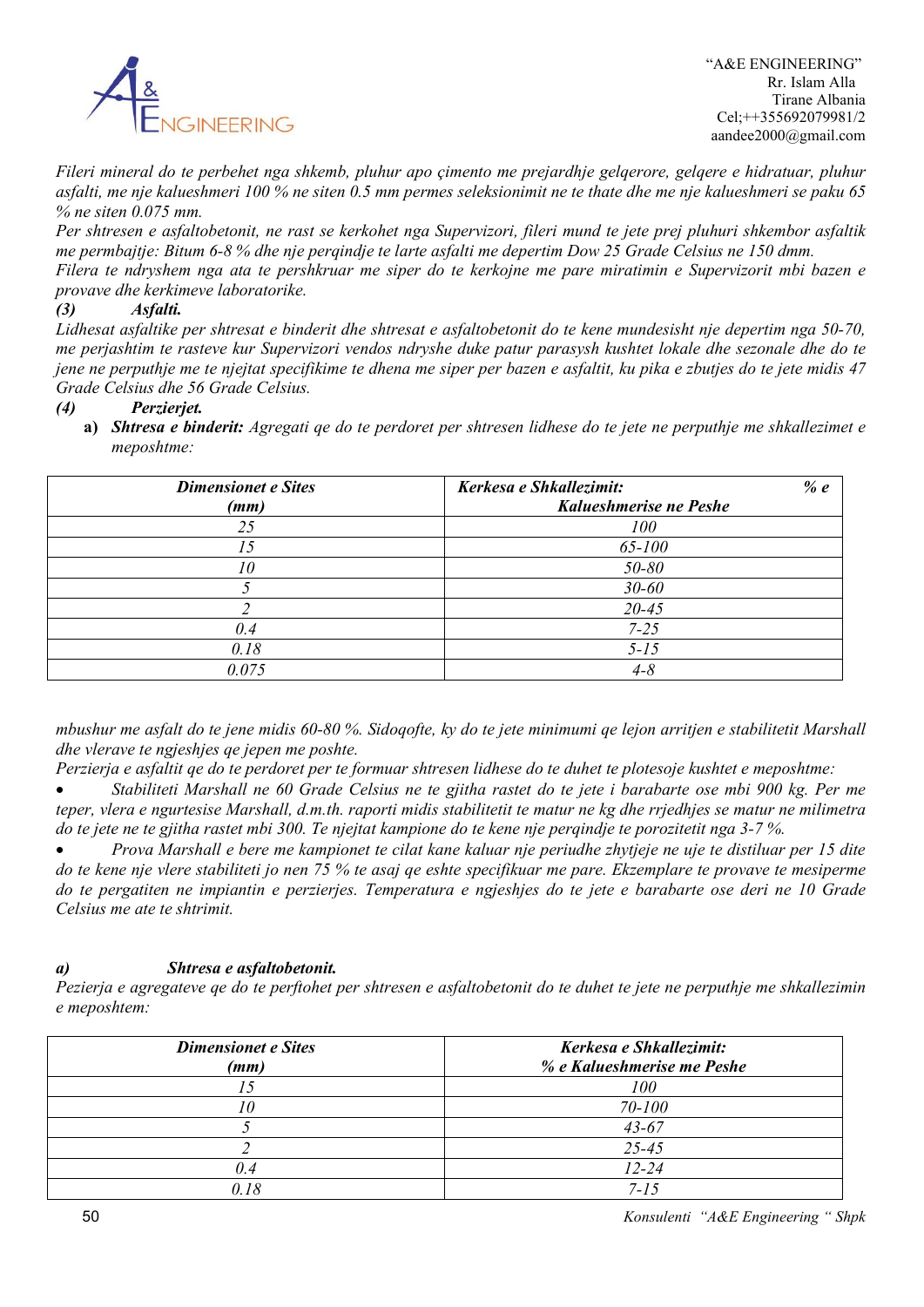

*Fileri mineral do te perbehet nga shkemb, pluhur apo çimento me prejardhje gelqerore, gelqere e hidratuar, pluhur asfalti, me nje kalueshmeri 100 % ne siten 0.5 mm permes seleksionimit ne te thate dhe me nje kalueshmeri se paku 65 % ne siten 0.075 mm.*

*Per shtresen e asfaltobetonit, ne rast se kerkohet nga Supervizori, fileri mund te jete prej pluhuri shkembor asfaltik me permbajtje: Bitum 6-8 % dhe nje perqindje te larte asfalti me depertim Dow 25 Grade Celsius ne 150 dmm. Filera te ndryshem nga ata te pershkruar me siper do te kerkojne me pare miratimin e Supervizorit mbi bazen e provave dhe kerkimeve laboratorike.*

# *(3) Asfalti.*

*Lidhesat asfaltike per shtresat e binderit dhe shtresat e asfaltobetonit do te kene mundesisht nje depertim nga 50-70, me perjashtim te rasteve kur Supervizori vendos ndryshe duke patur parasysh kushtet lokale dhe sezonale dhe do te jene ne perputhje me te njejtat specifikime te dhena me siper per bazen e asfaltit, ku pika e zbutjes do te jete midis 47 Grade Celsius dhe 56 Grade Celsius.*

# *(4) Perzierjet.*

**a)** *Shtresa e binderit: Agregati qe do te perdoret per shtresen lidhese do te jete ne perputhje me shkallezimet e meposhtme:*

| <b>Dimensionet e Sites</b><br>(mm) | Kerkesa e Shkallezimit:<br>% $e$<br>Kalueshmerise ne Peshe |
|------------------------------------|------------------------------------------------------------|
| 25                                 | 100                                                        |
| 15                                 | 65-100                                                     |
| 10                                 | 50-80                                                      |
|                                    | $30 - 60$                                                  |
|                                    | $20 - 45$                                                  |
| 0.4                                | $7 - 25$                                                   |
| 0.18                               | $5 - 15$                                                   |
| 0.075                              | $4 - 8$                                                    |

*mbushur me asfalt do te jene midis 60-80 %. Sidoqofte, ky do te jete minimumi qe lejon arritjen e stabilitetit Marshall dhe vlerave te ngjeshjes qe jepen me poshte.*

*Perzierja e asfaltit qe do te perdoret per te formuar shtresen lidhese do te duhet te plotesoje kushtet e meposhtme:*

• *Stabiliteti Marshall ne 60 Grade Celsius ne te gjitha rastet do te jete i barabarte ose mbi 900 kg. Per me teper, vlera e ngurtesise Marshall, d.m.th. raporti midis stabilitetit te matur ne kg dhe rrjedhjes se matur ne milimetra do te jete ne te gjitha rastet mbi 300. Te njejtat kampione do te kene nje perqindje te porozitetit nga 3-7 %.*

• *Prova Marshall e bere me kampionet te cilat kane kaluar nje periudhe zhytjeje ne uje te distiluar per 15 dite do te kene nje vlere stabiliteti jo nen 75 % te asaj qe eshte specifikuar me pare. Ekzemplare te provave te mesiperme do te pergatiten ne impiantin e perzierjes. Temperatura e ngjeshjes do te jete e barabarte ose deri ne 10 Grade Celsius me ate te shtrimit.*

# *a) Shtresa e asfaltobetonit.*

*Pezierja e agregateve qe do te perftohet per shtresen e asfaltobetonit do te duhet te jete ne perputhje me shkallezimin e meposhtem:*

| <b>Dimensionet e Sites</b><br>(mm) | Kerkesa e Shkallezimit:<br>% e Kalueshmerise me Peshe |
|------------------------------------|-------------------------------------------------------|
|                                    | 100                                                   |
|                                    | 70-100                                                |
|                                    | $43 - 67$                                             |
|                                    | $25 - 45$                                             |
| 0.4                                | $12 - 24$                                             |
|                                    | $7 - 15$                                              |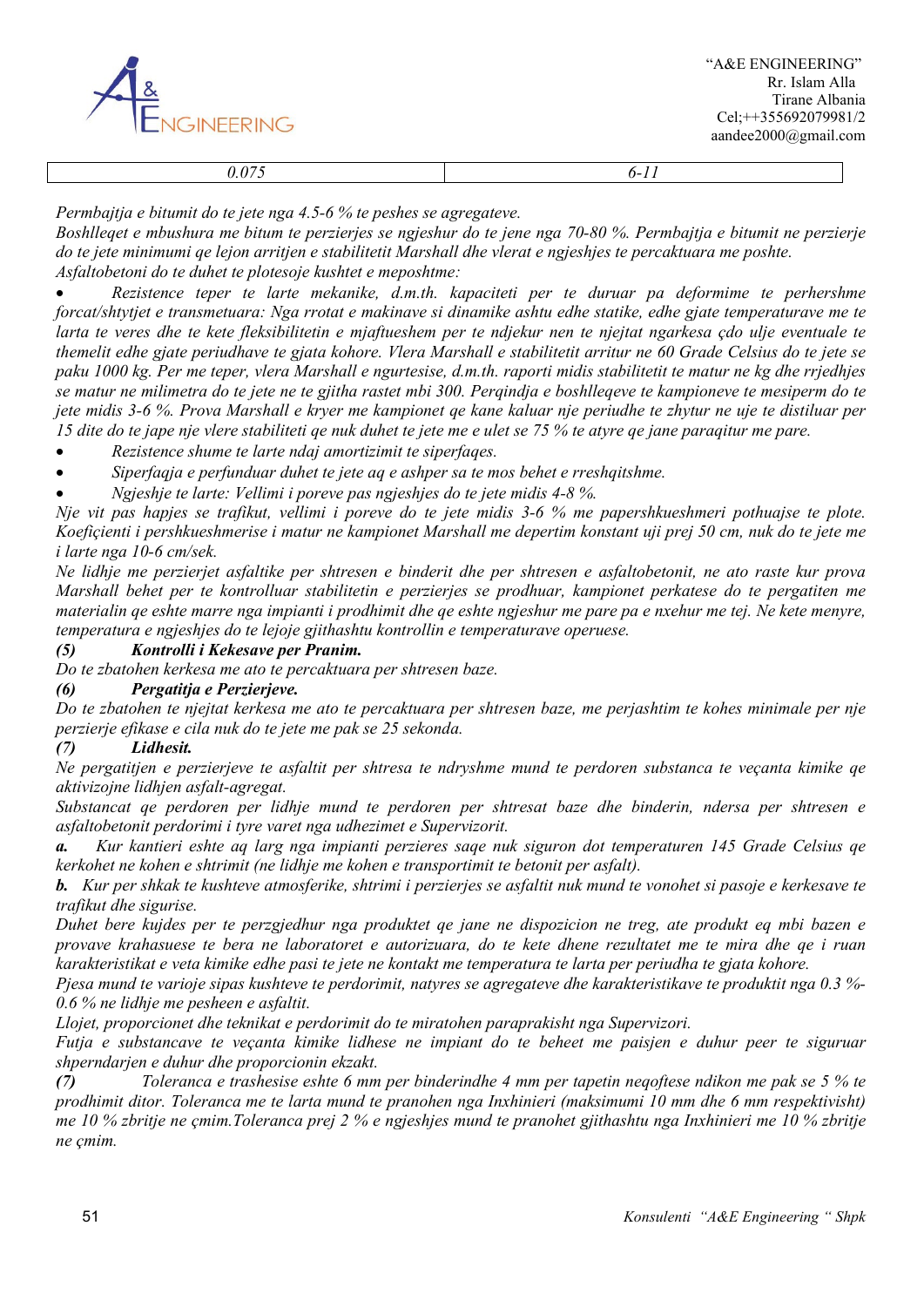

*Permbajtja e bitumit do te jete nga 4.5-6 % te peshes se agregateve.*

*Boshlleqet e mbushura me bitum te perzierjes se ngjeshur do te jene nga 70-80 %. Permbajtja e bitumit ne perzierje do te jete minimumi qe lejon arritjen e stabilitetit Marshall dhe vlerat e ngjeshjes te percaktuara me poshte. Asfaltobetoni do te duhet te plotesoje kushtet e meposhtme:*

• *Rezistence teper te larte mekanike, d.m.th. kapaciteti per te duruar pa deformime te perhershme forcat/shtytjet e transmetuara: Nga rrotat e makinave si dinamike ashtu edhe statike, edhe gjate temperaturave me te larta te veres dhe te kete fleksibilitetin e mjaftueshem per te ndjekur nen te njejtat ngarkesa çdo ulje eventuale te themelit edhe gjate periudhave te gjata kohore. Vlera Marshall e stabilitetit arritur ne 60 Grade Celsius do te jete se paku 1000 kg. Per me teper, vlera Marshall e ngurtesise, d.m.th. raporti midis stabilitetit te matur ne kg dhe rrjedhjes se matur ne milimetra do te jete ne te gjitha rastet mbi 300. Perqindja e boshlleqeve te kampioneve te mesiperm do te jete midis 3-6 %. Prova Marshall e kryer me kampionet qe kane kaluar nje periudhe te zhytur ne uje te distiluar per 15 dite do te jape nje vlere stabiliteti qe nuk duhet te jete me e ulet se 75 % te atyre qe jane paraqitur me pare.*

• *Rezistence shume te larte ndaj amortizimit te siperfaqes.*

- *Siperfaqja e perfunduar duhet te jete aq e ashper sa te mos behet e rreshqitshme.*
- *Ngjeshje te larte: Vellimi i poreve pas ngjeshjes do te jete midis 4-8 %.*

*Nje vit pas hapjes se trafikut, vellimi i poreve do te jete midis 3-6 % me papershkueshmeri pothuajse te plote. Koefiçienti i pershkueshmerise i matur ne kampionet Marshall me depertim konstant uji prej 50 cm, nuk do te jete me i larte nga 10-6 cm/sek.*

*Ne lidhje me perzierjet asfaltike per shtresen e binderit dhe per shtresen e asfaltobetonit, ne ato raste kur prova Marshall behet per te kontrolluar stabilitetin e perzierjes se prodhuar, kampionet perkatese do te pergatiten me materialin qe eshte marre nga impianti i prodhimit dhe qe eshte ngjeshur me pare pa e nxehur me tej. Ne kete menyre, temperatura e ngjeshjes do te lejoje gjithashtu kontrollin e temperaturave operuese.*

### *(5) Kontrolli i Kekesave per Pranim.*

*Do te zbatohen kerkesa me ato te percaktuara per shtresen baze.*

### *(6) Pergatitja e Perzierjeve.*

*Do te zbatohen te njejtat kerkesa me ato te percaktuara per shtresen baze, me perjashtim te kohes minimale per nje perzierje efikase e cila nuk do te jete me pak se 25 sekonda.*

### *(7) Lidhesit.*

*Ne pergatitjen e perzierjeve te asfaltit per shtresa te ndryshme mund te perdoren substanca te veçanta kimike qe aktivizojne lidhjen asfalt-agregat.*

*Substancat qe perdoren per lidhje mund te perdoren per shtresat baze dhe binderin, ndersa per shtresen e asfaltobetonit perdorimi i tyre varet nga udhezimet e Supervizorit.*

*a. Kur kantieri eshte aq larg nga impianti perzieres saqe nuk siguron dot temperaturen 145 Grade Celsius qe kerkohet ne kohen e shtrimit (ne lidhje me kohen e transportimit te betonit per asfalt).*

*b. Kur per shkak te kushteve atmosferike, shtrimi i perzierjes se asfaltit nuk mund te vonohet si pasoje e kerkesave te trafikut dhe sigurise.*

*Duhet bere kujdes per te perzgjedhur nga produktet qe jane ne dispozicion ne treg, ate produkt eq mbi bazen e provave krahasuese te bera ne laboratoret e autorizuara, do te kete dhene rezultatet me te mira dhe qe i ruan karakteristikat e veta kimike edhe pasi te jete ne kontakt me temperatura te larta per periudha te gjata kohore.*

*Pjesa mund te varioje sipas kushteve te perdorimit, natyres se agregateve dhe karakteristikave te produktit nga 0.3 %- 0.6 % ne lidhje me pesheen e asfaltit.*

*Llojet, proporcionet dhe teknikat e perdorimit do te miratohen paraprakisht nga Supervizori.*

*Futja e substancave te veçanta kimike lidhese ne impiant do te beheet me paisjen e duhur peer te siguruar shperndarjen e duhur dhe proporcionin ekzakt.*

*(7) Toleranca e trashesise eshte 6 mm per binderindhe 4 mm per tapetin neqoftese ndikon me pak se 5 % te prodhimit ditor. Toleranca me te larta mund te pranohen nga Inxhinieri (maksimumi 10 mm dhe 6 mm respektivisht) me 10 % zbritje ne çmim.Toleranca prej 2 % e ngjeshjes mund te pranohet gjithashtu nga Inxhinieri me 10 % zbritje ne çmim.*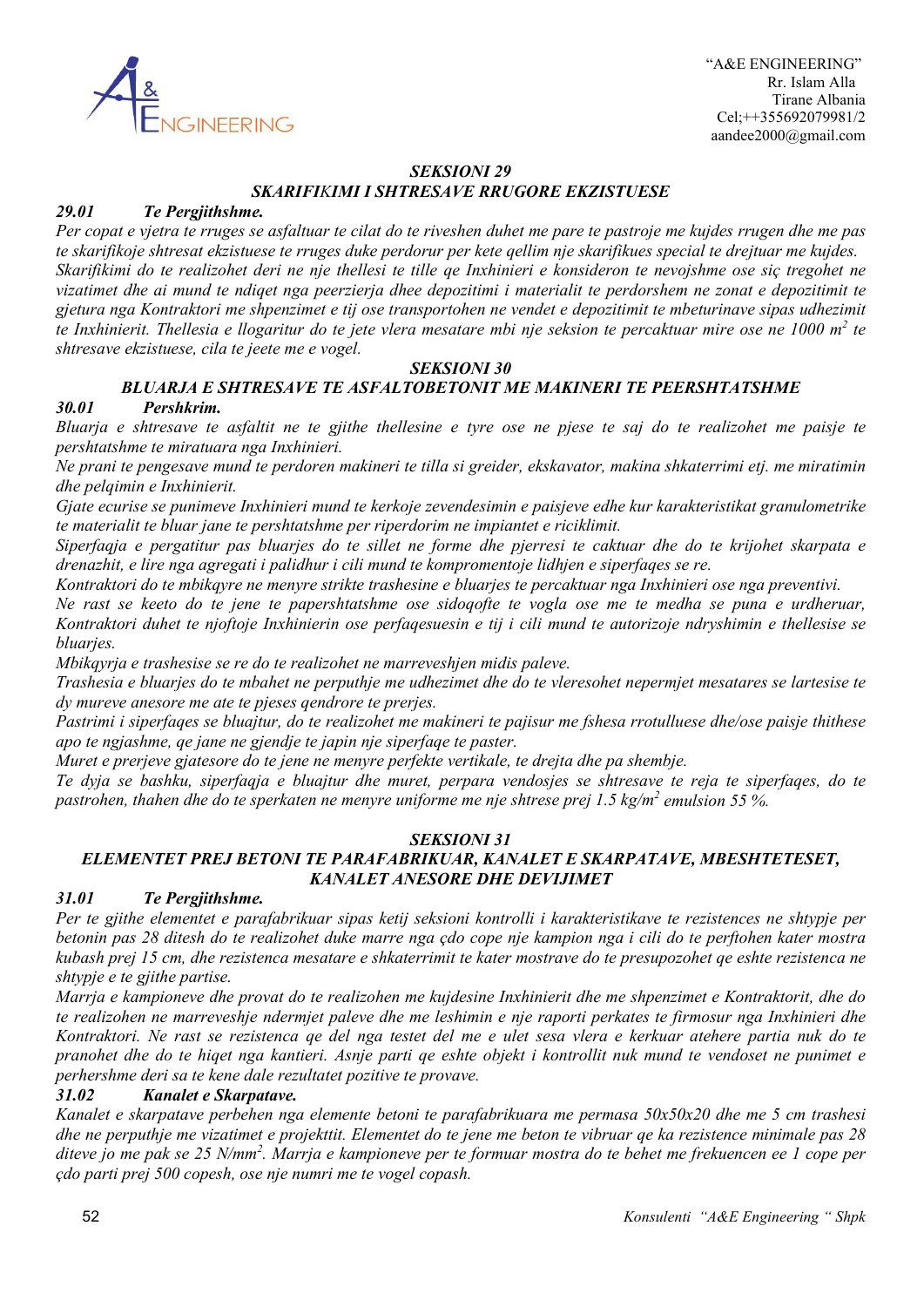

# *SEKSIONI 29 SKARIFIKIMI I SHTRESAVE RRUGORE EKZISTUESE*

### *29.01 Te Pergjithshme.*

*Per copat e vjetra te rruges se asfaltuar te cilat do te riveshen duhet me pare te pastroje me kujdes rrugen dhe me pas te skarifikoje shtresat ekzistuese te rruges duke perdorur per kete qellim nje skarifikues special te drejtuar me kujdes. Skarifikimi do te realizohet deri ne nje thellesi te tille qe Inxhinieri e konsideron te nevojshme ose siç tregohet ne vizatimet dhe ai mund te ndiqet nga peerzierja dhee depozitimi i materialit te perdorshem ne zonat e depozitimit te gjetura nga Kontraktori me shpenzimet e tij ose transportohen ne vendet e depozitimit te mbeturinave sipas udhezimit te Inxhinierit. Thellesia e llogaritur do te jete vlera mesatare mbi nje seksion te percaktuar mire ose ne 1000 m2 te shtresave ekzistuese, cila te jeete me e vogel.*

### *SEKSIONI 30*

# *BLUARJA E SHTRESAVE TE ASFALTOBETONIT ME MAKINERI TE PEERSHTATSHME*

#### *30.01 Pershkrim.*

*Bluarja e shtresave te asfaltit ne te gjithe thellesine e tyre ose ne pjese te saj do te realizohet me paisje te pershtatshme te miratuara nga Inxhinieri.*

*Ne prani te pengesave mund te perdoren makineri te tilla si greider, ekskavator, makina shkaterrimi etj. me miratimin dhe pelqimin e Inxhinierit.*

*Gjate ecurise se punimeve Inxhinieri mund te kerkoje zevendesimin e paisjeve edhe kur karakteristikat granulometrike te materialit te bluar jane te pershtatshme per riperdorim ne impiantet e riciklimit.*

*Siperfaqja e pergatitur pas bluarjes do te sillet ne forme dhe pjerresi te caktuar dhe do te krijohet skarpata e drenazhit, e lire nga agregati i palidhur i cili mund te kompromentoje lidhjen e siperfaqes se re.*

*Kontraktori do te mbikqyre ne menyre strikte trashesine e bluarjes te percaktuar nga Inxhinieri ose nga preventivi.*

*Ne rast se keeto do te jene te papershtatshme ose sidoqofte te vogla ose me te medha se puna e urdheruar, Kontraktori duhet te njoftoje Inxhinierin ose perfaqesuesin e tij i cili mund te autorizoje ndryshimin e thellesise se bluarjes.*

*Mbikqyrja e trashesise se re do te realizohet ne marreveshjen midis paleve.*

*Trashesia e bluarjes do te mbahet ne perputhje me udhezimet dhe do te vleresohet nepermjet mesatares se lartesise te dy mureve anesore me ate te pjeses qendrore te prerjes.*

*Pastrimi i siperfaqes se bluajtur, do te realizohet me makineri te pajisur me fshesa rrotulluese dhe/ose paisje thithese apo te ngjashme, qe jane ne gjendje te japin nje siperfaqe te paster.*

*Muret e prerjeve gjatesore do te jene ne menyre perfekte vertikale, te drejta dhe pa shembje.*

*Te dyja se bashku, siperfaqja e bluajtur dhe muret, perpara vendosjes se shtresave te reja te siperfaqes, do te pastrohen, thahen dhe do te sperkaten ne menyre uniforme me nje shtrese prej 1.5 kg/m2 emulsion 55 %.*

### *SEKSIONI 31*

# *ELEMENTET PREJ BETONI TE PARAFABRIKUAR, KANALET E SKARPATAVE, MBESHTETESET, KANALET ANESORE DHE DEVIJIMET*

### *31.01 Te Pergjithshme.*

*Per te gjithe elementet e parafabrikuar sipas ketij seksioni kontrolli i karakteristikave te rezistences ne shtypje per betonin pas 28 ditesh do te realizohet duke marre nga çdo cope nje kampion nga i cili do te perftohen kater mostra kubash prej 15 cm, dhe rezistenca mesatare e shkaterrimit te kater mostrave do te presupozohet qe eshte rezistenca ne shtypje e te gjithe partise.*

*Marrja e kampioneve dhe provat do te realizohen me kujdesine Inxhinierit dhe me shpenzimet e Kontraktorit, dhe do te realizohen ne marreveshje ndermjet paleve dhe me leshimin e nje raporti perkates te firmosur nga Inxhinieri dhe Kontraktori. Ne rast se rezistenca qe del nga testet del me e ulet sesa vlera e kerkuar atehere partia nuk do te pranohet dhe do te hiqet nga kantieri. Asnje parti qe eshte objekt i kontrollit nuk mund te vendoset ne punimet e perhershme deri sa te kene dale rezultatet pozitive te provave.*

# *31.02 Kanalet e Skarpatave.*

*Kanalet e skarpatave perbehen nga elemente betoni te parafabrikuara me permasa 50x50x20 dhe me 5 cm trashesi dhe ne perputhje me vizatimet e projekttit. Elementet do te jene me beton te vibruar qe ka rezistence minimale pas 28 diteve jo me pak se 25 N/mm2 . Marrja e kampioneve per te formuar mostra do te behet me frekuencen ee 1 cope per çdo parti prej 500 copesh, ose nje numri me te vogel copash.*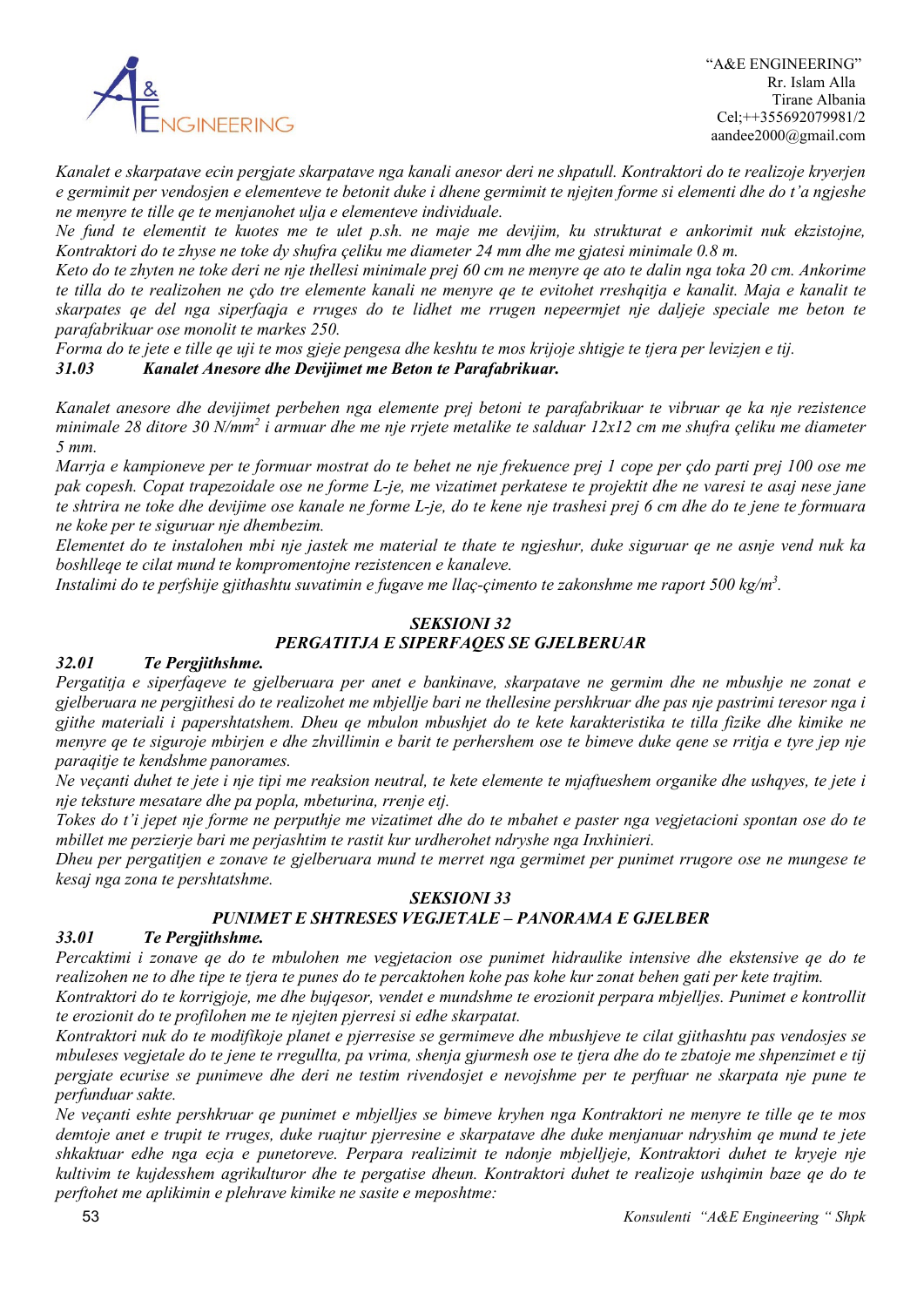

*Kanalet e skarpatave ecin pergjate skarpatave nga kanali anesor deri ne shpatull. Kontraktori do te realizoje kryerjen e germimit per vendosjen e elementeve te betonit duke i dhene germimit te njejten forme si elementi dhe do t'a ngjeshe ne menyre te tille qe te menjanohet ulja e elementeve individuale.*

*Ne fund te elementit te kuotes me te ulet p.sh. ne maje me devijim, ku strukturat e ankorimit nuk ekzistojne, Kontraktori do te zhyse ne toke dy shufra çeliku me diameter 24 mm dhe me gjatesi minimale 0.8 m.*

*Keto do te zhyten ne toke deri ne nje thellesi minimale prej 60 cm ne menyre qe ato te dalin nga toka 20 cm. Ankorime te tilla do te realizohen ne çdo tre elemente kanali ne menyre qe te evitohet rreshqitja e kanalit. Maja e kanalit te skarpates qe del nga siperfaqja e rruges do te lidhet me rrugen nepeermjet nje daljeje speciale me beton te parafabrikuar ose monolit te markes 250.*

*Forma do te jete e tille qe uji te mos gjeje pengesa dhe keshtu te mos krijoje shtigje te tjera per levizjen e tij. 31.03 Kanalet Anesore dhe Devijimet me Beton te Parafabrikuar.*

*Kanalet anesore dhe devijimet perbehen nga elemente prej betoni te parafabrikuar te vibruar qe ka nje rezistence minimale 28 ditore 30 N/mm2 i armuar dhe me nje rrjete metalike te salduar 12x12 cm me shufra çeliku me diameter 5 mm.*

*Marrja e kampioneve per te formuar mostrat do te behet ne nje frekuence prej 1 cope per çdo parti prej 100 ose me pak copesh. Copat trapezoidale ose ne forme L-je, me vizatimet perkatese te projektit dhe ne varesi te asaj nese jane te shtrira ne toke dhe devijime ose kanale ne forme L-je, do te kene nje trashesi prej 6 cm dhe do te jene te formuara ne koke per te siguruar nje dhembezim.* 

*Elementet do te instalohen mbi nje jastek me material te thate te ngjeshur, duke siguruar qe ne asnje vend nuk ka boshlleqe te cilat mund te kompromentojne rezistencen e kanaleve.*

*Instalimi do te perfshije gjithashtu suvatimin e fugave me llaç-çimento te zakonshme me raport 500 kg/m3 .*

# *SEKSIONI 32 PERGATITJA E SIPERFAQES SE GJELBERUAR*

# *32.01 Te Pergjithshme.*

*Pergatitja e siperfaqeve te gjelberuara per anet e bankinave, skarpatave ne germim dhe ne mbushje ne zonat e gjelberuara ne pergjithesi do te realizohet me mbjellje bari ne thellesine pershkruar dhe pas nje pastrimi teresor nga i gjithe materiali i papershtatshem. Dheu qe mbulon mbushjet do te kete karakteristika te tilla fizike dhe kimike ne menyre qe te siguroje mbirjen e dhe zhvillimin e barit te perhershem ose te bimeve duke qene se rritja e tyre jep nje paraqitje te kendshme panorames.*

*Ne veçanti duhet te jete i nje tipi me reaksion neutral, te kete elemente te mjaftueshem organike dhe ushqyes, te jete i nje teksture mesatare dhe pa popla, mbeturina, rrenje etj.*

*Tokes do t'i jepet nje forme ne perputhje me vizatimet dhe do te mbahet e paster nga vegjetacioni spontan ose do te mbillet me perzierje bari me perjashtim te rastit kur urdherohet ndryshe nga Inxhinieri.*

*Dheu per pergatitjen e zonave te gjelberuara mund te merret nga germimet per punimet rrugore ose ne mungese te kesaj nga zona te pershtatshme.*

# *SEKSIONI 33 PUNIMET E SHTRESES VEGJETALE – PANORAMA E GJELBER*

### *33.01 Te Pergjithshme.*

*Percaktimi i zonave qe do te mbulohen me vegjetacion ose punimet hidraulike intensive dhe ekstensive qe do te realizohen ne to dhe tipe te tjera te punes do te percaktohen kohe pas kohe kur zonat behen gati per kete trajtim.*

*Kontraktori do te korrigjoje, me dhe bujqesor, vendet e mundshme te erozionit perpara mbjelljes. Punimet e kontrollit te erozionit do te profilohen me te njejten pjerresi si edhe skarpatat.*

*Kontraktori nuk do te modifikoje planet e pjerresise se germimeve dhe mbushjeve te cilat gjithashtu pas vendosjes se mbuleses vegjetale do te jene te rregullta, pa vrima, shenja gjurmesh ose te tjera dhe do te zbatoje me shpenzimet e tij pergjate ecurise se punimeve dhe deri ne testim rivendosjet e nevojshme per te perftuar ne skarpata nje pune te perfunduar sakte.*

*Ne veçanti eshte pershkruar qe punimet e mbjelljes se bimeve kryhen nga Kontraktori ne menyre te tille qe te mos demtoje anet e trupit te rruges, duke ruajtur pjerresine e skarpatave dhe duke menjanuar ndryshim qe mund te jete shkaktuar edhe nga ecja e punetoreve. Perpara realizimit te ndonje mbjelljeje, Kontraktori duhet te kryeje nje kultivim te kujdesshem agrikulturor dhe te pergatise dheun. Kontraktori duhet te realizoje ushqimin baze qe do te perftohet me aplikimin e plehrave kimike ne sasite e meposhtme:*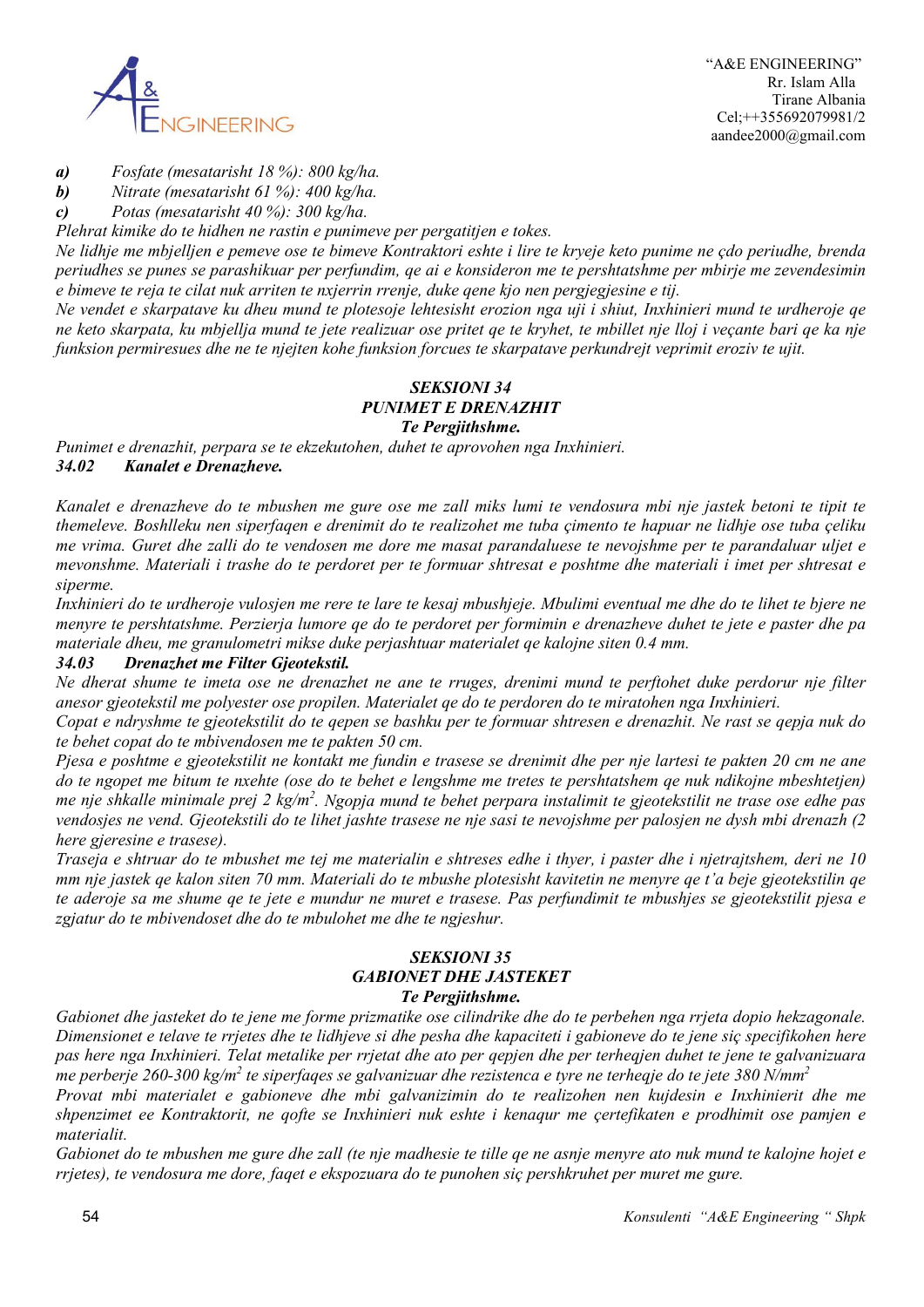

*a) Fosfate (mesatarisht 18 %): 800 kg/ha.*

*b) Nitrate (mesatarisht 61 %): 400 kg/ha.*

*c) Potas (mesatarisht 40 %): 300 kg/ha.*

*Plehrat kimike do te hidhen ne rastin e punimeve per pergatitjen e tokes.*

*Ne lidhje me mbjelljen e pemeve ose te bimeve Kontraktori eshte i lire te kryeje keto punime ne çdo periudhe, brenda periudhes se punes se parashikuar per perfundim, qe ai e konsideron me te pershtatshme per mbirje me zevendesimin e bimeve te reja te cilat nuk arriten te nxjerrin rrenje, duke qene kjo nen pergjegjesine e tij.*

*Ne vendet e skarpatave ku dheu mund te plotesoje lehtesisht erozion nga uji i shiut, Inxhinieri mund te urdheroje qe ne keto skarpata, ku mbjellja mund te jete realizuar ose pritet qe te kryhet, te mbillet nje lloj i veçante bari qe ka nje funksion permiresues dhe ne te njejten kohe funksion forcues te skarpatave perkundrejt veprimit eroziv te ujit.*

# *SEKSIONI 34 PUNIMET E DRENAZHIT Te Pergjithshme.*

*Punimet e drenazhit, perpara se te ekzekutohen, duhet te aprovohen nga Inxhinieri. 34.02 Kanalet e Drenazheve.*

*Kanalet e drenazheve do te mbushen me gure ose me zall miks lumi te vendosura mbi nje jastek betoni te tipit te themeleve. Boshlleku nen siperfaqen e drenimit do te realizohet me tuba çimento te hapuar ne lidhje ose tuba çeliku me vrima. Guret dhe zalli do te vendosen me dore me masat parandaluese te nevojshme per te parandaluar uljet e mevonshme. Materiali i trashe do te perdoret per te formuar shtresat e poshtme dhe materiali i imet per shtresat e siperme.*

*Inxhinieri do te urdheroje vulosjen me rere te lare te kesaj mbushjeje. Mbulimi eventual me dhe do te lihet te bjere ne menyre te pershtatshme. Perzierja lumore qe do te perdoret per formimin e drenazheve duhet te jete e paster dhe pa materiale dheu, me granulometri mikse duke perjashtuar materialet qe kalojne siten 0.4 mm.*

### *34.03 Drenazhet me Filter Gjeotekstil.*

*Ne dherat shume te imeta ose ne drenazhet ne ane te rruges, drenimi mund te perftohet duke perdorur nje filter anesor gjeotekstil me polyester ose propilen. Materialet qe do te perdoren do te miratohen nga Inxhinieri.*

*Copat e ndryshme te gjeotekstilit do te qepen se bashku per te formuar shtresen e drenazhit. Ne rast se qepja nuk do te behet copat do te mbivendosen me te pakten 50 cm.*

*Pjesa e poshtme e gjeotekstilit ne kontakt me fundin e trasese se drenimit dhe per nje lartesi te pakten 20 cm ne ane do te ngopet me bitum te nxehte (ose do te behet e lengshme me tretes te pershtatshem qe nuk ndikojne mbeshtetjen) me nje shkalle minimale prej 2 kg/m2 . Ngopja mund te behet perpara instalimit te gjeotekstilit ne trase ose edhe pas vendosjes ne vend. Gjeotekstili do te lihet jashte trasese ne nje sasi te nevojshme per palosjen ne dysh mbi drenazh (2 here gjeresine e trasese).*

*Traseja e shtruar do te mbushet me tej me materialin e shtreses edhe i thyer, i paster dhe i njetrajtshem, deri ne 10 mm nje jastek qe kalon siten 70 mm. Materiali do te mbushe plotesisht kavitetin ne menyre qe t'a beje gjeotekstilin qe te aderoje sa me shume qe te jete e mundur ne muret e trasese. Pas perfundimit te mbushjes se gjeotekstilit pjesa e zgjatur do te mbivendoset dhe do te mbulohet me dhe te ngjeshur.*

# *SEKSIONI 35 GABIONET DHE JASTEKET Te Pergjithshme.*

*Gabionet dhe jasteket do te jene me forme prizmatike ose cilindrike dhe do te perbehen nga rrjeta dopio hekzagonale. Dimensionet e telave te rrjetes dhe te lidhjeve si dhe pesha dhe kapaciteti i gabioneve do te jene siç specifikohen here pas here nga Inxhinieri. Telat metalike per rrjetat dhe ato per qepjen dhe per terheqjen duhet te jene te galvanizuara me perberje 260-300 kg/m2 te siperfaqes se galvanizuar dhe rezistenca e tyre ne terheqje do te jete 380 N/mm2*

*Provat mbi materialet e gabioneve dhe mbi galvanizimin do te realizohen nen kujdesin e Inxhinierit dhe me shpenzimet ee Kontraktorit, ne qofte se Inxhinieri nuk eshte i kenaqur me çertefikaten e prodhimit ose pamjen e materialit.*

*Gabionet do te mbushen me gure dhe zall (te nje madhesie te tille qe ne asnje menyre ato nuk mund te kalojne hojet e rrjetes), te vendosura me dore, faqet e ekspozuara do te punohen siç pershkruhet per muret me gure.*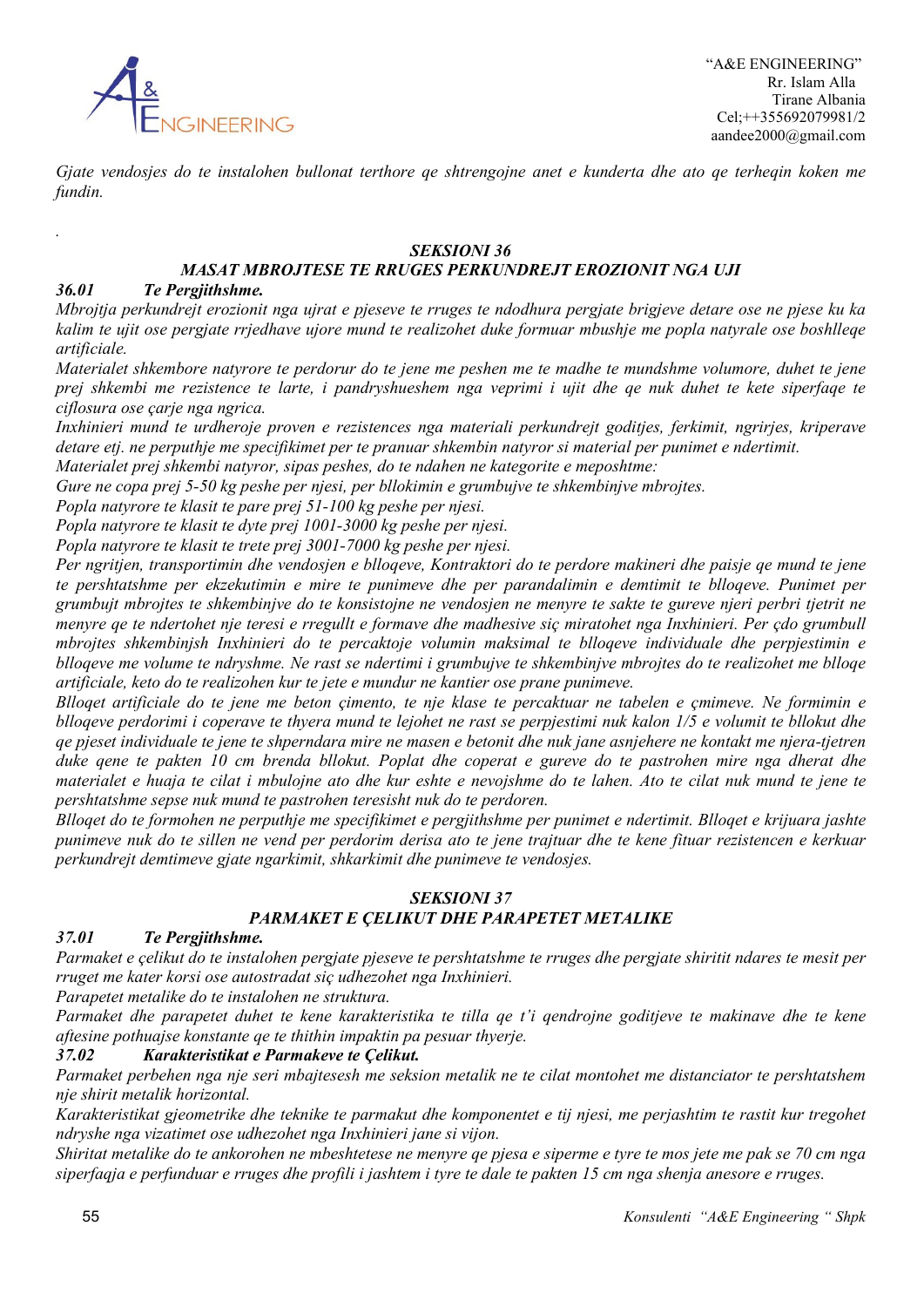

*Gjate vendosjes do te instalohen bullonat terthore qe shtrengojne anet e kunderta dhe ato qe terheqin koken me fundin.*

# *SEKSIONI 36*

# *MASAT MBROJTESE TE RRUGES PERKUNDREJT EROZIONIT NGA UJI*

# *36.01 Te Pergjithshme.*

*.*

*Mbrojtja perkundrejt erozionit nga ujrat e pjeseve te rruges te ndodhura pergjate brigjeve detare ose ne pjese ku ka kalim te ujit ose pergjate rrjedhave ujore mund te realizohet duke formuar mbushje me popla natyrale ose boshlleqe artificiale.*

*Materialet shkembore natyrore te perdorur do te jene me peshen me te madhe te mundshme volumore, duhet te jene prej shkembi me rezistence te larte, i pandryshueshem nga veprimi i ujit dhe qe nuk duhet te kete siperfaqe te ciflosura ose çarje nga ngrica.*

*Inxhinieri mund te urdheroje proven e rezistences nga materiali perkundrejt goditjes, ferkimit, ngrirjes, kriperave detare etj. ne perputhje me specifikimet per te pranuar shkembin natyror si material per punimet e ndertimit.*

*Materialet prej shkembi natyror, sipas peshes, do te ndahen ne kategorite e meposhtme:*

*Gure ne copa prej 5-50 kg peshe per njesi, per bllokimin e grumbujve te shkembinjve mbrojtes.*

*Popla natyrore te klasit te pare prej 51-100 kg peshe per njesi.*

*Popla natyrore te klasit te dyte prej 1001-3000 kg peshe per njesi.*

*Popla natyrore te klasit te trete prej 3001-7000 kg peshe per njesi.*

*Per ngritjen, transportimin dhe vendosjen e blloqeve, Kontraktori do te perdore makineri dhe paisje qe mund te jene te pershtatshme per ekzekutimin e mire te punimeve dhe per parandalimin e demtimit te blloqeve. Punimet per grumbujt mbrojtes te shkembinjve do te konsistojne ne vendosjen ne menyre te sakte te gureve njeri perbri tjetrit ne menyre qe te ndertohet nje teresi e rregullt e formave dhe madhesive siç miratohet nga Inxhinieri. Per çdo grumbull mbrojtes shkembinjsh Inxhinieri do te percaktoje volumin maksimal te blloqeve individuale dhe perpjestimin e blloqeve me volume te ndryshme. Ne rast se ndertimi i grumbujve te shkembinjve mbrojtes do te realizohet me blloqe artificiale, keto do te realizohen kur te jete e mundur ne kantier ose prane punimeve.*

*Blloqet artificiale do te jene me beton çimento, te nje klase te percaktuar ne tabelen e çmimeve. Ne formimin e blloqeve perdorimi i coperave te thyera mund te lejohet ne rast se perpjestimi nuk kalon 1/5 e volumit te bllokut dhe qe pjeset individuale te jene te shperndara mire ne masen e betonit dhe nuk jane asnjehere ne kontakt me njera-tjetren duke qene te pakten 10 cm brenda bllokut. Poplat dhe coperat e gureve do te pastrohen mire nga dherat dhe materialet e huaja te cilat i mbulojne ato dhe kur eshte e nevojshme do te lahen. Ato te cilat nuk mund te jene te pershtatshme sepse nuk mund te pastrohen teresisht nuk do te perdoren.*

*Blloqet do te formohen ne perputhje me specifikimet e pergjithshme per punimet e ndertimit. Blloqet e krijuara jashte punimeve nuk do te sillen ne vend per perdorim derisa ato te jene trajtuar dhe te kene fituar rezistencen e kerkuar perkundrejt demtimeve gjate ngarkimit, shkarkimit dhe punimeve te vendosjes.*

# *SEKSIONI 37 PARMAKET E ÇELIKUT DHE PARAPETET METALIKE*

#### *37.01 Te Pergjithshme.*

*Parmaket e çelikut do te instalohen pergjate pjeseve te pershtatshme te rruges dhe pergjate shiritit ndares te mesit per rruget me kater korsi ose autostradat siç udhezohet nga Inxhinieri.*

*Parapetet metalike do te instalohen ne struktura.*

*Parmaket dhe parapetet duhet te kene karakteristika te tilla qe t'i qendrojne goditjeve te makinave dhe te kene aftesine pothuajse konstante qe te thithin impaktin pa pesuar thyerje.*

### *37.02 Karakteristikat e Parmakeve te Çelikut.*

*Parmaket perbehen nga nje seri mbajtesesh me seksion metalik ne te cilat montohet me distanciator te pershtatshem nje shirit metalik horizontal.*

*Karakteristikat gjeometrike dhe teknike te parmakut dhe komponentet e tij njesi, me perjashtim te rastit kur tregohet ndryshe nga vizatimet ose udhezohet nga Inxhinieri jane si vijon.*

*Shiritat metalike do te ankorohen ne mbeshtetese ne menyre qe pjesa e siperme e tyre te mos jete me pak se 70 cm nga siperfaqja e perfunduar e rruges dhe profili i jashtem i tyre te dale te pakten 15 cm nga shenja anesore e rruges.*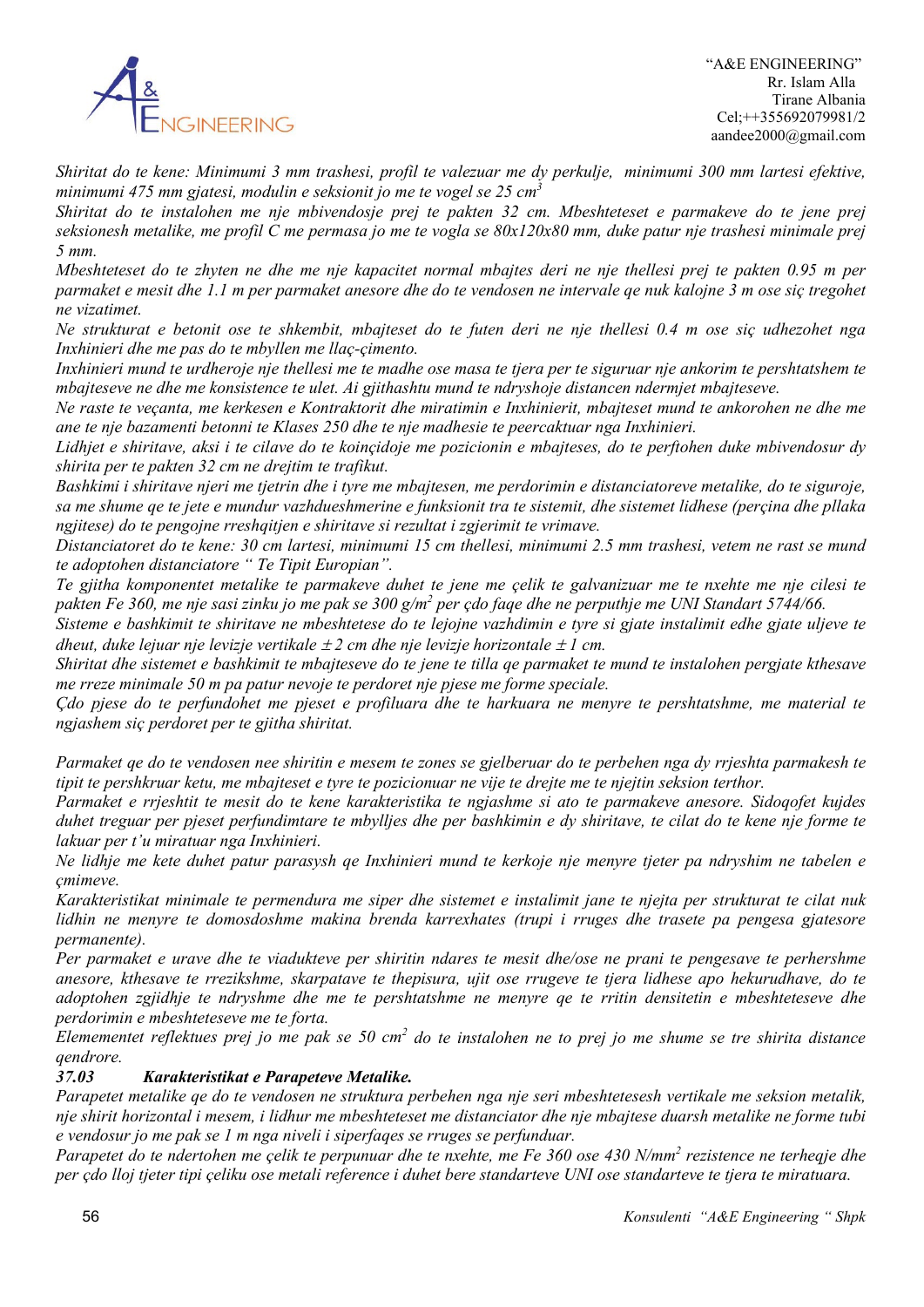

*Shiritat do te kene: Minimumi 3 mm trashesi, profil te valezuar me dy perkulje, minimumi 300 mm lartesi efektive, minimumi 475 mm gjatesi, modulin e seksionit jo me te vogel se 25 cm3*

*Shiritat do te instalohen me nje mbivendosje prej te pakten 32 cm. Mbeshteteset e parmakeve do te jene prej seksionesh metalike, me profil C me permasa jo me te vogla se 80x120x80 mm, duke patur nje trashesi minimale prej 5 mm.*

*Mbeshteteset do te zhyten ne dhe me nje kapacitet normal mbajtes deri ne nje thellesi prej te pakten 0.95 m per parmaket e mesit dhe 1.1 m per parmaket anesore dhe do te vendosen ne intervale qe nuk kalojne 3 m ose siç tregohet ne vizatimet.*

*Ne strukturat e betonit ose te shkembit, mbajteset do te futen deri ne nje thellesi 0.4 m ose siç udhezohet nga Inxhinieri dhe me pas do te mbyllen me llaç-çimento.*

Inxhinieri mund te urdheroje nje thellesi me te madhe ose masa te tjera per te siguruar nje ankorim te pershtatshem te *mbajteseve ne dhe me konsistence te ulet. Ai gjithashtu mund te ndryshoje distancen ndermjet mbajteseve.*

*Ne raste te veçanta, me kerkesen e Kontraktorit dhe miratimin e Inxhinierit, mbajteset mund te ankorohen ne dhe me ane te nje bazamenti betonni te Klases 250 dhe te nje madhesie te peercaktuar nga Inxhinieri.*

*Lidhjet e shiritave, aksi i te cilave do te koinçidoje me pozicionin e mbajteses, do te perftohen duke mbivendosur dy shirita per te pakten 32 cm ne drejtim te trafikut.*

*Bashkimi i shiritave njeri me tjetrin dhe i tyre me mbajtesen, me perdorimin e distanciatoreve metalike, do te siguroje, sa me shume qe te jete e mundur vazhdueshmerine e funksionit tra te sistemit, dhe sistemet lidhese (perçina dhe pllaka ngjitese) do te pengojne rreshqitjen e shiritave si rezultat i zgjerimit te vrimave.*

*Distanciatoret do te kene: 30 cm lartesi, minimumi 15 cm thellesi, minimumi 2.5 mm trashesi, vetem ne rast se mund te adoptohen distanciatore " Te Tipit Europian".*

*Te gjitha komponentet metalike te parmakeve duhet te jene me çelik te galvanizuar me te nxehte me nje cilesi te pakten Fe 360, me nje sasi zinku jo me pak se 300 g/m2 per çdo faqe dhe ne perputhje me UNI Standart 5744/66.*

*Sisteme e bashkimit te shiritave ne mbeshtetese do te lejojne vazhdimin e tyre si gjate instalimit edhe gjate uljeve te dheut, duke lejuar nje levizje vertikale* <sup>±</sup> *2 cm dhe nje levizje horizontale* <sup>±</sup> *1 cm.*

*Shiritat dhe sistemet e bashkimit te mbajteseve do te jene te tilla qe parmaket te mund te instalohen pergjate kthesave me rreze minimale 50 m pa patur nevoje te perdoret nje pjese me forme speciale.*

*Çdo pjese do te perfundohet me pjeset e profiluara dhe te harkuara ne menyre te pershtatshme, me material te ngjashem siç perdoret per te gjitha shiritat.*

*Parmaket qe do te vendosen nee shiritin e mesem te zones se gjelberuar do te perbehen nga dy rrjeshta parmakesh te tipit te pershkruar ketu, me mbajteset e tyre te pozicionuar ne vije te drejte me te njejtin seksion terthor.*

*Parmaket e rrjeshtit te mesit do te kene karakteristika te ngjashme si ato te parmakeve anesore. Sidoqofet kujdes duhet treguar per pjeset perfundimtare te mbylljes dhe per bashkimin e dy shiritave, te cilat do te kene nje forme te lakuar per t'u miratuar nga Inxhinieri.*

*Ne lidhje me kete duhet patur parasysh qe Inxhinieri mund te kerkoje nje menyre tjeter pa ndryshim ne tabelen e çmimeve.*

*Karakteristikat minimale te permendura me siper dhe sistemet e instalimit jane te njejta per strukturat te cilat nuk lidhin ne menyre te domosdoshme makina brenda karrexhates (trupi i rruges dhe trasete pa pengesa gjatesore permanente).*

*Per parmaket e urave dhe te viadukteve per shiritin ndares te mesit dhe/ose ne prani te pengesave te perhershme anesore, kthesave te rrezikshme, skarpatave te thepisura, ujit ose rrugeve te tjera lidhese apo hekurudhave, do te adoptohen zgjidhje te ndryshme dhe me te pershtatshme ne menyre qe te rritin densitetin e mbeshteteseve dhe perdorimin e mbeshteteseve me te forta.*

*Elemementet reflektues prej jo me pak se 50 cm2 do te instalohen ne to prej jo me shume se tre shirita distance qendrore.*

# *37.03 Karakteristikat e Parapeteve Metalike.*

*Parapetet metalike qe do te vendosen ne struktura perbehen nga nje seri mbeshtetesesh vertikale me seksion metalik, nje shirit horizontal i mesem, i lidhur me mbeshteteset me distanciator dhe nje mbajtese duarsh metalike ne forme tubi e vendosur jo me pak se 1 m nga niveli i siperfaqes se rruges se perfunduar.*

*Parapetet do te ndertohen me çelik te perpunuar dhe te nxehte, me Fe 360 ose 430 N/mm2 rezistence ne terheqje dhe per çdo lloj tjeter tipi çeliku ose metali reference i duhet bere standarteve UNI ose standarteve te tjera te miratuara.*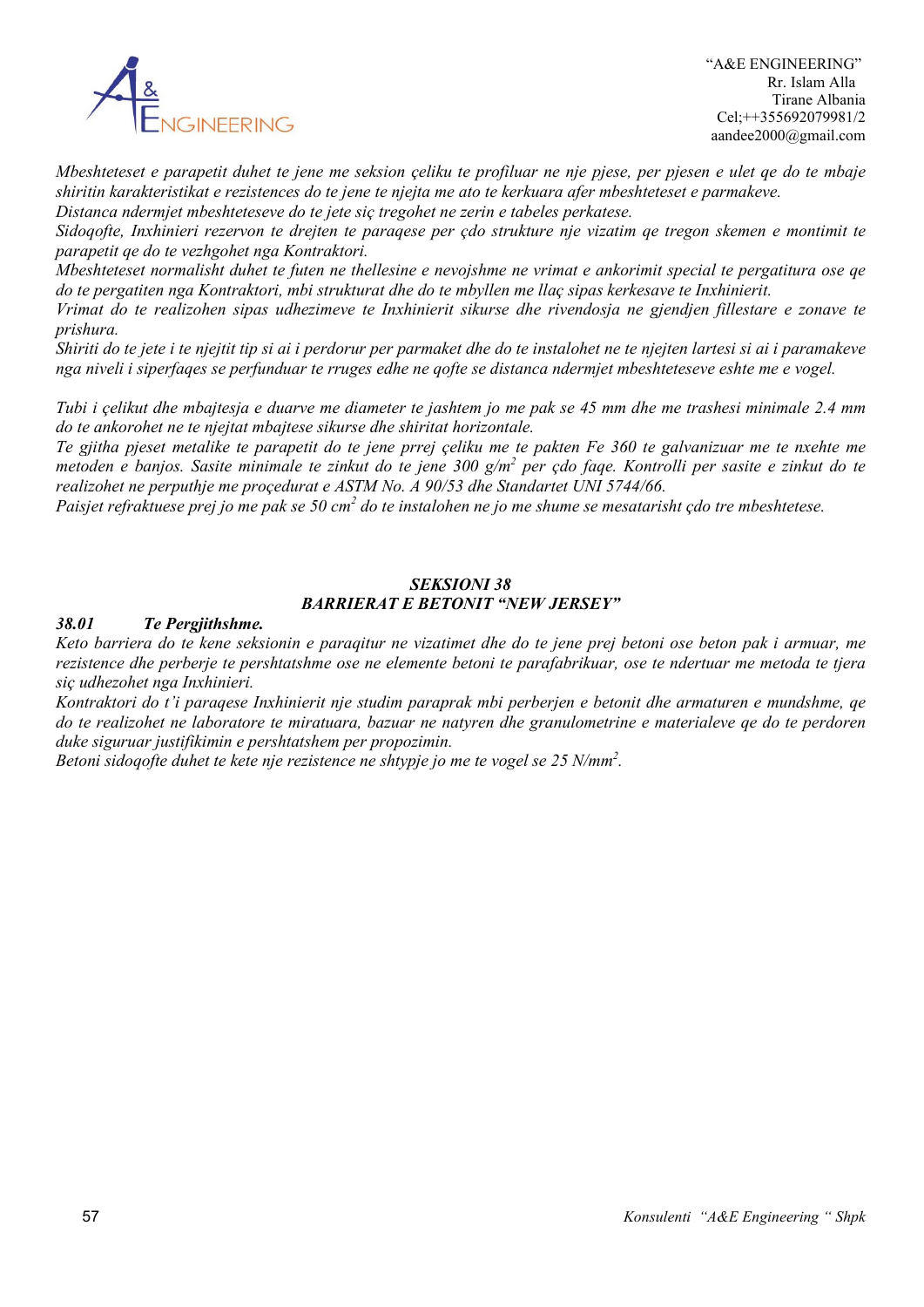

 "A&E ENGINEERING" Rr. Islam Alla Tirane Albania Cel;++355692079981/2 aandee2000@gmail.com

*Mbeshteteset e parapetit duhet te jene me seksion çeliku te profiluar ne nje pjese, per pjesen e ulet qe do te mbaje shiritin karakteristikat e rezistences do te jene te njejta me ato te kerkuara afer mbeshteteset e parmakeve. Distanca ndermjet mbeshteteseve do te jete siç tregohet ne zerin e tabeles perkatese.*

*Sidoqofte, Inxhinieri rezervon te drejten te paraqese per çdo strukture nje vizatim qe tregon skemen e montimit te parapetit qe do te vezhgohet nga Kontraktori.*

*Mbeshteteset normalisht duhet te futen ne thellesine e nevojshme ne vrimat e ankorimit special te pergatitura ose qe do te pergatiten nga Kontraktori, mbi strukturat dhe do te mbyllen me llaç sipas kerkesave te Inxhinierit.*

*Vrimat do te realizohen sipas udhezimeve te Inxhinierit sikurse dhe rivendosja ne gjendjen fillestare e zonave te prishura.*

*Shiriti do te jete i te njejtit tip si ai i perdorur per parmaket dhe do te instalohet ne te njejten lartesi si ai i paramakeve nga niveli i siperfaqes se perfunduar te rruges edhe ne qofte se distanca ndermjet mbeshteteseve eshte me e vogel.*

*Tubi i çelikut dhe mbajtesja e duarve me diameter te jashtem jo me pak se 45 mm dhe me trashesi minimale 2.4 mm do te ankorohet ne te njejtat mbajtese sikurse dhe shiritat horizontale.*

*Te gjitha pjeset metalike te parapetit do te jene prrej çeliku me te pakten Fe 360 te galvanizuar me te nxehte me metoden e banjos. Sasite minimale te zinkut do te jene 300 g/m2 per çdo faqe. Kontrolli per sasite e zinkut do te realizohet ne perputhje me proçedurat e ASTM No. A 90/53 dhe Standartet UNI 5744/66.*

*Paisjet refraktuese prej jo me pak se 50 cm2 do te instalohen ne jo me shume se mesatarisht çdo tre mbeshtetese.*

### *SEKSIONI 38 BARRIERAT E BETONIT "NEW JERSEY"*

#### *38.01 Te Pergjithshme.*

*Keto barriera do te kene seksionin e paraqitur ne vizatimet dhe do te jene prej betoni ose beton pak i armuar, me rezistence dhe perberje te pershtatshme ose ne elemente betoni te parafabrikuar, ose te ndertuar me metoda te tjera siç udhezohet nga Inxhinieri.*

*Kontraktori do t'i paraqese Inxhinierit nje studim paraprak mbi perberjen e betonit dhe armaturen e mundshme, qe do te realizohet ne laboratore te miratuara, bazuar ne natyren dhe granulometrine e materialeve qe do te perdoren duke siguruar justifikimin e pershtatshem per propozimin.*

*Betoni sidoqofte duhet te kete nje rezistence ne shtypje jo me te vogel se 25 N/mm2 .*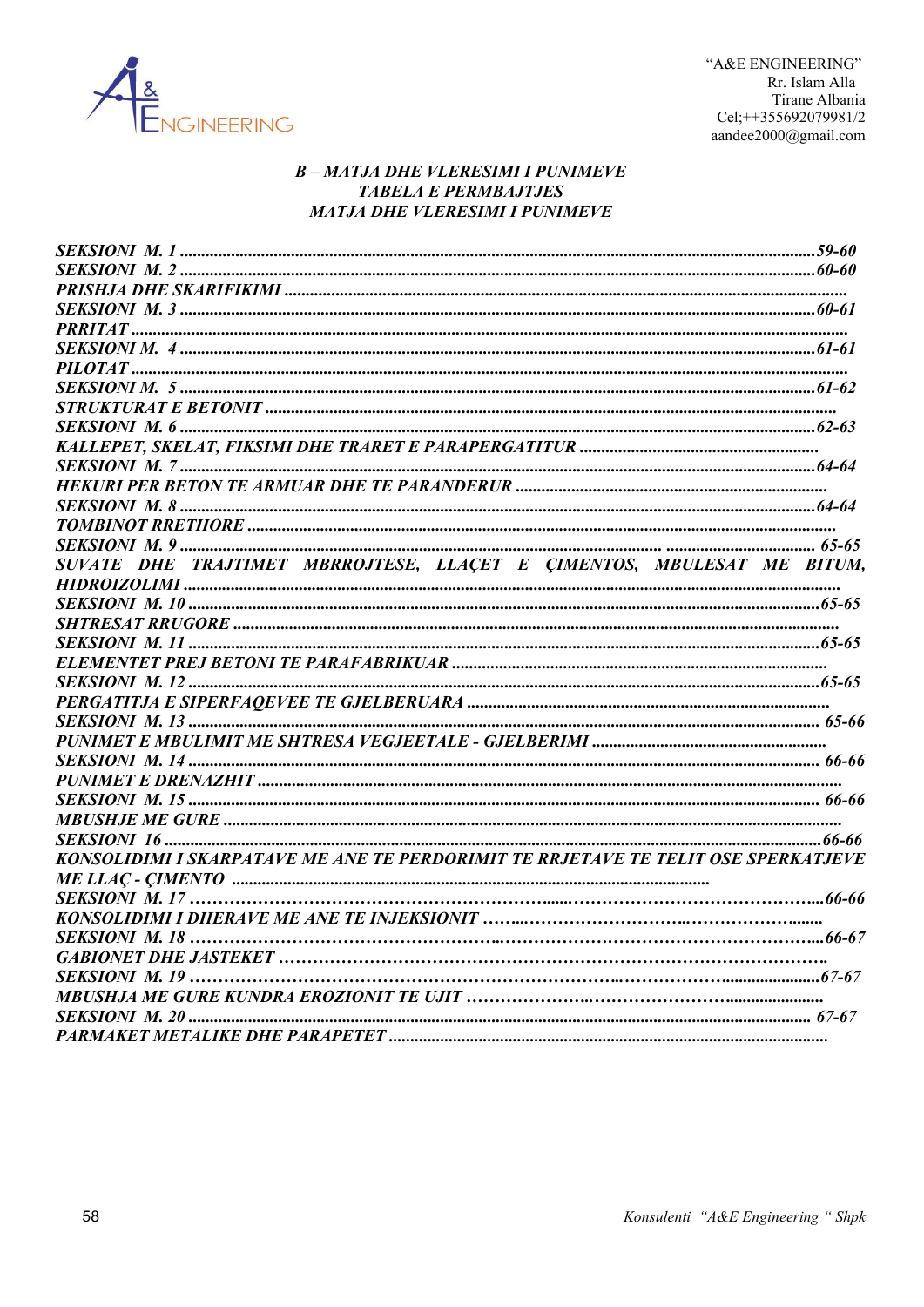

# **B-MATJA DHE VLERESIMI I PUNIMEVE TABELA E PERMBAJTJES MATJA DHE VLERESIMI I PUNIMEVE**

| SUVATE DHE TRAJTIMET MBRROJTESE, LLACET E CIMENTOS, MBULESAT ME BITUM,             |  |
|------------------------------------------------------------------------------------|--|
|                                                                                    |  |
|                                                                                    |  |
|                                                                                    |  |
|                                                                                    |  |
|                                                                                    |  |
|                                                                                    |  |
|                                                                                    |  |
|                                                                                    |  |
|                                                                                    |  |
|                                                                                    |  |
|                                                                                    |  |
|                                                                                    |  |
|                                                                                    |  |
|                                                                                    |  |
| KONSOLIDIMI I SKARPATAVE ME ANE TE PERDORIMIT TE RRJETAVE TE TELIT OSE SPERKATJEVE |  |
|                                                                                    |  |
|                                                                                    |  |
|                                                                                    |  |
|                                                                                    |  |
|                                                                                    |  |
|                                                                                    |  |
|                                                                                    |  |
|                                                                                    |  |
|                                                                                    |  |
|                                                                                    |  |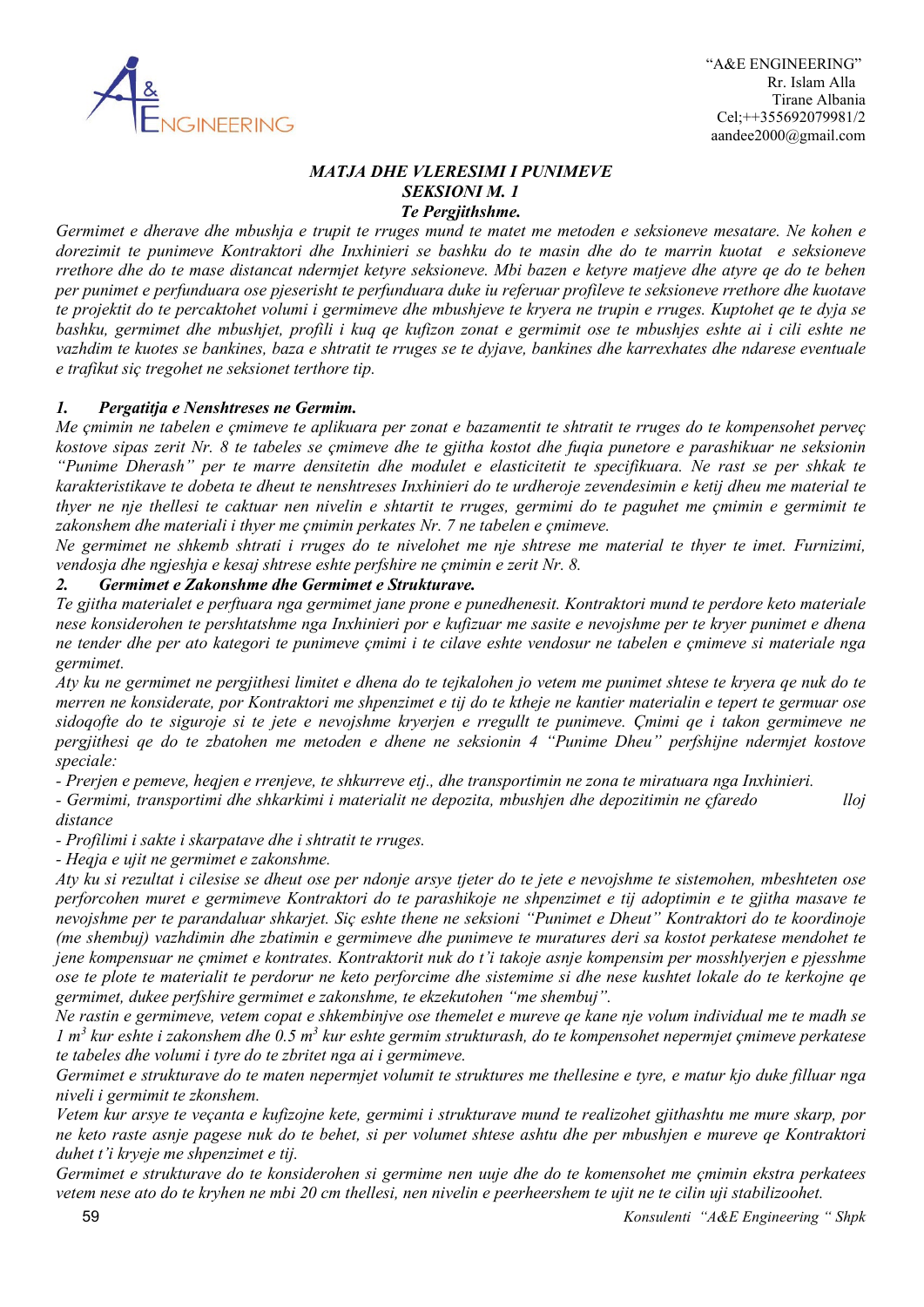

### *MATJA DHE VLERESIMI I PUNIMEVE SEKSIONI M. 1 Te Pergjithshme.*

*Germimet e dherave dhe mbushja e trupit te rruges mund te matet me metoden e seksioneve mesatare. Ne kohen e dorezimit te punimeve Kontraktori dhe Inxhinieri se bashku do te masin dhe do te marrin kuotat e seksioneve rrethore dhe do te mase distancat ndermjet ketyre seksioneve. Mbi bazen e ketyre matjeve dhe atyre qe do te behen per punimet e perfunduara ose pjeserisht te perfunduara duke iu referuar profileve te seksioneve rrethore dhe kuotave te projektit do te percaktohet volumi i germimeve dhe mbushjeve te kryera ne trupin e rruges. Kuptohet qe te dyja se bashku, germimet dhe mbushjet, profili i kuq qe kufizon zonat e germimit ose te mbushjes eshte ai i cili eshte ne vazhdim te kuotes se bankines, baza e shtratit te rruges se te dyjave, bankines dhe karrexhates dhe ndarese eventuale e trafikut siç tregohet ne seksionet terthore tip.*

# *1. Pergatitja e Nenshtreses ne Germim.*

*Me çmimin ne tabelen e çmimeve te aplikuara per zonat e bazamentit te shtratit te rruges do te kompensohet perveç kostove sipas zerit Nr. 8 te tabeles se çmimeve dhe te gjitha kostot dhe fuqia punetore e parashikuar ne seksionin "Punime Dherash" per te marre densitetin dhe modulet e elasticitetit te specifikuara. Ne rast se per shkak te karakteristikave te dobeta te dheut te nenshtreses Inxhinieri do te urdheroje zevendesimin e ketij dheu me material te thyer ne nje thellesi te caktuar nen nivelin e shtartit te rruges, germimi do te paguhet me çmimin e germimit te zakonshem dhe materiali i thyer me çmimin perkates Nr. 7 ne tabelen e çmimeve.*

*Ne germimet ne shkemb shtrati i rruges do te nivelohet me nje shtrese me material te thyer te imet. Furnizimi, vendosja dhe ngjeshja e kesaj shtrese eshte perfshire ne çmimin e zerit Nr. 8.*

### *2. Germimet e Zakonshme dhe Germimet e Strukturave.*

*Te gjitha materialet e perftuara nga germimet jane prone e punedhenesit. Kontraktori mund te perdore keto materiale nese konsiderohen te pershtatshme nga Inxhinieri por e kufizuar me sasite e nevojshme per te kryer punimet e dhena ne tender dhe per ato kategori te punimeve çmimi i te cilave eshte vendosur ne tabelen e çmimeve si materiale nga germimet.*

*Aty ku ne germimet ne pergjithesi limitet e dhena do te tejkalohen jo vetem me punimet shtese te kryera qe nuk do te merren ne konsiderate, por Kontraktori me shpenzimet e tij do te ktheje ne kantier materialin e tepert te germuar ose sidoqofte do te siguroje si te jete e nevojshme kryerjen e rregullt te punimeve. Çmimi qe i takon germimeve ne pergjithesi qe do te zbatohen me metoden e dhene ne seksionin 4 "Punime Dheu" perfshijne ndermjet kostove speciale:*

*- Prerjen e pemeve, heqjen e rrenjeve, te shkurreve etj., dhe transportimin ne zona te miratuara nga Inxhinieri.*

*- Germimi, transportimi dhe shkarkimi i materialit ne depozita, mbushjen dhe depozitimin ne çfaredo lloj* 

*- Profilimi i sakte i skarpatave dhe i shtratit te rruges.*

*- Heqja e ujit ne germimet e zakonshme.*

*Aty ku si rezultat i cilesise se dheut ose per ndonje arsye tjeter do te jete e nevojshme te sistemohen, mbeshteten ose perforcohen muret e germimeve Kontraktori do te parashikoje ne shpenzimet e tij adoptimin e te gjitha masave te nevojshme per te parandaluar shkarjet. Siç eshte thene ne seksioni "Punimet e Dheut" Kontraktori do te koordinoje (me shembuj) vazhdimin dhe zbatimin e germimeve dhe punimeve te muratures deri sa kostot perkatese mendohet te jene kompensuar ne çmimet e kontrates. Kontraktorit nuk do t'i takoje asnje kompensim per mosshlyerjen e pjesshme ose te plote te materialit te perdorur ne keto perforcime dhe sistemime si dhe nese kushtet lokale do te kerkojne qe germimet, dukee perfshire germimet e zakonshme, te ekzekutohen "me shembuj".*

*Ne rastin e germimeve, vetem copat e shkembinjve ose themelet e mureve qe kane nje volum individual me te madh se 1 m<sup>3</sup> kur eshte i zakonshem dhe 0.5 m3 kur eshte germim strukturash, do te kompensohet nepermjet çmimeve perkatese te tabeles dhe volumi i tyre do te zbritet nga ai i germimeve.*

*Germimet e strukturave do te maten nepermjet volumit te struktures me thellesine e tyre, e matur kjo duke filluar nga niveli i germimit te zkonshem.*

*Vetem kur arsye te veçanta e kufizojne kete, germimi i strukturave mund te realizohet gjithashtu me mure skarp, por ne keto raste asnje pagese nuk do te behet, si per volumet shtese ashtu dhe per mbushjen e mureve qe Kontraktori duhet t'i kryeje me shpenzimet e tij.*

*Germimet e strukturave do te konsiderohen si germime nen uuje dhe do te komensohet me çmimin ekstra perkatees vetem nese ato do te kryhen ne mbi 20 cm thellesi, nen nivelin e peerheershem te ujit ne te cilin uji stabilizoohet.*

*distance*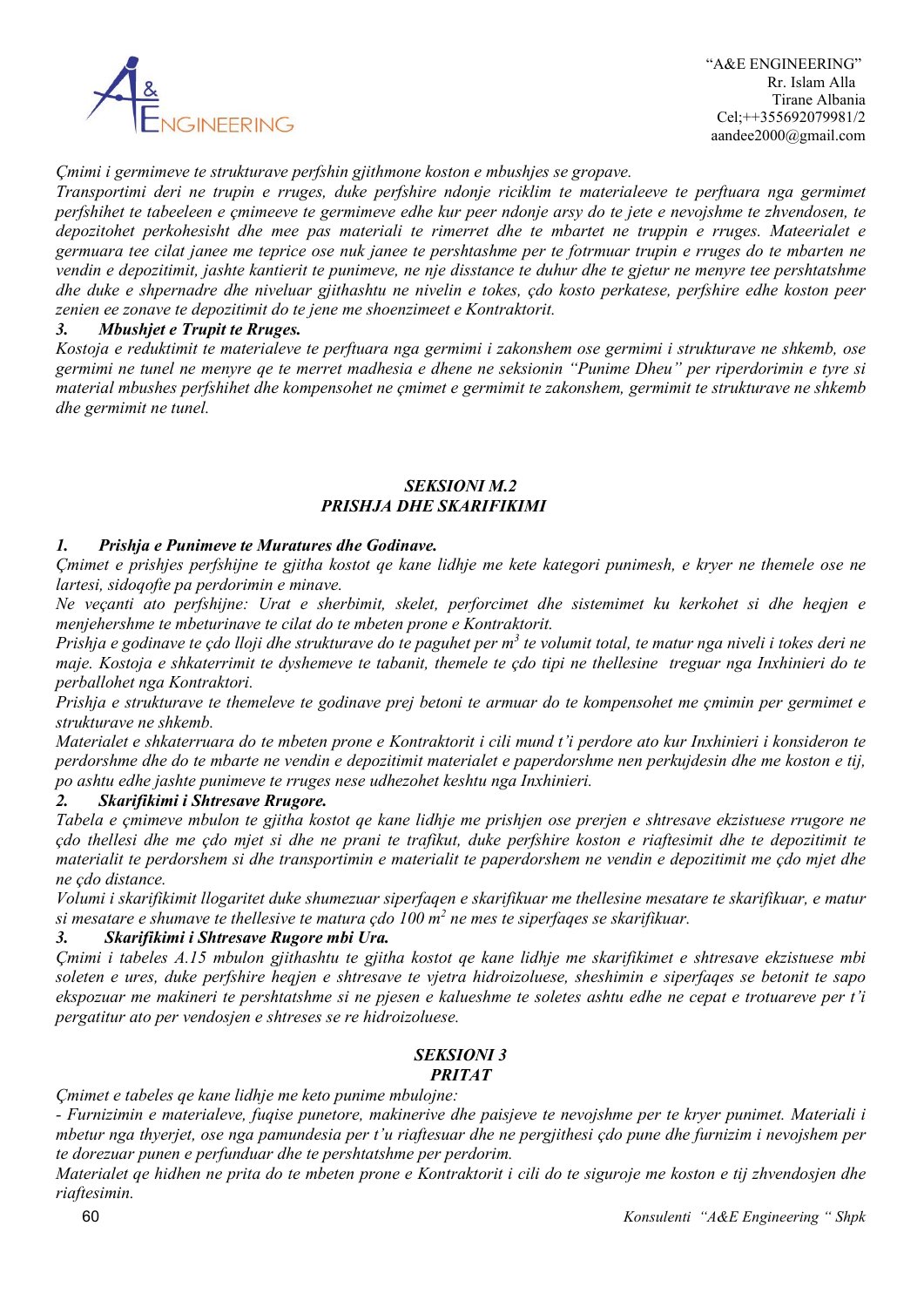

# *Çmimi i germimeve te strukturave perfshin gjithmone koston e mbushjes se gropave.*

*Transportimi deri ne trupin e rruges, duke perfshire ndonje riciklim te materialeeve te perftuara nga germimet perfshihet te tabeeleen e çmimeeve te germimeve edhe kur peer ndonje arsy do te jete e nevojshme te zhvendosen, te depozitohet perkohesisht dhe mee pas materiali te rimerret dhe te mbartet ne truppin e rruges. Mateerialet e germuara tee cilat janee me teprice ose nuk janee te pershtashme per te fotrmuar trupin e rruges do te mbarten ne vendin e depozitimit, jashte kantierit te punimeve, ne nje disstance te duhur dhe te gjetur ne menyre tee pershtatshme dhe duke e shpernadre dhe niveluar gjithashtu ne nivelin e tokes, çdo kosto perkatese, perfshire edhe koston peer zenien ee zonave te depozitimit do te jene me shoenzimeet e Kontraktorit.*

# *3. Mbushjet e Trupit te Rruges.*

*Kostoja e reduktimit te materialeve te perftuara nga germimi i zakonshem ose germimi i strukturave ne shkemb, ose germimi ne tunel ne menyre qe te merret madhesia e dhene ne seksionin "Punime Dheu" per riperdorimin e tyre si material mbushes perfshihet dhe kompensohet ne çmimet e germimit te zakonshem, germimit te strukturave ne shkemb dhe germimit ne tunel.*

### *SEKSIONI M.2 PRISHJA DHE SKARIFIKIMI*

# *1. Prishja e Punimeve te Muratures dhe Godinave.*

*Çmimet e prishjes perfshijne te gjitha kostot qe kane lidhje me kete kategori punimesh, e kryer ne themele ose ne lartesi, sidoqofte pa perdorimin e minave.*

*Ne veçanti ato perfshijne: Urat e sherbimit, skelet, perforcimet dhe sistemimet ku kerkohet si dhe heqjen e menjehershme te mbeturinave te cilat do te mbeten prone e Kontraktorit.*

*Prishja e godinave te çdo lloji dhe strukturave do te paguhet per m3 te volumit total, te matur nga niveli i tokes deri ne maje. Kostoja e shkaterrimit te dyshemeve te tabanit, themele te çdo tipi ne thellesine treguar nga Inxhinieri do te perballohet nga Kontraktori.*

*Prishja e strukturave te themeleve te godinave prej betoni te armuar do te kompensohet me çmimin per germimet e strukturave ne shkemb.*

*Materialet e shkaterruara do te mbeten prone e Kontraktorit i cili mund t'i perdore ato kur Inxhinieri i konsideron te perdorshme dhe do te mbarte ne vendin e depozitimit materialet e paperdorshme nen perkujdesin dhe me koston e tij, po ashtu edhe jashte punimeve te rruges nese udhezohet keshtu nga Inxhinieri.*

### *2. Skarifikimi i Shtresave Rrugore.*

*Tabela e çmimeve mbulon te gjitha kostot qe kane lidhje me prishjen ose prerjen e shtresave ekzistuese rrugore ne çdo thellesi dhe me çdo mjet si dhe ne prani te trafikut, duke perfshire koston e riaftesimit dhe te depozitimit te materialit te perdorshem si dhe transportimin e materialit te paperdorshem ne vendin e depozitimit me çdo mjet dhe ne çdo distance.*

*Volumi i skarifikimit llogaritet duke shumezuar siperfaqen e skarifikuar me thellesine mesatare te skarifikuar, e matur si mesatare e shumave te thellesive te matura çdo 100 m2 ne mes te siperfaqes se skarifikuar.*

### *3. Skarifikimi i Shtresave Rugore mbi Ura.*

*Çmimi i tabeles A.15 mbulon gjithashtu te gjitha kostot qe kane lidhje me skarifikimet e shtresave ekzistuese mbi soleten e ures, duke perfshire heqjen e shtresave te vjetra hidroizoluese, sheshimin e siperfaqes se betonit te sapo ekspozuar me makineri te pershtatshme si ne pjesen e kalueshme te soletes ashtu edhe ne cepat e trotuareve per t'i pergatitur ato per vendosjen e shtreses se re hidroizoluese.*

#### *SEKSIONI 3 PRITAT*

*Çmimet e tabeles qe kane lidhje me keto punime mbulojne:*

*- Furnizimin e materialeve, fuqise punetore, makinerive dhe paisjeve te nevojshme per te kryer punimet. Materiali i mbetur nga thyerjet, ose nga pamundesia per t'u riaftesuar dhe ne pergjithesi çdo pune dhe furnizim i nevojshem per te dorezuar punen e perfunduar dhe te pershtatshme per perdorim.*

*Materialet qe hidhen ne prita do te mbeten prone e Kontraktorit i cili do te siguroje me koston e tij zhvendosjen dhe riaftesimin.*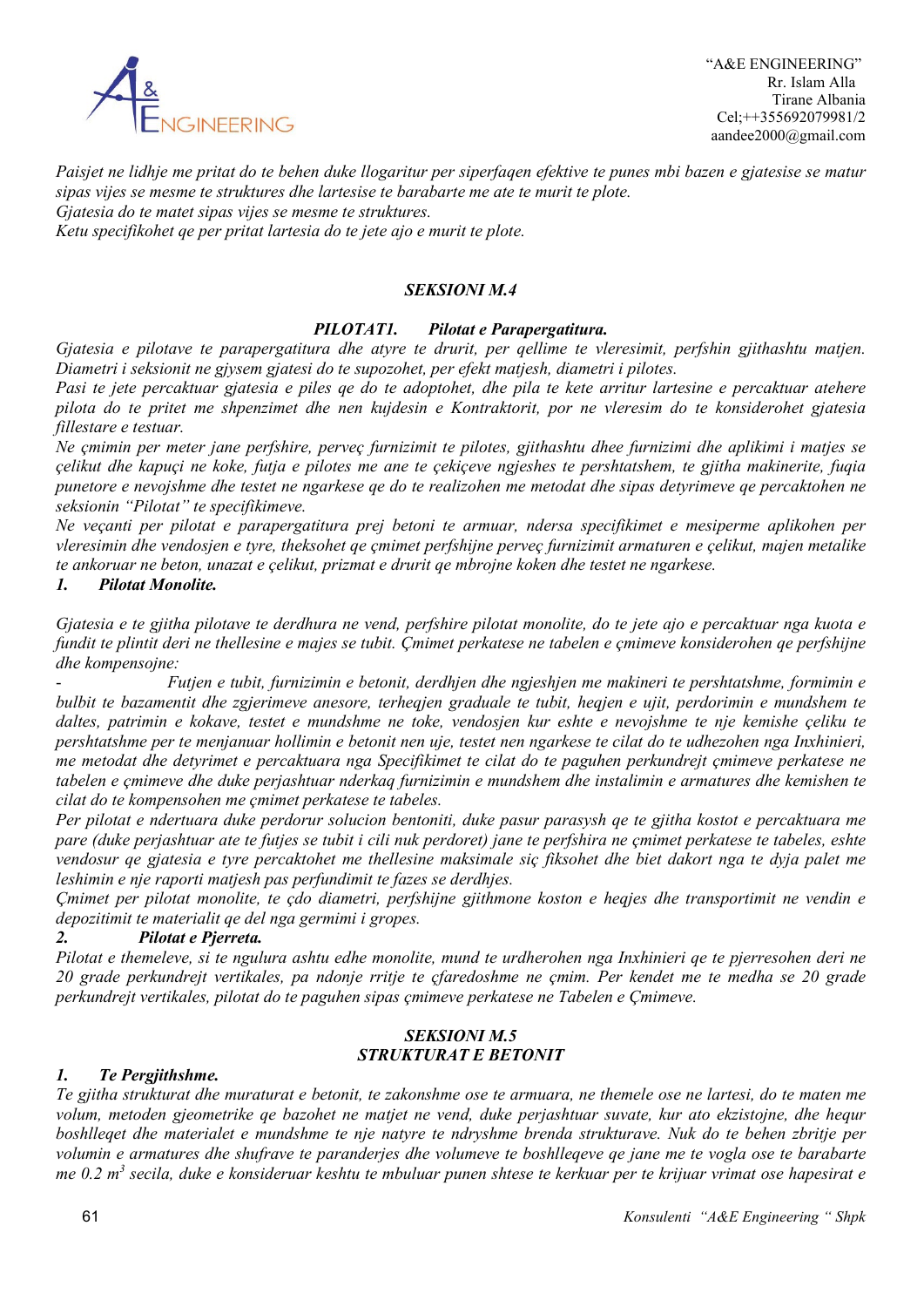

*Paisjet ne lidhje me pritat do te behen duke llogaritur per siperfaqen efektive te punes mbi bazen e gjatesise se matur sipas vijes se mesme te struktures dhe lartesise te barabarte me ate te murit te plote. Gjatesia do te matet sipas vijes se mesme te struktures.*

*Ketu specifikohet qe per pritat lartesia do te jete ajo e murit te plote.*

### *SEKSIONI M.4*

# *PILOTAT1. Pilotat e Parapergatitura.*

*Gjatesia e pilotave te parapergatitura dhe atyre te drurit, per qellime te vleresimit, perfshin gjithashtu matjen. Diametri i seksionit ne gjysem gjatesi do te supozohet, per efekt matjesh, diametri i pilotes.*

*Pasi te jete percaktuar gjatesia e piles qe do te adoptohet, dhe pila te kete arritur lartesine e percaktuar atehere pilota do te pritet me shpenzimet dhe nen kujdesin e Kontraktorit, por ne vleresim do te konsiderohet gjatesia fillestare e testuar.*

*Ne çmimin per meter jane perfshire, perveç furnizimit te pilotes, gjithashtu dhee furnizimi dhe aplikimi i matjes se çelikut dhe kapuçi ne koke, futja e pilotes me ane te çekiçeve ngjeshes te pershtatshem, te gjitha makinerite, fuqia punetore e nevojshme dhe testet ne ngarkese qe do te realizohen me metodat dhe sipas detyrimeve qe percaktohen ne seksionin "Pilotat" te specifikimeve.*

*Ne veçanti per pilotat e parapergatitura prej betoni te armuar, ndersa specifikimet e mesiperme aplikohen per vleresimin dhe vendosjen e tyre, theksohet qe çmimet perfshijne perveç furnizimit armaturen e çelikut, majen metalike te ankoruar ne beton, unazat e çelikut, prizmat e drurit qe mbrojne koken dhe testet ne ngarkese.*

#### *1. Pilotat Monolite.*

*Gjatesia e te gjitha pilotave te derdhura ne vend, perfshire pilotat monolite, do te jete ajo e percaktuar nga kuota e fundit te plintit deri ne thellesine e majes se tubit. Çmimet perkatese ne tabelen e çmimeve konsiderohen qe perfshijne dhe kompensojne:*

- *Futjen e tubit, furnizimin e betonit, derdhjen dhe ngjeshjen me makineri te pershtatshme, formimin e bulbit te bazamentit dhe zgjerimeve anesore, terheqjen graduale te tubit, heqjen e ujit, perdorimin e mundshem te daltes, patrimin e kokave, testet e mundshme ne toke, vendosjen kur eshte e nevojshme te nje kemishe çeliku te pershtatshme per te menjanuar hollimin e betonit nen uje, testet nen ngarkese te cilat do te udhezohen nga Inxhinieri, me metodat dhe detyrimet e percaktuara nga Specifikimet te cilat do te paguhen perkundrejt çmimeve perkatese ne tabelen e çmimeve dhe duke perjashtuar nderkaq furnizimin e mundshem dhe instalimin e armatures dhe kemishen te cilat do te kompensohen me çmimet perkatese te tabeles.*

*Per pilotat e ndertuara duke perdorur solucion bentoniti, duke pasur parasysh qe te gjitha kostot e percaktuara me pare (duke perjashtuar ate te futjes se tubit i cili nuk perdoret) jane te perfshira ne çmimet perkatese te tabeles, eshte vendosur qe gjatesia e tyre percaktohet me thellesine maksimale siç fiksohet dhe biet dakort nga te dyja palet me leshimin e nje raporti matjesh pas perfundimit te fazes se derdhjes.*

*Çmimet per pilotat monolite, te çdo diametri, perfshijne gjithmone koston e heqjes dhe transportimit ne vendin e depozitimit te materialit qe del nga germimi i gropes.*

### *2. Pilotat e Pjerreta.*

*Pilotat e themeleve, si te ngulura ashtu edhe monolite, mund te urdherohen nga Inxhinieri qe te pjerresohen deri ne 20 grade perkundrejt vertikales, pa ndonje rritje te çfaredoshme ne çmim. Per kendet me te medha se 20 grade perkundrejt vertikales, pilotat do te paguhen sipas çmimeve perkatese ne Tabelen e Çmimeve.*

# *SEKSIONI M.5 STRUKTURAT E BETONIT*

#### *1. Te Pergjithshme.*

*Te gjitha strukturat dhe muraturat e betonit, te zakonshme ose te armuara, ne themele ose ne lartesi, do te maten me volum, metoden gjeometrike qe bazohet ne matjet ne vend, duke perjashtuar suvate, kur ato ekzistojne, dhe hequr boshlleqet dhe materialet e mundshme te nje natyre te ndryshme brenda strukturave. Nuk do te behen zbritje per volumin e armatures dhe shufrave te paranderjes dhe volumeve te boshlleqeve qe jane me te vogla ose te barabarte me 0.2 m3 secila, duke e konsideruar keshtu te mbuluar punen shtese te kerkuar per te krijuar vrimat ose hapesirat e*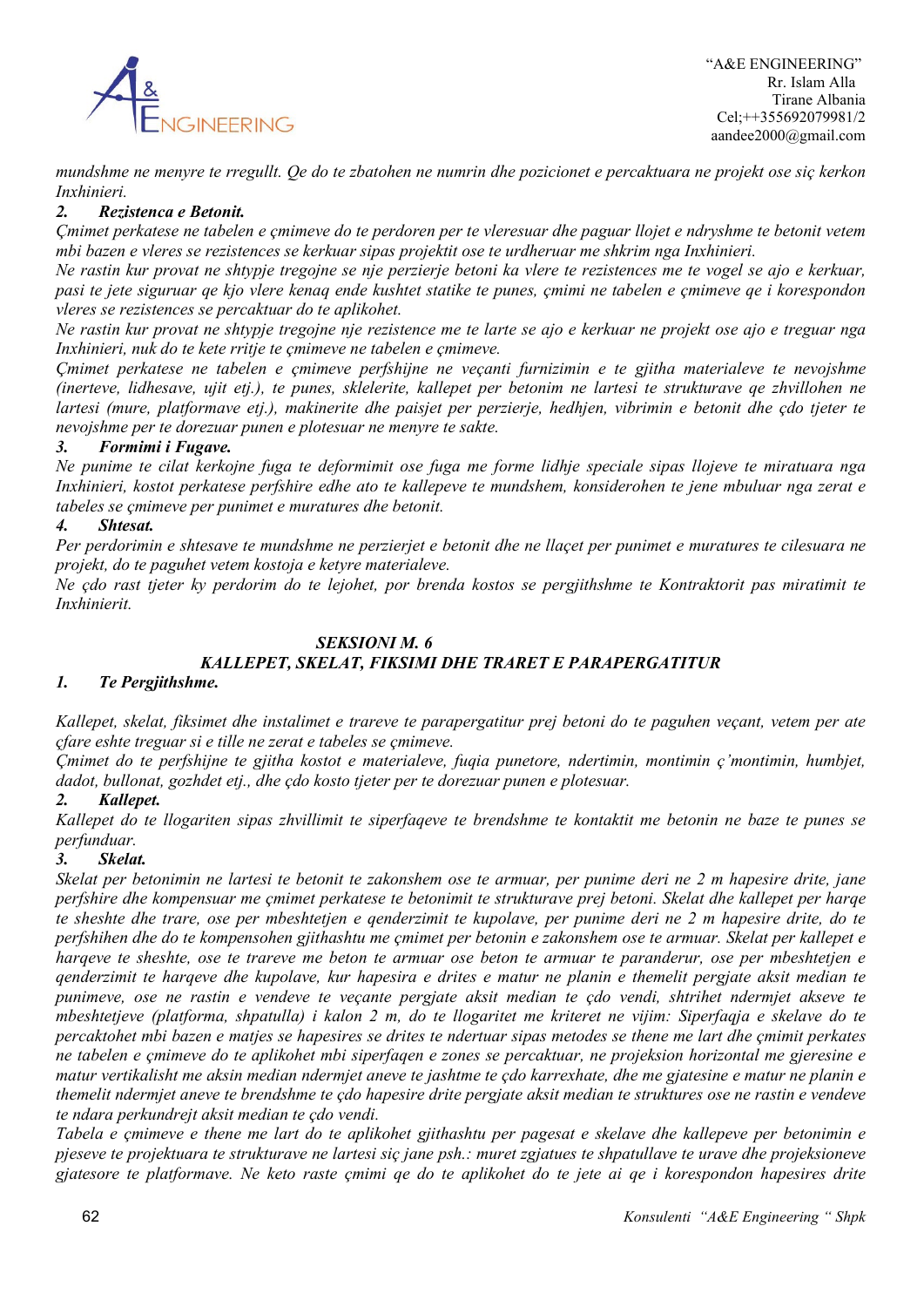

*mundshme ne menyre te rregullt. Qe do te zbatohen ne numrin dhe pozicionet e percaktuara ne projekt ose siç kerkon Inxhinieri.*

### *2. Rezistenca e Betonit.*

*Çmimet perkatese ne tabelen e çmimeve do te perdoren per te vleresuar dhe paguar llojet e ndryshme te betonit vetem mbi bazen e vleres se rezistences se kerkuar sipas projektit ose te urdheruar me shkrim nga Inxhinieri.*

*Ne rastin kur provat ne shtypje tregojne se nje perzierje betoni ka vlere te rezistences me te vogel se ajo e kerkuar, pasi te jete siguruar qe kjo vlere kenaq ende kushtet statike te punes, çmimi ne tabelen e çmimeve qe i korespondon vleres se rezistences se percaktuar do te aplikohet.*

*Ne rastin kur provat ne shtypje tregojne nje rezistence me te larte se ajo e kerkuar ne projekt ose ajo e treguar nga Inxhinieri, nuk do te kete rritje te çmimeve ne tabelen e çmimeve.*

*Çmimet perkatese ne tabelen e çmimeve perfshijne ne veçanti furnizimin e te gjitha materialeve te nevojshme (inerteve, lidhesave, ujit etj.), te punes, sklelerite, kallepet per betonim ne lartesi te strukturave qe zhvillohen ne lartesi (mure, platformave etj.), makinerite dhe paisjet per perzierje, hedhjen, vibrimin e betonit dhe çdo tjeter te nevojshme per te dorezuar punen e plotesuar ne menyre te sakte.*

# *3. Formimi i Fugave.*

*Ne punime te cilat kerkojne fuga te deformimit ose fuga me forme lidhje speciale sipas llojeve te miratuara nga Inxhinieri, kostot perkatese perfshire edhe ato te kallepeve te mundshem, konsiderohen te jene mbuluar nga zerat e tabeles se çmimeve per punimet e muratures dhe betonit.*

# *4. Shtesat.*

*Per perdorimin e shtesave te mundshme ne perzierjet e betonit dhe ne llaçet per punimet e muratures te cilesuara ne projekt, do te paguhet vetem kostoja e ketyre materialeve.*

*Ne çdo rast tjeter ky perdorim do te lejohet, por brenda kostos se pergjithshme te Kontraktorit pas miratimit te Inxhinierit.*

# *SEKSIONI M. 6 KALLEPET, SKELAT, FIKSIMI DHE TRARET E PARAPERGATITUR*

### *1. Te Pergjithshme.*

*Kallepet, skelat, fiksimet dhe instalimet e trareve te parapergatitur prej betoni do te paguhen veçant, vetem per ate çfare eshte treguar si e tille ne zerat e tabeles se çmimeve.*

*Çmimet do te perfshijne te gjitha kostot e materialeve, fuqia punetore, ndertimin, montimin ç'montimin, humbjet, dadot, bullonat, gozhdet etj., dhe çdo kosto tjeter per te dorezuar punen e plotesuar.*

# *2. Kallepet.*

*Kallepet do te llogariten sipas zhvillimit te siperfaqeve te brendshme te kontaktit me betonin ne baze te punes se perfunduar.*

### *3. Skelat.*

*Skelat per betonimin ne lartesi te betonit te zakonshem ose te armuar, per punime deri ne 2 m hapesire drite, jane perfshire dhe kompensuar me çmimet perkatese te betonimit te strukturave prej betoni. Skelat dhe kallepet per harqe te sheshte dhe trare, ose per mbeshtetjen e qenderzimit te kupolave, per punime deri ne 2 m hapesire drite, do te perfshihen dhe do te kompensohen gjithashtu me çmimet per betonin e zakonshem ose te armuar. Skelat per kallepet e harqeve te sheshte, ose te trareve me beton te armuar ose beton te armuar te paranderur, ose per mbeshtetjen e qenderzimit te harqeve dhe kupolave, kur hapesira e drites e matur ne planin e themelit pergjate aksit median te punimeve, ose ne rastin e vendeve te veçante pergjate aksit median te çdo vendi, shtrihet ndermjet akseve te mbeshtetjeve (platforma, shpatulla) i kalon 2 m, do te llogaritet me kriteret ne vijim: Siperfaqja e skelave do te percaktohet mbi bazen e matjes se hapesires se drites te ndertuar sipas metodes se thene me lart dhe çmimit perkates ne tabelen e çmimeve do te aplikohet mbi siperfaqen e zones se percaktuar, ne projeksion horizontal me gjeresine e matur vertikalisht me aksin median ndermjet aneve te jashtme te çdo karrexhate, dhe me gjatesine e matur ne planin e themelit ndermjet aneve te brendshme te çdo hapesire drite pergjate aksit median te struktures ose ne rastin e vendeve te ndara perkundrejt aksit median te çdo vendi.*

*Tabela e çmimeve e thene me lart do te aplikohet gjithashtu per pagesat e skelave dhe kallepeve per betonimin e pjeseve te projektuara te strukturave ne lartesi siç jane psh.: muret zgjatues te shpatullave te urave dhe projeksioneve gjatesore te platformave. Ne keto raste çmimi qe do te aplikohet do te jete ai qe i korespondon hapesires drite*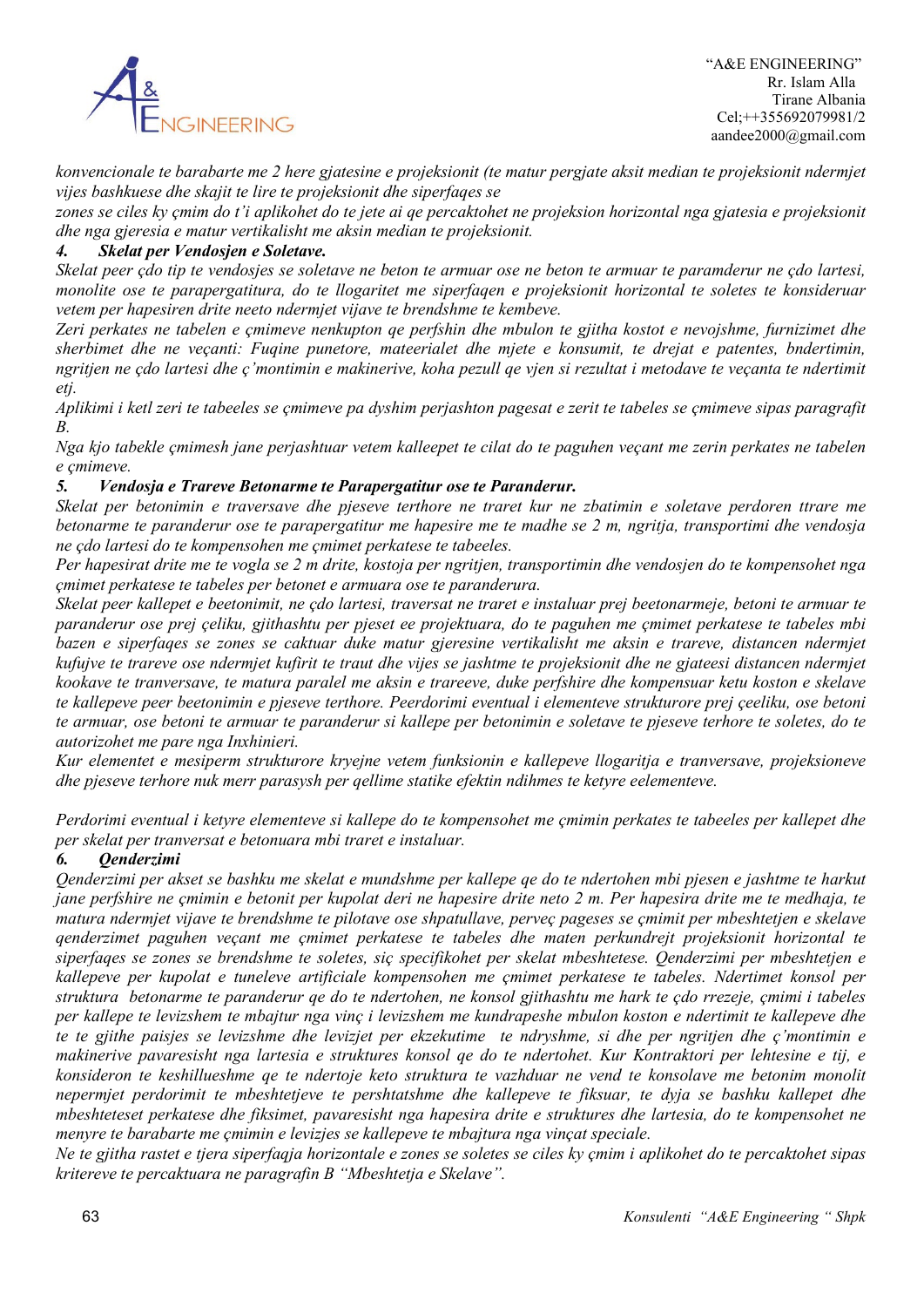

*konvencionale te barabarte me 2 here gjatesine e projeksionit (te matur pergjate aksit median te projeksionit ndermjet vijes bashkuese dhe skajit te lire te projeksionit dhe siperfaqes se* 

*zones se ciles ky çmim do t'i aplikohet do te jete ai qe percaktohet ne projeksion horizontal nga gjatesia e projeksionit dhe nga gjeresia e matur vertikalisht me aksin median te projeksionit.* 

# *4. Skelat per Vendosjen e Soletave.*

*Skelat peer çdo tip te vendosjes se soletave ne beton te armuar ose ne beton te armuar te paramderur ne çdo lartesi, monolite ose te parapergatitura, do te llogaritet me siperfaqen e projeksionit horizontal te soletes te konsideruar vetem per hapesiren drite neeto ndermjet vijave te brendshme te kembeve.*

*Zeri perkates ne tabelen e çmimeve nenkupton qe perfshin dhe mbulon te gjitha kostot e nevojshme, furnizimet dhe sherbimet dhe ne veçanti: Fuqine punetore, mateerialet dhe mjete e konsumit, te drejat e patentes, bndertimin, ngritjen ne çdo lartesi dhe ç'montimin e makinerive, koha pezull qe vjen si rezultat i metodave te veçanta te ndertimit etj.*

*Aplikimi i ketl zeri te tabeeles se çmimeve pa dyshim perjashton pagesat e zerit te tabeles se çmimeve sipas paragrafit B.*

*Nga kjo tabekle çmimesh jane perjashtuar vetem kalleepet te cilat do te paguhen veçant me zerin perkates ne tabelen e çmimeve.*

### *5. Vendosja e Trareve Betonarme te Parapergatitur ose te Paranderur.*

*Skelat per betonimin e traversave dhe pjeseve terthore ne traret kur ne zbatimin e soletave perdoren ttrare me betonarme te paranderur ose te parapergatitur me hapesire me te madhe se 2 m, ngritja, transportimi dhe vendosja ne çdo lartesi do te kompensohen me çmimet perkatese te tabeeles.*

*Per hapesirat drite me te vogla se 2 m drite, kostoja per ngritjen, transportimin dhe vendosjen do te kompensohet nga çmimet perkatese te tabeles per betonet e armuara ose te paranderura.*

*Skelat peer kallepet e beetonimit, ne çdo lartesi, traversat ne traret e instaluar prej beetonarmeje, betoni te armuar te paranderur ose prej çeliku, gjithashtu per pjeset ee projektuara, do te paguhen me çmimet perkatese te tabeles mbi bazen e siperfaqes se zones se caktuar duke matur gjeresine vertikalisht me aksin e trareve, distancen ndermjet kufujve te trareve ose ndermjet kufirit te traut dhe vijes se jashtme te projeksionit dhe ne gjateesi distancen ndermjet kookave te tranversave, te matura paralel me aksin e trareeve, duke perfshire dhe kompensuar ketu koston e skelave te kallepeve peer beetonimin e pjeseve terthore. Peerdorimi eventual i elementeve strukturore prej çeeliku, ose betoni te armuar, ose betoni te armuar te paranderur si kallepe per betonimin e soletave te pjeseve terhore te soletes, do te autorizohet me pare nga Inxhinieri.*

*Kur elementet e mesiperm strukturore kryejne vetem funksionin e kallepeve llogaritja e tranversave, projeksioneve dhe pjeseve terhore nuk merr parasysh per qellime statike efektin ndihmes te ketyre eelementeve.*

*Perdorimi eventual i ketyre elementeve si kallepe do te kompensohet me çmimin perkates te tabeeles per kallepet dhe per skelat per tranversat e betonuara mbi traret e instaluar.*

### *6. Qenderzimi*

*Qenderzimi per akset se bashku me skelat e mundshme per kallepe qe do te ndertohen mbi pjesen e jashtme te harkut jane perfshire ne çmimin e betonit per kupolat deri ne hapesire drite neto 2 m. Per hapesira drite me te medhaja, te matura ndermjet vijave te brendshme te pilotave ose shpatullave, perveç pageses se çmimit per mbeshtetjen e skelave qenderzimet paguhen veçant me çmimet perkatese te tabeles dhe maten perkundrejt projeksionit horizontal te siperfaqes se zones se brendshme te soletes, siç specifikohet per skelat mbeshtetese. Qenderzimi per mbeshtetjen e kallepeve per kupolat e tuneleve artificiale kompensohen me çmimet perkatese te tabeles. Ndertimet konsol per struktura betonarme te paranderur qe do te ndertohen, ne konsol gjithashtu me hark te çdo rrezeje, çmimi i tabeles per kallepe te levizshem te mbajtur nga vinç i levizshem me kundrapeshe mbulon koston e ndertimit te kallepeve dhe te te gjithe paisjes se levizshme dhe levizjet per ekzekutime te ndryshme, si dhe per ngritjen dhe ç'montimin e makinerive pavaresisht nga lartesia e struktures konsol qe do te ndertohet. Kur Kontraktori per lehtesine e tij, e konsideron te keshillueshme qe te ndertoje keto struktura te vazhduar ne vend te konsolave me betonim monolit nepermjet perdorimit te mbeshtetjeve te pershtatshme dhe kallepeve te fiksuar, te dyja se bashku kallepet dhe mbeshteteset perkatese dhe fiksimet, pavaresisht nga hapesira drite e struktures dhe lartesia, do te kompensohet ne menyre te barabarte me çmimin e levizjes se kallepeve te mbajtura nga vinçat speciale.*

*Ne te gjitha rastet e tjera siperfaqja horizontale e zones se soletes se ciles ky çmim i aplikohet do te percaktohet sipas kritereve te percaktuara ne paragrafin B "Mbeshtetja e Skelave".*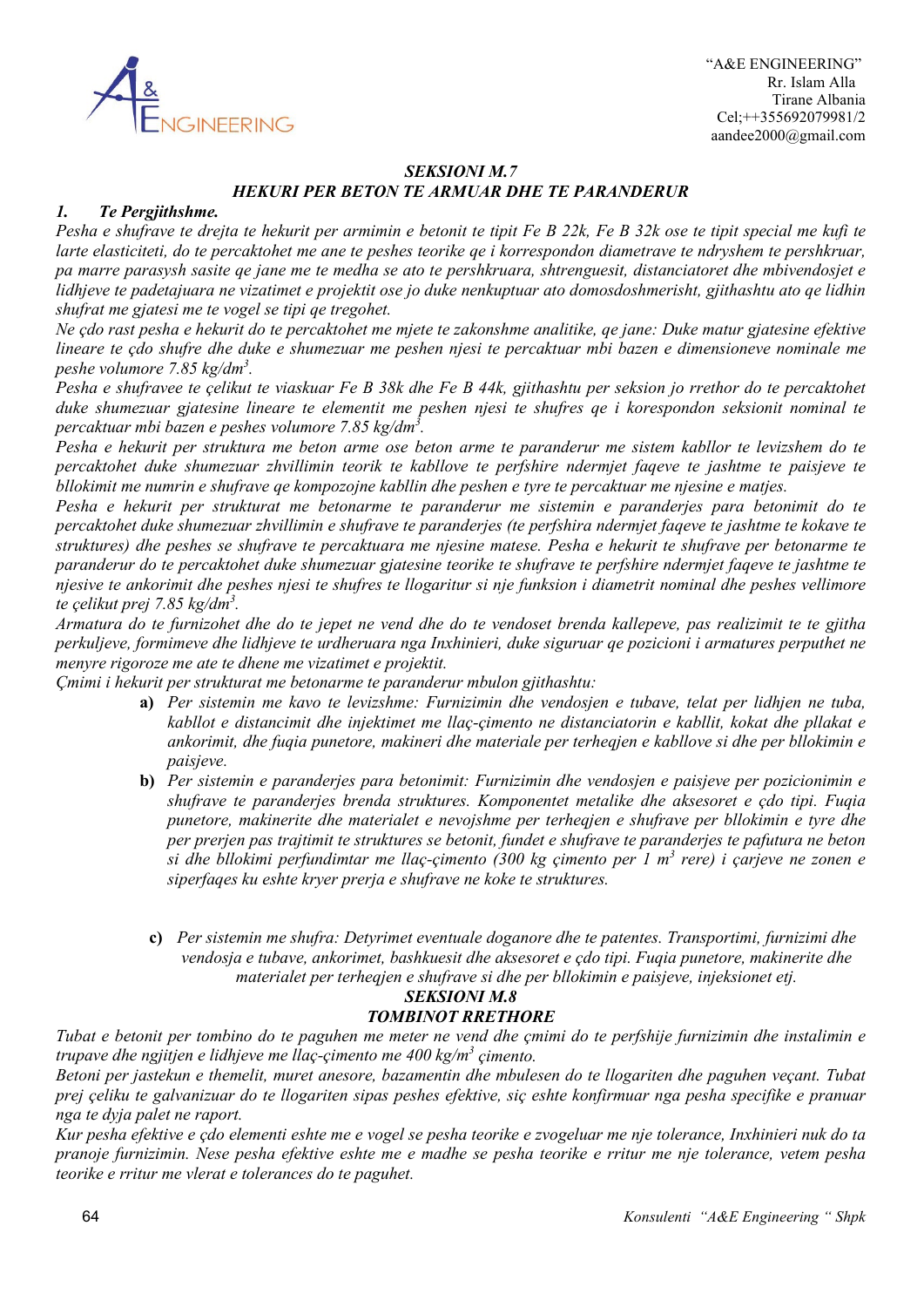

# *SEKSIONI M.7 HEKURI PER BETON TE ARMUAR DHE TE PARANDERUR*

#### *1. Te Pergjithshme.*

*Pesha e shufrave te drejta te hekurit per armimin e betonit te tipit Fe B 22k, Fe B 32k ose te tipit special me kufi te larte elasticiteti, do te percaktohet me ane te peshes teorike qe i korrespondon diametrave te ndryshem te pershkruar, pa marre parasysh sasite qe jane me te medha se ato te pershkruara, shtrenguesit, distanciatoret dhe mbivendosjet e lidhjeve te padetajuara ne vizatimet e projektit ose jo duke nenkuptuar ato domosdoshmerisht, gjithashtu ato qe lidhin shufrat me gjatesi me te vogel se tipi qe tregohet.*

*Ne çdo rast pesha e hekurit do te percaktohet me mjete te zakonshme analitike, qe jane: Duke matur gjatesine efektive lineare te çdo shufre dhe duke e shumezuar me peshen njesi te percaktuar mbi bazen e dimensioneve nominale me peshe volumore 7.85 kg/dm3 .*

*Pesha e shufravee te çelikut te viaskuar Fe B 38k dhe Fe B 44k, gjithashtu per seksion jo rrethor do te percaktohet duke shumezuar gjatesine lineare te elementit me peshen njesi te shufres qe i korespondon seksionit nominal te percaktuar mbi bazen e peshes volumore 7.85 kg/dm3 .*

*Pesha e hekurit per struktura me beton arme ose beton arme te paranderur me sistem kabllor te levizshem do te percaktohet duke shumezuar zhvillimin teorik te kabllove te perfshire ndermjet faqeve te jashtme te paisjeve te bllokimit me numrin e shufrave qe kompozojne kabllin dhe peshen e tyre te percaktuar me njesine e matjes.*

*Pesha e hekurit per strukturat me betonarme te paranderur me sistemin e paranderjes para betonimit do te percaktohet duke shumezuar zhvillimin e shufrave te paranderjes (te perfshira ndermjet faqeve te jashtme te kokave te struktures) dhe peshes se shufrave te percaktuara me njesine matese. Pesha e hekurit te shufrave per betonarme te paranderur do te percaktohet duke shumezuar gjatesine teorike te shufrave te perfshire ndermjet faqeve te jashtme te njesive te ankorimit dhe peshes njesi te shufres te llogaritur si nje funksion i diametrit nominal dhe peshes vellimore te çelikut prej 7.85 kg/dm3 .*

*Armatura do te furnizohet dhe do te jepet ne vend dhe do te vendoset brenda kallepeve, pas realizimit te te gjitha perkuljeve, formimeve dhe lidhjeve te urdheruara nga Inxhinieri, duke siguruar qe pozicioni i armatures perputhet ne menyre rigoroze me ate te dhene me vizatimet e projektit.*

*Çmimi i hekurit per strukturat me betonarme te paranderur mbulon gjithashtu:*

- **a)** *Per sistemin me kavo te levizshme: Furnizimin dhe vendosjen e tubave, telat per lidhjen ne tuba, kabllot e distancimit dhe injektimet me llaç-çimento ne distanciatorin e kabllit, kokat dhe pllakat e ankorimit, dhe fuqia punetore, makineri dhe materiale per terheqjen e kabllove si dhe per bllokimin e paisjeve.*
- **b)** *Per sistemin e paranderjes para betonimit: Furnizimin dhe vendosjen e paisjeve per pozicionimin e shufrave te paranderjes brenda struktures. Komponentet metalike dhe aksesoret e çdo tipi. Fuqia punetore, makinerite dhe materialet e nevojshme per terheqjen e shufrave per bllokimin e tyre dhe per prerjen pas trajtimit te struktures se betonit, fundet e shufrave te paranderjes te pafutura ne beton si dhe bllokimi perfundimtar me llaç-çimento (300 kg çimento per 1 m3 rere) i çarjeve ne zonen e siperfaqes ku eshte kryer prerja e shufrave ne koke te struktures.*
	- **c)** *Per sistemin me shufra: Detyrimet eventuale doganore dhe te patentes. Transportimi, furnizimi dhe vendosja e tubave, ankorimet, bashkuesit dhe aksesoret e çdo tipi. Fuqia punetore, makinerite dhe materialet per terheqjen e shufrave si dhe per bllokimin e paisjeve, injeksionet etj.*

### *SEKSIONI M.8 TOMBINOT RRETHORE*

*Tubat e betonit per tombino do te paguhen me meter ne vend dhe çmimi do te perfshije furnizimin dhe instalimin e trupave dhe ngjitjen e lidhjeve me llaç-çimento me 400 kg/m3 çimento.*

*Betoni per jastekun e themelit, muret anesore, bazamentin dhe mbulesen do te llogariten dhe paguhen veçant. Tubat prej çeliku te galvanizuar do te llogariten sipas peshes efektive, siç eshte konfirmuar nga pesha specifike e pranuar nga te dyja palet ne raport.*

*Kur pesha efektive e çdo elementi eshte me e vogel se pesha teorike e zvogeluar me nje tolerance, Inxhinieri nuk do ta pranoje furnizimin. Nese pesha efektive eshte me e madhe se pesha teorike e rritur me nje tolerance, vetem pesha teorike e rritur me vlerat e tolerances do te paguhet.*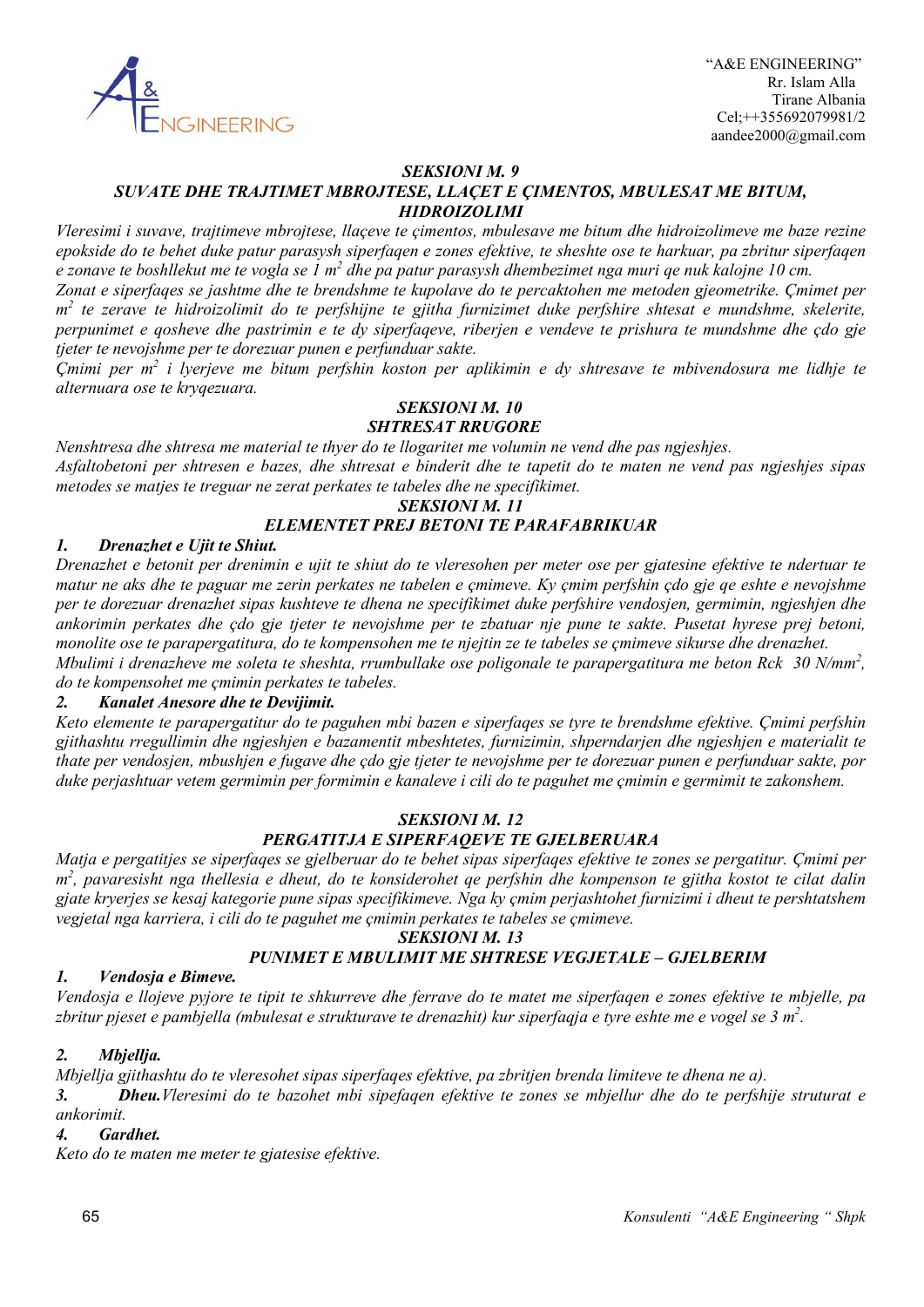

# *SEKSIONI M. 9*

### *SUVATE DHE TRAJTIMET MBROJTESE, LLAÇET E ÇIMENTOS, MBULESAT ME BITUM, HIDROIZOLIMI*

*Vleresimi i suvave, trajtimeve mbrojtese, llaçeve te çimentos, mbulesave me bitum dhe hidroizolimeve me baze rezine epokside do te behet duke patur parasysh siperfaqen e zones efektive, te sheshte ose te harkuar, pa zbritur siperfaqen e zonave te boshllekut me te vogla se 1 m2 dhe pa patur parasysh dhembezimet nga muri qe nuk kalojne 10 cm.*

*Zonat e siperfaqes se jashtme dhe te brendshme te kupolave do te percaktohen me metoden gjeometrike. Çmimet per m2 te zerave te hidroizolimit do te perfshijne te gjitha furnizimet duke perfshire shtesat e mundshme, skelerite, perpunimet e qosheve dhe pastrimin e te dy siperfaqeve, riberjen e vendeve te prishura te mundshme dhe çdo gje tjeter te nevojshme per te dorezuar punen e perfunduar sakte.*

*Çmimi per m2 i lyerjeve me bitum perfshin koston per aplikimin e dy shtresave te mbivendosura me lidhje te alternuara ose te kryqezuara.*

#### *SEKSIONI M. 10 SHTRESAT RRUGORE*

*Nenshtresa dhe shtresa me material te thyer do te llogaritet me volumin ne vend dhe pas ngjeshjes. Asfaltobetoni per shtresen e bazes, dhe shtresat e binderit dhe te tapetit do te maten ne vend pas ngjeshjes sipas metodes se matjes te treguar ne zerat perkates te tabeles dhe ne specifikimet.*

# *SEKSIONI M. 11 ELEMENTET PREJ BETONI TE PARAFABRIKUAR*

# *1. Drenazhet e Ujit te Shiut.*

*Drenazhet e betonit per drenimin e ujit te shiut do te vleresohen per meter ose per gjatesine efektive te ndertuar te matur ne aks dhe te paguar me zerin perkates ne tabelen e çmimeve. Ky çmim perfshin çdo gje qe eshte e nevojshme per te dorezuar drenazhet sipas kushteve te dhena ne specifikimet duke perfshire vendosjen, germimin, ngjeshjen dhe ankorimin perkates dhe çdo gje tjeter te nevojshme per te zbatuar nje pune te sakte. Pusetat hyrese prej betoni, monolite ose te parapergatitura, do te kompensohen me te njejtin ze te tabeles se çmimeve sikurse dhe drenazhet. Mbulimi i drenazheve me soleta te sheshta, rrumbullake ose poligonale te parapergatitura me beton Rck 30 N/mm<sup>2</sup> , do te kompensohet me çmimin perkates te tabeles.*

# *2. Kanalet Anesore dhe te Devijimit.*

*Keto elemente te parapergatitur do te paguhen mbi bazen e siperfaqes se tyre te brendshme efektive. Çmimi perfshin gjithashtu rregullimin dhe ngjeshjen e bazamentit mbeshtetes, furnizimin, shperndarjen dhe ngjeshjen e materialit te thate per vendosjen, mbushjen e fugave dhe çdo gje tjeter te nevojshme per te dorezuar punen e perfunduar sakte, por duke perjashtuar vetem germimin per formimin e kanaleve i cili do te paguhet me çmimin e germimit te zakonshem.*

# *SEKSIONI M. 12 PERGATITJA E SIPERFAQEVE TE GJELBERUARA*

*Matja e pergatitjes se siperfaqes se gjelberuar do te behet sipas siperfaqes efektive te zones se pergatitur. Çmimi per m2 , pavaresisht nga thellesia e dheut, do te konsiderohet qe perfshin dhe kompenson te gjitha kostot te cilat dalin gjate kryerjes se kesaj kategorie pune sipas specifikimeve. Nga ky çmim perjashtohet furnizimi i dheut te pershtatshem vegjetal nga karriera, i cili do te paguhet me çmimin perkates te tabeles se çmimeve.*

### *SEKSIONI M. 13*

# *PUNIMET E MBULIMIT ME SHTRESE VEGJETALE – GJELBERIM*

# *1. Vendosja e Bimeve.*

*Vendosja e llojeve pyjore te tipit te shkurreve dhe ferrave do te matet me siperfaqen e zones efektive te mbjelle, pa zbritur pjeset e pambjella (mbulesat e strukturave te drenazhit) kur siperfaqja e tyre eshte me e vogel se 3 m2 .*

### *2. Mbjellja.*

*Mbjellja gjithashtu do te vleresohet sipas siperfaqes efektive, pa zbritjen brenda limiteve te dhena ne a). 3. Dheu.Vleresimi do te bazohet mbi sipefaqen efektive te zones se mbjellur dhe do te perfshije struturat e ankorimit.*

### *4. Gardhet.*

*Keto do te maten me meter te gjatesise efektive.*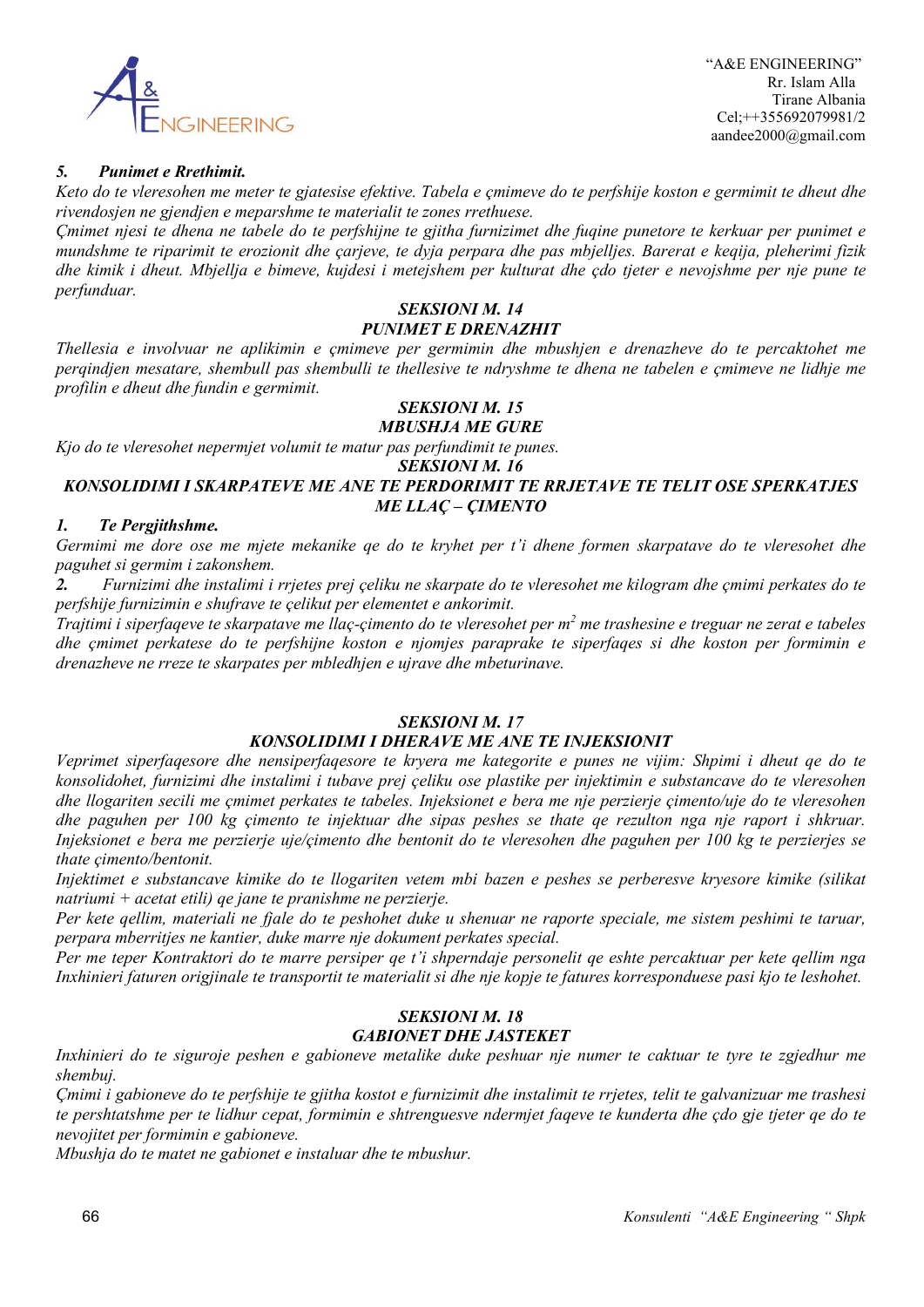

# *5. Punimet e Rrethimit.*

*Keto do te vleresohen me meter te gjatesise efektive. Tabela e çmimeve do te perfshije koston e germimit te dheut dhe rivendosjen ne gjendjen e meparshme te materialit te zones rrethuese.*

*Çmimet njesi te dhena ne tabele do te perfshijne te gjitha furnizimet dhe fuqine punetore te kerkuar per punimet e mundshme te riparimit te erozionit dhe çarjeve, te dyja perpara dhe pas mbjelljes. Barerat e keqija, pleherimi fizik dhe kimik i dheut. Mbjellja e bimeve, kujdesi i metejshem per kulturat dhe çdo tjeter e nevojshme per nje pune te perfunduar.*

#### *SEKSIONI M. 14 PUNIMET E DRENAZHIT*

*Thellesia e involvuar ne aplikimin e çmimeve per germimin dhe mbushjen e drenazheve do te percaktohet me perqindjen mesatare, shembull pas shembulli te thellesive te ndryshme te dhena ne tabelen e çmimeve ne lidhje me profilin e dheut dhe fundin e germimit.*

#### *SEKSIONI M. 15 MBUSHJA ME GURE*

*Kjo do te vleresohet nepermjet volumit te matur pas perfundimit te punes.*

*SEKSIONI M. 16*

# *KONSOLIDIMI I SKARPATEVE ME ANE TE PERDORIMIT TE RRJETAVE TE TELIT OSE SPERKATJES ME LLAÇ – ÇIMENTO*

# *1. Te Pergjithshme.*

*Germimi me dore ose me mjete mekanike qe do te kryhet per t'i dhene formen skarpatave do te vleresohet dhe paguhet si germim i zakonshem.*

*2. Furnizimi dhe instalimi i rrjetes prej çeliku ne skarpate do te vleresohet me kilogram dhe çmimi perkates do te perfshije furnizimin e shufrave te çelikut per elementet e ankorimit.*

*Trajtimi i siperfaqeve te skarpatave me llaç-çimento do te vleresohet per m2 me trashesine e treguar ne zerat e tabeles dhe çmimet perkatese do te perfshijne koston e njomjes paraprake te siperfaqes si dhe koston per formimin e drenazheve ne rreze te skarpates per mbledhjen e ujrave dhe mbeturinave.*

# *SEKSIONI M. 17*

# *KONSOLIDIMI I DHERAVE ME ANE TE INJEKSIONIT*

*Veprimet siperfaqesore dhe nensiperfaqesore te kryera me kategorite e punes ne vijim: Shpimi i dheut qe do te konsolidohet, furnizimi dhe instalimi i tubave prej çeliku ose plastike per injektimin e substancave do te vleresohen dhe llogariten secili me çmimet perkates te tabeles. Injeksionet e bera me nje perzierje çimento/uje do te vleresohen dhe paguhen per 100 kg çimento te injektuar dhe sipas peshes se thate qe rezulton nga nje raport i shkruar. Injeksionet e bera me perzierje uje/çimento dhe bentonit do te vleresohen dhe paguhen per 100 kg te perzierjes se thate çimento/bentonit.*

*Injektimet e substancave kimike do te llogariten vetem mbi bazen e peshes se perberesve kryesore kimike (silikat natriumi + acetat etili) qe jane te pranishme ne perzierje.*

*Per kete qellim, materiali ne fjale do te peshohet duke u shenuar ne raporte speciale, me sistem peshimi te taruar, perpara mberritjes ne kantier, duke marre nje dokument perkates special.*

*Per me teper Kontraktori do te marre persiper qe t'i shperndaje personelit qe eshte percaktuar per kete qellim nga Inxhinieri faturen origjinale te transportit te materialit si dhe nje kopje te fatures korresponduese pasi kjo te leshohet.*

# *SEKSIONI M. 18 GABIONET DHE JASTEKET*

*Inxhinieri do te siguroje peshen e gabioneve metalike duke peshuar nje numer te caktuar te tyre te zgjedhur me shembuj.*

*Çmimi i gabioneve do te perfshije te gjitha kostot e furnizimit dhe instalimit te rrjetes, telit te galvanizuar me trashesi te pershtatshme per te lidhur cepat, formimin e shtrenguesve ndermjet faqeve te kunderta dhe çdo gje tjeter qe do te nevojitet per formimin e gabioneve.*

*Mbushja do te matet ne gabionet e instaluar dhe te mbushur.*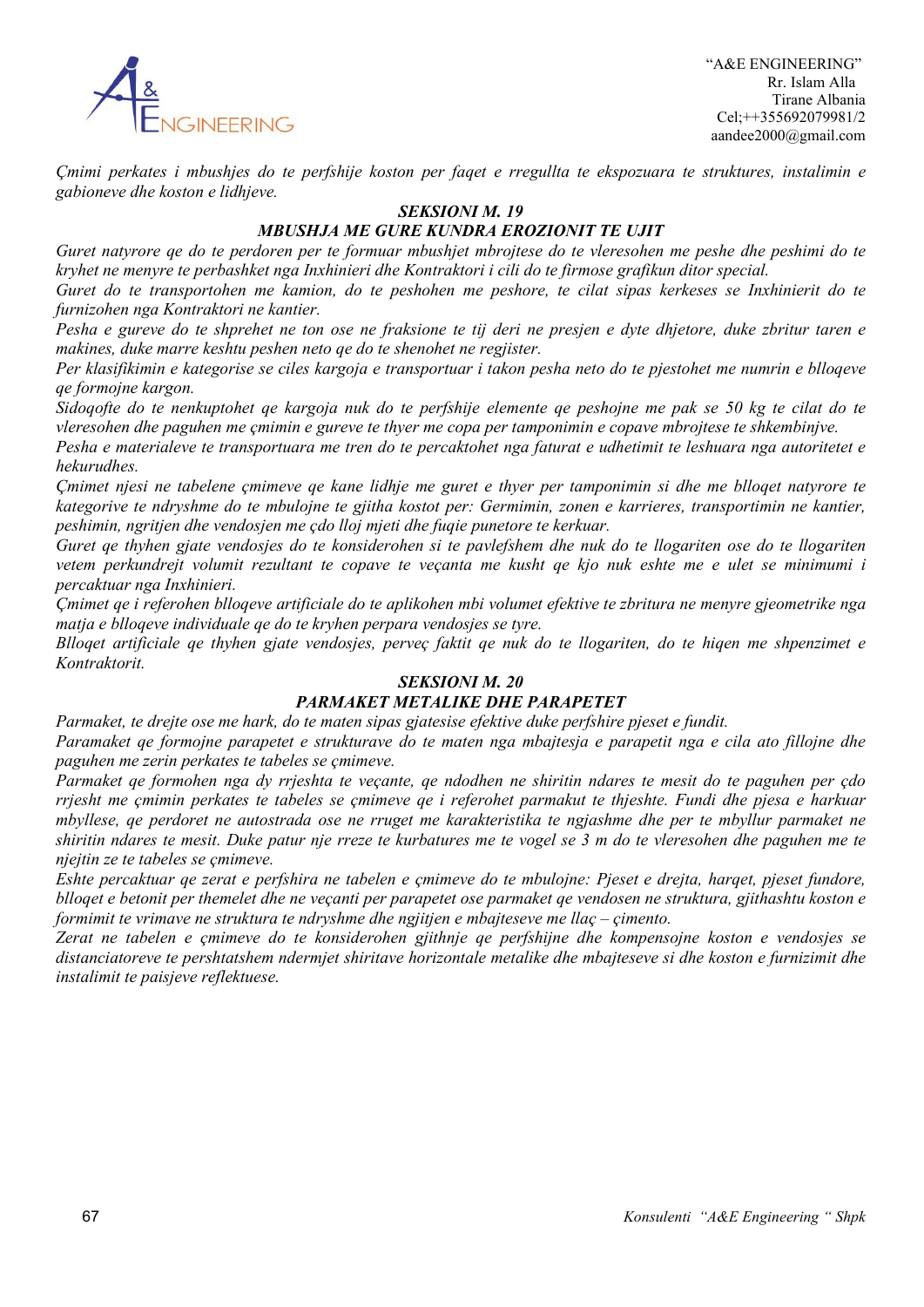

 "A&E ENGINEERING" Rr. Islam Alla Tirane Albania Cel;++355692079981/2 aandee2000@gmail.com

*Çmimi perkates i mbushjes do te perfshije koston per faqet e rregullta te ekspozuara te struktures, instalimin e gabioneve dhe koston e lidhjeve.*

#### *SEKSIONI M. 19*

# *MBUSHJA ME GURE KUNDRA EROZIONIT TE UJIT*

*Guret natyrore qe do te perdoren per te formuar mbushjet mbrojtese do te vleresohen me peshe dhe peshimi do te kryhet ne menyre te perbashket nga Inxhinieri dhe Kontraktori i cili do te firmose grafikun ditor special.*

*Guret do te transportohen me kamion, do te peshohen me peshore, te cilat sipas kerkeses se Inxhinierit do te furnizohen nga Kontraktori ne kantier.*

*Pesha e gureve do te shprehet ne ton ose ne fraksione te tij deri ne presjen e dyte dhjetore, duke zbritur taren e makines, duke marre keshtu peshen neto qe do te shenohet ne regjister.*

*Per klasifikimin e kategorise se ciles kargoja e transportuar i takon pesha neto do te pjestohet me numrin e blloqeve qe formojne kargon.*

*Sidoqofte do te nenkuptohet qe kargoja nuk do te perfshije elemente qe peshojne me pak se 50 kg te cilat do te vleresohen dhe paguhen me çmimin e gureve te thyer me copa per tamponimin e copave mbrojtese te shkembinjve.*

*Pesha e materialeve te transportuara me tren do te percaktohet nga faturat e udhetimit te leshuara nga autoritetet e hekurudhes.*

*Çmimet njesi ne tabelene çmimeve qe kane lidhje me guret e thyer per tamponimin si dhe me blloqet natyrore te kategorive te ndryshme do te mbulojne te gjitha kostot per: Germimin, zonen e karrieres, transportimin ne kantier, peshimin, ngritjen dhe vendosjen me çdo lloj mjeti dhe fuqie punetore te kerkuar.*

*Guret qe thyhen gjate vendosjes do te konsiderohen si te pavlefshem dhe nuk do te llogariten ose do te llogariten vetem perkundrejt volumit rezultant te copave te veçanta me kusht qe kjo nuk eshte me e ulet se minimumi i percaktuar nga Inxhinieri.*

*Çmimet qe i referohen blloqeve artificiale do te aplikohen mbi volumet efektive te zbritura ne menyre gjeometrike nga matja e blloqeve individuale qe do te kryhen perpara vendosjes se tyre.*

*Blloqet artificiale qe thyhen gjate vendosjes, perveç faktit qe nuk do te llogariten, do te hiqen me shpenzimet e Kontraktorit.*

### *SEKSIONI M. 20*

### *PARMAKET METALIKE DHE PARAPETET*

*Parmaket, te drejte ose me hark, do te maten sipas gjatesise efektive duke perfshire pjeset e fundit.*

*Paramaket qe formojne parapetet e strukturave do te maten nga mbajtesja e parapetit nga e cila ato fillojne dhe paguhen me zerin perkates te tabeles se çmimeve.*

*Parmaket qe formohen nga dy rrjeshta te veçante, qe ndodhen ne shiritin ndares te mesit do te paguhen per çdo rrjesht me çmimin perkates te tabeles se çmimeve qe i referohet parmakut te thjeshte. Fundi dhe pjesa e harkuar mbyllese, qe perdoret ne autostrada ose ne rruget me karakteristika te ngjashme dhe per te mbyllur parmaket ne shiritin ndares te mesit. Duke patur nje rreze te kurbatures me te vogel se 3 m do te vleresohen dhe paguhen me te njejtin ze te tabeles se çmimeve.*

*Eshte percaktuar qe zerat e perfshira ne tabelen e çmimeve do te mbulojne: Pjeset e drejta, harqet, pjeset fundore, blloqet e betonit per themelet dhe ne veçanti per parapetet ose parmaket qe vendosen ne struktura, gjithashtu koston e formimit te vrimave ne struktura te ndryshme dhe ngjitjen e mbajteseve me llaç – çimento.*

*Zerat ne tabelen e çmimeve do te konsiderohen gjithnje qe perfshijne dhe kompensojne koston e vendosjes se distanciatoreve te pershtatshem ndermjet shiritave horizontale metalike dhe mbajteseve si dhe koston e furnizimit dhe instalimit te paisjeve reflektuese.*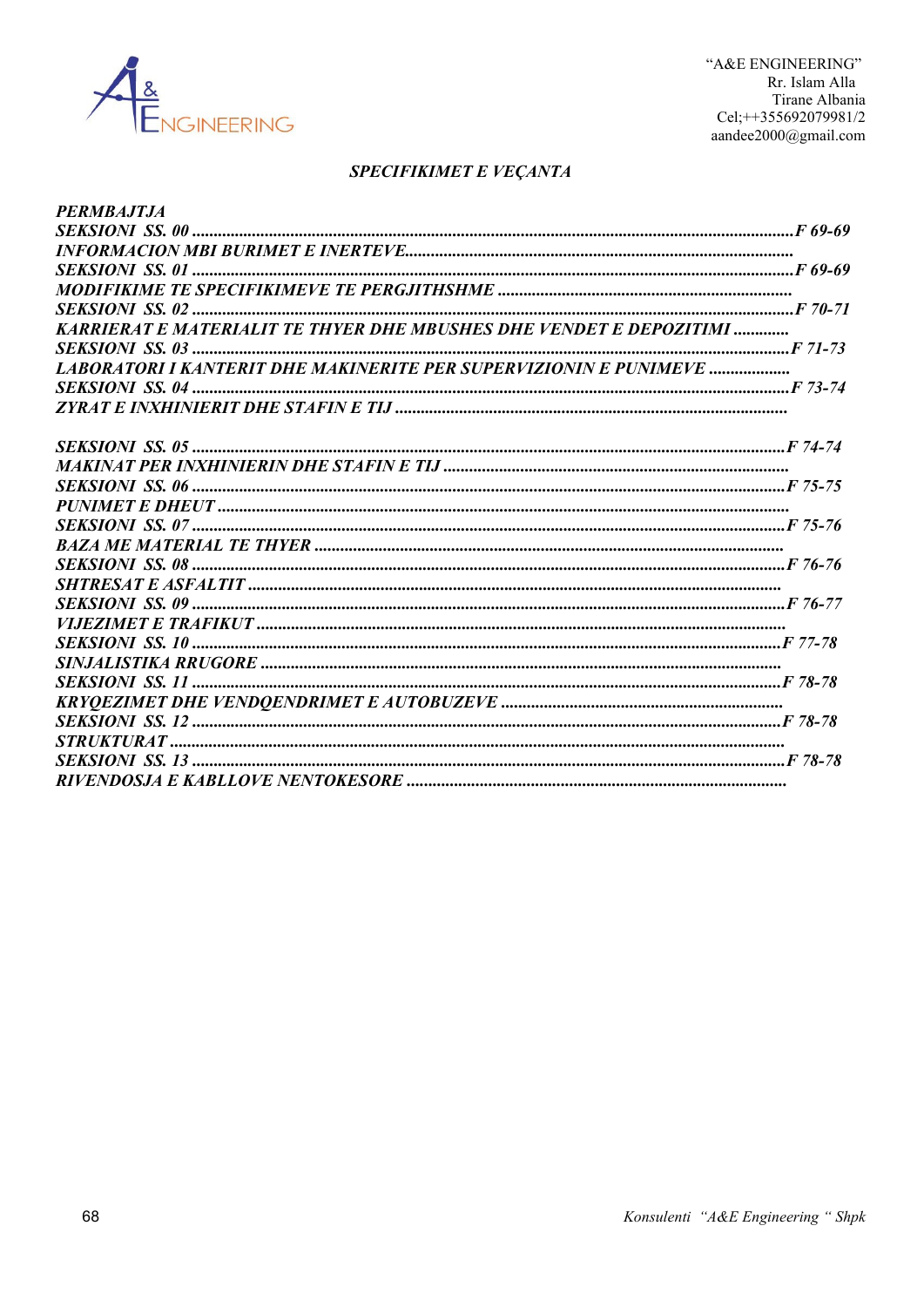

# SPECIFIKIMET E VEÇANTA

| <b>PERMBAJTJA</b>                                                                                                                                                                                                                                                                                                                                                                                                                                                                                |  |
|--------------------------------------------------------------------------------------------------------------------------------------------------------------------------------------------------------------------------------------------------------------------------------------------------------------------------------------------------------------------------------------------------------------------------------------------------------------------------------------------------|--|
|                                                                                                                                                                                                                                                                                                                                                                                                                                                                                                  |  |
|                                                                                                                                                                                                                                                                                                                                                                                                                                                                                                  |  |
|                                                                                                                                                                                                                                                                                                                                                                                                                                                                                                  |  |
|                                                                                                                                                                                                                                                                                                                                                                                                                                                                                                  |  |
|                                                                                                                                                                                                                                                                                                                                                                                                                                                                                                  |  |
| <b>KARRIERAT E MATERIALIT TE THYER DHE MBUSHES DHE VENDET E DEPOZITIMI </b>                                                                                                                                                                                                                                                                                                                                                                                                                      |  |
|                                                                                                                                                                                                                                                                                                                                                                                                                                                                                                  |  |
| <b>LABORATORI I KANTERIT DHE MAKINERITE PER SUPERVIZIONIN E PUNIMEVE </b>                                                                                                                                                                                                                                                                                                                                                                                                                        |  |
|                                                                                                                                                                                                                                                                                                                                                                                                                                                                                                  |  |
|                                                                                                                                                                                                                                                                                                                                                                                                                                                                                                  |  |
|                                                                                                                                                                                                                                                                                                                                                                                                                                                                                                  |  |
|                                                                                                                                                                                                                                                                                                                                                                                                                                                                                                  |  |
|                                                                                                                                                                                                                                                                                                                                                                                                                                                                                                  |  |
|                                                                                                                                                                                                                                                                                                                                                                                                                                                                                                  |  |
|                                                                                                                                                                                                                                                                                                                                                                                                                                                                                                  |  |
|                                                                                                                                                                                                                                                                                                                                                                                                                                                                                                  |  |
|                                                                                                                                                                                                                                                                                                                                                                                                                                                                                                  |  |
|                                                                                                                                                                                                                                                                                                                                                                                                                                                                                                  |  |
|                                                                                                                                                                                                                                                                                                                                                                                                                                                                                                  |  |
|                                                                                                                                                                                                                                                                                                                                                                                                                                                                                                  |  |
|                                                                                                                                                                                                                                                                                                                                                                                                                                                                                                  |  |
|                                                                                                                                                                                                                                                                                                                                                                                                                                                                                                  |  |
|                                                                                                                                                                                                                                                                                                                                                                                                                                                                                                  |  |
|                                                                                                                                                                                                                                                                                                                                                                                                                                                                                                  |  |
|                                                                                                                                                                                                                                                                                                                                                                                                                                                                                                  |  |
|                                                                                                                                                                                                                                                                                                                                                                                                                                                                                                  |  |
| $\begin{minipage}{0.9\linewidth} \textit{STRUKTURAL}\ \textit{max} \ \textit{min} \ \textit{min} \ \textit{min} \ \textit{min} \ \textit{min} \ \textit{min} \ \textit{min} \ \textit{min} \ \textit{min} \ \textit{min} \ \textit{min} \ \textit{min} \ \textit{min} \ \textit{min} \ \textit{min} \ \textit{min} \ \textit{min} \ \textit{min} \ \textit{min} \ \textit{min} \ \textit{min} \ \textit{min} \ \textit{min} \ \textit{min} \ \textit{min} \ \textit{min} \ \textit{min} \ \text$ |  |
|                                                                                                                                                                                                                                                                                                                                                                                                                                                                                                  |  |
|                                                                                                                                                                                                                                                                                                                                                                                                                                                                                                  |  |
|                                                                                                                                                                                                                                                                                                                                                                                                                                                                                                  |  |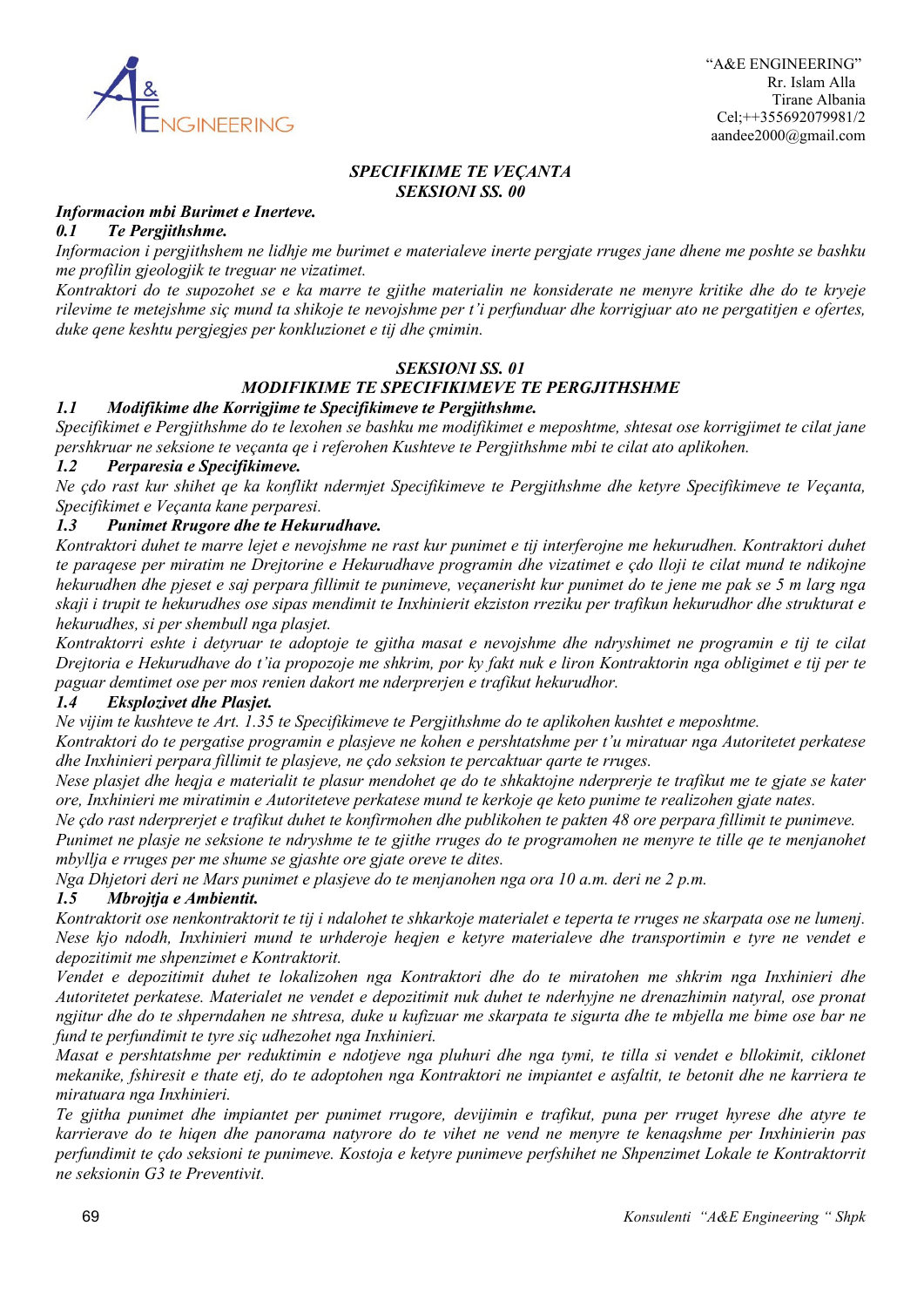

# *SPECIFIKIME TE VEÇANTA SEKSIONI SS. 00*

#### *Informacion mbi Burimet e Inerteve.*

### *0.1 Te Pergjithshme.*

*Informacion i pergjithshem ne lidhje me burimet e materialeve inerte pergjate rruges jane dhene me poshte se bashku me profilin gjeologjik te treguar ne vizatimet.*

*Kontraktori do te supozohet se e ka marre te gjithe materialin ne konsiderate ne menyre kritike dhe do te kryeje rilevime te metejshme siç mund ta shikoje te nevojshme per t'i perfunduar dhe korrigjuar ato ne pergatitjen e ofertes, duke qene keshtu pergjegjes per konkluzionet e tij dhe çmimin.*

# *SEKSIONI SS. 01*

#### *MODIFIKIME TE SPECIFIKIMEVE TE PERGJITHSHME 1.1 Modifikime dhe Korrigjime te Specifikimeve te Pergjithshme.*

*Specifikimet e Pergjithshme do te lexohen se bashku me modifikimet e meposhtme, shtesat ose korrigjimet te cilat jane pershkruar ne seksione te veçanta qe i referohen Kushteve te Pergjithshme mbi te cilat ato aplikohen.*

### *1.2 Perparesia e Specifikimeve.*

*Ne çdo rast kur shihet qe ka konflikt ndermjet Specifikimeve te Pergjithshme dhe ketyre Specifikimeve te Veçanta, Specifikimet e Veçanta kane perparesi.*

# *1.3 Punimet Rrugore dhe te Hekurudhave.*

*Kontraktori duhet te marre lejet e nevojshme ne rast kur punimet e tij interferojne me hekurudhen. Kontraktori duhet te paraqese per miratim ne Drejtorine e Hekurudhave programin dhe vizatimet e çdo lloji te cilat mund te ndikojne hekurudhen dhe pjeset e saj perpara fillimit te punimeve, veçanerisht kur punimet do te jene me pak se 5 m larg nga skaji i trupit te hekurudhes ose sipas mendimit te Inxhinierit ekziston rreziku per trafikun hekurudhor dhe strukturat e hekurudhes, si per shembull nga plasjet.*

*Kontraktorri eshte i detyruar te adoptoje te gjitha masat e nevojshme dhe ndryshimet ne programin e tij te cilat Drejtoria e Hekurudhave do t'ia propozoje me shkrim, por ky fakt nuk e liron Kontraktorin nga obligimet e tij per te paguar demtimet ose per mos renien dakort me nderprerjen e trafikut hekurudhor.*

#### *1.4 Eksplozivet dhe Plasjet.*

*Ne vijim te kushteve te Art. 1.35 te Specifikimeve te Pergjithshme do te aplikohen kushtet e meposhtme.*

*Kontraktori do te pergatise programin e plasjeve ne kohen e pershtatshme per t'u miratuar nga Autoritetet perkatese dhe Inxhinieri perpara fillimit te plasjeve, ne çdo seksion te percaktuar qarte te rruges.*

*Nese plasjet dhe heqja e materialit te plasur mendohet qe do te shkaktojne nderprerje te trafikut me te gjate se kater ore, Inxhinieri me miratimin e Autoriteteve perkatese mund te kerkoje qe keto punime te realizohen gjate nates.*

*Ne çdo rast nderprerjet e trafikut duhet te konfirmohen dhe publikohen te pakten 48 ore perpara fillimit te punimeve.*

*Punimet ne plasje ne seksione te ndryshme te te gjithe rruges do te programohen ne menyre te tille qe te menjanohet mbyllja e rruges per me shume se gjashte ore gjate oreve te dites.*

*Nga Dhjetori deri ne Mars punimet e plasjeve do te menjanohen nga ora 10 a.m. deri ne 2 p.m.*

### *1.5 Mbrojtja e Ambientit.*

*Kontraktorit ose nenkontraktorit te tij i ndalohet te shkarkoje materialet e teperta te rruges ne skarpata ose ne lumenj. Nese kjo ndodh, Inxhinieri mund te urhderoje heqjen e ketyre materialeve dhe transportimin e tyre ne vendet e depozitimit me shpenzimet e Kontraktorit.*

*Vendet e depozitimit duhet te lokalizohen nga Kontraktori dhe do te miratohen me shkrim nga Inxhinieri dhe Autoritetet perkatese. Materialet ne vendet e depozitimit nuk duhet te nderhyjne ne drenazhimin natyral, ose pronat ngjitur dhe do te shperndahen ne shtresa, duke u kufizuar me skarpata te sigurta dhe te mbjella me bime ose bar ne fund te perfundimit te tyre siç udhezohet nga Inxhinieri.*

*Masat e pershtatshme per reduktimin e ndotjeve nga pluhuri dhe nga tymi, te tilla si vendet e bllokimit, ciklonet mekanike, fshiresit e thate etj, do te adoptohen nga Kontraktori ne impiantet e asfaltit, te betonit dhe ne karriera te miratuara nga Inxhinieri.*

*Te gjitha punimet dhe impiantet per punimet rrugore, devijimin e trafikut, puna per rruget hyrese dhe atyre te karrierave do te hiqen dhe panorama natyrore do te vihet ne vend ne menyre te kenaqshme per Inxhinierin pas perfundimit te çdo seksioni te punimeve. Kostoja e ketyre punimeve perfshihet ne Shpenzimet Lokale te Kontraktorrit ne seksionin G3 te Preventivit.*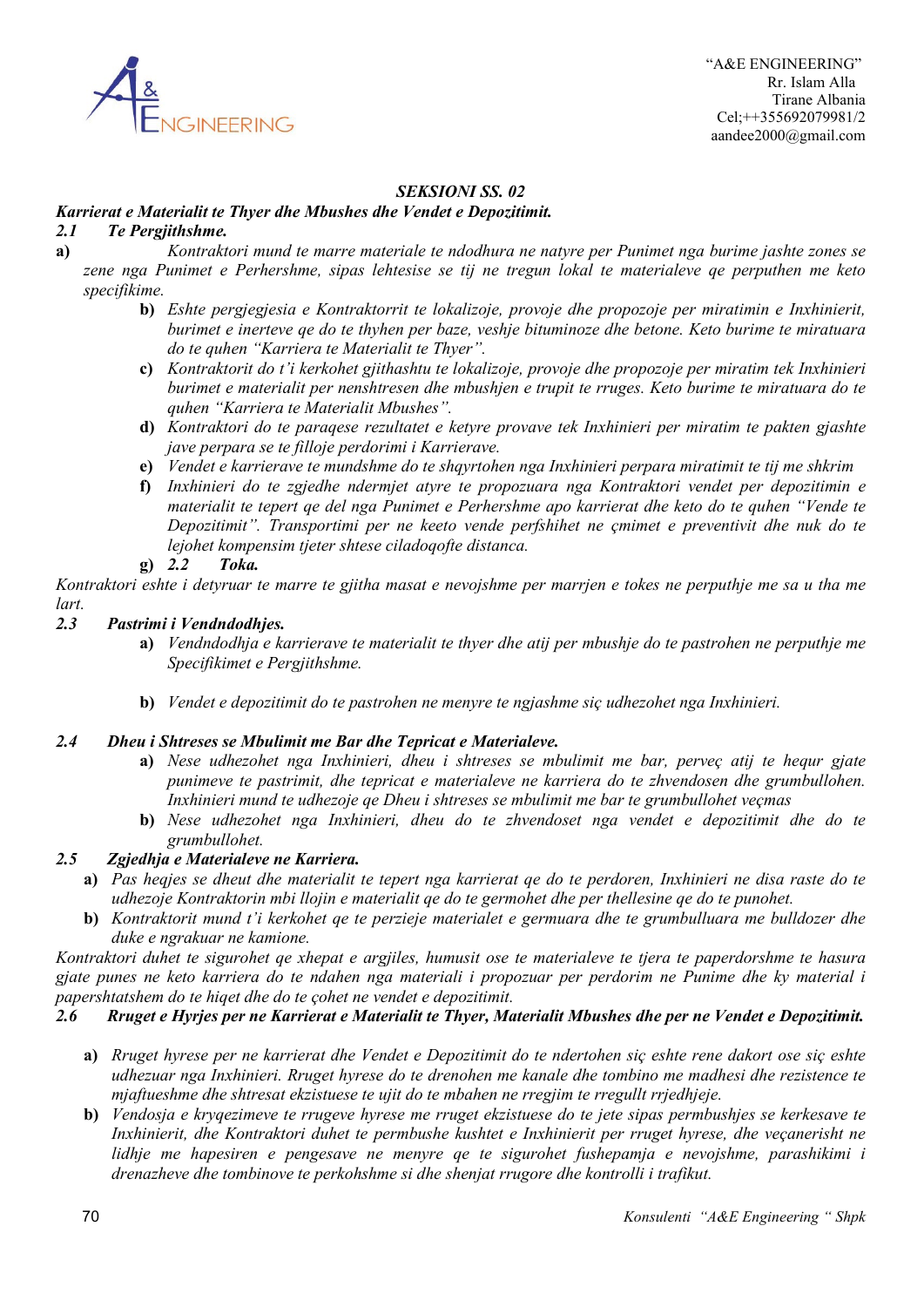

# *SEKSIONI SS. 02*

# *Karrierat e Materialit te Thyer dhe Mbushes dhe Vendet e Depozitimit.*

# *2.1 Te Pergjithshme.*

**a)** *Kontraktori mund te marre materiale te ndodhura ne natyre per Punimet nga burime jashte zones se zene nga Punimet e Perhershme, sipas lehtesise se tij ne tregun lokal te materialeve qe perputhen me keto specifikime.*

- **b)** *Eshte pergjegjesia e Kontraktorrit te lokalizoje, provoje dhe propozoje per miratimin e Inxhinierit, burimet e inerteve qe do te thyhen per baze, veshje bituminoze dhe betone. Keto burime te miratuara do te quhen "Karriera te Materialit te Thyer".*
- **c)** *Kontraktorit do t'i kerkohet gjithashtu te lokalizoje, provoje dhe propozoje per miratim tek Inxhinieri burimet e materialit per nenshtresen dhe mbushjen e trupit te rruges. Keto burime te miratuara do te quhen "Karriera te Materialit Mbushes".*
- **d)** *Kontraktori do te paraqese rezultatet e ketyre provave tek Inxhinieri per miratim te pakten gjashte jave perpara se te filloje perdorimi i Karrierave.*
- **e)** *Vendet e karrierave te mundshme do te shqyrtohen nga Inxhinieri perpara miratimit te tij me shkrim*
- **f)** *Inxhinieri do te zgjedhe ndermjet atyre te propozuara nga Kontraktori vendet per depozitimin e materialit te tepert qe del nga Punimet e Perhershme apo karrierat dhe keto do te quhen "Vende te Depozitimit". Transportimi per ne keeto vende perfshihet ne çmimet e preventivit dhe nuk do te lejohet kompensim tjeter shtese ciladoqofte distanca.*

# **g)** *2.2 Toka.*

*Kontraktori eshte i detyruar te marre te gjitha masat e nevojshme per marrjen e tokes ne perputhje me sa u tha me lart.*

### *2.3 Pastrimi i Vendndodhjes.*

- **a)** *Vendndodhja e karrierave te materialit te thyer dhe atij per mbushje do te pastrohen ne perputhje me Specifikimet e Pergjithshme.*
- **b)** *Vendet e depozitimit do te pastrohen ne menyre te ngjashme siç udhezohet nga Inxhinieri.*

### *2.4 Dheu i Shtreses se Mbulimit me Bar dhe Tepricat e Materialeve.*

- **a)** *Nese udhezohet nga Inxhinieri, dheu i shtreses se mbulimit me bar, perveç atij te hequr gjate punimeve te pastrimit, dhe tepricat e materialeve ne karriera do te zhvendosen dhe grumbullohen. Inxhinieri mund te udhezoje qe Dheu i shtreses se mbulimit me bar te grumbullohet veçmas*
- **b)** *Nese udhezohet nga Inxhinieri, dheu do te zhvendoset nga vendet e depozitimit dhe do te grumbullohet.*

# *2.5 Zgjedhja e Materialeve ne Karriera.*

- **a)** *Pas heqjes se dheut dhe materialit te tepert nga karrierat qe do te perdoren, Inxhinieri ne disa raste do te udhezoje Kontraktorin mbi llojin e materialit qe do te germohet dhe per thellesine qe do te punohet.*
- **b)** *Kontraktorit mund t'i kerkohet qe te perzieje materialet e germuara dhe te grumbulluara me bulldozer dhe duke e ngrakuar ne kamione.*

*Kontraktori duhet te sigurohet qe xhepat e argjiles, humusit ose te materialeve te tjera te paperdorshme te hasura gjate punes ne keto karriera do te ndahen nga materiali i propozuar per perdorim ne Punime dhe ky material i papershtatshem do te hiqet dhe do te çohet ne vendet e depozitimit.*

# *2.6 Rruget e Hyrjes per ne Karrierat e Materialit te Thyer, Materialit Mbushes dhe per ne Vendet e Depozitimit.*

- **a)** *Rruget hyrese per ne karrierat dhe Vendet e Depozitimit do te ndertohen siç eshte rene dakort ose siç eshte udhezuar nga Inxhinieri. Rruget hyrese do te drenohen me kanale dhe tombino me madhesi dhe rezistence te mjaftueshme dhe shtresat ekzistuese te ujit do te mbahen ne rregjim te rregullt rrjedhjeje.*
- **b)** *Vendosja e kryqezimeve te rrugeve hyrese me rruget ekzistuese do te jete sipas permbushjes se kerkesave te Inxhinierit, dhe Kontraktori duhet te permbushe kushtet e Inxhinierit per rruget hyrese, dhe veçanerisht ne lidhje me hapesiren e pengesave ne menyre qe te sigurohet fushepamja e nevojshme, parashikimi i drenazheve dhe tombinove te perkohshme si dhe shenjat rrugore dhe kontrolli i trafikut.*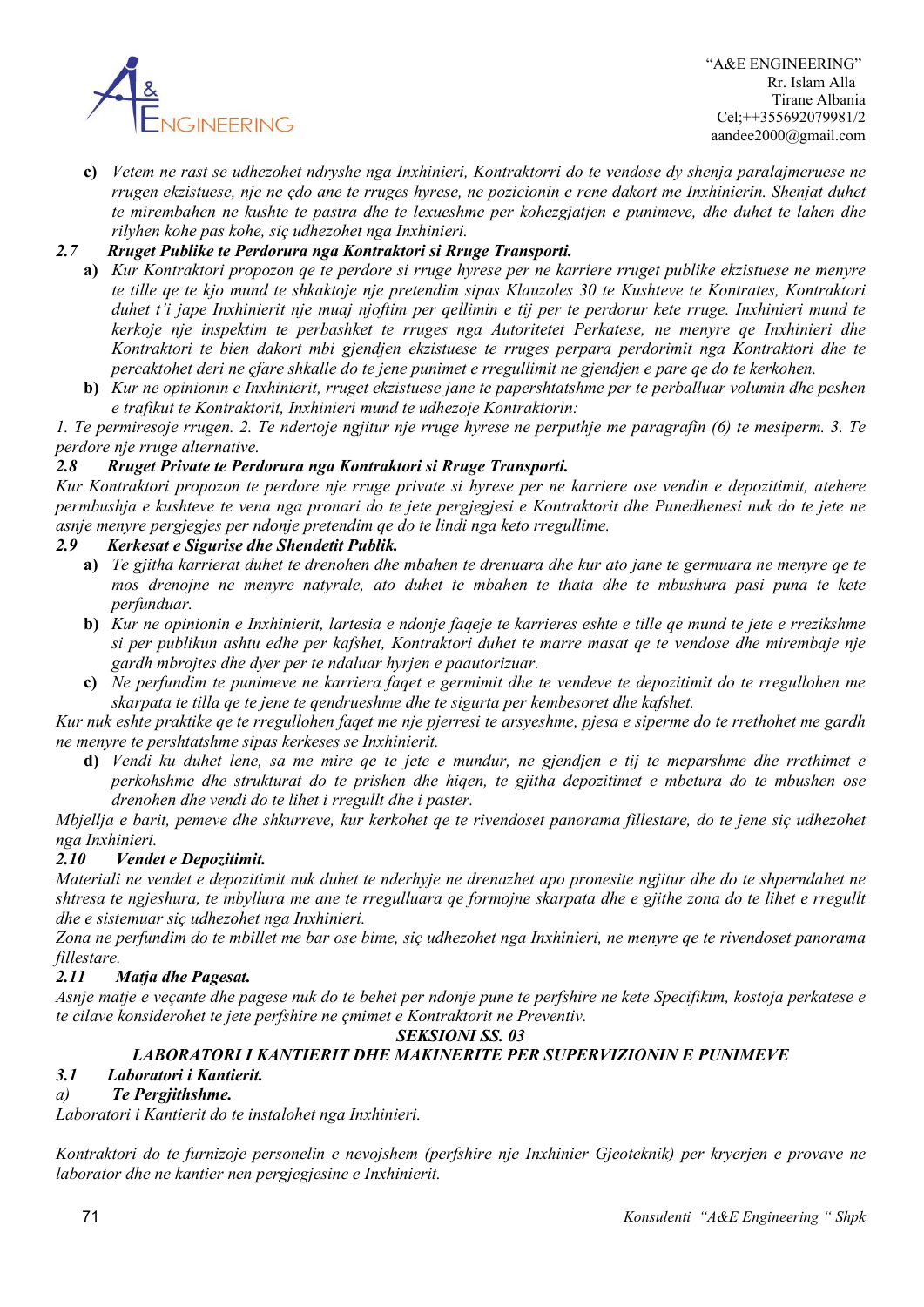

**c)** *Vetem ne rast se udhezohet ndryshe nga Inxhinieri, Kontraktorri do te vendose dy shenja paralajmeruese ne rrugen ekzistuese, nje ne çdo ane te rruges hyrese, ne pozicionin e rene dakort me Inxhinierin. Shenjat duhet te mirembahen ne kushte te pastra dhe te lexueshme per kohezgjatjen e punimeve, dhe duhet te lahen dhe rilyhen kohe pas kohe, siç udhezohet nga Inxhinieri.*

# *2.7 Rruget Publike te Perdorura nga Kontraktori si Rruge Transporti.*

- **a)** *Kur Kontraktori propozon qe te perdore si rruge hyrese per ne karriere rruget publike ekzistuese ne menyre te tille qe te kjo mund te shkaktoje nje pretendim sipas Klauzoles 30 te Kushteve te Kontrates, Kontraktori duhet t'i jape Inxhinierit nje muaj njoftim per qellimin e tij per te perdorur kete rruge. Inxhinieri mund te kerkoje nje inspektim te perbashket te rruges nga Autoritetet Perkatese, ne menyre qe Inxhinieri dhe Kontraktori te bien dakort mbi gjendjen ekzistuese te rruges perpara perdorimit nga Kontraktori dhe te percaktohet deri ne çfare shkalle do te jene punimet e rregullimit ne gjendjen e pare qe do te kerkohen.*
- **b)** *Kur ne opinionin e Inxhinierit, rruget ekzistuese jane te papershtatshme per te perballuar volumin dhe peshen e trafikut te Kontraktorit, Inxhinieri mund te udhezoje Kontraktorin:*

*1. Te permiresoje rrugen. 2. Te ndertoje ngjitur nje rruge hyrese ne perputhje me paragrafin (6) te mesiperm. 3. Te perdore nje rruge alternative.*

# *2.8 Rruget Private te Perdorura nga Kontraktori si Rruge Transporti.*

*Kur Kontraktori propozon te perdore nje rruge private si hyrese per ne karriere ose vendin e depozitimit, atehere permbushja e kushteve te vena nga pronari do te jete pergjegjesi e Kontraktorit dhe Punedhenesi nuk do te jete ne asnje menyre pergjegjes per ndonje pretendim qe do te lindi nga keto rregullime.*

# *2.9 Kerkesat e Sigurise dhe Shendetit Publik.*

- **a)** *Te gjitha karrierat duhet te drenohen dhe mbahen te drenuara dhe kur ato jane te germuara ne menyre qe te mos drenojne ne menyre natyrale, ato duhet te mbahen te thata dhe te mbushura pasi puna te kete perfunduar.*
- **b)** *Kur ne opinionin e Inxhinierit, lartesia e ndonje faqeje te karrieres eshte e tille qe mund te jete e rrezikshme si per publikun ashtu edhe per kafshet, Kontraktori duhet te marre masat qe te vendose dhe mirembaje nje gardh mbrojtes dhe dyer per te ndaluar hyrjen e paautorizuar.*
- **c)** *Ne perfundim te punimeve ne karriera faqet e germimit dhe te vendeve te depozitimit do te rregullohen me skarpata te tilla qe te jene te qendrueshme dhe te sigurta per kembesoret dhe kafshet.*

*Kur nuk eshte praktike qe te rregullohen faqet me nje pjerresi te arsyeshme, pjesa e siperme do te rrethohet me gardh ne menyre te pershtatshme sipas kerkeses se Inxhinierit.*

**d)** *Vendi ku duhet lene, sa me mire qe te jete e mundur, ne gjendjen e tij te meparshme dhe rrethimet e perkohshme dhe strukturat do te prishen dhe hiqen, te gjitha depozitimet e mbetura do te mbushen ose drenohen dhe vendi do te lihet i rregullt dhe i paster.*

*Mbjellja e barit, pemeve dhe shkurreve, kur kerkohet qe te rivendoset panorama fillestare, do te jene siç udhezohet nga Inxhinieri.*

# *2.10 Vendet e Depozitimit.*

*Materiali ne vendet e depozitimit nuk duhet te nderhyje ne drenazhet apo pronesite ngjitur dhe do te shperndahet ne shtresa te ngjeshura, te mbyllura me ane te rregulluara qe formojne skarpata dhe e gjithe zona do te lihet e rregullt dhe e sistemuar siç udhezohet nga Inxhinieri.*

*Zona ne perfundim do te mbillet me bar ose bime, siç udhezohet nga Inxhinieri, ne menyre qe te rivendoset panorama fillestare.*

# *2.11 Matja dhe Pagesat.*

*Asnje matje e veçante dhe pagese nuk do te behet per ndonje pune te perfshire ne kete Specifikim, kostoja perkatese e te cilave konsiderohet te jete perfshire ne çmimet e Kontraktorit ne Preventiv.*

#### *SEKSIONI SS. 03*

# *LABORATORI I KANTIERIT DHE MAKINERITE PER SUPERVIZIONIN E PUNIMEVE*

### *3.1 Laboratori i Kantierit.*

# *a) Te Pergjithshme.*

*Laboratori i Kantierit do te instalohet nga Inxhinieri.*

*Kontraktori do te furnizoje personelin e nevojshem (perfshire nje Inxhinier Gjeoteknik) per kryerjen e provave ne laborator dhe ne kantier nen pergjegjesine e Inxhinierit.*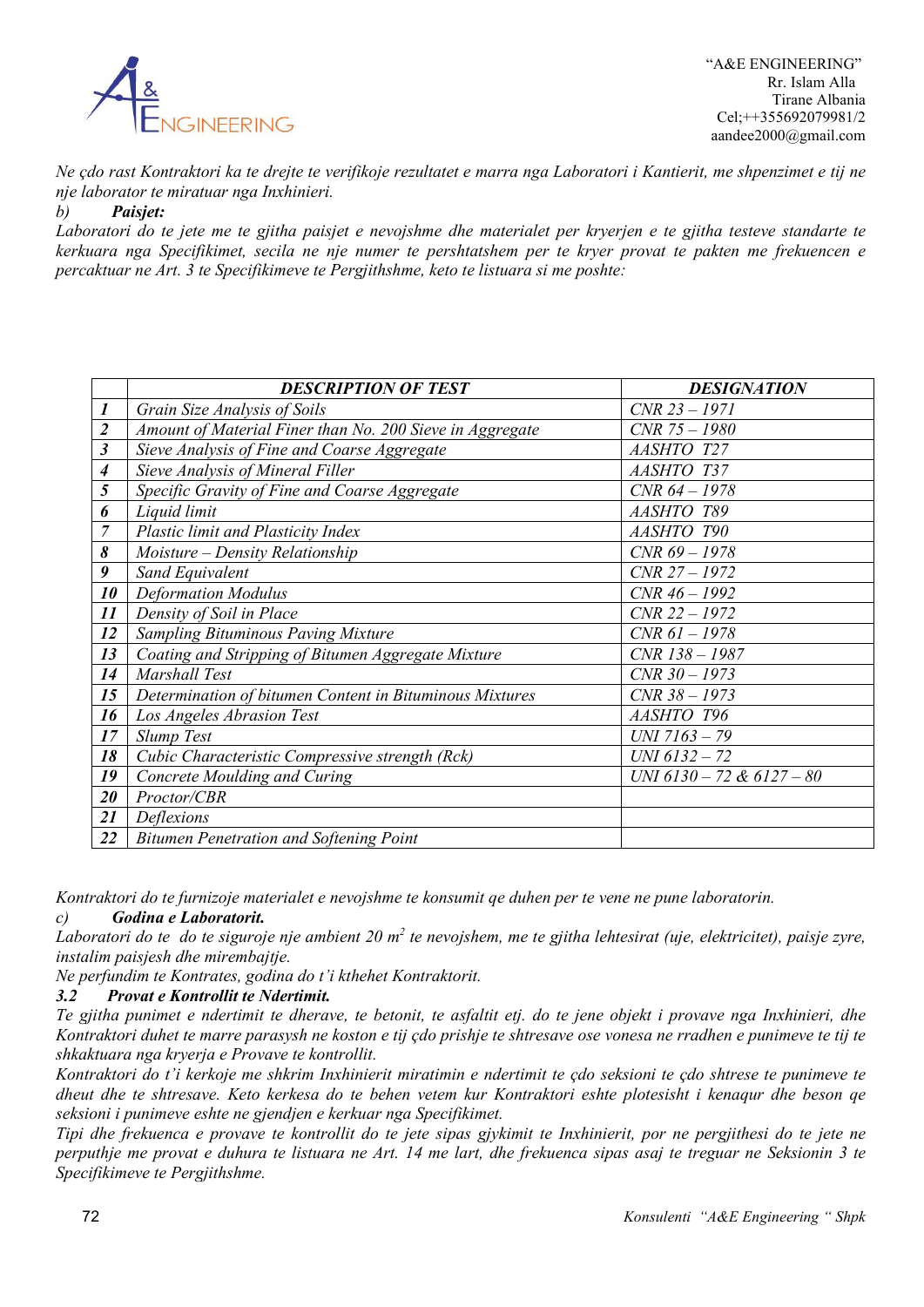

*Ne çdo rast Kontraktori ka te drejte te verifikoje rezultatet e marra nga Laboratori i Kantierit, me shpenzimet e tij ne nje laborator te miratuar nga Inxhinieri.*

*b) Paisjet:*

*Laboratori do te jete me te gjitha paisjet e nevojshme dhe materialet per kryerjen e te gjitha testeve standarte te kerkuara nga Specifikimet, secila ne nje numer te pershtatshem per te kryer provat te pakten me frekuencen e percaktuar ne Art. 3 te Specifikimeve te Pergjithshme, keto te listuara si me poshte:*

|                  | <b>DESCRIPTION OF TEST</b>                               | <b>DESIGNATION</b>        |
|------------------|----------------------------------------------------------|---------------------------|
| $\boldsymbol{l}$ | Grain Size Analysis of Soils                             | $CNR 23 - 1971$           |
| $\overline{2}$   | Amount of Material Finer than No. 200 Sieve in Aggregate | $CNR$ 75 $- 1980$         |
| $\mathfrak{z}$   | Sieve Analysis of Fine and Coarse Aggregate              | AASHTO T27                |
| 4                | Sieve Analysis of Mineral Filler                         | AASHTO T37                |
| 5                | Specific Gravity of Fine and Coarse Aggregate            | $CNR$ 64 - 1978           |
| 6                | Liquid limit                                             | AASHTO T89                |
| $\overline{7}$   | Plastic limit and Plasticity Index                       | AASHTO T90                |
| 8                | Moisture – Density Relationship                          | $CNR$ 69 - 1978           |
| 9                | Sand Equivalent                                          | $CNR 27 - 1972$           |
| 10               | <b>Deformation Modulus</b>                               | $CNR$ 46 - 1992           |
| 11               | Density of Soil in Place                                 | $CNR$ 22 - 1972           |
| 12               | <b>Sampling Bituminous Paving Mixture</b>                | $CNR 61 - 1978$           |
| 13               | Coating and Stripping of Bitumen Aggregate Mixture       | $CNR$ 138 - 1987          |
| 14               | Marshall Test                                            | $CNR 30 - 1973$           |
| 15               | Determination of bitumen Content in Bituminous Mixtures  | $CNR 38 - 1973$           |
| 16               | Los Angeles Abrasion Test                                | AASHTO T96                |
| 17               | Slump Test                                               | $UNI 7163 - 79$           |
| 18               | Cubic Characteristic Compressive strength (Rck)          | $UNI 6132 - 72$           |
| 19               | Concrete Moulding and Curing                             | UNI 6130 - 72 & 6127 - 80 |
| 20               | Proctor/CBR                                              |                           |
| 21               | Deflexions                                               |                           |
| 22               | <b>Bitumen Penetration and Softening Point</b>           |                           |

*Kontraktori do te furnizoje materialet e nevojshme te konsumit qe duhen per te vene ne pune laboratorin.*

# *c) Godina e Laboratorit.*

*Laboratori do te do te siguroje nje ambient 20 m2 te nevojshem, me te gjitha lehtesirat (uje, elektricitet), paisje zyre, instalim paisjesh dhe mirembajtje.*

*Ne perfundim te Kontrates, godina do t'i kthehet Kontraktorit.*

# *3.2 Provat e Kontrollit te Ndertimit.*

*Te gjitha punimet e ndertimit te dherave, te betonit, te asfaltit etj. do te jene objekt i provave nga Inxhinieri, dhe Kontraktori duhet te marre parasysh ne koston e tij çdo prishje te shtresave ose vonesa ne rradhen e punimeve te tij te shkaktuara nga kryerja e Provave te kontrollit.*

*Kontraktori do t'i kerkoje me shkrim Inxhinierit miratimin e ndertimit te çdo seksioni te çdo shtrese te punimeve te dheut dhe te shtresave. Keto kerkesa do te behen vetem kur Kontraktori eshte plotesisht i kenaqur dhe beson qe seksioni i punimeve eshte ne gjendjen e kerkuar nga Specifikimet.*

*Tipi dhe frekuenca e provave te kontrollit do te jete sipas gjykimit te Inxhinierit, por ne pergjithesi do te jete ne*  perputhje me provat e duhura te listuara ne Art. 14 me lart, dhe frekuenca sipas asaj te treguar ne Seksionin 3 te *Specifikimeve te Pergjithshme.*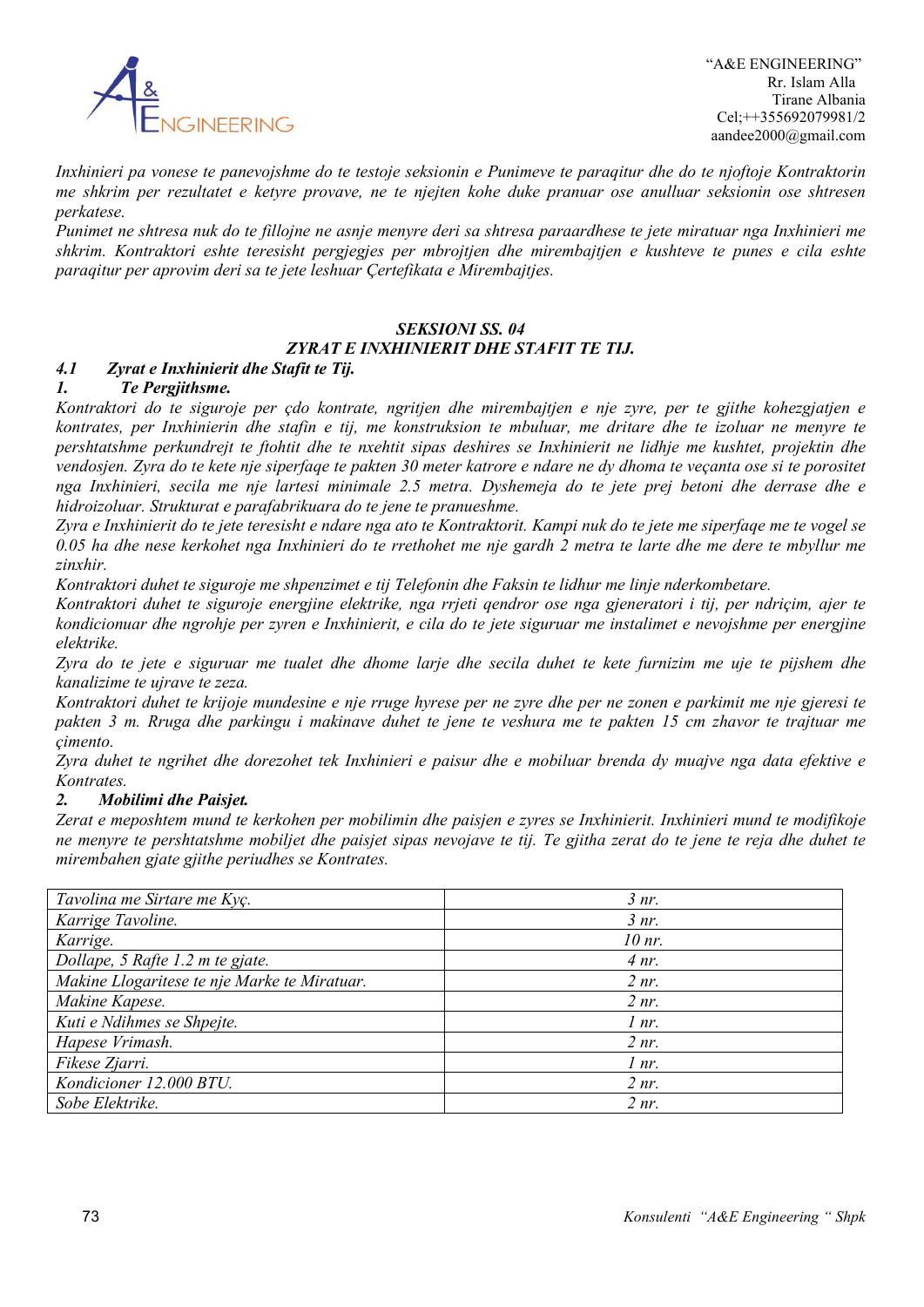

*Inxhinieri pa vonese te panevojshme do te testoje seksionin e Punimeve te paraqitur dhe do te njoftoje Kontraktorin me shkrim per rezultatet e ketyre provave, ne te njejten kohe duke pranuar ose anulluar seksionin ose shtresen perkatese.*

*Punimet ne shtresa nuk do te fillojne ne asnje menyre deri sa shtresa paraardhese te jete miratuar nga Inxhinieri me shkrim. Kontraktori eshte teresisht pergjegjes per mbrojtjen dhe mirembajtjen e kushteve te punes e cila eshte paraqitur per aprovim deri sa te jete leshuar Çertefikata e Mirembajtjes.*

### *SEKSIONI SS. 04*

### *ZYRAT E INXHINIERIT DHE STAFIT TE TIJ.*

### *4.1 Zyrat e Inxhinierit dhe Stafit te Tij.*

### *1. Te Pergjithsme.*

*Kontraktori do te siguroje per çdo kontrate, ngritjen dhe mirembajtjen e nje zyre, per te gjithe kohezgjatjen e kontrates, per Inxhinierin dhe stafin e tij, me konstruksion te mbuluar, me dritare dhe te izoluar ne menyre te pershtatshme perkundrejt te ftohtit dhe te nxehtit sipas deshires se Inxhinierit ne lidhje me kushtet, projektin dhe vendosjen. Zyra do te kete nje siperfaqe te pakten 30 meter katrore e ndare ne dy dhoma te veçanta ose si te porositet nga Inxhinieri, secila me nje lartesi minimale 2.5 metra. Dyshemeja do te jete prej betoni dhe derrase dhe e hidroizoluar. Strukturat e parafabrikuara do te jene te pranueshme.*

*Zyra e Inxhinierit do te jete teresisht e ndare nga ato te Kontraktorit. Kampi nuk do te jete me siperfaqe me te vogel se 0.05 ha dhe nese kerkohet nga Inxhinieri do te rrethohet me nje gardh 2 metra te larte dhe me dere te mbyllur me zinxhir.*

*Kontraktori duhet te siguroje me shpenzimet e tij Telefonin dhe Faksin te lidhur me linje nderkombetare.*

*Kontraktori duhet te siguroje energjine elektrike, nga rrjeti qendror ose nga gjeneratori i tij, per ndriçim, ajer te kondicionuar dhe ngrohje per zyren e Inxhinierit, e cila do te jete siguruar me instalimet e nevojshme per energjine elektrike.*

*Zyra do te jete e siguruar me tualet dhe dhome larje dhe secila duhet te kete furnizim me uje te pijshem dhe kanalizime te ujrave te zeza.*

*Kontraktori duhet te krijoje mundesine e nje rruge hyrese per ne zyre dhe per ne zonen e parkimit me nje gjeresi te pakten 3 m. Rruga dhe parkingu i makinave duhet te jene te veshura me te pakten 15 cm zhavor te trajtuar me çimento.*

*Zyra duhet te ngrihet dhe dorezohet tek Inxhinieri e paisur dhe e mobiluar brenda dy muajve nga data efektive e Kontrates.*

#### *2. Mobilimi dhe Paisjet.*

*Zerat e meposhtem mund te kerkohen per mobilimin dhe paisjen e zyres se Inxhinierit. Inxhinieri mund te modifikoje*  ne menyre te pershtatshme mobiljet dhe paisjet sipas nevojave te tij. Te gjitha zerat do te jene te reja dhe duhet te *mirembahen gjate gjithe periudhes se Kontrates.*

| Tavolina me Sirtare me Kyç.                  | 3 nr.    |
|----------------------------------------------|----------|
| Karrige Tavoline.                            | $3 nr$ . |
| Karrige.                                     | 10 nr.   |
| Dollape, 5 Rafte 1.2 m te gjate.             | 4 nr.    |
| Makine Llogaritese te nje Marke te Miratuar. | $2 nr$ . |
| Makine Kapese.                               | $2 nr$ . |
| Kuti e Ndihmes se Shpejte.                   | 1 nr.    |
| Hapese Vrimash.                              | $2 nr$ . |
| Fikese Zjarri.                               | 1 nr.    |
| Kondicioner 12.000 BTU.                      | $2 nr$ . |
| Sobe Elektrike.                              | $2 nr$ . |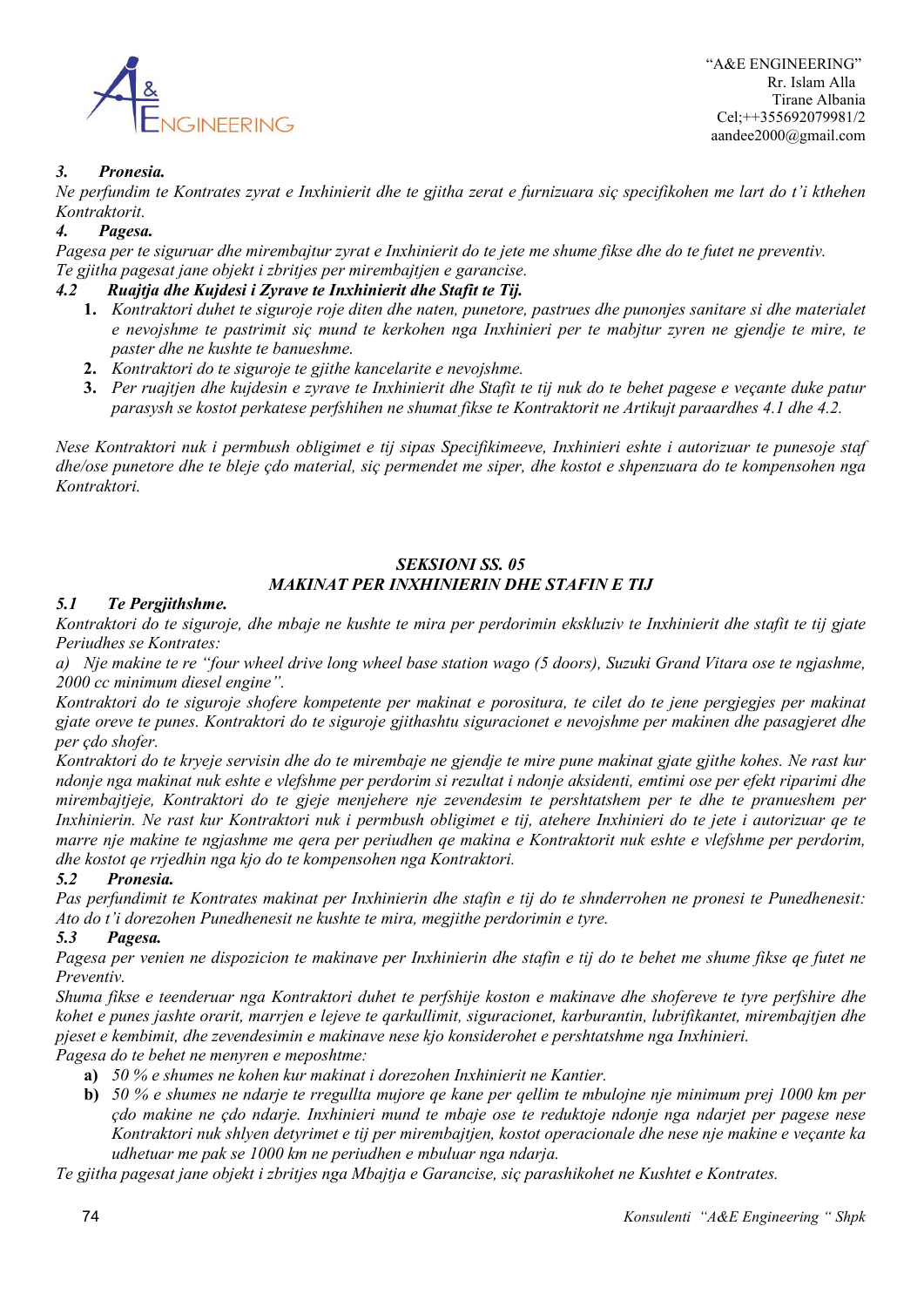

 "A&E ENGINEERING" Rr. Islam Alla Tirane Albania Cel;++355692079981/2 aandee2000@gmail.com

### *3. Pronesia.*

*Ne perfundim te Kontrates zyrat e Inxhinierit dhe te gjitha zerat e furnizuara siç specifikohen me lart do t'i kthehen Kontraktorit.*

# *4. Pagesa.*

*Pagesa per te siguruar dhe mirembajtur zyrat e Inxhinierit do te jete me shume fikse dhe do te futet ne preventiv. Te gjitha pagesat jane objekt i zbritjes per mirembajtjen e garancise.*

### *4.2 Ruajtja dhe Kujdesi i Zyrave te Inxhinierit dhe Stafit te Tij.*

- **1.** *Kontraktori duhet te siguroje roje diten dhe naten, punetore, pastrues dhe punonjes sanitare si dhe materialet e nevojshme te pastrimit siç mund te kerkohen nga Inxhinieri per te mabjtur zyren ne gjendje te mire, te paster dhe ne kushte te banueshme.*
- **2.** *Kontraktori do te siguroje te gjithe kancelarite e nevojshme.*
- **3.** *Per ruajtjen dhe kujdesin e zyrave te Inxhinierit dhe Stafit te tij nuk do te behet pagese e veçante duke patur parasysh se kostot perkatese perfshihen ne shumat fikse te Kontraktorit ne Artikujt paraardhes 4.1 dhe 4.2.*

*Nese Kontraktori nuk i permbush obligimet e tij sipas Specifikimeeve, Inxhinieri eshte i autorizuar te punesoje staf dhe/ose punetore dhe te bleje çdo material, siç permendet me siper, dhe kostot e shpenzuara do te kompensohen nga Kontraktori.*

#### *SEKSIONI SS. 05 MAKINAT PER INXHINIERIN DHE STAFIN E TIJ*

### *5.1 Te Pergjithshme.*

*Kontraktori do te siguroje, dhe mbaje ne kushte te mira per perdorimin ekskluziv te Inxhinierit dhe stafit te tij gjate Periudhes se Kontrates:*

*a) Nje makine te re "four wheel drive long wheel base station wago (5 doors), Suzuki Grand Vitara ose te ngjashme, 2000 cc minimum diesel engine".*

*Kontraktori do te siguroje shofere kompetente per makinat e porositura, te cilet do te jene pergjegjes per makinat gjate oreve te punes. Kontraktori do te siguroje gjithashtu siguracionet e nevojshme per makinen dhe pasagjeret dhe per çdo shofer.*

*Kontraktori do te kryeje servisin dhe do te mirembaje ne gjendje te mire pune makinat gjate gjithe kohes. Ne rast kur ndonje nga makinat nuk eshte e vlefshme per perdorim si rezultat i ndonje aksidenti, emtimi ose per efekt riparimi dhe mirembajtjeje, Kontraktori do te gjeje menjehere nje zevendesim te pershtatshem per te dhe te pranueshem per Inxhinierin. Ne rast kur Kontraktori nuk i permbush obligimet e tij, atehere Inxhinieri do te jete i autorizuar qe te marre nje makine te ngjashme me qera per periudhen qe makina e Kontraktorit nuk eshte e vlefshme per perdorim, dhe kostot qe rrjedhin nga kjo do te kompensohen nga Kontraktori.*

#### *5.2 Pronesia.*

*Pas perfundimit te Kontrates makinat per Inxhinierin dhe stafin e tij do te shnderrohen ne pronesi te Punedhenesit: Ato do t'i dorezohen Punedhenesit ne kushte te mira, megjithe perdorimin e tyre.*

#### *5.3 Pagesa.*

*Pagesa per venien ne dispozicion te makinave per Inxhinierin dhe stafin e tij do te behet me shume fikse qe futet ne Preventiv.*

*Shuma fikse e teenderuar nga Kontraktori duhet te perfshije koston e makinave dhe shofereve te tyre perfshire dhe kohet e punes jashte orarit, marrjen e lejeve te qarkullimit, siguracionet, karburantin, lubrifikantet, mirembajtjen dhe pjeset e kembimit, dhe zevendesimin e makinave nese kjo konsiderohet e pershtatshme nga Inxhinieri.*

*Pagesa do te behet ne menyren e meposhtme:*

- **a)** *50 % e shumes ne kohen kur makinat i dorezohen Inxhinierit ne Kantier.*
- **b)** *50 % e shumes ne ndarje te rregullta mujore qe kane per qellim te mbulojne nje minimum prej 1000 km per çdo makine ne çdo ndarje. Inxhinieri mund te mbaje ose te reduktoje ndonje nga ndarjet per pagese nese Kontraktori nuk shlyen detyrimet e tij per mirembajtjen, kostot operacionale dhe nese nje makine e veçante ka udhetuar me pak se 1000 km ne periudhen e mbuluar nga ndarja.*

*Te gjitha pagesat jane objekt i zbritjes nga Mbajtja e Garancise, siç parashikohet ne Kushtet e Kontrates.*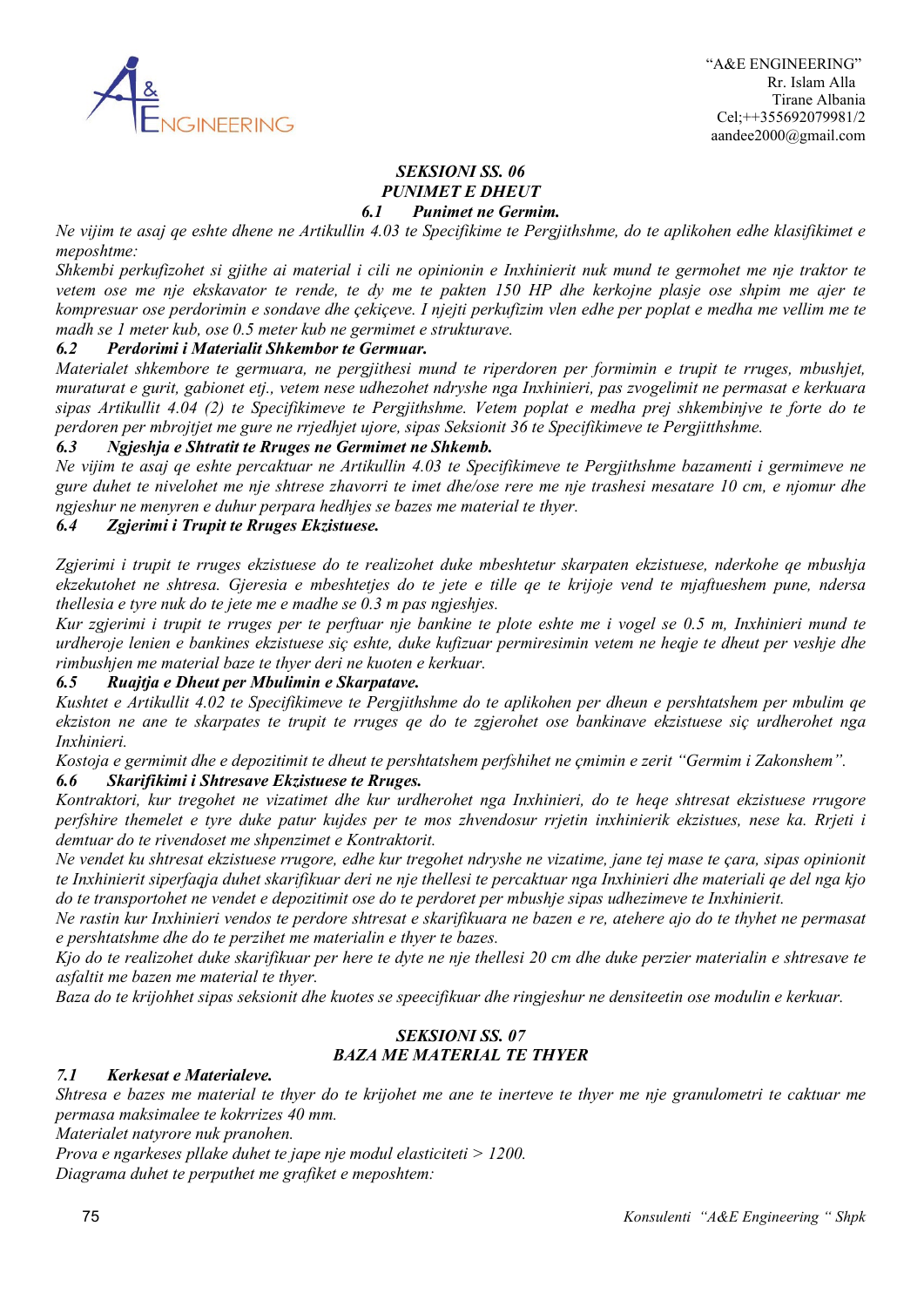

#### *SEKSIONI SS. 06 PUNIMET E DHEUT 6.1 Punimet ne Germim.*

*Ne vijim te asaj qe eshte dhene ne Artikullin 4.03 te Specifikime te Pergjithshme, do te aplikohen edhe klasifikimet e meposhtme:*

*Shkembi perkufizohet si gjithe ai material i cili ne opinionin e Inxhinierit nuk mund te germohet me nje traktor te vetem ose me nje ekskavator te rende, te dy me te pakten 150 HP dhe kerkojne plasje ose shpim me ajer te kompresuar ose perdorimin e sondave dhe çekiçeve. I njejti perkufizim vlen edhe per poplat e medha me vellim me te madh se 1 meter kub, ose 0.5 meter kub ne germimet e strukturave.*

### *6.2 Perdorimi i Materialit Shkembor te Germuar.*

*Materialet shkembore te germuara, ne pergjithesi mund te riperdoren per formimin e trupit te rruges, mbushjet, muraturat e gurit, gabionet etj., vetem nese udhezohet ndryshe nga Inxhinieri, pas zvogelimit ne permasat e kerkuara sipas Artikullit 4.04 (2) te Specifikimeve te Pergjithshme. Vetem poplat e medha prej shkembinjve te forte do te perdoren per mbrojtjet me gure ne rrjedhjet ujore, sipas Seksionit 36 te Specifikimeve te Pergjitthshme.*

### *6.3 Ngjeshja e Shtratit te Rruges ne Germimet ne Shkemb.*

*Ne vijim te asaj qe eshte percaktuar ne Artikullin 4.03 te Specifikimeve te Pergjithshme bazamenti i germimeve ne gure duhet te nivelohet me nje shtrese zhavorri te imet dhe/ose rere me nje trashesi mesatare 10 cm, e njomur dhe ngjeshur ne menyren e duhur perpara hedhjes se bazes me material te thyer.*

### *6.4 Zgjerimi i Trupit te Rruges Ekzistuese.*

*Zgjerimi i trupit te rruges ekzistuese do te realizohet duke mbeshtetur skarpaten ekzistuese, nderkohe qe mbushja ekzekutohet ne shtresa. Gjeresia e mbeshtetjes do te jete e tille qe te krijoje vend te mjaftueshem pune, ndersa thellesia e tyre nuk do te jete me e madhe se 0.3 m pas ngjeshjes.*

*Kur zgjerimi i trupit te rruges per te perftuar nje bankine te plote eshte me i vogel se 0.5 m, Inxhinieri mund te urdheroje lenien e bankines ekzistuese siç eshte, duke kufizuar permiresimin vetem ne heqje te dheut per veshje dhe rimbushjen me material baze te thyer deri ne kuoten e kerkuar.*

#### *6.5 Ruajtja e Dheut per Mbulimin e Skarpatave.*

*Kushtet e Artikullit 4.02 te Specifikimeve te Pergjithshme do te aplikohen per dheun e pershtatshem per mbulim qe ekziston ne ane te skarpates te trupit te rruges qe do te zgjerohet ose bankinave ekzistuese siç urdherohet nga Inxhinieri.*

*Kostoja e germimit dhe e depozitimit te dheut te pershtatshem perfshihet ne çmimin e zerit "Germim i Zakonshem". 6.6 Skarifikimi i Shtresave Ekzistuese te Rruges.*

*Kontraktori, kur tregohet ne vizatimet dhe kur urdherohet nga Inxhinieri, do te heqe shtresat ekzistuese rrugore perfshire themelet e tyre duke patur kujdes per te mos zhvendosur rrjetin inxhinierik ekzistues, nese ka. Rrjeti i demtuar do te rivendoset me shpenzimet e Kontraktorit.*

*Ne vendet ku shtresat ekzistuese rrugore, edhe kur tregohet ndryshe ne vizatime, jane tej mase te çara, sipas opinionit te Inxhinierit siperfaqja duhet skarifikuar deri ne nje thellesi te percaktuar nga Inxhinieri dhe materiali qe del nga kjo do te transportohet ne vendet e depozitimit ose do te perdoret per mbushje sipas udhezimeve te Inxhinierit.*

*Ne rastin kur Inxhinieri vendos te perdore shtresat e skarifikuara ne bazen e re, atehere ajo do te thyhet ne permasat e pershtatshme dhe do te perzihet me materialin e thyer te bazes.*

*Kjo do te realizohet duke skarifikuar per here te dyte ne nje thellesi 20 cm dhe duke perzier materialin e shtresave te asfaltit me bazen me material te thyer.*

*Baza do te krijohhet sipas seksionit dhe kuotes se speecifikuar dhe ringjeshur ne densiteetin ose modulin e kerkuar.*

# *SEKSIONI SS. 07 BAZA ME MATERIAL TE THYER*

#### *7.1 Kerkesat e Materialeve.*

*Shtresa e bazes me material te thyer do te krijohet me ane te inerteve te thyer me nje granulometri te caktuar me permasa maksimalee te kokrrizes 40 mm.*

*Materialet natyrore nuk pranohen.*

*Prova e ngarkeses pllake duhet te jape nje modul elasticiteti > 1200. Diagrama duhet te perputhet me grafiket e meposhtem:*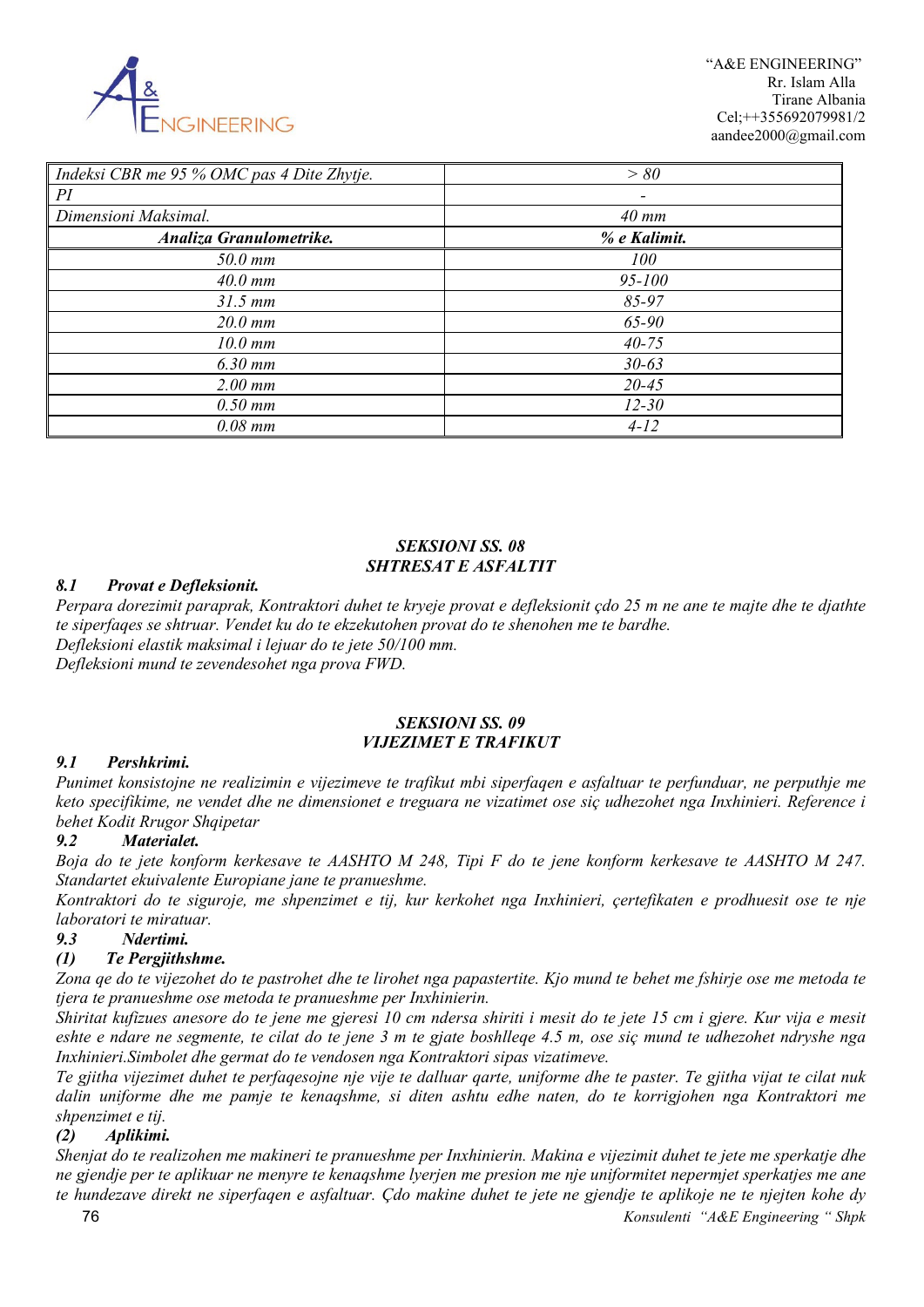

 "A&E ENGINEERING" Rr. Islam Alla Tirane Albania Cel;++355692079981/2 aandee2000@gmail.com

| Indeksi CBR me 95 % OMC pas 4 Dite Zhytje. | > 80              |
|--------------------------------------------|-------------------|
| PI                                         |                   |
| Dimensioni Maksimal.                       | $40 \, \text{mm}$ |
| Analiza Granulometrike.                    | % e Kalimit.      |
| $50.0$ mm                                  | 100               |
| $40.0$ mm                                  | $95 - 100$        |
| $31.5$ mm                                  | $85 - 97$         |
| $20.0$ mm                                  | 65-90             |
| $10.0$ mm                                  | $40 - 75$         |
| $6.30$ mm                                  | $30 - 63$         |
| $2.00$ mm                                  | $20 - 45$         |
| $0.50$ mm                                  | $12 - 30$         |
| $0.08$ mm                                  | $4 - 12$          |

# *SEKSIONI SS. 08 SHTRESAT E ASFALTIT*

### *8.1 Provat e Defleksionit.*

*Perpara dorezimit paraprak, Kontraktori duhet te kryeje provat e defleksionit çdo 25 m ne ane te majte dhe te djathte te siperfaqes se shtruar. Vendet ku do te ekzekutohen provat do te shenohen me te bardhe. Defleksioni elastik maksimal i lejuar do te jete 50/100 mm. Defleksioni mund te zevendesohet nga prova FWD.*

#### *SEKSIONI SS. 09 VIJEZIMET E TRAFIKUT*

### *9.1 Pershkrimi.*

*Punimet konsistojne ne realizimin e vijezimeve te trafikut mbi siperfaqen e asfaltuar te perfunduar, ne perputhje me keto specifikime, ne vendet dhe ne dimensionet e treguara ne vizatimet ose siç udhezohet nga Inxhinieri. Reference i behet Kodit Rrugor Shqipetar*

### *9.2 Materialet.*

*Boja do te jete konform kerkesave te AASHTO M 248, Tipi F do te jene konform kerkesave te AASHTO M 247. Standartet ekuivalente Europiane jane te pranueshme.*

*Kontraktori do te siguroje, me shpenzimet e tij, kur kerkohet nga Inxhinieri, çertefikaten e prodhuesit ose te nje laboratori te miratuar.*

### *9.3 Ndertimi.*

### *(1) Te Pergjithshme.*

*Zona qe do te vijezohet do te pastrohet dhe te lirohet nga papastertite. Kjo mund te behet me fshirje ose me metoda te tjera te pranueshme ose metoda te pranueshme per Inxhinierin.*

*Shiritat kufizues anesore do te jene me gjeresi 10 cm ndersa shiriti i mesit do te jete 15 cm i gjere. Kur vija e mesit eshte e ndare ne segmente, te cilat do te jene 3 m te gjate boshlleqe 4.5 m, ose siç mund te udhezohet ndryshe nga Inxhinieri.Simbolet dhe germat do te vendosen nga Kontraktori sipas vizatimeve.*

*Te gjitha vijezimet duhet te perfaqesojne nje vije te dalluar qarte, uniforme dhe te paster. Te gjitha vijat te cilat nuk dalin uniforme dhe me pamje te kenaqshme, si diten ashtu edhe naten, do te korrigjohen nga Kontraktori me shpenzimet e tij.*

### *(2) Aplikimi.*

*Shenjat do te realizohen me makineri te pranueshme per Inxhinierin. Makina e vijezimit duhet te jete me sperkatje dhe ne gjendje per te aplikuar ne menyre te kenaqshme lyerjen me presion me nje uniformitet nepermjet sperkatjes me ane te hundezave direkt ne siperfaqen e asfaltuar. Çdo makine duhet te jete ne gjendje te aplikoje ne te njejten kohe dy*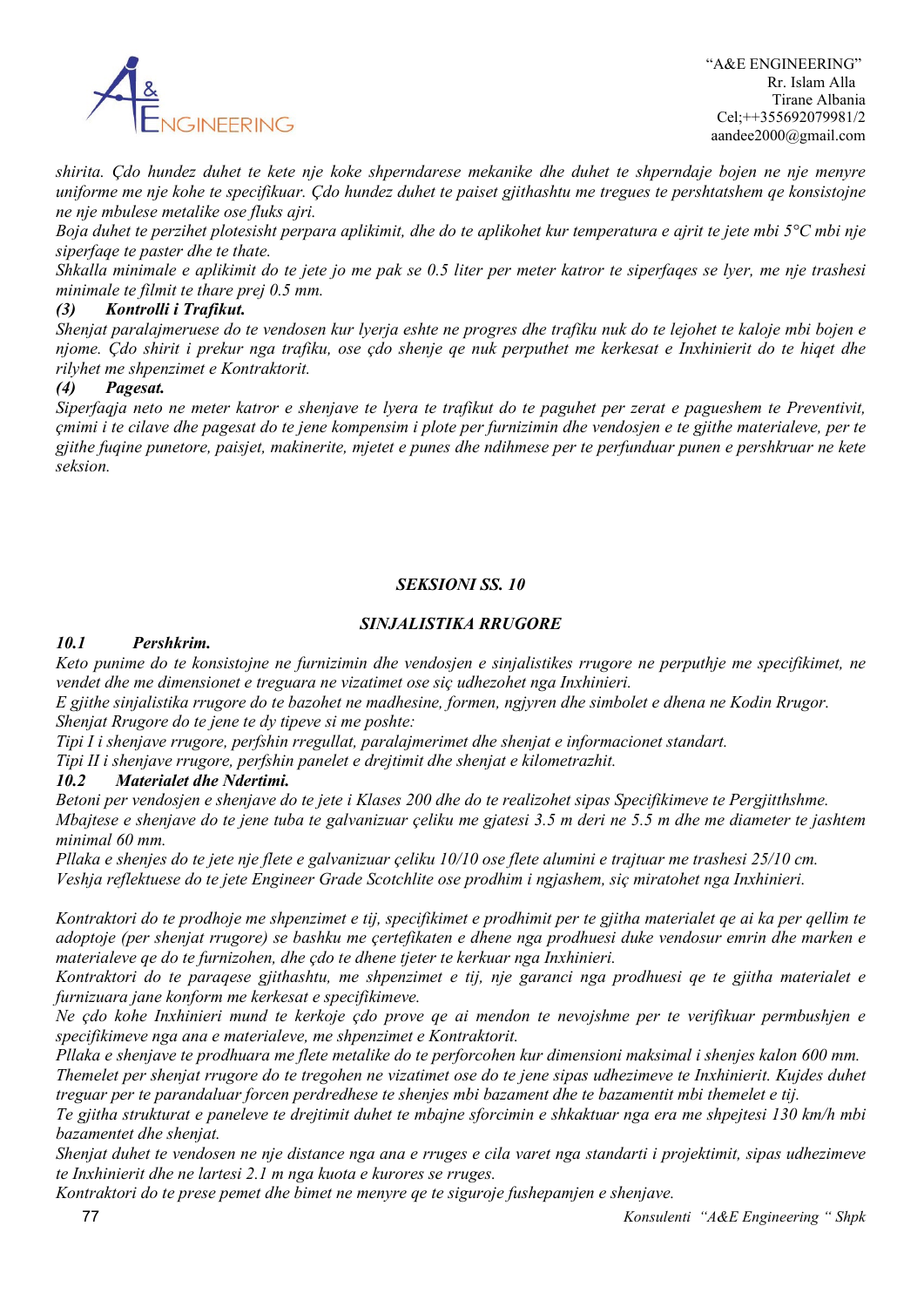

*shirita. Çdo hundez duhet te kete nje koke shperndarese mekanike dhe duhet te shperndaje bojen ne nje menyre uniforme me nje kohe te specifikuar. Çdo hundez duhet te paiset gjithashtu me tregues te pershtatshem qe konsistojne ne nje mbulese metalike ose fluks ajri.*

*Boja duhet te perzihet plotesisht perpara aplikimit, dhe do te aplikohet kur temperatura e ajrit te jete mbi 5°C mbi nje siperfaqe te paster dhe te thate.*

*Shkalla minimale e aplikimit do te jete jo me pak se 0.5 liter per meter katror te siperfaqes se lyer, me nje trashesi minimale te filmit te thare prej 0.5 mm.*

### *(3) Kontrolli i Trafikut.*

*Shenjat paralajmeruese do te vendosen kur lyerja eshte ne progres dhe trafiku nuk do te lejohet te kaloje mbi bojen e njome. Çdo shirit i prekur nga trafiku, ose çdo shenje qe nuk perputhet me kerkesat e Inxhinierit do te hiqet dhe rilyhet me shpenzimet e Kontraktorit.*

### *(4) Pagesat.*

*Siperfaqja neto ne meter katror e shenjave te lyera te trafikut do te paguhet per zerat e pagueshem te Preventivit, çmimi i te cilave dhe pagesat do te jene kompensim i plote per furnizimin dhe vendosjen e te gjithe materialeve, per te gjithe fuqine punetore, paisjet, makinerite, mjetet e punes dhe ndihmese per te perfunduar punen e pershkruar ne kete seksion.*

### *SEKSIONI SS. 10*

### *SINJALISTIKA RRUGORE*

### *10.1 Pershkrim.*

*Keto punime do te konsistojne ne furnizimin dhe vendosjen e sinjalistikes rrugore ne perputhje me specifikimet, ne vendet dhe me dimensionet e treguara ne vizatimet ose siç udhezohet nga Inxhinieri.*

*E gjithe sinjalistika rrugore do te bazohet ne madhesine, formen, ngjyren dhe simbolet e dhena ne Kodin Rrugor. Shenjat Rrugore do te jene te dy tipeve si me poshte:*

*Tipi I i shenjave rrugore, perfshin rregullat, paralajmerimet dhe shenjat e informacionet standart.*

*Tipi II i shenjave rrugore, perfshin panelet e drejtimit dhe shenjat e kilometrazhit.*

#### *10.2 Materialet dhe Ndertimi.*

*Betoni per vendosjen e shenjave do te jete i Klases 200 dhe do te realizohet sipas Specifikimeve te Pergjitthshme. Mbajtese e shenjave do te jene tuba te galvanizuar çeliku me gjatesi 3.5 m deri ne 5.5 m dhe me diameter te jashtem minimal 60 mm.*

*Pllaka e shenjes do te jete nje flete e galvanizuar çeliku 10/10 ose flete alumini e trajtuar me trashesi 25/10 cm. Veshja reflektuese do te jete Engineer Grade Scotchlite ose prodhim i ngjashem, siç miratohet nga Inxhinieri.*

*Kontraktori do te prodhoje me shpenzimet e tij, specifikimet e prodhimit per te gjitha materialet qe ai ka per qellim te adoptoje (per shenjat rrugore) se bashku me çertefikaten e dhene nga prodhuesi duke vendosur emrin dhe marken e materialeve qe do te furnizohen, dhe çdo te dhene tjeter te kerkuar nga Inxhinieri.*

*Kontraktori do te paraqese gjithashtu, me shpenzimet e tij, nje garanci nga prodhuesi qe te gjitha materialet e furnizuara jane konform me kerkesat e specifikimeve.*

*Ne çdo kohe Inxhinieri mund te kerkoje çdo prove qe ai mendon te nevojshme per te verifikuar permbushjen e specifikimeve nga ana e materialeve, me shpenzimet e Kontraktorit.*

*Pllaka e shenjave te prodhuara me flete metalike do te perforcohen kur dimensioni maksimal i shenjes kalon 600 mm. Themelet per shenjat rrugore do te tregohen ne vizatimet ose do te jene sipas udhezimeve te Inxhinierit. Kujdes duhet treguar per te parandaluar forcen perdredhese te shenjes mbi bazament dhe te bazamentit mbi themelet e tij.*

*Te gjitha strukturat e paneleve te drejtimit duhet te mbajne sforcimin e shkaktuar nga era me shpejtesi 130 km/h mbi bazamentet dhe shenjat.*

*Shenjat duhet te vendosen ne nje distance nga ana e rruges e cila varet nga standarti i projektimit, sipas udhezimeve te Inxhinierit dhe ne lartesi 2.1 m nga kuota e kurores se rruges.*

*Kontraktori do te prese pemet dhe bimet ne menyre qe te siguroje fushepamjen e shenjave.*